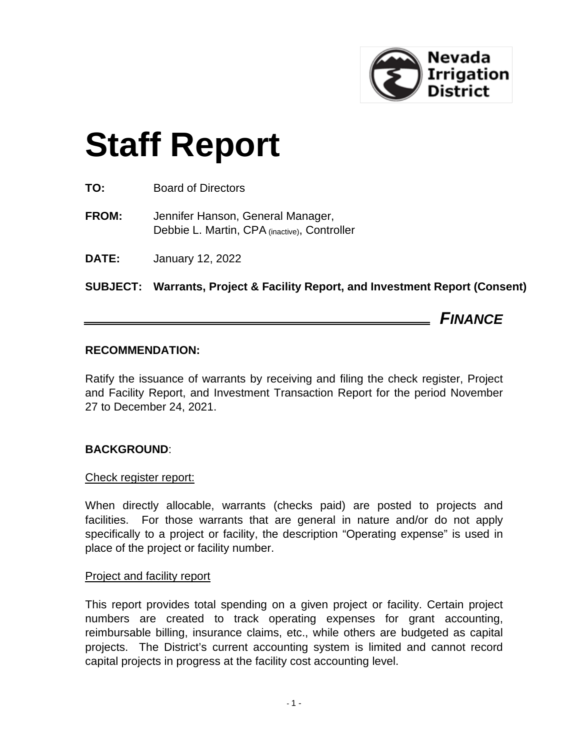

# **Staff Report**

- **TO:** Board of Directors
- **FROM:** Jennifer Hanson, General Manager, Debbie L. Martin, CPA (inactive), Controller
- **DATE:** January 12, 2022

**SUBJECT: Warrants, Project & Facility Report, and Investment Report (Consent)**

*FINANCE*

## **RECOMMENDATION:**

Ratify the issuance of warrants by receiving and filing the check register, Project and Facility Report, and Investment Transaction Report for the period November 27 to December 24, 2021.

# **BACKGROUND**:

## Check register report:

When directly allocable, warrants (checks paid) are posted to projects and facilities. For those warrants that are general in nature and/or do not apply specifically to a project or facility, the description "Operating expense" is used in place of the project or facility number.

## Project and facility report

This report provides total spending on a given project or facility. Certain project numbers are created to track operating expenses for grant accounting, reimbursable billing, insurance claims, etc., while others are budgeted as capital projects. The District's current accounting system is limited and cannot record capital projects in progress at the facility cost accounting level.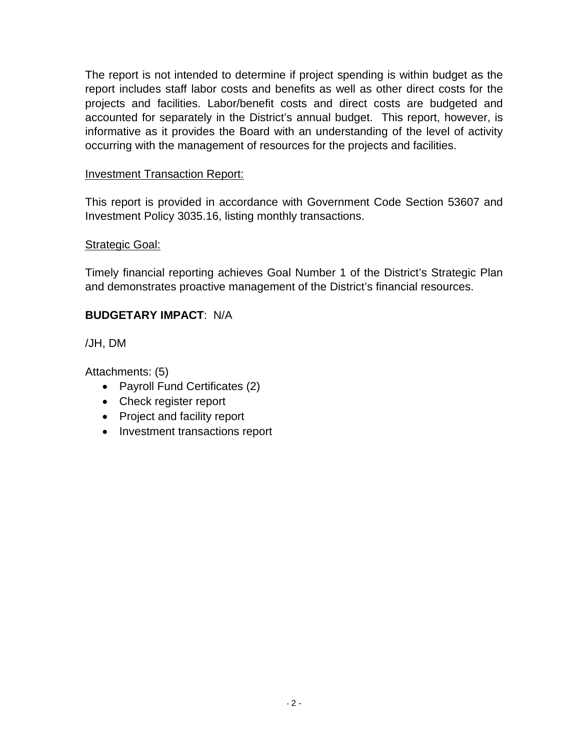The report is not intended to determine if project spending is within budget as the report includes staff labor costs and benefits as well as other direct costs for the projects and facilities. Labor/benefit costs and direct costs are budgeted and accounted for separately in the District's annual budget. This report, however, is informative as it provides the Board with an understanding of the level of activity occurring with the management of resources for the projects and facilities.

# Investment Transaction Report:

This report is provided in accordance with Government Code Section 53607 and Investment Policy 3035.16, listing monthly transactions.

# Strategic Goal:

Timely financial reporting achieves Goal Number 1 of the District's Strategic Plan and demonstrates proactive management of the District's financial resources.

# **BUDGETARY IMPACT**: N/A

/JH, DM

Attachments: (5)

- Payroll Fund Certificates (2)
- Check register report
- Project and facility report
- Investment transactions report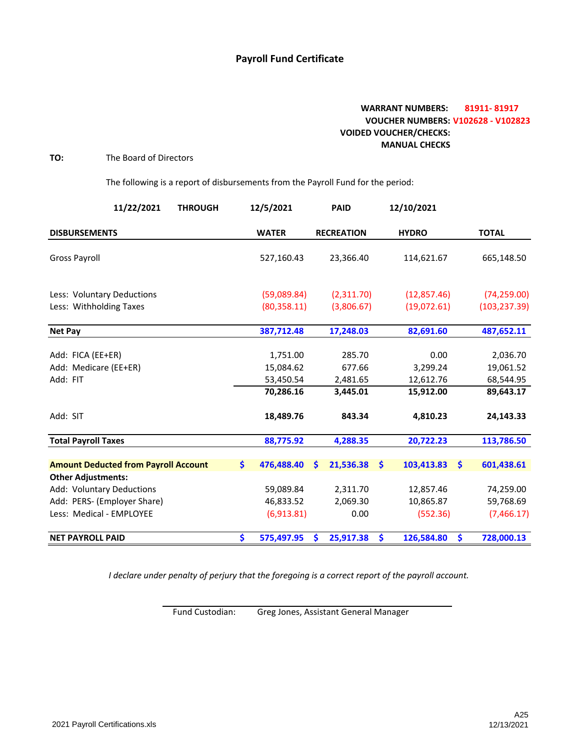## **Payroll Fund Certificate**

## **WARRANT NUMBERS: 81911‐ 81917 VOUCHER NUMBERS: V102628 ‐ V102823 VOIDED VOUCHER/CHECKS: MANUAL CHECKS**

#### **TO:** The Board of Directors

The following is a report of disbursements from the Payroll Fund for the period:

| 11/22/2021<br><b>THROUGH</b>                |    | 12/5/2021    |   | <b>PAID</b>       |    | 12/10/2021   |                      |               |
|---------------------------------------------|----|--------------|---|-------------------|----|--------------|----------------------|---------------|
| <b>DISBURSEMENTS</b>                        |    | <b>WATER</b> |   | <b>RECREATION</b> |    | <b>HYDRO</b> |                      | <b>TOTAL</b>  |
| <b>Gross Payroll</b>                        |    | 527,160.43   |   | 23,366.40         |    | 114,621.67   |                      | 665,148.50    |
| Less: Voluntary Deductions                  |    | (59,089.84)  |   | (2,311.70)        |    | (12, 857.46) |                      | (74, 259.00)  |
| Less: Withholding Taxes                     |    | (80, 358.11) |   | (3,806.67)        |    | (19,072.61)  |                      | (103, 237.39) |
| <b>Net Pay</b>                              |    | 387,712.48   |   | 17,248.03         |    | 82,691.60    |                      | 487,652.11    |
| Add: FICA (EE+ER)                           |    | 1,751.00     |   | 285.70            |    | 0.00         |                      | 2,036.70      |
| Add: Medicare (EE+ER)                       |    | 15,084.62    |   | 677.66            |    | 3,299.24     |                      | 19,061.52     |
| Add: FIT                                    |    | 53,450.54    |   | 2,481.65          |    | 12,612.76    |                      | 68,544.95     |
|                                             |    | 70,286.16    |   | 3,445.01          |    | 15,912.00    |                      | 89,643.17     |
| Add: SIT                                    |    | 18,489.76    |   | 843.34            |    | 4,810.23     |                      | 24,143.33     |
| <b>Total Payroll Taxes</b>                  |    | 88,775.92    |   | 4,288.35          |    | 20,722.23    |                      | 113,786.50    |
| <b>Amount Deducted from Payroll Account</b> | Ŝ. | 476,488.40   | S | 21,536.38         | Ŝ. | 103,413.83   | Ŝ.                   | 601,438.61    |
| <b>Other Adjustments:</b>                   |    |              |   |                   |    |              |                      |               |
| Add: Voluntary Deductions                   |    | 59,089.84    |   | 2,311.70          |    | 12,857.46    |                      | 74,259.00     |
| Add: PERS- (Employer Share)                 |    | 46,833.52    |   | 2,069.30          |    | 10,865.87    |                      | 59,768.69     |
| Less: Medical - EMPLOYEE                    |    | (6,913.81)   |   | 0.00              |    | (552.36)     |                      | (7,466.17)    |
| <b>NET PAYROLL PAID</b>                     | \$ | 575,497.95   | Ŝ | 25,917.38         | \$ | 126,584.80   | $\boldsymbol{\zeta}$ | 728,000.13    |

*I declare under penalty of perjury that the foregoing is a correct report of the payroll account.*

Fund Custodian: Greg Jones, Assistant General Manager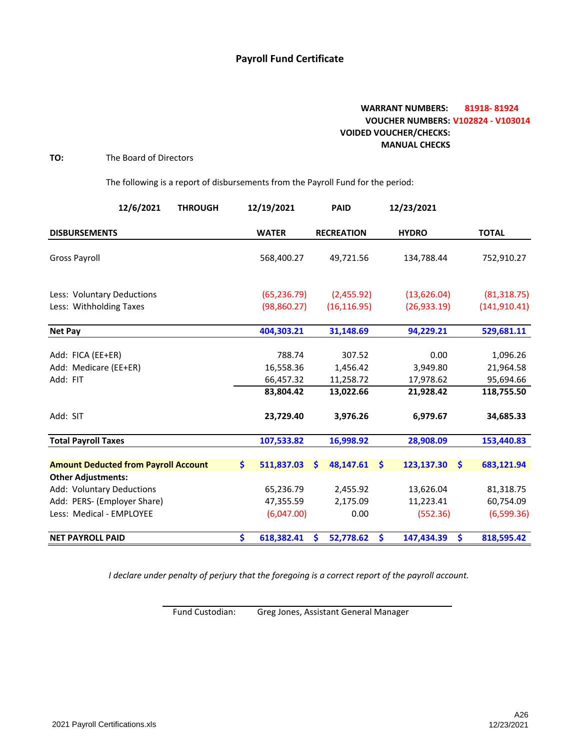## **Payroll Fund Certificate**

## **WARRANT NUMBERS: 81918‐ 81924 VOUCHER NUMBERS: V102824 ‐ V103014 VOIDED VOUCHER/CHECKS: MANUAL CHECKS**

#### **TO:** The Board of Directors

The following is a report of disbursements from the Payroll Fund for the period:

| 12/6/2021<br><b>THROUGH</b>                 |     | 12/19/2021   | <b>PAID</b>       |      | 12/23/2021   |                       |               |
|---------------------------------------------|-----|--------------|-------------------|------|--------------|-----------------------|---------------|
| <b>DISBURSEMENTS</b>                        |     | <b>WATER</b> | <b>RECREATION</b> |      | <b>HYDRO</b> |                       | <b>TOTAL</b>  |
| <b>Gross Payroll</b>                        |     | 568,400.27   | 49,721.56         |      | 134,788.44   |                       | 752,910.27    |
| Less: Voluntary Deductions                  |     | (65, 236.79) | (2,455.92)        |      | (13,626.04)  |                       | (81, 318.75)  |
| Less: Withholding Taxes                     |     | (98, 860.27) | (16, 116.95)      |      | (26, 933.19) |                       | (141, 910.41) |
| <b>Net Pay</b>                              |     | 404,303.21   | 31,148.69         |      | 94,229.21    |                       | 529,681.11    |
| Add: FICA (EE+ER)                           |     | 788.74       | 307.52            |      | 0.00         |                       | 1,096.26      |
| Add: Medicare (EE+ER)                       |     | 16,558.36    | 1,456.42          |      | 3,949.80     |                       | 21,964.58     |
| Add: FIT                                    |     | 66,457.32    | 11,258.72         |      | 17,978.62    |                       | 95,694.66     |
|                                             |     | 83,804.42    | 13,022.66         |      | 21,928.42    |                       | 118,755.50    |
| Add: SIT                                    |     | 23,729.40    | 3,976.26          |      | 6,979.67     |                       | 34,685.33     |
| <b>Total Payroll Taxes</b>                  |     | 107,533.82   | 16,998.92         |      | 28,908.09    |                       | 153,440.83    |
| <b>Amount Deducted from Payroll Account</b> | \$. | 511,837.03   | 48,147.61<br>Ŝ    | Ŝ.   | 123,137.30   | $\mathsf{\mathsf{S}}$ | 683,121.94    |
| <b>Other Adjustments:</b>                   |     |              |                   |      |              |                       |               |
| Add: Voluntary Deductions                   |     | 65,236.79    | 2,455.92          |      | 13,626.04    |                       | 81,318.75     |
| Add: PERS- (Employer Share)                 |     | 47,355.59    | 2,175.09          |      | 11,223.41    |                       | 60,754.09     |
| Less: Medical - EMPLOYEE                    |     | (6,047.00)   |                   | 0.00 | (552.36)     |                       | (6,599.36)    |
| <b>NET PAYROLL PAID</b>                     | \$  | 618,382.41   | 52,778.62<br>Ś    | \$   | 147,434.39   | \$                    | 818,595.42    |

*I declare under penalty of perjury that the foregoing is a correct report of the payroll account.*

Fund Custodian: Greg Jones, Assistant General Manager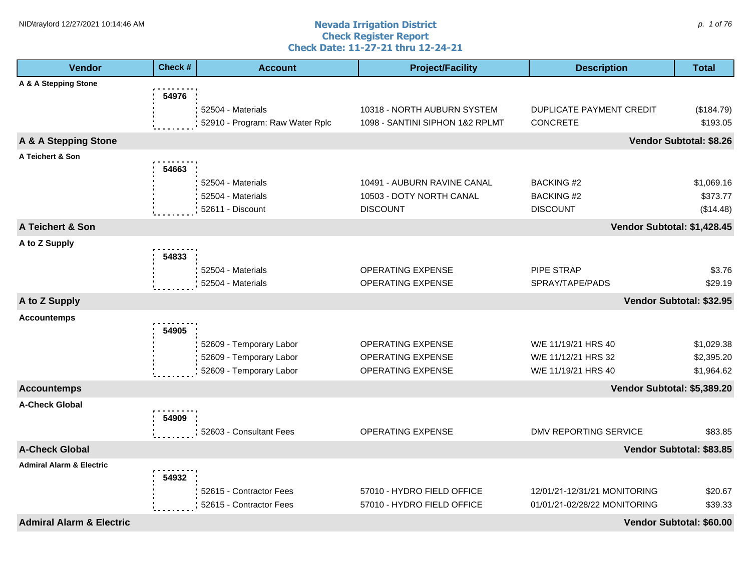#### **Nevada Irrigation District Check Register Report Check Date: 11-27-21 thru 12-24-21** NID\traylord 12/27/2021 10:14:46 AM  $p$ . 1 of 76

| <b>Vendor</b>                       | Check # | <b>Account</b>                                                                | <b>Project/Facility</b>                                                    | <b>Description</b>                                                | <b>Total</b>                           |
|-------------------------------------|---------|-------------------------------------------------------------------------------|----------------------------------------------------------------------------|-------------------------------------------------------------------|----------------------------------------|
| A & A Stepping Stone                |         |                                                                               |                                                                            |                                                                   |                                        |
|                                     | 54976   | 52504 - Materials<br>52910 - Program: Raw Water Rplc                          | 10318 - NORTH AUBURN SYSTEM<br>1098 - SANTINI SIPHON 1&2 RPLMT             | DUPLICATE PAYMENT CREDIT<br><b>CONCRETE</b>                       | (\$184.79)<br>\$193.05                 |
| A & A Stepping Stone                |         |                                                                               |                                                                            |                                                                   | Vendor Subtotal: \$8.26                |
| A Teichert & Son                    |         |                                                                               |                                                                            |                                                                   |                                        |
|                                     | 54663   | 52504 - Materials<br>52504 - Materials<br>52611 - Discount                    | 10491 - AUBURN RAVINE CANAL<br>10503 - DOTY NORTH CANAL<br><b>DISCOUNT</b> | <b>BACKING #2</b><br><b>BACKING #2</b><br><b>DISCOUNT</b>         | \$1,069.16<br>\$373.77<br>(\$14.48)    |
| A Teichert & Son                    |         |                                                                               |                                                                            | Vendor Subtotal: \$1,428.45                                       |                                        |
| A to Z Supply                       | 54833   |                                                                               |                                                                            |                                                                   |                                        |
|                                     |         | 52504 - Materials<br>52504 - Materials                                        | <b>OPERATING EXPENSE</b><br>OPERATING EXPENSE                              | PIPE STRAP<br>SPRAY/TAPE/PADS                                     | \$3.76<br>\$29.19                      |
| A to Z Supply                       |         |                                                                               |                                                                            |                                                                   | Vendor Subtotal: \$32.95               |
| <b>Accountemps</b>                  |         |                                                                               |                                                                            |                                                                   |                                        |
|                                     | 54905   | 52609 - Temporary Labor<br>52609 - Temporary Labor<br>52609 - Temporary Labor | <b>OPERATING EXPENSE</b><br><b>OPERATING EXPENSE</b><br>OPERATING EXPENSE  | W/E 11/19/21 HRS 40<br>W/E 11/12/21 HRS 32<br>W/E 11/19/21 HRS 40 | \$1,029.38<br>\$2,395.20<br>\$1,964.62 |
| <b>Accountemps</b>                  |         |                                                                               |                                                                            | Vendor Subtotal: \$5,389.20                                       |                                        |
| <b>A-Check Global</b>               | 54909   |                                                                               |                                                                            |                                                                   |                                        |
|                                     |         | 52603 - Consultant Fees                                                       | OPERATING EXPENSE                                                          | DMV REPORTING SERVICE                                             | \$83.85                                |
| <b>A-Check Global</b>               |         |                                                                               |                                                                            |                                                                   | Vendor Subtotal: \$83.85               |
| <b>Admiral Alarm &amp; Electric</b> | 54932   | 52615 - Contractor Fees<br>52615 - Contractor Fees                            | 57010 - HYDRO FIELD OFFICE<br>57010 - HYDRO FIELD OFFICE                   | 12/01/21-12/31/21 MONITORING<br>01/01/21-02/28/22 MONITORING      | \$20.67<br>\$39.33                     |
| <b>Admiral Alarm &amp; Electric</b> |         |                                                                               |                                                                            |                                                                   | Vendor Subtotal: \$60.00               |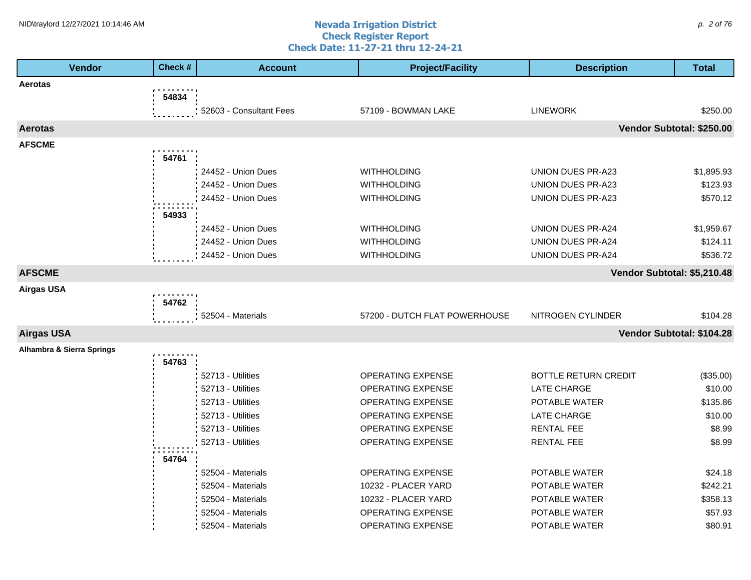#### **Nevada Irrigation District Check Register Report Check Date: 11-27-21 thru 12-24-21** NID\traylord 12/27/2021 10:14:46 AM  $\rho$ . 2 of 76

| <b>Vendor</b>             | Check # | <b>Account</b>          | <b>Project/Facility</b>       | <b>Description</b>          | <b>Total</b>              |
|---------------------------|---------|-------------------------|-------------------------------|-----------------------------|---------------------------|
| Aerotas                   |         |                         |                               |                             |                           |
|                           | 54834   |                         |                               |                             |                           |
|                           |         | 52603 - Consultant Fees | 57109 - BOWMAN LAKE           | <b>LINEWORK</b>             | \$250.00                  |
| <b>Aerotas</b>            |         |                         |                               |                             | Vendor Subtotal: \$250.00 |
| <b>AFSCME</b>             |         |                         |                               |                             |                           |
|                           | 54761   |                         |                               |                             |                           |
|                           |         | 24452 - Union Dues      | <b>WITHHOLDING</b>            | <b>UNION DUES PR-A23</b>    | \$1,895.93                |
|                           |         | 24452 - Union Dues      | <b>WITHHOLDING</b>            | UNION DUES PR-A23           | \$123.93                  |
|                           |         | 24452 - Union Dues      | <b>WITHHOLDING</b>            | UNION DUES PR-A23           | \$570.12                  |
|                           | 54933   |                         |                               |                             |                           |
|                           |         | 24452 - Union Dues      | <b>WITHHOLDING</b>            | UNION DUES PR-A24           | \$1,959.67                |
|                           |         | 24452 - Union Dues      | <b>WITHHOLDING</b>            | <b>UNION DUES PR-A24</b>    | \$124.11                  |
|                           |         | 24452 - Union Dues      | <b>WITHHOLDING</b>            | <b>UNION DUES PR-A24</b>    | \$536.72                  |
| <b>AFSCME</b>             |         |                         |                               | Vendor Subtotal: \$5,210.48 |                           |
| <b>Airgas USA</b>         |         |                         |                               |                             |                           |
|                           | 54762   |                         |                               |                             |                           |
|                           |         | 52504 - Materials       | 57200 - DUTCH FLAT POWERHOUSE | NITROGEN CYLINDER           | \$104.28                  |
| <b>Airgas USA</b>         |         |                         |                               |                             | Vendor Subtotal: \$104.28 |
| Alhambra & Sierra Springs |         |                         |                               |                             |                           |
|                           | 54763   |                         |                               |                             |                           |
|                           |         | 52713 - Utilities       | <b>OPERATING EXPENSE</b>      | <b>BOTTLE RETURN CREDIT</b> | (\$35.00)                 |
|                           |         | 52713 - Utilities       | <b>OPERATING EXPENSE</b>      | <b>LATE CHARGE</b>          | \$10.00                   |
|                           |         | 52713 - Utilities       | OPERATING EXPENSE             | POTABLE WATER               | \$135.86                  |
|                           |         | 52713 - Utilities       | <b>OPERATING EXPENSE</b>      | <b>LATE CHARGE</b>          | \$10.00                   |
|                           |         | 52713 - Utilities       | OPERATING EXPENSE             | <b>RENTAL FEE</b>           | \$8.99                    |
|                           |         | 52713 - Utilities       | OPERATING EXPENSE             | <b>RENTAL FEE</b>           | \$8.99                    |
|                           | 54764   |                         |                               |                             |                           |
|                           |         | 52504 - Materials       | <b>OPERATING EXPENSE</b>      | POTABLE WATER               | \$24.18                   |
|                           |         | 52504 - Materials       | 10232 - PLACER YARD           | POTABLE WATER               | \$242.21                  |
|                           |         | 52504 - Materials       | 10232 - PLACER YARD           | POTABLE WATER               | \$358.13                  |
|                           |         | 52504 - Materials       | <b>OPERATING EXPENSE</b>      | POTABLE WATER               | \$57.93                   |
|                           |         | 52504 - Materials       | <b>OPERATING EXPENSE</b>      | POTABLE WATER               | \$80.91                   |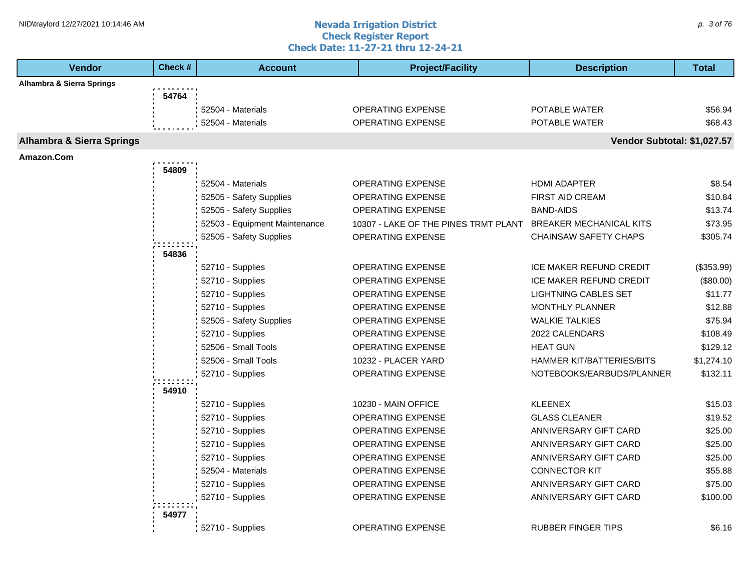#### **Nevada Irrigation District Check Register Report Check Date: 11-27-21 thru 12-24-21** NID\traylord 12/27/2021 10:14:46 AM  $\rho$ . 3 of 76

| <b>Vendor</b>                        | Check # | <b>Account</b>                | <b>Project/Facility</b>              | <b>Description</b>             | <b>Total</b> |
|--------------------------------------|---------|-------------------------------|--------------------------------------|--------------------------------|--------------|
| Alhambra & Sierra Springs            |         |                               |                                      |                                |              |
|                                      | 54764   |                               |                                      |                                |              |
|                                      |         | 52504 - Materials             | <b>OPERATING EXPENSE</b>             | POTABLE WATER                  | \$56.94      |
|                                      |         | 52504 - Materials             | <b>OPERATING EXPENSE</b>             | POTABLE WATER                  | \$68.43      |
| <b>Alhambra &amp; Sierra Springs</b> |         |                               |                                      | Vendor Subtotal: \$1,027.57    |              |
| Amazon.Com                           |         |                               |                                      |                                |              |
|                                      | 54809   |                               |                                      |                                |              |
|                                      |         | 52504 - Materials             | OPERATING EXPENSE                    | <b>HDMI ADAPTER</b>            | \$8.54       |
|                                      |         | 52505 - Safety Supplies       | <b>OPERATING EXPENSE</b>             | <b>FIRST AID CREAM</b>         | \$10.84      |
|                                      |         | 52505 - Safety Supplies       | OPERATING EXPENSE                    | <b>BAND-AIDS</b>               | \$13.74      |
|                                      |         | 52503 - Equipment Maintenance | 10307 - LAKE OF THE PINES TRMT PLANT | <b>BREAKER MECHANICAL KITS</b> | \$73.95      |
|                                      |         | 52505 - Safety Supplies       | OPERATING EXPENSE                    | <b>CHAINSAW SAFETY CHAPS</b>   | \$305.74     |
|                                      | 54836   |                               |                                      |                                |              |
|                                      |         | 52710 - Supplies              | OPERATING EXPENSE                    | ICE MAKER REFUND CREDIT        | (\$353.99)   |
|                                      |         | 52710 - Supplies              | <b>OPERATING EXPENSE</b>             | <b>ICE MAKER REFUND CREDIT</b> | (\$80.00)    |
|                                      |         | 52710 - Supplies              | OPERATING EXPENSE                    | <b>LIGHTNING CABLES SET</b>    | \$11.77      |
|                                      |         | 52710 - Supplies              | <b>OPERATING EXPENSE</b>             | <b>MONTHLY PLANNER</b>         | \$12.88      |
|                                      |         | 52505 - Safety Supplies       | OPERATING EXPENSE                    | <b>WALKIE TALKIES</b>          | \$75.94      |
|                                      |         | 52710 - Supplies              | OPERATING EXPENSE                    | 2022 CALENDARS                 | \$108.49     |
|                                      |         | 52506 - Small Tools           | OPERATING EXPENSE                    | <b>HEAT GUN</b>                | \$129.12     |
|                                      |         | 52506 - Small Tools           | 10232 - PLACER YARD                  | HAMMER KIT/BATTERIES/BITS      | \$1,274.10   |
|                                      |         | 52710 - Supplies              | <b>OPERATING EXPENSE</b>             | NOTEBOOKS/EARBUDS/PLANNER      | \$132.11     |
|                                      | 54910   |                               |                                      |                                |              |
|                                      |         | 52710 - Supplies              | 10230 - MAIN OFFICE                  | <b>KLEENEX</b>                 | \$15.03      |
|                                      |         | 52710 - Supplies              | <b>OPERATING EXPENSE</b>             | <b>GLASS CLEANER</b>           | \$19.52      |
|                                      |         | 52710 - Supplies              | OPERATING EXPENSE                    | ANNIVERSARY GIFT CARD          | \$25.00      |
|                                      |         | 52710 - Supplies              | OPERATING EXPENSE                    | ANNIVERSARY GIFT CARD          | \$25.00      |
|                                      |         | 52710 - Supplies              | OPERATING EXPENSE                    | ANNIVERSARY GIFT CARD          | \$25.00      |
|                                      |         | 52504 - Materials             | <b>OPERATING EXPENSE</b>             | <b>CONNECTOR KIT</b>           | \$55.88      |
|                                      |         | 52710 - Supplies              | <b>OPERATING EXPENSE</b>             | ANNIVERSARY GIFT CARD          | \$75.00      |
|                                      |         | 52710 - Supplies              | OPERATING EXPENSE                    | ANNIVERSARY GIFT CARD          | \$100.00     |
|                                      | 54977   |                               |                                      |                                |              |
|                                      |         | 52710 - Supplies              | <b>OPERATING EXPENSE</b>             | <b>RUBBER FINGER TIPS</b>      | \$6.16       |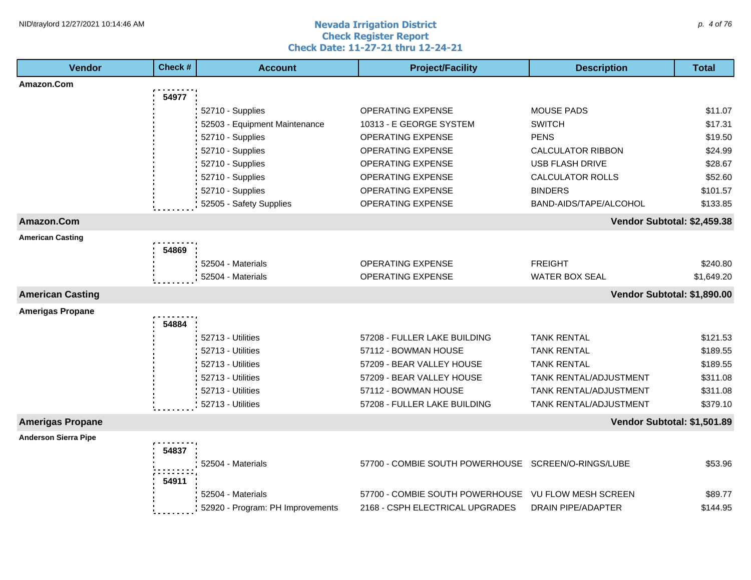#### **Nevada Irrigation District Check Register Report Check Date: 11-27-21 thru 12-24-21** NID\traylord 12/27/2021 10:14:46 AM  $\rho$ . 4 of 76

| Amazon.Com<br>54977<br>52710 - Supplies<br><b>OPERATING EXPENSE</b><br><b>MOUSE PADS</b><br>\$11.07<br><b>SWITCH</b><br>\$17.31<br>52503 - Equipment Maintenance<br>10313 - E GEORGE SYSTEM<br>52710 - Supplies<br><b>PENS</b><br>\$19.50<br>OPERATING EXPENSE<br>52710 - Supplies<br>OPERATING EXPENSE<br><b>CALCULATOR RIBBON</b><br>\$24.99<br>52710 - Supplies<br>OPERATING EXPENSE<br><b>USB FLASH DRIVE</b><br>\$28.67<br>52710 - Supplies<br>OPERATING EXPENSE<br><b>CALCULATOR ROLLS</b><br>\$52.60<br>52710 - Supplies<br>OPERATING EXPENSE<br><b>BINDERS</b><br>\$101.57<br>52505 - Safety Supplies<br>BAND-AIDS/TAPE/ALCOHOL<br>OPERATING EXPENSE<br>\$133.85<br>Amazon.Com<br>Vendor Subtotal: \$2,459.38<br><b>American Casting</b><br>54869<br><b>FREIGHT</b><br>52504 - Materials<br>OPERATING EXPENSE<br>\$240.80<br>52504 - Materials<br><b>OPERATING EXPENSE</b><br><b>WATER BOX SEAL</b><br>\$1,649.20<br>Vendor Subtotal: \$1,890.00<br><b>American Casting</b><br><b>Amerigas Propane</b><br>54884<br>52713 - Utilities<br>57208 - FULLER LAKE BUILDING<br><b>TANK RENTAL</b><br>\$121.53<br>52713 - Utilities<br>57112 - BOWMAN HOUSE<br>\$189.55<br><b>TANK RENTAL</b><br>52713 - Utilities<br>57209 - BEAR VALLEY HOUSE<br><b>TANK RENTAL</b><br>\$189.55<br>52713 - Utilities<br>57209 - BEAR VALLEY HOUSE<br>TANK RENTAL/ADJUSTMENT<br>\$311.08<br>52713 - Utilities<br>57112 - BOWMAN HOUSE<br>TANK RENTAL/ADJUSTMENT<br>\$311.08<br>52713 - Utilities<br>57208 - FULLER LAKE BUILDING<br><b>TANK RENTAL/ADJUSTMENT</b><br>\$379.10<br><b>Amerigas Propane</b><br>Vendor Subtotal: \$1,501.89<br><b>Anderson Sierra Pipe</b><br>54837<br>57700 - COMBIE SOUTH POWERHOUSE SCREEN/O-RINGS/LUBE<br>\$53.96<br>52504 - Materials<br>54911<br>57700 - COMBIE SOUTH POWERHOUSE<br>VU FLOW MESH SCREEN<br>\$89.77<br>52504 - Materials | <b>Vendor</b> | Check # | <b>Account</b>                   | <b>Project/Facility</b>         | <b>Description</b>        | <b>Total</b> |
|------------------------------------------------------------------------------------------------------------------------------------------------------------------------------------------------------------------------------------------------------------------------------------------------------------------------------------------------------------------------------------------------------------------------------------------------------------------------------------------------------------------------------------------------------------------------------------------------------------------------------------------------------------------------------------------------------------------------------------------------------------------------------------------------------------------------------------------------------------------------------------------------------------------------------------------------------------------------------------------------------------------------------------------------------------------------------------------------------------------------------------------------------------------------------------------------------------------------------------------------------------------------------------------------------------------------------------------------------------------------------------------------------------------------------------------------------------------------------------------------------------------------------------------------------------------------------------------------------------------------------------------------------------------------------------------------------------------------------------------------------------------------------------------------------------------------------------------------------------|---------------|---------|----------------------------------|---------------------------------|---------------------------|--------------|
|                                                                                                                                                                                                                                                                                                                                                                                                                                                                                                                                                                                                                                                                                                                                                                                                                                                                                                                                                                                                                                                                                                                                                                                                                                                                                                                                                                                                                                                                                                                                                                                                                                                                                                                                                                                                                                                            |               |         |                                  |                                 |                           |              |
|                                                                                                                                                                                                                                                                                                                                                                                                                                                                                                                                                                                                                                                                                                                                                                                                                                                                                                                                                                                                                                                                                                                                                                                                                                                                                                                                                                                                                                                                                                                                                                                                                                                                                                                                                                                                                                                            |               |         |                                  |                                 |                           |              |
|                                                                                                                                                                                                                                                                                                                                                                                                                                                                                                                                                                                                                                                                                                                                                                                                                                                                                                                                                                                                                                                                                                                                                                                                                                                                                                                                                                                                                                                                                                                                                                                                                                                                                                                                                                                                                                                            |               |         |                                  |                                 |                           |              |
|                                                                                                                                                                                                                                                                                                                                                                                                                                                                                                                                                                                                                                                                                                                                                                                                                                                                                                                                                                                                                                                                                                                                                                                                                                                                                                                                                                                                                                                                                                                                                                                                                                                                                                                                                                                                                                                            |               |         |                                  |                                 |                           |              |
|                                                                                                                                                                                                                                                                                                                                                                                                                                                                                                                                                                                                                                                                                                                                                                                                                                                                                                                                                                                                                                                                                                                                                                                                                                                                                                                                                                                                                                                                                                                                                                                                                                                                                                                                                                                                                                                            |               |         |                                  |                                 |                           |              |
|                                                                                                                                                                                                                                                                                                                                                                                                                                                                                                                                                                                                                                                                                                                                                                                                                                                                                                                                                                                                                                                                                                                                                                                                                                                                                                                                                                                                                                                                                                                                                                                                                                                                                                                                                                                                                                                            |               |         |                                  |                                 |                           |              |
|                                                                                                                                                                                                                                                                                                                                                                                                                                                                                                                                                                                                                                                                                                                                                                                                                                                                                                                                                                                                                                                                                                                                                                                                                                                                                                                                                                                                                                                                                                                                                                                                                                                                                                                                                                                                                                                            |               |         |                                  |                                 |                           |              |
|                                                                                                                                                                                                                                                                                                                                                                                                                                                                                                                                                                                                                                                                                                                                                                                                                                                                                                                                                                                                                                                                                                                                                                                                                                                                                                                                                                                                                                                                                                                                                                                                                                                                                                                                                                                                                                                            |               |         |                                  |                                 |                           |              |
|                                                                                                                                                                                                                                                                                                                                                                                                                                                                                                                                                                                                                                                                                                                                                                                                                                                                                                                                                                                                                                                                                                                                                                                                                                                                                                                                                                                                                                                                                                                                                                                                                                                                                                                                                                                                                                                            |               |         |                                  |                                 |                           |              |
|                                                                                                                                                                                                                                                                                                                                                                                                                                                                                                                                                                                                                                                                                                                                                                                                                                                                                                                                                                                                                                                                                                                                                                                                                                                                                                                                                                                                                                                                                                                                                                                                                                                                                                                                                                                                                                                            |               |         |                                  |                                 |                           |              |
|                                                                                                                                                                                                                                                                                                                                                                                                                                                                                                                                                                                                                                                                                                                                                                                                                                                                                                                                                                                                                                                                                                                                                                                                                                                                                                                                                                                                                                                                                                                                                                                                                                                                                                                                                                                                                                                            |               |         |                                  |                                 |                           |              |
|                                                                                                                                                                                                                                                                                                                                                                                                                                                                                                                                                                                                                                                                                                                                                                                                                                                                                                                                                                                                                                                                                                                                                                                                                                                                                                                                                                                                                                                                                                                                                                                                                                                                                                                                                                                                                                                            |               |         |                                  |                                 |                           |              |
|                                                                                                                                                                                                                                                                                                                                                                                                                                                                                                                                                                                                                                                                                                                                                                                                                                                                                                                                                                                                                                                                                                                                                                                                                                                                                                                                                                                                                                                                                                                                                                                                                                                                                                                                                                                                                                                            |               |         |                                  |                                 |                           |              |
|                                                                                                                                                                                                                                                                                                                                                                                                                                                                                                                                                                                                                                                                                                                                                                                                                                                                                                                                                                                                                                                                                                                                                                                                                                                                                                                                                                                                                                                                                                                                                                                                                                                                                                                                                                                                                                                            |               |         |                                  |                                 |                           |              |
|                                                                                                                                                                                                                                                                                                                                                                                                                                                                                                                                                                                                                                                                                                                                                                                                                                                                                                                                                                                                                                                                                                                                                                                                                                                                                                                                                                                                                                                                                                                                                                                                                                                                                                                                                                                                                                                            |               |         |                                  |                                 |                           |              |
|                                                                                                                                                                                                                                                                                                                                                                                                                                                                                                                                                                                                                                                                                                                                                                                                                                                                                                                                                                                                                                                                                                                                                                                                                                                                                                                                                                                                                                                                                                                                                                                                                                                                                                                                                                                                                                                            |               |         |                                  |                                 |                           |              |
|                                                                                                                                                                                                                                                                                                                                                                                                                                                                                                                                                                                                                                                                                                                                                                                                                                                                                                                                                                                                                                                                                                                                                                                                                                                                                                                                                                                                                                                                                                                                                                                                                                                                                                                                                                                                                                                            |               |         |                                  |                                 |                           |              |
|                                                                                                                                                                                                                                                                                                                                                                                                                                                                                                                                                                                                                                                                                                                                                                                                                                                                                                                                                                                                                                                                                                                                                                                                                                                                                                                                                                                                                                                                                                                                                                                                                                                                                                                                                                                                                                                            |               |         |                                  |                                 |                           |              |
|                                                                                                                                                                                                                                                                                                                                                                                                                                                                                                                                                                                                                                                                                                                                                                                                                                                                                                                                                                                                                                                                                                                                                                                                                                                                                                                                                                                                                                                                                                                                                                                                                                                                                                                                                                                                                                                            |               |         |                                  |                                 |                           |              |
|                                                                                                                                                                                                                                                                                                                                                                                                                                                                                                                                                                                                                                                                                                                                                                                                                                                                                                                                                                                                                                                                                                                                                                                                                                                                                                                                                                                                                                                                                                                                                                                                                                                                                                                                                                                                                                                            |               |         |                                  |                                 |                           |              |
|                                                                                                                                                                                                                                                                                                                                                                                                                                                                                                                                                                                                                                                                                                                                                                                                                                                                                                                                                                                                                                                                                                                                                                                                                                                                                                                                                                                                                                                                                                                                                                                                                                                                                                                                                                                                                                                            |               |         |                                  |                                 |                           |              |
|                                                                                                                                                                                                                                                                                                                                                                                                                                                                                                                                                                                                                                                                                                                                                                                                                                                                                                                                                                                                                                                                                                                                                                                                                                                                                                                                                                                                                                                                                                                                                                                                                                                                                                                                                                                                                                                            |               |         |                                  |                                 |                           |              |
|                                                                                                                                                                                                                                                                                                                                                                                                                                                                                                                                                                                                                                                                                                                                                                                                                                                                                                                                                                                                                                                                                                                                                                                                                                                                                                                                                                                                                                                                                                                                                                                                                                                                                                                                                                                                                                                            |               |         |                                  |                                 |                           |              |
|                                                                                                                                                                                                                                                                                                                                                                                                                                                                                                                                                                                                                                                                                                                                                                                                                                                                                                                                                                                                                                                                                                                                                                                                                                                                                                                                                                                                                                                                                                                                                                                                                                                                                                                                                                                                                                                            |               |         |                                  |                                 |                           |              |
|                                                                                                                                                                                                                                                                                                                                                                                                                                                                                                                                                                                                                                                                                                                                                                                                                                                                                                                                                                                                                                                                                                                                                                                                                                                                                                                                                                                                                                                                                                                                                                                                                                                                                                                                                                                                                                                            |               |         |                                  |                                 |                           |              |
|                                                                                                                                                                                                                                                                                                                                                                                                                                                                                                                                                                                                                                                                                                                                                                                                                                                                                                                                                                                                                                                                                                                                                                                                                                                                                                                                                                                                                                                                                                                                                                                                                                                                                                                                                                                                                                                            |               |         |                                  |                                 |                           |              |
|                                                                                                                                                                                                                                                                                                                                                                                                                                                                                                                                                                                                                                                                                                                                                                                                                                                                                                                                                                                                                                                                                                                                                                                                                                                                                                                                                                                                                                                                                                                                                                                                                                                                                                                                                                                                                                                            |               |         |                                  |                                 |                           |              |
|                                                                                                                                                                                                                                                                                                                                                                                                                                                                                                                                                                                                                                                                                                                                                                                                                                                                                                                                                                                                                                                                                                                                                                                                                                                                                                                                                                                                                                                                                                                                                                                                                                                                                                                                                                                                                                                            |               |         |                                  |                                 |                           |              |
|                                                                                                                                                                                                                                                                                                                                                                                                                                                                                                                                                                                                                                                                                                                                                                                                                                                                                                                                                                                                                                                                                                                                                                                                                                                                                                                                                                                                                                                                                                                                                                                                                                                                                                                                                                                                                                                            |               |         |                                  |                                 |                           |              |
|                                                                                                                                                                                                                                                                                                                                                                                                                                                                                                                                                                                                                                                                                                                                                                                                                                                                                                                                                                                                                                                                                                                                                                                                                                                                                                                                                                                                                                                                                                                                                                                                                                                                                                                                                                                                                                                            |               |         |                                  |                                 |                           |              |
|                                                                                                                                                                                                                                                                                                                                                                                                                                                                                                                                                                                                                                                                                                                                                                                                                                                                                                                                                                                                                                                                                                                                                                                                                                                                                                                                                                                                                                                                                                                                                                                                                                                                                                                                                                                                                                                            |               |         | 52920 - Program: PH Improvements | 2168 - CSPH ELECTRICAL UPGRADES | <b>DRAIN PIPE/ADAPTER</b> | \$144.95     |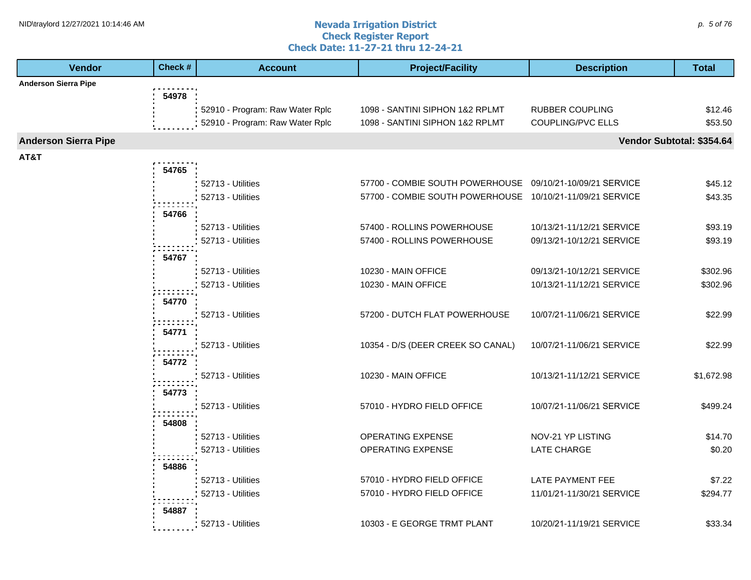#### **Nevada Irrigation District Check Register Report Check Date: 11-27-21 thru 12-24-21** NID\traylord 12/27/2021 10:14:46 AM  $\rho$ . 5 of 76

| <b>Vendor</b>               | Check # | <b>Account</b>                  | <b>Project/Facility</b>                                   | <b>Description</b>        | <b>Total</b>              |
|-----------------------------|---------|---------------------------------|-----------------------------------------------------------|---------------------------|---------------------------|
| <b>Anderson Sierra Pipe</b> |         |                                 |                                                           |                           |                           |
|                             | 54978   |                                 |                                                           |                           |                           |
|                             |         | 52910 - Program: Raw Water Rplc | 1098 - SANTINI SIPHON 1&2 RPLMT                           | <b>RUBBER COUPLING</b>    | \$12.46                   |
|                             |         | 52910 - Program: Raw Water Rplc | 1098 - SANTINI SIPHON 1&2 RPLMT                           | COUPLING/PVC ELLS         | \$53.50                   |
| <b>Anderson Sierra Pipe</b> |         |                                 |                                                           |                           | Vendor Subtotal: \$354.64 |
| AT&T                        |         |                                 |                                                           |                           |                           |
|                             | 54765   |                                 |                                                           |                           |                           |
|                             |         | 52713 - Utilities               | 57700 - COMBIE SOUTH POWERHOUSE 09/10/21-10/09/21 SERVICE |                           | \$45.12                   |
|                             |         | 52713 - Utilities               | 57700 - COMBIE SOUTH POWERHOUSE 10/10/21-11/09/21 SERVICE |                           | \$43.35                   |
|                             | 54766   |                                 |                                                           |                           |                           |
|                             |         | 52713 - Utilities               | 57400 - ROLLINS POWERHOUSE                                | 10/13/21-11/12/21 SERVICE | \$93.19                   |
|                             |         | 52713 - Utilities               | 57400 - ROLLINS POWERHOUSE                                | 09/13/21-10/12/21 SERVICE | \$93.19                   |
|                             | 54767   |                                 |                                                           |                           |                           |
|                             |         | 52713 - Utilities               | 10230 - MAIN OFFICE                                       | 09/13/21-10/12/21 SERVICE | \$302.96                  |
|                             |         | 52713 - Utilities               | 10230 - MAIN OFFICE                                       | 10/13/21-11/12/21 SERVICE | \$302.96                  |
|                             |         |                                 |                                                           |                           |                           |
|                             | 54770   |                                 |                                                           |                           |                           |
|                             |         | 52713 - Utilities               | 57200 - DUTCH FLAT POWERHOUSE                             | 10/07/21-11/06/21 SERVICE | \$22.99                   |
|                             | 54771   |                                 |                                                           |                           |                           |
|                             |         | 52713 - Utilities               | 10354 - D/S (DEER CREEK SO CANAL)                         | 10/07/21-11/06/21 SERVICE | \$22.99                   |
|                             | 54772   |                                 |                                                           |                           |                           |
|                             |         | 52713 - Utilities               | 10230 - MAIN OFFICE                                       | 10/13/21-11/12/21 SERVICE | \$1,672.98                |
|                             | 54773   |                                 |                                                           |                           |                           |
|                             |         | 52713 - Utilities               | 57010 - HYDRO FIELD OFFICE                                | 10/07/21-11/06/21 SERVICE | \$499.24                  |
|                             | 54808   |                                 |                                                           |                           |                           |
|                             |         | 52713 - Utilities               | OPERATING EXPENSE                                         | NOV-21 YP LISTING         | \$14.70                   |
|                             |         | 52713 - Utilities               | OPERATING EXPENSE                                         | LATE CHARGE               | \$0.20                    |
|                             |         |                                 |                                                           |                           |                           |
|                             | 54886   | 52713 - Utilities               | 57010 - HYDRO FIELD OFFICE                                | LATE PAYMENT FEE          | \$7.22                    |
|                             |         | 52713 - Utilities               | 57010 - HYDRO FIELD OFFICE                                | 11/01/21-11/30/21 SERVICE | \$294.77                  |
|                             |         |                                 |                                                           |                           |                           |
|                             | 54887   |                                 |                                                           |                           |                           |
|                             |         | 52713 - Utilities               | 10303 - E GEORGE TRMT PLANT                               | 10/20/21-11/19/21 SERVICE | \$33.34                   |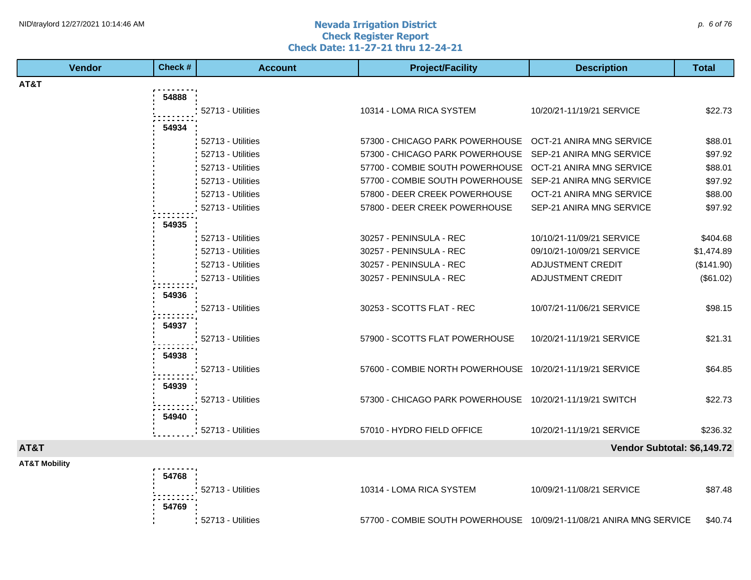#### **Nevada Irrigation District Check Register Report Check Date: 11-27-21 thru 12-24-21** NID\traylord 12/27/2021 10:14:46 AM  $\rho$ . 6 of 76

| Vendor                   | Check # | <b>Account</b>    | <b>Project/Facility</b>                                             | <b>Description</b>          | <b>Total</b> |
|--------------------------|---------|-------------------|---------------------------------------------------------------------|-----------------------------|--------------|
| AT&T                     |         |                   |                                                                     |                             |              |
|                          | 54888   |                   |                                                                     |                             |              |
|                          |         | 52713 - Utilities | 10314 - LOMA RICA SYSTEM                                            | 10/20/21-11/19/21 SERVICE   | \$22.73      |
|                          | 54934   |                   |                                                                     |                             |              |
|                          |         | 52713 - Utilities | 57300 - CHICAGO PARK POWERHOUSE OCT-21 ANIRA MNG SERVICE            |                             | \$88.01      |
|                          |         | 52713 - Utilities | 57300 - CHICAGO PARK POWERHOUSE                                     | SEP-21 ANIRA MNG SERVICE    | \$97.92      |
|                          |         | 52713 - Utilities | 57700 - COMBIE SOUTH POWERHOUSE                                     | OCT-21 ANIRA MNG SERVICE    | \$88.01      |
|                          |         | 52713 - Utilities | 57700 - COMBIE SOUTH POWERHOUSE SEP-21 ANIRA MNG SERVICE            |                             | \$97.92      |
|                          |         | 52713 - Utilities | 57800 - DEER CREEK POWERHOUSE                                       | OCT-21 ANIRA MNG SERVICE    | \$88.00      |
|                          |         | 52713 - Utilities | 57800 - DEER CREEK POWERHOUSE                                       | SEP-21 ANIRA MNG SERVICE    | \$97.92      |
|                          | 54935   |                   |                                                                     |                             |              |
|                          |         | 52713 - Utilities | 30257 - PENINSULA - REC                                             | 10/10/21-11/09/21 SERVICE   | \$404.68     |
|                          |         | 52713 - Utilities | 30257 - PENINSULA - REC                                             | 09/10/21-10/09/21 SERVICE   | \$1,474.89   |
|                          |         | 52713 - Utilities | 30257 - PENINSULA - REC                                             | ADJUSTMENT CREDIT           | (\$141.90)   |
|                          |         | 52713 - Utilities | 30257 - PENINSULA - REC                                             | <b>ADJUSTMENT CREDIT</b>    | (\$61.02)    |
|                          | 54936   |                   |                                                                     |                             |              |
|                          |         | 52713 - Utilities | 30253 - SCOTTS FLAT - REC                                           | 10/07/21-11/06/21 SERVICE   | \$98.15      |
|                          |         |                   |                                                                     |                             |              |
|                          | 54937   | 52713 - Utilities | 57900 - SCOTTS FLAT POWERHOUSE                                      | 10/20/21-11/19/21 SERVICE   | \$21.31      |
|                          |         |                   |                                                                     |                             |              |
|                          | 54938   |                   |                                                                     |                             |              |
|                          |         | 52713 - Utilities | 57600 - COMBIE NORTH POWERHOUSE 10/20/21-11/19/21 SERVICE           |                             | \$64.85      |
|                          | 54939   |                   |                                                                     |                             |              |
|                          |         | 52713 - Utilities | 57300 - CHICAGO PARK POWERHOUSE 10/20/21-11/19/21 SWITCH            |                             | \$22.73      |
|                          | 54940   |                   |                                                                     |                             |              |
|                          |         | 52713 - Utilities | 57010 - HYDRO FIELD OFFICE                                          | 10/20/21-11/19/21 SERVICE   | \$236.32     |
| AT&T                     |         |                   |                                                                     | Vendor Subtotal: \$6,149.72 |              |
| <b>AT&amp;T Mobility</b> |         |                   |                                                                     |                             |              |
|                          | 54768   |                   |                                                                     |                             |              |
|                          |         | 52713 - Utilities | 10314 - LOMA RICA SYSTEM                                            | 10/09/21-11/08/21 SERVICE   | \$87.48      |
|                          | 54769   |                   |                                                                     |                             |              |
|                          |         |                   |                                                                     |                             |              |
|                          |         | 52713 - Utilities | 57700 - COMBIE SOUTH POWERHOUSE 10/09/21-11/08/21 ANIRA MNG SERVICE |                             | \$40.74      |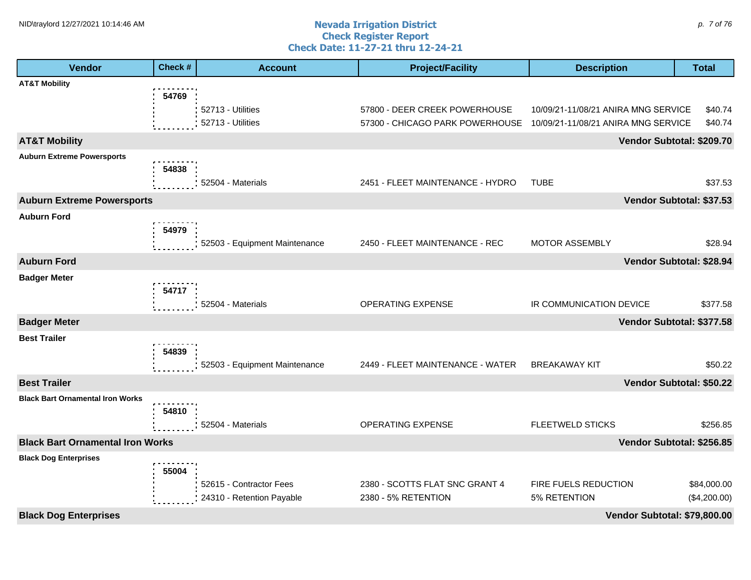#### **Nevada Irrigation District Check Register Report Check Date: 11-27-21 thru 12-24-21** NID\traylord 12/27/2021 10:14:46 AM  $\rho$ . 7 of 76

| Vendor                                  | Check # | <b>Account</b>                                       | <b>Project/Facility</b>                               | <b>Description</b>                   | <b>Total</b>                |
|-----------------------------------------|---------|------------------------------------------------------|-------------------------------------------------------|--------------------------------------|-----------------------------|
| <b>AT&amp;T Mobility</b>                |         |                                                      |                                                       |                                      |                             |
|                                         | 54769   |                                                      |                                                       |                                      |                             |
|                                         |         | 52713 - Utilities                                    | 57800 - DEER CREEK POWERHOUSE                         | 10/09/21-11/08/21 ANIRA MNG SERVICE  | \$40.74                     |
|                                         |         | 52713 - Utilities                                    | 57300 - CHICAGO PARK POWERHOUSE                       | 10/09/21-11/08/21 ANIRA MNG SERVICE  | \$40.74                     |
| <b>AT&amp;T Mobility</b>                |         |                                                      |                                                       |                                      | Vendor Subtotal: \$209.70   |
| <b>Auburn Extreme Powersports</b>       |         |                                                      |                                                       |                                      |                             |
|                                         | 54838   | 52504 - Materials                                    | 2451 - FLEET MAINTENANCE - HYDRO                      | <b>TUBE</b>                          | \$37.53                     |
|                                         |         |                                                      |                                                       |                                      |                             |
| <b>Auburn Extreme Powersports</b>       |         |                                                      |                                                       |                                      | Vendor Subtotal: \$37.53    |
| <b>Auburn Ford</b>                      | 54979   |                                                      |                                                       |                                      |                             |
|                                         |         | 52503 - Equipment Maintenance                        | 2450 - FLEET MAINTENANCE - REC                        | <b>MOTOR ASSEMBLY</b>                | \$28.94                     |
| <b>Auburn Ford</b>                      |         |                                                      |                                                       |                                      | Vendor Subtotal: \$28.94    |
|                                         |         |                                                      |                                                       |                                      |                             |
| <b>Badger Meter</b>                     | 54717   |                                                      |                                                       |                                      |                             |
|                                         |         | 52504 - Materials                                    | <b>OPERATING EXPENSE</b>                              | IR COMMUNICATION DEVICE              | \$377.58                    |
| <b>Badger Meter</b>                     |         |                                                      |                                                       |                                      | Vendor Subtotal: \$377.58   |
| <b>Best Trailer</b>                     |         |                                                      |                                                       |                                      |                             |
|                                         | 54839   |                                                      |                                                       |                                      |                             |
|                                         |         | 52503 - Equipment Maintenance                        | 2449 - FLEET MAINTENANCE - WATER                      | <b>BREAKAWAY KIT</b>                 | \$50.22                     |
| <b>Best Trailer</b>                     |         |                                                      |                                                       |                                      | Vendor Subtotal: \$50.22    |
| <b>Black Bart Ornamental Iron Works</b> |         |                                                      |                                                       |                                      |                             |
|                                         | 54810   |                                                      |                                                       |                                      |                             |
|                                         |         | 52504 - Materials                                    | OPERATING EXPENSE                                     | FLEETWELD STICKS                     | \$256.85                    |
| <b>Black Bart Ornamental Iron Works</b> |         |                                                      |                                                       |                                      | Vendor Subtotal: \$256.85   |
| <b>Black Dog Enterprises</b>            |         |                                                      |                                                       |                                      |                             |
|                                         | 55004   |                                                      |                                                       |                                      |                             |
|                                         |         | 52615 - Contractor Fees<br>24310 - Retention Payable | 2380 - SCOTTS FLAT SNC GRANT 4<br>2380 - 5% RETENTION | FIRE FUELS REDUCTION<br>5% RETENTION | \$84,000.00<br>(\$4,200.00) |
|                                         |         |                                                      |                                                       |                                      |                             |
| <b>Black Dog Enterprises</b>            |         |                                                      |                                                       | Vendor Subtotal: \$79,800.00         |                             |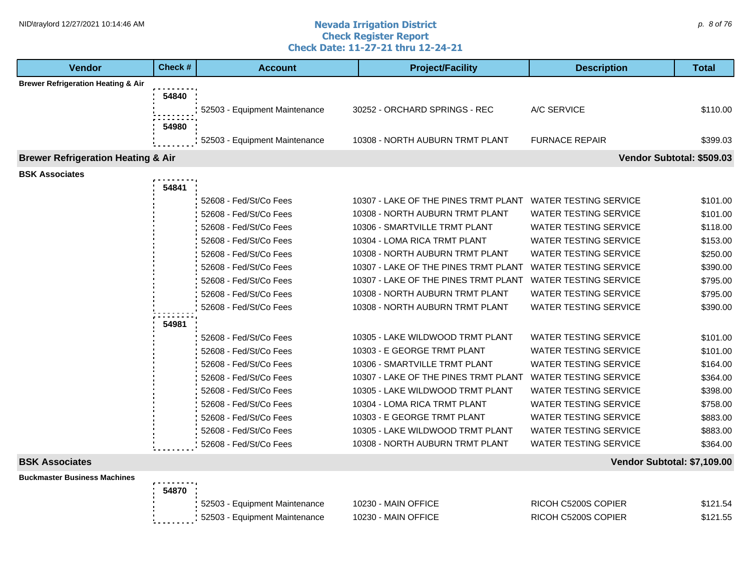#### **Nevada Irrigation District Check Register Report Check Date: 11-27-21 thru 12-24-21** NID\traylord 12/27/2021 10:14:46 AM  $\rho$ . 8 of 76

| <b>Vendor</b>                                 | Check # | <b>Account</b>                | <b>Project/Facility</b>              | <b>Description</b>           | <b>Total</b>              |
|-----------------------------------------------|---------|-------------------------------|--------------------------------------|------------------------------|---------------------------|
| <b>Brewer Refrigeration Heating &amp; Air</b> |         |                               |                                      |                              |                           |
|                                               | 54840   |                               |                                      |                              |                           |
|                                               |         | 52503 - Equipment Maintenance | 30252 - ORCHARD SPRINGS - REC        | A/C SERVICE                  | \$110.00                  |
|                                               | 54980   |                               |                                      |                              |                           |
|                                               |         | 52503 - Equipment Maintenance | 10308 - NORTH AUBURN TRMT PLANT      | <b>FURNACE REPAIR</b>        | \$399.03                  |
| <b>Brewer Refrigeration Heating &amp; Air</b> |         |                               |                                      |                              | Vendor Subtotal: \$509.03 |
| <b>BSK Associates</b>                         |         |                               |                                      |                              |                           |
|                                               | 54841   |                               |                                      |                              |                           |
|                                               |         | 52608 - Fed/St/Co Fees        | 10307 - LAKE OF THE PINES TRMT PLANT | <b>WATER TESTING SERVICE</b> | \$101.00                  |
|                                               |         | 52608 - Fed/St/Co Fees        | 10308 - NORTH AUBURN TRMT PLANT      | WATER TESTING SERVICE        | \$101.00                  |
|                                               |         | 52608 - Fed/St/Co Fees        | 10306 - SMARTVILLE TRMT PLANT        | <b>WATER TESTING SERVICE</b> | \$118.00                  |
|                                               |         | 52608 - Fed/St/Co Fees        | 10304 - LOMA RICA TRMT PLANT         | <b>WATER TESTING SERVICE</b> | \$153.00                  |
|                                               |         | 52608 - Fed/St/Co Fees        | 10308 - NORTH AUBURN TRMT PLANT      | <b>WATER TESTING SERVICE</b> | \$250.00                  |
|                                               |         | 52608 - Fed/St/Co Fees        | 10307 - LAKE OF THE PINES TRMT PLANT | <b>WATER TESTING SERVICE</b> | \$390.00                  |
|                                               |         | 52608 - Fed/St/Co Fees        | 10307 - LAKE OF THE PINES TRMT PLANT | <b>WATER TESTING SERVICE</b> | \$795.00                  |
|                                               |         | 52608 - Fed/St/Co Fees        | 10308 - NORTH AUBURN TRMT PLANT      | <b>WATER TESTING SERVICE</b> | \$795.00                  |
|                                               |         | 52608 - Fed/St/Co Fees        | 10308 - NORTH AUBURN TRMT PLANT      | <b>WATER TESTING SERVICE</b> | \$390.00                  |
|                                               | 54981   |                               |                                      |                              |                           |
|                                               |         | 52608 - Fed/St/Co Fees        | 10305 - LAKE WILDWOOD TRMT PLANT     | <b>WATER TESTING SERVICE</b> | \$101.00                  |
|                                               |         | 52608 - Fed/St/Co Fees        | 10303 - E GEORGE TRMT PLANT          | <b>WATER TESTING SERVICE</b> | \$101.00                  |
|                                               |         | 52608 - Fed/St/Co Fees        | 10306 - SMARTVILLE TRMT PLANT        | <b>WATER TESTING SERVICE</b> | \$164.00                  |
|                                               |         | 52608 - Fed/St/Co Fees        | 10307 - LAKE OF THE PINES TRMT PLANT | <b>WATER TESTING SERVICE</b> | \$364.00                  |
|                                               |         | 52608 - Fed/St/Co Fees        | 10305 - LAKE WILDWOOD TRMT PLANT     | <b>WATER TESTING SERVICE</b> | \$398.00                  |
|                                               |         | 52608 - Fed/St/Co Fees        | 10304 - LOMA RICA TRMT PLANT         | <b>WATER TESTING SERVICE</b> | \$758.00                  |
|                                               |         | 52608 - Fed/St/Co Fees        | 10303 - E GEORGE TRMT PLANT          | <b>WATER TESTING SERVICE</b> | \$883.00                  |
|                                               |         | 52608 - Fed/St/Co Fees        | 10305 - LAKE WILDWOOD TRMT PLANT     | <b>WATER TESTING SERVICE</b> | \$883.00                  |
|                                               |         | 52608 - Fed/St/Co Fees        | 10308 - NORTH AUBURN TRMT PLANT      | <b>WATER TESTING SERVICE</b> | \$364.00                  |
| <b>BSK Associates</b>                         |         |                               |                                      | Vendor Subtotal: \$7,109.00  |                           |
| <b>Buckmaster Business Machines</b>           |         |                               |                                      |                              |                           |
|                                               | 54870 : |                               |                                      |                              |                           |

| 52503 - Equipment Maintenance              | 10230 - MAIN OFFICE | RICOH C5200S COPIER | \$121.54 |
|--------------------------------------------|---------------------|---------------------|----------|
| 52503 - Equipment Maintenance<br>--------- | 10230 - MAIN OFFICE | RICOH C5200S COPIER | \$121.55 |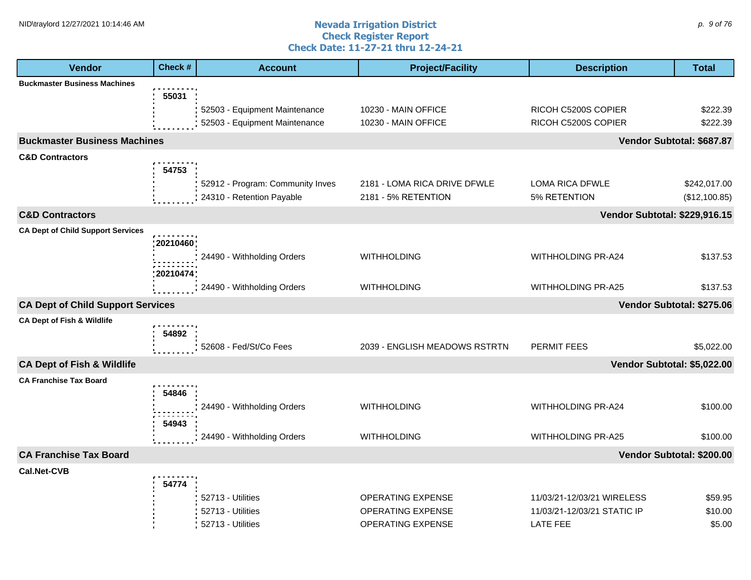#### **Nevada Irrigation District Check Register Report Check Date: 11-27-21 thru 12-24-21** NID\traylord 12/27/2021 10:14:46 AM  $\rho$ . 9 of 76

| <b>Vendor</b>                            | Check#         | <b>Account</b>                                                 | <b>Project/Facility</b>                                                          | <b>Description</b>                                                    | <b>Total</b>                 |
|------------------------------------------|----------------|----------------------------------------------------------------|----------------------------------------------------------------------------------|-----------------------------------------------------------------------|------------------------------|
| <b>Buckmaster Business Machines</b>      |                |                                                                |                                                                                  |                                                                       |                              |
|                                          | 55031          | 52503 - Equipment Maintenance<br>52503 - Equipment Maintenance | 10230 - MAIN OFFICE<br>10230 - MAIN OFFICE                                       | RICOH C5200S COPIER<br>RICOH C5200S COPIER                            | \$222.39<br>\$222.39         |
| <b>Buckmaster Business Machines</b>      |                |                                                                |                                                                                  |                                                                       | Vendor Subtotal: \$687.87    |
| <b>C&amp;D Contractors</b>               | 54753          | 52912 - Program: Community Inves                               | 2181 - LOMA RICA DRIVE DFWLE                                                     | LOMA RICA DFWLE                                                       | \$242,017.00                 |
|                                          |                | 24310 - Retention Payable                                      | 2181 - 5% RETENTION                                                              | 5% RETENTION                                                          | (\$12,100.85)                |
| <b>C&amp;D Contractors</b>               |                |                                                                |                                                                                  | <b>Vendor Subtotal: \$229,916.15</b>                                  |                              |
| <b>CA Dept of Child Support Services</b> | : 20210460     |                                                                |                                                                                  |                                                                       |                              |
|                                          | 20210474       | 24490 - Withholding Orders                                     | <b>WITHHOLDING</b>                                                               | WITHHOLDING PR-A24                                                    | \$137.53                     |
|                                          |                | 24490 - Withholding Orders                                     | <b>WITHHOLDING</b>                                                               | WITHHOLDING PR-A25                                                    | \$137.53                     |
| <b>CA Dept of Child Support Services</b> |                |                                                                |                                                                                  |                                                                       | Vendor Subtotal: \$275.06    |
| <b>CA Dept of Fish &amp; Wildlife</b>    | 54892          | 52608 - Fed/St/Co Fees                                         | 2039 - ENGLISH MEADOWS RSTRTN                                                    | PERMIT FEES                                                           | \$5,022.00                   |
| <b>CA Dept of Fish &amp; Wildlife</b>    |                |                                                                |                                                                                  | Vendor Subtotal: \$5,022.00                                           |                              |
| <b>CA Franchise Tax Board</b>            |                |                                                                |                                                                                  |                                                                       |                              |
|                                          | 54846<br>54943 | 24490 - Withholding Orders                                     | <b>WITHHOLDING</b>                                                               | WITHHOLDING PR-A24                                                    | \$100.00                     |
|                                          |                | 24490 - Withholding Orders                                     | <b>WITHHOLDING</b>                                                               | WITHHOLDING PR-A25                                                    | \$100.00                     |
| <b>CA Franchise Tax Board</b>            |                |                                                                |                                                                                  |                                                                       | Vendor Subtotal: \$200.00    |
| <b>Cal.Net-CVB</b>                       | 54774          |                                                                |                                                                                  |                                                                       |                              |
|                                          |                | 52713 - Utilities<br>52713 - Utilities<br>52713 - Utilities    | <b>OPERATING EXPENSE</b><br><b>OPERATING EXPENSE</b><br><b>OPERATING EXPENSE</b> | 11/03/21-12/03/21 WIRELESS<br>11/03/21-12/03/21 STATIC IP<br>LATE FEE | \$59.95<br>\$10.00<br>\$5.00 |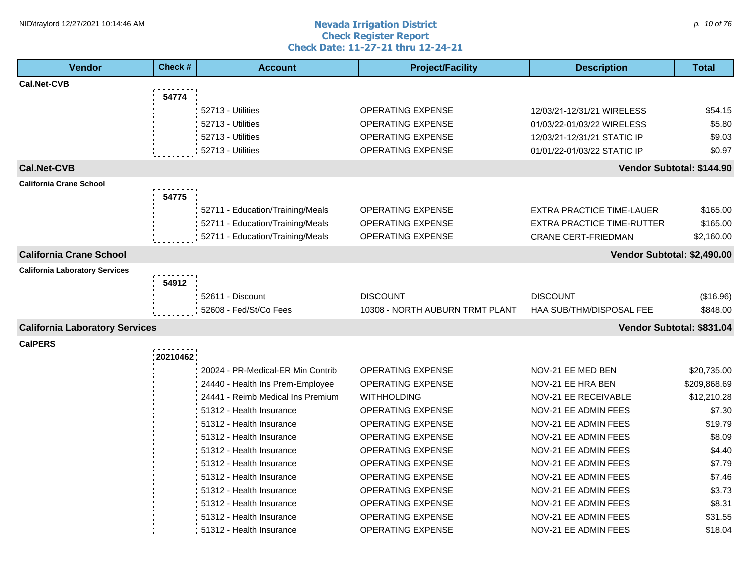#### **Nevada Irrigation District Check Register Report Check Date: 11-27-21 thru 12-24-21** NID\traylord 12/27/2021 10:14:46 AM  $\rho$  and  $\sigma$  and  $\rho$  are  $\sigma$  and  $\sigma$  are  $\rho$  and  $\rho$  are  $\rho$  and  $\rho$  and  $\rho$  are  $\rho$  and  $\rho$  and  $\rho$  and  $\rho$  and  $\rho$  and  $\rho$  and  $\rho$  and  $\rho$  and  $\rho$  and  $\rho$  and  $\rho$

| <b>Vendor</b>                         | Check #  | <b>Account</b>                    | <b>Project/Facility</b>         | <b>Description</b>                | <b>Total</b>              |
|---------------------------------------|----------|-----------------------------------|---------------------------------|-----------------------------------|---------------------------|
| Cal.Net-CVB                           |          |                                   |                                 |                                   |                           |
|                                       | 54774    |                                   |                                 |                                   |                           |
|                                       |          | 52713 - Utilities                 | <b>OPERATING EXPENSE</b>        | 12/03/21-12/31/21 WIRELESS        | \$54.15                   |
|                                       |          | 52713 - Utilities                 | <b>OPERATING EXPENSE</b>        | 01/03/22-01/03/22 WIRELESS        | \$5.80                    |
|                                       |          | 52713 - Utilities                 | <b>OPERATING EXPENSE</b>        | 12/03/21-12/31/21 STATIC IP       | \$9.03                    |
|                                       |          | 52713 - Utilities                 | <b>OPERATING EXPENSE</b>        | 01/01/22-01/03/22 STATIC IP       | \$0.97                    |
| <b>Cal.Net-CVB</b>                    |          |                                   |                                 |                                   | Vendor Subtotal: \$144.90 |
| <b>California Crane School</b>        |          |                                   |                                 |                                   |                           |
|                                       | 54775    |                                   |                                 |                                   |                           |
|                                       |          | 52711 - Education/Training/Meals  | <b>OPERATING EXPENSE</b>        | <b>EXTRA PRACTICE TIME-LAUER</b>  | \$165.00                  |
|                                       |          | 52711 - Education/Training/Meals  | <b>OPERATING EXPENSE</b>        | <b>EXTRA PRACTICE TIME-RUTTER</b> | \$165.00                  |
|                                       |          | 52711 - Education/Training/Meals  | <b>OPERATING EXPENSE</b>        | <b>CRANE CERT-FRIEDMAN</b>        | \$2,160.00                |
| <b>California Crane School</b>        |          |                                   |                                 | Vendor Subtotal: \$2,490.00       |                           |
| <b>California Laboratory Services</b> |          |                                   |                                 |                                   |                           |
|                                       | 54912    |                                   |                                 |                                   |                           |
|                                       |          | 52611 - Discount                  | <b>DISCOUNT</b>                 | <b>DISCOUNT</b>                   | (\$16.96)                 |
|                                       |          | 52608 - Fed/St/Co Fees            | 10308 - NORTH AUBURN TRMT PLANT | HAA SUB/THM/DISPOSAL FEE          | \$848.00                  |
| <b>California Laboratory Services</b> |          |                                   |                                 |                                   | Vendor Subtotal: \$831.04 |
| <b>CalPERS</b>                        |          |                                   |                                 |                                   |                           |
|                                       | 20210462 |                                   |                                 |                                   |                           |
|                                       |          | 20024 - PR-Medical-ER Min Contrib | <b>OPERATING EXPENSE</b>        | NOV-21 EE MED BEN                 | \$20,735.00               |
|                                       |          | 24440 - Health Ins Prem-Employee  | <b>OPERATING EXPENSE</b>        | NOV-21 EE HRA BEN                 | \$209,868.69              |
|                                       |          | 24441 - Reimb Medical Ins Premium | <b>WITHHOLDING</b>              | NOV-21 EE RECEIVABLE              | \$12,210.28               |
|                                       |          | 51312 - Health Insurance          | <b>OPERATING EXPENSE</b>        | NOV-21 EE ADMIN FEES              | \$7.30                    |
|                                       |          | 51312 - Health Insurance          | <b>OPERATING EXPENSE</b>        | NOV-21 EE ADMIN FEES              | \$19.79                   |
|                                       |          | 51312 - Health Insurance          | <b>OPERATING EXPENSE</b>        | <b>NOV-21 EE ADMIN FEES</b>       | \$8.09                    |
|                                       |          | 51312 - Health Insurance          | <b>OPERATING EXPENSE</b>        | NOV-21 EE ADMIN FEES              | \$4.40                    |
|                                       |          | 51312 - Health Insurance          | <b>OPERATING EXPENSE</b>        | NOV-21 EE ADMIN FEES              | \$7.79                    |
|                                       |          | 51312 - Health Insurance          | OPERATING EXPENSE               | NOV-21 EE ADMIN FEES              | \$7.46                    |
|                                       |          | 51312 - Health Insurance          | OPERATING EXPENSE               | NOV-21 EE ADMIN FEES              | \$3.73                    |
|                                       |          | 51312 - Health Insurance          | OPERATING EXPENSE               | NOV-21 EE ADMIN FEES              | \$8.31                    |
|                                       |          | 51312 - Health Insurance          | <b>OPERATING EXPENSE</b>        | NOV-21 EE ADMIN FEES              | \$31.55                   |
|                                       |          | 51312 - Health Insurance          | <b>OPERATING EXPENSE</b>        | NOV-21 EE ADMIN FEES              | \$18.04                   |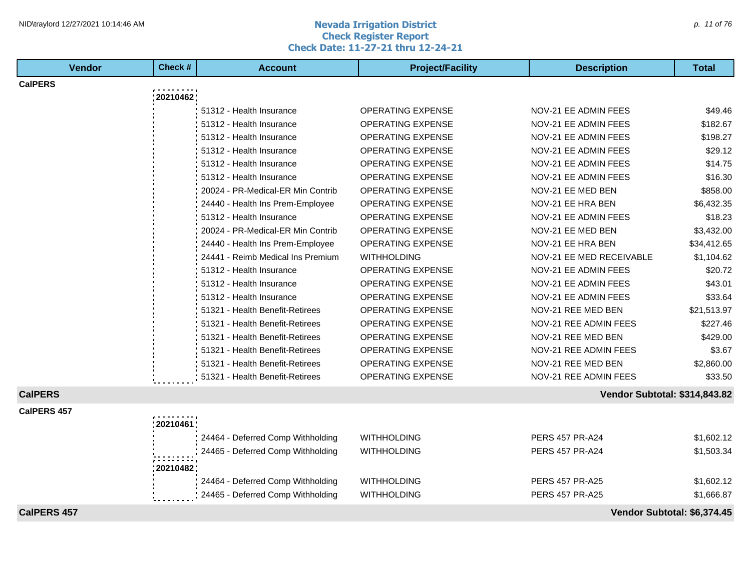#### **Nevada Irrigation District Check Register Report Check Date: 11-27-21 thru 12-24-21** NID\traylord 12/27/2021 10:14:46 AM  $p$ . 11 of 76

| <b>Vendor</b>      | Check #     | <b>Account</b>                    | <b>Project/Facility</b>  | <b>Description</b>                   | <b>Total</b>                |
|--------------------|-------------|-----------------------------------|--------------------------|--------------------------------------|-----------------------------|
| <b>CalPERS</b>     |             |                                   |                          |                                      |                             |
|                    | 20210462    |                                   |                          |                                      |                             |
|                    |             | 51312 - Health Insurance          | <b>OPERATING EXPENSE</b> | NOV-21 EE ADMIN FEES                 | \$49.46                     |
|                    |             | 51312 - Health Insurance          | <b>OPERATING EXPENSE</b> | NOV-21 EE ADMIN FEES                 | \$182.67                    |
|                    |             | 51312 - Health Insurance          | <b>OPERATING EXPENSE</b> | NOV-21 EE ADMIN FEES                 | \$198.27                    |
|                    |             | 51312 - Health Insurance          | <b>OPERATING EXPENSE</b> | NOV-21 EE ADMIN FEES                 | \$29.12                     |
|                    |             | 51312 - Health Insurance          | <b>OPERATING EXPENSE</b> | NOV-21 EE ADMIN FEES                 | \$14.75                     |
|                    |             | 51312 - Health Insurance          | <b>OPERATING EXPENSE</b> | NOV-21 EE ADMIN FEES                 | \$16.30                     |
|                    |             | 20024 - PR-Medical-ER Min Contrib | <b>OPERATING EXPENSE</b> | NOV-21 EE MED BEN                    | \$858.00                    |
|                    |             | 24440 - Health Ins Prem-Employee  | OPERATING EXPENSE        | NOV-21 EE HRA BEN                    | \$6,432.35                  |
|                    |             | 51312 - Health Insurance          | <b>OPERATING EXPENSE</b> | NOV-21 EE ADMIN FEES                 | \$18.23                     |
|                    |             | 20024 - PR-Medical-ER Min Contrib | <b>OPERATING EXPENSE</b> | NOV-21 EE MED BEN                    | \$3,432.00                  |
|                    |             | 24440 - Health Ins Prem-Employee  | <b>OPERATING EXPENSE</b> | NOV-21 EE HRA BEN                    | \$34,412.65                 |
|                    |             | 24441 - Reimb Medical Ins Premium | <b>WITHHOLDING</b>       | NOV-21 EE MED RECEIVABLE             | \$1,104.62                  |
|                    |             | 51312 - Health Insurance          | <b>OPERATING EXPENSE</b> | NOV-21 EE ADMIN FEES                 | \$20.72                     |
|                    |             | 51312 - Health Insurance          | <b>OPERATING EXPENSE</b> | NOV-21 EE ADMIN FEES                 | \$43.01                     |
|                    |             | 51312 - Health Insurance          | <b>OPERATING EXPENSE</b> | NOV-21 EE ADMIN FEES                 | \$33.64                     |
|                    |             | 51321 - Health Benefit-Retirees   | <b>OPERATING EXPENSE</b> | NOV-21 REE MED BEN                   | \$21,513.97                 |
|                    |             | 51321 - Health Benefit-Retirees   | <b>OPERATING EXPENSE</b> | NOV-21 REE ADMIN FEES                | \$227.46                    |
|                    |             | 51321 - Health Benefit-Retirees   | <b>OPERATING EXPENSE</b> | NOV-21 REE MED BEN                   | \$429.00                    |
|                    |             | 51321 - Health Benefit-Retirees   | <b>OPERATING EXPENSE</b> | NOV-21 REE ADMIN FEES                | \$3.67                      |
|                    |             | 51321 - Health Benefit-Retirees   | <b>OPERATING EXPENSE</b> | NOV-21 REE MED BEN                   | \$2,860.00                  |
|                    |             | 51321 - Health Benefit-Retirees   | <b>OPERATING EXPENSE</b> | NOV-21 REE ADMIN FEES                | \$33.50                     |
| <b>CalPERS</b>     |             |                                   |                          | <b>Vendor Subtotal: \$314,843.82</b> |                             |
| CalPERS 457        |             |                                   |                          |                                      |                             |
|                    | : 20210461: |                                   |                          |                                      |                             |
|                    |             | 24464 - Deferred Comp Withholding | <b>WITHHOLDING</b>       | <b>PERS 457 PR-A24</b>               | \$1,602.12                  |
|                    |             | 24465 - Deferred Comp Withholding | <b>WITHHOLDING</b>       | <b>PERS 457 PR-A24</b>               | \$1,503.34                  |
|                    | : 20210482: |                                   |                          |                                      |                             |
|                    |             | 24464 - Deferred Comp Withholding | <b>WITHHOLDING</b>       | PERS 457 PR-A25                      | \$1,602.12                  |
|                    |             | 24465 - Deferred Comp Withholding | WITHHOLDING              | <b>PERS 457 PR-A25</b>               | \$1,666.87                  |
|                    |             |                                   |                          |                                      |                             |
| <b>CalPERS 457</b> |             |                                   |                          |                                      | Vendor Subtotal: \$6,374.45 |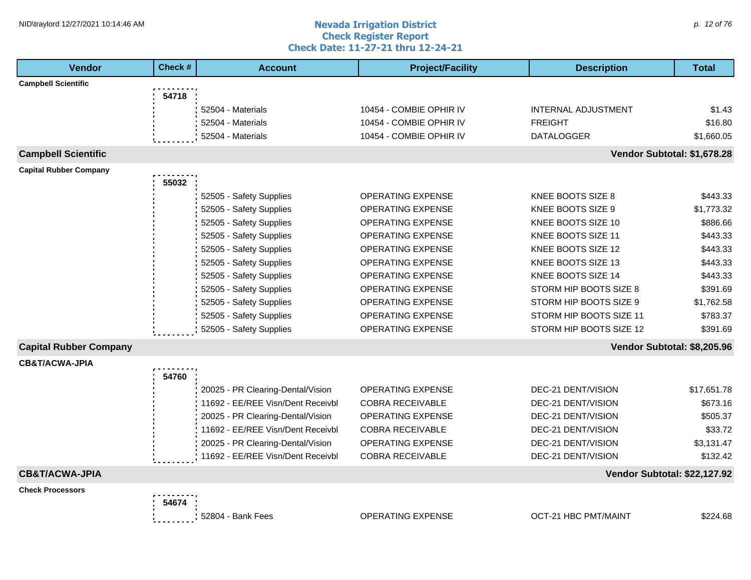#### **Nevada Irrigation District Check Register Report Check Date: 11-27-21 thru 12-24-21** NID\traylord 12/27/2021 10:14:46 AM  $\rho$  and  $\sigma$  are all the comparison  $\alpha$  and  $\alpha$  are all the comparison  $\rho$  and  $\rho$  are all the comparison  $\rho$  and  $\rho$  are all the comparison  $\rho$  and  $\rho$  are all the comparison

| <b>Vendor</b>                 | Check # | <b>Account</b>                    | <b>Project/Facility</b>  | <b>Description</b>           | <b>Total</b> |
|-------------------------------|---------|-----------------------------------|--------------------------|------------------------------|--------------|
| <b>Campbell Scientific</b>    |         |                                   |                          |                              |              |
|                               | 54718   |                                   |                          |                              |              |
|                               |         | 52504 - Materials                 | 10454 - COMBIE OPHIR IV  | <b>INTERNAL ADJUSTMENT</b>   | \$1.43       |
|                               |         | 52504 - Materials                 | 10454 - COMBIE OPHIR IV  | <b>FREIGHT</b>               | \$16.80      |
|                               |         | 52504 - Materials                 | 10454 - COMBIE OPHIR IV  | <b>DATALOGGER</b>            | \$1,660.05   |
| <b>Campbell Scientific</b>    |         |                                   |                          | Vendor Subtotal: \$1,678.28  |              |
| <b>Capital Rubber Company</b> |         |                                   |                          |                              |              |
|                               | 55032   |                                   |                          |                              |              |
|                               |         | 52505 - Safety Supplies           | <b>OPERATING EXPENSE</b> | KNEE BOOTS SIZE 8            | \$443.33     |
|                               |         | 52505 - Safety Supplies           | <b>OPERATING EXPENSE</b> | KNEE BOOTS SIZE 9            | \$1,773.32   |
|                               |         | 52505 - Safety Supplies           | <b>OPERATING EXPENSE</b> | KNEE BOOTS SIZE 10           | \$886.66     |
|                               |         | 52505 - Safety Supplies           | <b>OPERATING EXPENSE</b> | KNEE BOOTS SIZE 11           | \$443.33     |
|                               |         | 52505 - Safety Supplies           | <b>OPERATING EXPENSE</b> | KNEE BOOTS SIZE 12           | \$443.33     |
|                               |         | 52505 - Safety Supplies           | OPERATING EXPENSE        | KNEE BOOTS SIZE 13           | \$443.33     |
|                               |         | 52505 - Safety Supplies           | <b>OPERATING EXPENSE</b> | KNEE BOOTS SIZE 14           | \$443.33     |
|                               |         | 52505 - Safety Supplies           | <b>OPERATING EXPENSE</b> | STORM HIP BOOTS SIZE 8       | \$391.69     |
|                               |         | 52505 - Safety Supplies           | <b>OPERATING EXPENSE</b> | STORM HIP BOOTS SIZE 9       | \$1,762.58   |
|                               |         | 52505 - Safety Supplies           | OPERATING EXPENSE        | STORM HIP BOOTS SIZE 11      | \$783.37     |
|                               |         | 52505 - Safety Supplies           | OPERATING EXPENSE        | STORM HIP BOOTS SIZE 12      | \$391.69     |
| <b>Capital Rubber Company</b> |         |                                   |                          | Vendor Subtotal: \$8,205.96  |              |
| <b>CB&amp;T/ACWA-JPIA</b>     |         |                                   |                          |                              |              |
|                               | 54760   |                                   |                          |                              |              |
|                               |         | 20025 - PR Clearing-Dental/Vision | <b>OPERATING EXPENSE</b> | <b>DEC-21 DENT/VISION</b>    | \$17,651.78  |
|                               |         | 11692 - EE/REE Visn/Dent Receivbl | <b>COBRA RECEIVABLE</b>  | DEC-21 DENT/VISION           | \$673.16     |
|                               |         | 20025 - PR Clearing-Dental/Vision | <b>OPERATING EXPENSE</b> | DEC-21 DENT/VISION           | \$505.37     |
|                               |         | 11692 - EE/REE Visn/Dent Receivbl | <b>COBRA RECEIVABLE</b>  | DEC-21 DENT/VISION           | \$33.72      |
|                               |         | 20025 - PR Clearing-Dental/Vision | <b>OPERATING EXPENSE</b> | DEC-21 DENT/VISION           | \$3,131.47   |
|                               |         | 11692 - EE/REE Visn/Dent Receivbl | <b>COBRA RECEIVABLE</b>  | DEC-21 DENT/VISION           | \$132.42     |
| <b>CB&amp;T/ACWA-JPIA</b>     |         |                                   |                          | Vendor Subtotal: \$22,127.92 |              |
| <b>Check Processors</b>       |         |                                   |                          |                              |              |
|                               | 54674   |                                   |                          |                              |              |
|                               |         | 52804 - Bank Fees                 | <b>OPERATING EXPENSE</b> | <b>OCT-21 HBC PMT/MAINT</b>  | \$224.68     |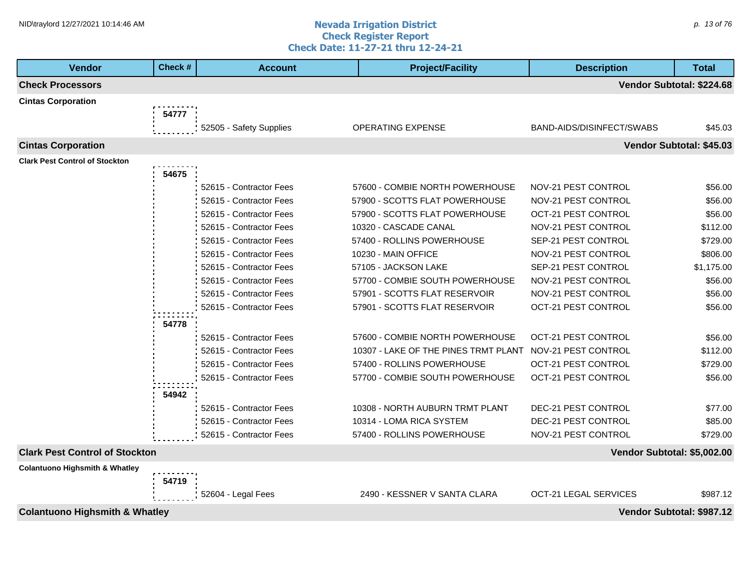### **1HD**\traylord 12/27/2021 10:14:46 AM **p. 13 of 76** and **number of the set of the Nevada Irrigation District** components and p. 13 of 76 and p. 13 of 76 and p. 13 of 76 and p. 13 of 76 and p. 13 of 76 and p. 13 of 76 and p **Check Register Report Check Date: 11-27-21 thru 12-24-21**

| <b>Vendor</b>                             | Check # | <b>Account</b>          | <b>Project/Facility</b>                                  | <b>Description</b>           | <b>Total</b>              |
|-------------------------------------------|---------|-------------------------|----------------------------------------------------------|------------------------------|---------------------------|
| <b>Check Processors</b>                   |         |                         |                                                          |                              | Vendor Subtotal: \$224.68 |
| <b>Cintas Corporation</b>                 |         |                         |                                                          |                              |                           |
|                                           | 54777   |                         |                                                          |                              |                           |
|                                           |         | 52505 - Safety Supplies | OPERATING EXPENSE                                        | BAND-AIDS/DISINFECT/SWABS    | \$45.03                   |
| <b>Cintas Corporation</b>                 |         |                         |                                                          |                              | Vendor Subtotal: \$45.03  |
| <b>Clark Pest Control of Stockton</b>     |         |                         |                                                          |                              |                           |
|                                           | 54675   |                         |                                                          |                              |                           |
|                                           |         | 52615 - Contractor Fees | 57600 - COMBIE NORTH POWERHOUSE                          | NOV-21 PEST CONTROL          | \$56.00                   |
|                                           |         | 52615 - Contractor Fees | 57900 - SCOTTS FLAT POWERHOUSE                           | NOV-21 PEST CONTROL          | \$56.00                   |
|                                           |         | 52615 - Contractor Fees | 57900 - SCOTTS FLAT POWERHOUSE                           | OCT-21 PEST CONTROL          | \$56.00                   |
|                                           |         | 52615 - Contractor Fees | 10320 - CASCADE CANAL                                    | NOV-21 PEST CONTROL          | \$112.00                  |
|                                           |         | 52615 - Contractor Fees | 57400 - ROLLINS POWERHOUSE                               | SEP-21 PEST CONTROL          | \$729.00                  |
|                                           |         | 52615 - Contractor Fees | 10230 - MAIN OFFICE                                      | NOV-21 PEST CONTROL          | \$806.00                  |
|                                           |         | 52615 - Contractor Fees | 57105 - JACKSON LAKE                                     | SEP-21 PEST CONTROL          | \$1,175.00                |
|                                           |         | 52615 - Contractor Fees | 57700 - COMBIE SOUTH POWERHOUSE                          | NOV-21 PEST CONTROL          | \$56.00                   |
|                                           |         | 52615 - Contractor Fees | 57901 - SCOTTS FLAT RESERVOIR                            | NOV-21 PEST CONTROL          | \$56.00                   |
|                                           |         | 52615 - Contractor Fees | 57901 - SCOTTS FLAT RESERVOIR                            | OCT-21 PEST CONTROL          | \$56.00                   |
|                                           | 54778   |                         |                                                          |                              |                           |
|                                           |         | 52615 - Contractor Fees | 57600 - COMBIE NORTH POWERHOUSE                          | OCT-21 PEST CONTROL          | \$56.00                   |
|                                           |         | 52615 - Contractor Fees | 10307 - LAKE OF THE PINES TRMT PLANT NOV-21 PEST CONTROL |                              | \$112.00                  |
|                                           |         | 52615 - Contractor Fees | 57400 - ROLLINS POWERHOUSE                               | <b>OCT-21 PEST CONTROL</b>   | \$729.00                  |
|                                           |         | 52615 - Contractor Fees | 57700 - COMBIE SOUTH POWERHOUSE                          | <b>OCT-21 PEST CONTROL</b>   | \$56.00                   |
|                                           | 54942   |                         |                                                          |                              |                           |
|                                           |         | 52615 - Contractor Fees | 10308 - NORTH AUBURN TRMT PLANT                          | DEC-21 PEST CONTROL          | \$77.00                   |
|                                           |         | 52615 - Contractor Fees | 10314 - LOMA RICA SYSTEM                                 | DEC-21 PEST CONTROL          | \$85.00                   |
|                                           |         | 52615 - Contractor Fees | 57400 - ROLLINS POWERHOUSE                               | NOV-21 PEST CONTROL          | \$729.00                  |
| <b>Clark Pest Control of Stockton</b>     |         |                         |                                                          | Vendor Subtotal: \$5,002.00  |                           |
| <b>Colantuono Highsmith &amp; Whatley</b> |         |                         |                                                          |                              |                           |
|                                           | 54719   |                         |                                                          |                              |                           |
|                                           |         | 52604 - Legal Fees      | 2490 - KESSNER V SANTA CLARA                             | <b>OCT-21 LEGAL SERVICES</b> | \$987.12                  |

**Colantuono Highsmith & Whatley Vendor Subtotal: \$987.12**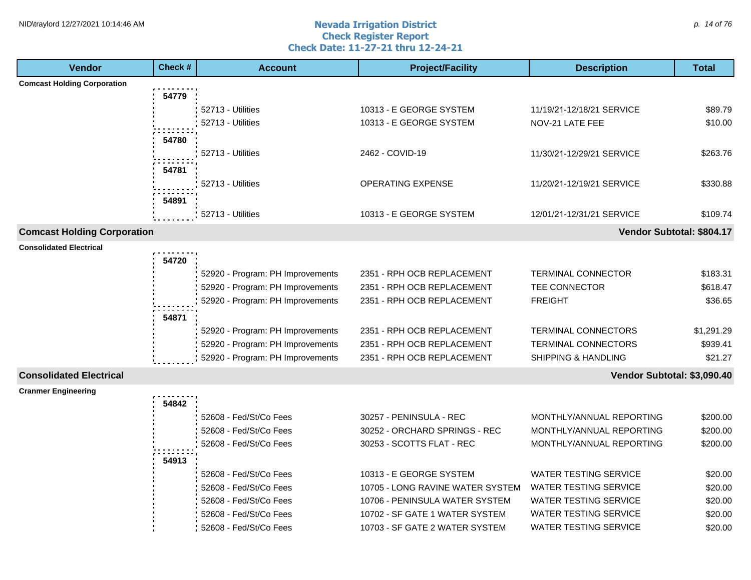## **1HD**\traylord 12/27/2021 10:14:46 AM **p. 14 of 76** and **number of the set of the Nevada Irrigation District** p. 14 of 76 and p. 14 of 76 and p. 14 of 76 and p. 14 of 76 and p. 14 of 76 and p. 14 of 76 and p. 14 of 76 and **Check Register Report Check Date: 11-27-21 thru 12-24-21**

| <b>Vendor</b>                      | Check # | <b>Account</b>                   | <b>Project/Facility</b>          | <b>Description</b>             | <b>Total</b> |
|------------------------------------|---------|----------------------------------|----------------------------------|--------------------------------|--------------|
| <b>Comcast Holding Corporation</b> |         |                                  |                                  |                                |              |
|                                    | 54779   |                                  |                                  |                                |              |
|                                    |         | 52713 - Utilities                | 10313 - E GEORGE SYSTEM          | 11/19/21-12/18/21 SERVICE      | \$89.79      |
|                                    |         | 52713 - Utilities                | 10313 - E GEORGE SYSTEM          | NOV-21 LATE FEE                | \$10.00      |
|                                    | 54780   |                                  |                                  |                                |              |
|                                    |         | 52713 - Utilities                | 2462 - COVID-19                  | 11/30/21-12/29/21 SERVICE      | \$263.76     |
|                                    | 54781   |                                  |                                  |                                |              |
|                                    |         | 52713 - Utilities                | OPERATING EXPENSE                | 11/20/21-12/19/21 SERVICE      | \$330.88     |
|                                    |         |                                  |                                  |                                |              |
|                                    | 54891   |                                  |                                  |                                |              |
|                                    |         | 52713 - Utilities                | 10313 - E GEORGE SYSTEM          | 12/01/21-12/31/21 SERVICE      | \$109.74     |
| <b>Comcast Holding Corporation</b> |         |                                  |                                  | Vendor Subtotal: \$804.17      |              |
| <b>Consolidated Electrical</b>     |         |                                  |                                  |                                |              |
|                                    | 54720   |                                  |                                  |                                |              |
|                                    |         | 52920 - Program: PH Improvements | 2351 - RPH OCB REPLACEMENT       | <b>TERMINAL CONNECTOR</b>      | \$183.31     |
|                                    |         | 52920 - Program: PH Improvements | 2351 - RPH OCB REPLACEMENT       | TEE CONNECTOR                  | \$618.47     |
|                                    |         | 52920 - Program: PH Improvements | 2351 - RPH OCB REPLACEMENT       | <b>FREIGHT</b>                 | \$36.65      |
|                                    | 54871   |                                  |                                  |                                |              |
|                                    |         | 52920 - Program: PH Improvements | 2351 - RPH OCB REPLACEMENT       | <b>TERMINAL CONNECTORS</b>     | \$1,291.29   |
|                                    |         | 52920 - Program: PH Improvements | 2351 - RPH OCB REPLACEMENT       | <b>TERMINAL CONNECTORS</b>     | \$939.41     |
|                                    |         | 52920 - Program: PH Improvements | 2351 - RPH OCB REPLACEMENT       | <b>SHIPPING &amp; HANDLING</b> | \$21.27      |
| <b>Consolidated Electrical</b>     |         |                                  |                                  | Vendor Subtotal: \$3,090.40    |              |
| <b>Cranmer Engineering</b>         |         |                                  |                                  |                                |              |
|                                    | 54842   |                                  |                                  |                                |              |
|                                    |         | 52608 - Fed/St/Co Fees           | 30257 - PENINSULA - REC          | MONTHLY/ANNUAL REPORTING       | \$200.00     |
|                                    |         | 52608 - Fed/St/Co Fees           | 30252 - ORCHARD SPRINGS - REC    | MONTHLY/ANNUAL REPORTING       | \$200.00     |
|                                    |         | 52608 - Fed/St/Co Fees           | 30253 - SCOTTS FLAT - REC        | MONTHLY/ANNUAL REPORTING       | \$200.00     |
|                                    | 54913   |                                  |                                  |                                |              |
|                                    |         | 52608 - Fed/St/Co Fees           | 10313 - E GEORGE SYSTEM          | <b>WATER TESTING SERVICE</b>   | \$20.00      |
|                                    |         | 52608 - Fed/St/Co Fees           | 10705 - LONG RAVINE WATER SYSTEM | <b>WATER TESTING SERVICE</b>   | \$20.00      |
|                                    |         | 52608 - Fed/St/Co Fees           | 10706 - PENINSULA WATER SYSTEM   | <b>WATER TESTING SERVICE</b>   | \$20.00      |
|                                    |         | 52608 - Fed/St/Co Fees           | 10702 - SF GATE 1 WATER SYSTEM   | <b>WATER TESTING SERVICE</b>   | \$20.00      |
|                                    |         | 52608 - Fed/St/Co Fees           | 10703 - SF GATE 2 WATER SYSTEM   | <b>WATER TESTING SERVICE</b>   | \$20.00      |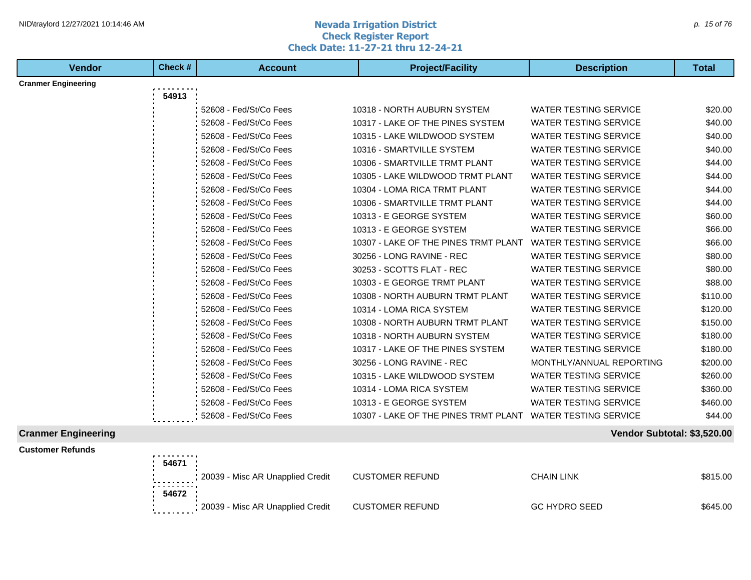## **1HD**\traylord 12/27/2021 10:14:46 AM **p. 15 of 76** and the second term **Nevada Irrigation District** because the p. 15 of 76 and the p. 15 of 76 and the p. 15 of 76 and the p. 15 of 76 and the p. 15 of 76 and the p. 15 of **Check Register Report Check Date: 11-27-21 thru 12-24-21**

| <b>Vendor</b>              | Check # | <b>Account</b>         | <b>Project/Facility</b>              | <b>Description</b>           | <b>Total</b> |
|----------------------------|---------|------------------------|--------------------------------------|------------------------------|--------------|
| <b>Cranmer Engineering</b> |         |                        |                                      |                              |              |
|                            | 54913   |                        |                                      |                              |              |
|                            |         | 52608 - Fed/St/Co Fees | 10318 - NORTH AUBURN SYSTEM          | <b>WATER TESTING SERVICE</b> | \$20.00      |
|                            |         | 52608 - Fed/St/Co Fees | 10317 - LAKE OF THE PINES SYSTEM     | <b>WATER TESTING SERVICE</b> | \$40.00      |
|                            |         | 52608 - Fed/St/Co Fees | 10315 - LAKE WILDWOOD SYSTEM         | <b>WATER TESTING SERVICE</b> | \$40.00      |
|                            |         | 52608 - Fed/St/Co Fees | 10316 - SMARTVILLE SYSTEM            | <b>WATER TESTING SERVICE</b> | \$40.00      |
|                            |         | 52608 - Fed/St/Co Fees | 10306 - SMARTVILLE TRMT PLANT        | <b>WATER TESTING SERVICE</b> | \$44.00      |
|                            |         | 52608 - Fed/St/Co Fees | 10305 - LAKE WILDWOOD TRMT PLANT     | <b>WATER TESTING SERVICE</b> | \$44.00      |
|                            |         | 52608 - Fed/St/Co Fees | 10304 - LOMA RICA TRMT PLANT         | <b>WATER TESTING SERVICE</b> | \$44.00      |
|                            |         | 52608 - Fed/St/Co Fees | 10306 - SMARTVILLE TRMT PLANT        | <b>WATER TESTING SERVICE</b> | \$44.00      |
|                            |         | 52608 - Fed/St/Co Fees | 10313 - E GEORGE SYSTEM              | <b>WATER TESTING SERVICE</b> | \$60.00      |
|                            |         | 52608 - Fed/St/Co Fees | 10313 - E GEORGE SYSTEM              | <b>WATER TESTING SERVICE</b> | \$66.00      |
|                            |         | 52608 - Fed/St/Co Fees | 10307 - LAKE OF THE PINES TRMT PLANT | <b>WATER TESTING SERVICE</b> | \$66.00      |
|                            |         | 52608 - Fed/St/Co Fees | 30256 - LONG RAVINE - REC            | <b>WATER TESTING SERVICE</b> | \$80.00      |
|                            |         | 52608 - Fed/St/Co Fees | 30253 - SCOTTS FLAT - REC            | <b>WATER TESTING SERVICE</b> | \$80.00      |
|                            |         | 52608 - Fed/St/Co Fees | 10303 - E GEORGE TRMT PLANT          | <b>WATER TESTING SERVICE</b> | \$88.00      |
|                            |         | 52608 - Fed/St/Co Fees | 10308 - NORTH AUBURN TRMT PLANT      | <b>WATER TESTING SERVICE</b> | \$110.00     |
|                            |         | 52608 - Fed/St/Co Fees | 10314 - LOMA RICA SYSTEM             | <b>WATER TESTING SERVICE</b> | \$120.00     |
|                            |         | 52608 - Fed/St/Co Fees | 10308 - NORTH AUBURN TRMT PLANT      | <b>WATER TESTING SERVICE</b> | \$150.00     |
|                            |         | 52608 - Fed/St/Co Fees | 10318 - NORTH AUBURN SYSTEM          | <b>WATER TESTING SERVICE</b> | \$180.00     |
|                            |         | 52608 - Fed/St/Co Fees | 10317 - LAKE OF THE PINES SYSTEM     | <b>WATER TESTING SERVICE</b> | \$180.00     |
|                            |         | 52608 - Fed/St/Co Fees | 30256 - LONG RAVINE - REC            | MONTHLY/ANNUAL REPORTING     | \$200.00     |
|                            |         | 52608 - Fed/St/Co Fees | 10315 - LAKE WILDWOOD SYSTEM         | <b>WATER TESTING SERVICE</b> | \$260.00     |
|                            |         | 52608 - Fed/St/Co Fees | 10314 - LOMA RICA SYSTEM             | <b>WATER TESTING SERVICE</b> | \$360.00     |
|                            |         | 52608 - Fed/St/Co Fees | 10313 - E GEORGE SYSTEM              | <b>WATER TESTING SERVICE</b> | \$460.00     |
|                            |         | 52608 - Fed/St/Co Fees | 10307 - LAKE OF THE PINES TRMT PLANT | <b>WATER TESTING SERVICE</b> | \$44.00      |
| <b>Cranmer Engineering</b> |         |                        |                                      | Vendor Subtotal: \$3,520.00  |              |

**Customer Refunds** . . . . . . . **54671** Process 20039 - Misc AR Unapplied Credit CUSTOMER REFUND CHAIN LINK CHAIN LINK \$815.00 ::::::: **54672** 20039 - Misc AR Unapplied Credit CUSTOMER REFUND GC HYDRO SEED \$645.00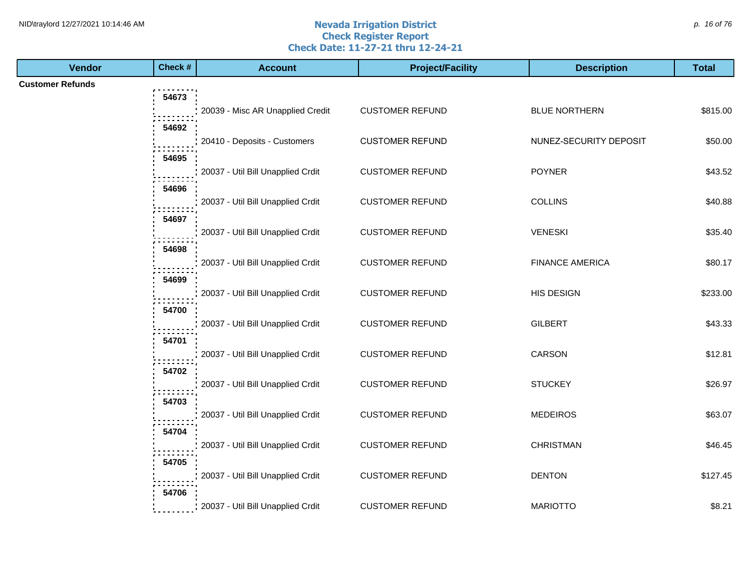#### **Nevada Irrigation District Check Register Report Check Date: 11-27-21 thru 12-24-21** NID\traylord 12/27/2021 10:14:46 AM  $\rho$ . 16 of 76

| <b>Vendor</b>           | Check # | <b>Account</b>                    | <b>Project/Facility</b> | <b>Description</b>     | <b>Total</b> |
|-------------------------|---------|-----------------------------------|-------------------------|------------------------|--------------|
| <b>Customer Refunds</b> |         |                                   |                         |                        |              |
|                         | 54673   |                                   |                         |                        |              |
|                         |         | 20039 - Misc AR Unapplied Credit  | <b>CUSTOMER REFUND</b>  | <b>BLUE NORTHERN</b>   | \$815.00     |
|                         | 54692   | 20410 - Deposits - Customers      | <b>CUSTOMER REFUND</b>  | NUNEZ-SECURITY DEPOSIT | \$50.00      |
|                         | 54695   |                                   |                         |                        |              |
|                         |         | 20037 - Util Bill Unapplied Crdit | <b>CUSTOMER REFUND</b>  | <b>POYNER</b>          | \$43.52      |
|                         | 54696   |                                   |                         |                        |              |
|                         |         | 20037 - Util Bill Unapplied Crdit | <b>CUSTOMER REFUND</b>  | <b>COLLINS</b>         | \$40.88      |
|                         | 54697   |                                   |                         |                        |              |
|                         |         | 20037 - Util Bill Unapplied Crdit | <b>CUSTOMER REFUND</b>  | <b>VENESKI</b>         | \$35.40      |
|                         | 54698   |                                   |                         |                        |              |
|                         |         | 20037 - Util Bill Unapplied Crdit | <b>CUSTOMER REFUND</b>  | <b>FINANCE AMERICA</b> | \$80.17      |
|                         | 54699   |                                   |                         |                        |              |
|                         |         | 20037 - Util Bill Unapplied Crdit | <b>CUSTOMER REFUND</b>  | HIS DESIGN             | \$233.00     |
|                         | 54700   | 20037 - Util Bill Unapplied Crdit | <b>CUSTOMER REFUND</b>  | <b>GILBERT</b>         | \$43.33      |
|                         | 54701   |                                   |                         |                        |              |
|                         |         | 20037 - Util Bill Unapplied Crdit | <b>CUSTOMER REFUND</b>  | CARSON                 | \$12.81      |
|                         | 54702   |                                   |                         |                        |              |
|                         |         | 20037 - Util Bill Unapplied Crdit | <b>CUSTOMER REFUND</b>  | <b>STUCKEY</b>         | \$26.97      |
|                         | 54703   |                                   |                         |                        |              |
|                         |         | 20037 - Util Bill Unapplied Crdit | <b>CUSTOMER REFUND</b>  | <b>MEDEIROS</b>        | \$63.07      |
|                         | 54704   |                                   |                         |                        |              |
|                         |         | 20037 - Util Bill Unapplied Crdit | <b>CUSTOMER REFUND</b>  | <b>CHRISTMAN</b>       | \$46.45      |
|                         | 54705   |                                   | <b>CUSTOMER REFUND</b>  | <b>DENTON</b>          |              |
|                         |         | 20037 - Util Bill Unapplied Crdit |                         |                        | \$127.45     |
|                         | 54706   | 20037 - Util Bill Unapplied Crdit | <b>CUSTOMER REFUND</b>  | <b>MARIOTTO</b>        | \$8.21       |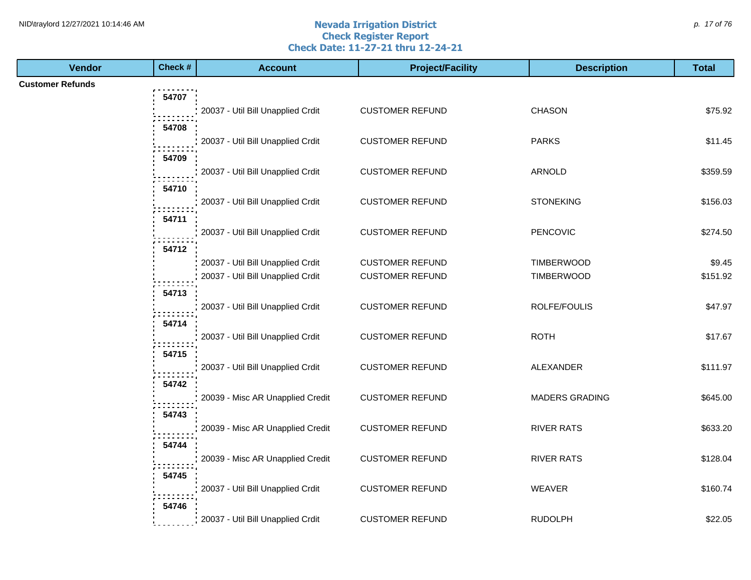#### **Nevada Irrigation District Check Register Report Check Date: 11-27-21 thru 12-24-21** NID\traylord 12/27/2021 10:14:46 AM  $p$ . 17 of 76

| <b>Vendor</b>           | Check # | <b>Account</b>                    | <b>Project/Facility</b> | <b>Description</b>    | <b>Total</b> |
|-------------------------|---------|-----------------------------------|-------------------------|-----------------------|--------------|
| <b>Customer Refunds</b> |         |                                   |                         |                       |              |
|                         | 54707   |                                   |                         |                       |              |
|                         |         | 20037 - Util Bill Unapplied Crdit | <b>CUSTOMER REFUND</b>  | <b>CHASON</b>         | \$75.92      |
|                         | 54708   |                                   |                         |                       |              |
|                         |         | 20037 - Util Bill Unapplied Crdit | <b>CUSTOMER REFUND</b>  | <b>PARKS</b>          | \$11.45      |
|                         | 54709   |                                   |                         |                       |              |
|                         |         | 20037 - Util Bill Unapplied Crdit | <b>CUSTOMER REFUND</b>  | ARNOLD                | \$359.59     |
|                         | 54710   | 20037 - Util Bill Unapplied Crdit | <b>CUSTOMER REFUND</b>  | <b>STONEKING</b>      | \$156.03     |
|                         | 54711   |                                   |                         |                       |              |
|                         |         | 20037 - Util Bill Unapplied Crdit | <b>CUSTOMER REFUND</b>  | <b>PENCOVIC</b>       | \$274.50     |
|                         | 54712   |                                   |                         |                       |              |
|                         |         | 20037 - Util Bill Unapplied Crdit | <b>CUSTOMER REFUND</b>  | <b>TIMBERWOOD</b>     | \$9.45       |
|                         |         | 20037 - Util Bill Unapplied Crdit | <b>CUSTOMER REFUND</b>  | TIMBERWOOD            | \$151.92     |
|                         | 54713   |                                   |                         |                       |              |
|                         |         | 20037 - Util Bill Unapplied Crdit | <b>CUSTOMER REFUND</b>  | ROLFE/FOULIS          | \$47.97      |
|                         | 54714   |                                   |                         |                       |              |
|                         |         | 20037 - Util Bill Unapplied Crdit | <b>CUSTOMER REFUND</b>  | <b>ROTH</b>           | \$17.67      |
|                         | 54715   |                                   |                         |                       |              |
|                         |         | 20037 - Util Bill Unapplied Crdit | <b>CUSTOMER REFUND</b>  | ALEXANDER             | \$111.97     |
|                         | 54742   |                                   |                         |                       |              |
|                         |         | 20039 - Misc AR Unapplied Credit  | <b>CUSTOMER REFUND</b>  | <b>MADERS GRADING</b> | \$645.00     |
|                         | 54743   | 20039 - Misc AR Unapplied Credit  | <b>CUSTOMER REFUND</b>  | <b>RIVER RATS</b>     | \$633.20     |
|                         | 54744   |                                   |                         |                       |              |
|                         |         | 20039 - Misc AR Unapplied Credit  | <b>CUSTOMER REFUND</b>  | <b>RIVER RATS</b>     | \$128.04     |
|                         | 54745   |                                   |                         |                       |              |
|                         |         | 20037 - Util Bill Unapplied Crdit | <b>CUSTOMER REFUND</b>  | <b>WEAVER</b>         | \$160.74     |
|                         | 54746   |                                   |                         |                       |              |
|                         |         | 20037 - Util Bill Unapplied Crdit | <b>CUSTOMER REFUND</b>  | <b>RUDOLPH</b>        | \$22.05      |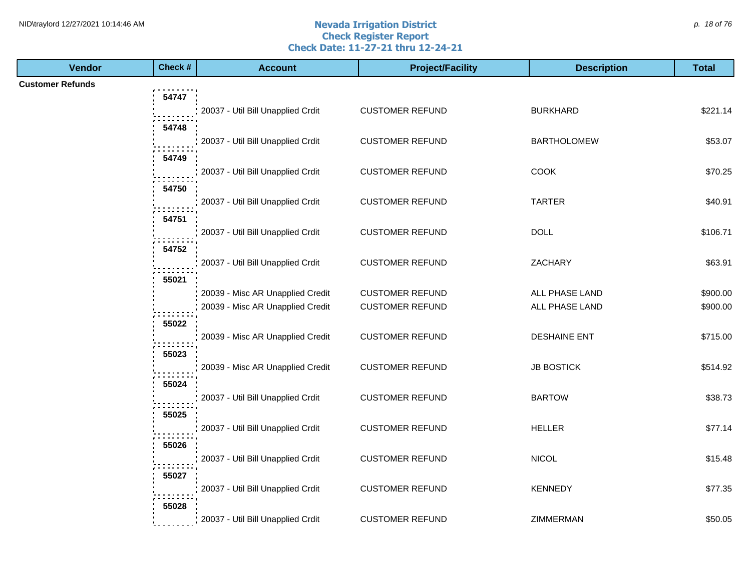#### **Nevada Irrigation District Check Register Report Check Date: 11-27-21 thru 12-24-21** NID\traylord 12/27/2021 10:14:46 AM  $\rho$  18 of 76

| <b>Vendor</b>           | Check # | <b>Account</b>                    | <b>Project/Facility</b> | <b>Description</b>  | <b>Total</b> |
|-------------------------|---------|-----------------------------------|-------------------------|---------------------|--------------|
| <b>Customer Refunds</b> |         |                                   |                         |                     |              |
|                         | 54747   |                                   |                         |                     |              |
|                         |         | 20037 - Util Bill Unapplied Crdit | <b>CUSTOMER REFUND</b>  | <b>BURKHARD</b>     | \$221.14     |
|                         | 54748   |                                   |                         |                     |              |
|                         |         | 20037 - Util Bill Unapplied Crdit | <b>CUSTOMER REFUND</b>  | <b>BARTHOLOMEW</b>  | \$53.07      |
|                         | 54749   |                                   |                         |                     |              |
|                         |         | 20037 - Util Bill Unapplied Crdit | <b>CUSTOMER REFUND</b>  | <b>COOK</b>         | \$70.25      |
|                         | 54750   |                                   |                         |                     |              |
|                         |         | 20037 - Util Bill Unapplied Crdit | <b>CUSTOMER REFUND</b>  | <b>TARTER</b>       | \$40.91      |
|                         | 54751   |                                   |                         |                     |              |
|                         |         | 20037 - Util Bill Unapplied Crdit | <b>CUSTOMER REFUND</b>  | <b>DOLL</b>         | \$106.71     |
|                         | 54752   |                                   |                         |                     |              |
|                         |         | 20037 - Util Bill Unapplied Crdit | <b>CUSTOMER REFUND</b>  | ZACHARY             | \$63.91      |
|                         | 55021   |                                   |                         |                     |              |
|                         |         | 20039 - Misc AR Unapplied Credit  | <b>CUSTOMER REFUND</b>  | ALL PHASE LAND      | \$900.00     |
|                         |         | 20039 - Misc AR Unapplied Credit  | <b>CUSTOMER REFUND</b>  | ALL PHASE LAND      | \$900.00     |
|                         | 55022   |                                   |                         |                     |              |
|                         |         | 20039 - Misc AR Unapplied Credit  | <b>CUSTOMER REFUND</b>  | <b>DESHAINE ENT</b> | \$715.00     |
|                         | 55023   |                                   |                         |                     |              |
|                         |         | 20039 - Misc AR Unapplied Credit  | <b>CUSTOMER REFUND</b>  | <b>JB BOSTICK</b>   | \$514.92     |
|                         |         |                                   |                         |                     |              |
|                         | 55024   | 20037 - Util Bill Unapplied Crdit | <b>CUSTOMER REFUND</b>  | <b>BARTOW</b>       | \$38.73      |
|                         |         |                                   |                         |                     |              |
|                         | 55025   |                                   |                         |                     |              |
|                         |         | 20037 - Util Bill Unapplied Crdit | <b>CUSTOMER REFUND</b>  | <b>HELLER</b>       | \$77.14      |
|                         | 55026   |                                   |                         |                     |              |
|                         |         | 20037 - Util Bill Unapplied Crdit | <b>CUSTOMER REFUND</b>  | <b>NICOL</b>        | \$15.48      |
|                         | 55027   |                                   |                         |                     |              |
|                         |         | 20037 - Util Bill Unapplied Crdit | <b>CUSTOMER REFUND</b>  | <b>KENNEDY</b>      | \$77.35      |
|                         | 55028   |                                   |                         |                     |              |
|                         |         | 20037 - Util Bill Unapplied Crdit | <b>CUSTOMER REFUND</b>  | ZIMMERMAN           | \$50.05      |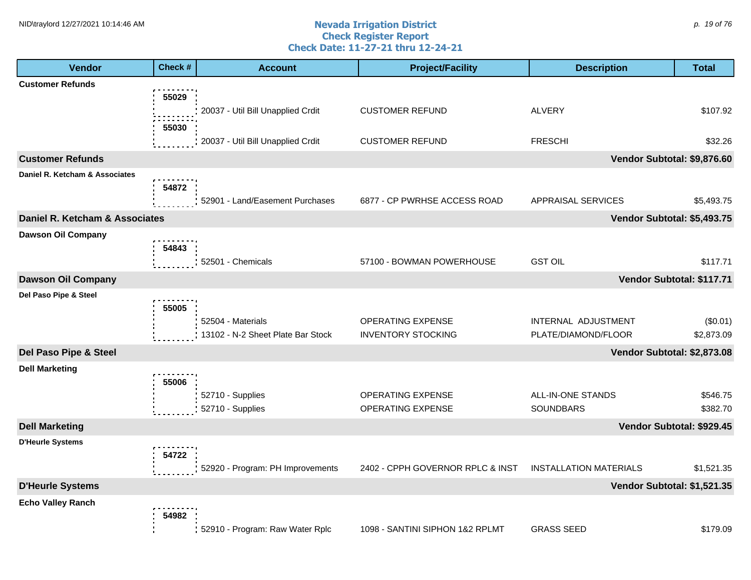#### **Nevada Irrigation District Check Register Report Check Date: 11-27-21 thru 12-24-21** NID\traylord 12/27/2021 10:14:46 AM  $\rho$ . 19 of 76

| <b>Vendor</b>                                    | Check #        | <b>Account</b>                                         | <b>Project/Facility</b>                        | <b>Description</b>                           | <b>Total</b>           |
|--------------------------------------------------|----------------|--------------------------------------------------------|------------------------------------------------|----------------------------------------------|------------------------|
| <b>Customer Refunds</b>                          |                |                                                        |                                                |                                              |                        |
|                                                  | 55029<br>55030 | 20037 - Util Bill Unapplied Crdit                      | <b>CUSTOMER REFUND</b>                         | <b>ALVERY</b>                                | \$107.92               |
|                                                  |                | 20037 - Util Bill Unapplied Crdit                      | <b>CUSTOMER REFUND</b>                         | <b>FRESCHI</b>                               | \$32.26                |
| <b>Customer Refunds</b>                          |                |                                                        |                                                | Vendor Subtotal: \$9,876.60                  |                        |
| Daniel R. Ketcham & Associates                   | 54872          | 52901 - Land/Easement Purchases                        | 6877 - CP PWRHSE ACCESS ROAD                   | APPRAISAL SERVICES                           | \$5,493.75             |
| Daniel R. Ketcham & Associates                   |                |                                                        |                                                | Vendor Subtotal: \$5,493.75                  |                        |
| <b>Dawson Oil Company</b>                        | 54843          | 52501 - Chemicals                                      | 57100 - BOWMAN POWERHOUSE                      | <b>GST OIL</b>                               | \$117.71               |
| <b>Dawson Oil Company</b>                        |                |                                                        |                                                | Vendor Subtotal: \$117.71                    |                        |
| Del Paso Pipe & Steel                            |                |                                                        |                                                |                                              |                        |
|                                                  | 55005          | 52504 - Materials<br>13102 - N-2 Sheet Plate Bar Stock | OPERATING EXPENSE<br><b>INVENTORY STOCKING</b> | INTERNAL ADJUSTMENT<br>PLATE/DIAMOND/FLOOR   | (\$0.01)<br>\$2,873.09 |
| Del Paso Pipe & Steel                            |                |                                                        |                                                | Vendor Subtotal: \$2,873.08                  |                        |
| <b>Dell Marketing</b>                            | 55006          | 52710 - Supplies<br>52710 - Supplies                   | OPERATING EXPENSE                              | <b>ALL-IN-ONE STANDS</b><br><b>SOUNDBARS</b> | \$546.75               |
|                                                  |                |                                                        | OPERATING EXPENSE                              |                                              | \$382.70               |
| <b>Dell Marketing</b><br><b>D'Heurle Systems</b> |                |                                                        |                                                | Vendor Subtotal: \$929.45                    |                        |
|                                                  | 54722          | 52920 - Program: PH Improvements                       | 2402 - CPPH GOVERNOR RPLC & INST               | <b>INSTALLATION MATERIALS</b>                | \$1,521.35             |
| <b>D'Heurle Systems</b>                          |                |                                                        |                                                | Vendor Subtotal: \$1,521.35                  |                        |
| <b>Echo Valley Ranch</b>                         | 54982          | 52910 - Program: Raw Water Rplc                        | 1098 - SANTINI SIPHON 1&2 RPLMT                | <b>GRASS SEED</b>                            | \$179.09               |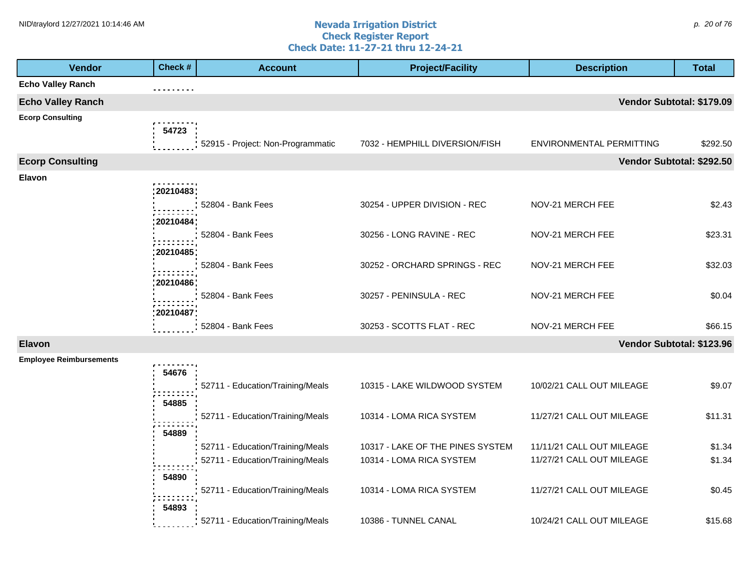#### **Nevada Irrigation District Check Register Report Check Date: 11-27-21 thru 12-24-21** NID\traylord 12/27/2021 10:14:46 AM  $\rho$ . 20 of 76

| <b>Vendor</b>                  | Check #      | <b>Account</b>                    | <b>Project/Facility</b>          | <b>Description</b>        | <b>Total</b> |
|--------------------------------|--------------|-----------------------------------|----------------------------------|---------------------------|--------------|
| <b>Echo Valley Ranch</b>       |              |                                   |                                  |                           |              |
| <b>Echo Valley Ranch</b>       |              |                                   |                                  | Vendor Subtotal: \$179.09 |              |
| <b>Ecorp Consulting</b>        | 54723        |                                   |                                  |                           |              |
|                                |              | 52915 - Project: Non-Programmatic | 7032 - HEMPHILL DIVERSION/FISH   | ENVIRONMENTAL PERMITTING  | \$292.50     |
| <b>Ecorp Consulting</b>        |              |                                   |                                  | Vendor Subtotal: \$292.50 |              |
| Elavon                         | :20210483;   |                                   |                                  |                           |              |
|                                | : 20210484 ; | 52804 - Bank Fees                 | 30254 - UPPER DIVISION - REC     | NOV-21 MERCH FEE          | \$2.43       |
|                                | 20210485     | : 52804 - Bank Fees               | 30256 - LONG RAVINE - REC        | NOV-21 MERCH FEE          | \$23.31      |
|                                | 20210486     | 52804 - Bank Fees                 | 30252 - ORCHARD SPRINGS - REC    | NOV-21 MERCH FEE          | \$32.03      |
|                                | 20210487     | 52804 - Bank Fees                 | 30257 - PENINSULA - REC          | NOV-21 MERCH FEE          | \$0.04       |
|                                |              | 52804 - Bank Fees                 | 30253 - SCOTTS FLAT - REC        | NOV-21 MERCH FEE          | \$66.15      |
| <b>Elavon</b>                  |              |                                   |                                  | Vendor Subtotal: \$123.96 |              |
| <b>Employee Reimbursements</b> | 54676        |                                   |                                  |                           |              |
|                                | 54885        | 52711 - Education/Training/Meals  | 10315 - LAKE WILDWOOD SYSTEM     | 10/02/21 CALL OUT MILEAGE | \$9.07       |
|                                |              | 52711 - Education/Training/Meals  | 10314 - LOMA RICA SYSTEM         | 11/27/21 CALL OUT MILEAGE | \$11.31      |
|                                | 54889        | 52711 - Education/Training/Meals  | 10317 - LAKE OF THE PINES SYSTEM | 11/11/21 CALL OUT MILEAGE | \$1.34       |
|                                | 54890        | 52711 - Education/Training/Meals  | 10314 - LOMA RICA SYSTEM         | 11/27/21 CALL OUT MILEAGE | \$1.34       |
|                                | 54893        | 52711 - Education/Training/Meals  | 10314 - LOMA RICA SYSTEM         | 11/27/21 CALL OUT MILEAGE | \$0.45       |
|                                |              | 52711 - Education/Training/Meals  | 10386 - TUNNEL CANAL             | 10/24/21 CALL OUT MILEAGE | \$15.68      |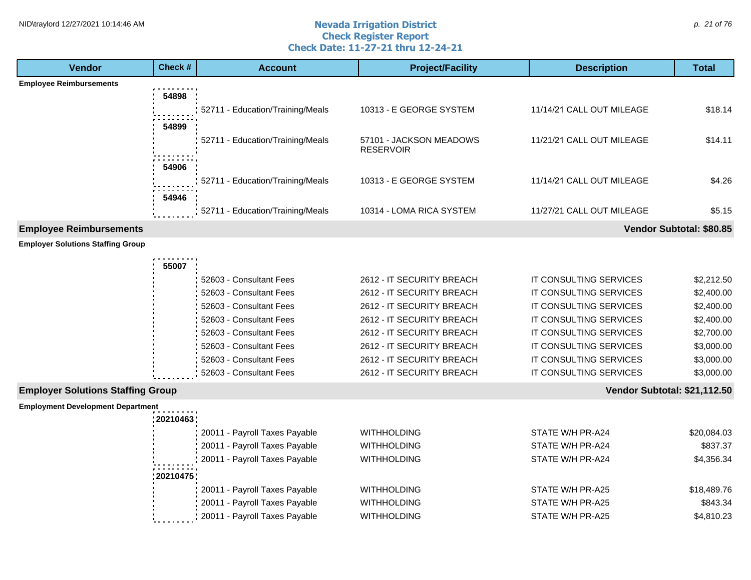#### **Nevada Irrigation District Check Register Report Check Date: 11-27-21 thru 12-24-21** NID\traylord 12/27/2021 10:14:46 AM  $\rho$ . 21 of 76

| <b>Vendor</b>                            | Check #    | <b>Account</b>                                                 | <b>Project/Facility</b>                     | <b>Description</b>                   | <b>Total</b>             |
|------------------------------------------|------------|----------------------------------------------------------------|---------------------------------------------|--------------------------------------|--------------------------|
| <b>Employee Reimbursements</b>           |            |                                                                |                                             |                                      |                          |
|                                          | 54898      |                                                                |                                             |                                      |                          |
|                                          |            | 52711 - Education/Training/Meals                               | 10313 - E GEORGE SYSTEM                     | 11/14/21 CALL OUT MILEAGE            | \$18.14                  |
|                                          | 54899      |                                                                |                                             |                                      |                          |
|                                          |            | 52711 - Education/Training/Meals                               | 57101 - JACKSON MEADOWS<br><b>RESERVOIR</b> | 11/21/21 CALL OUT MILEAGE            | \$14.11                  |
|                                          | 54906      |                                                                |                                             |                                      |                          |
|                                          |            | 52711 - Education/Training/Meals                               | 10313 - E GEORGE SYSTEM                     | 11/14/21 CALL OUT MILEAGE            | \$4.26                   |
|                                          | 54946      |                                                                |                                             |                                      |                          |
|                                          |            | 52711 - Education/Training/Meals                               | 10314 - LOMA RICA SYSTEM                    | 11/27/21 CALL OUT MILEAGE            | \$5.15                   |
|                                          |            |                                                                |                                             |                                      |                          |
| <b>Employee Reimbursements</b>           |            |                                                                |                                             |                                      | Vendor Subtotal: \$80.85 |
| <b>Employer Solutions Staffing Group</b> |            |                                                                |                                             |                                      |                          |
|                                          | 55007      |                                                                |                                             |                                      |                          |
|                                          |            | 52603 - Consultant Fees                                        | 2612 - IT SECURITY BREACH                   | IT CONSULTING SERVICES               | \$2,212.50               |
|                                          |            | 52603 - Consultant Fees                                        | 2612 - IT SECURITY BREACH                   | IT CONSULTING SERVICES               | \$2,400.00               |
|                                          |            | 52603 - Consultant Fees                                        | 2612 - IT SECURITY BREACH                   | IT CONSULTING SERVICES               | \$2,400.00               |
|                                          |            | 52603 - Consultant Fees                                        | 2612 - IT SECURITY BREACH                   | IT CONSULTING SERVICES               | \$2,400.00               |
|                                          |            | 52603 - Consultant Fees                                        | 2612 - IT SECURITY BREACH                   | IT CONSULTING SERVICES               | \$2,700.00               |
|                                          |            | 52603 - Consultant Fees                                        | 2612 - IT SECURITY BREACH                   | IT CONSULTING SERVICES               | \$3,000.00               |
|                                          |            | 52603 - Consultant Fees                                        | 2612 - IT SECURITY BREACH                   | IT CONSULTING SERVICES               | \$3,000.00               |
|                                          |            | 52603 - Consultant Fees                                        | 2612 - IT SECURITY BREACH                   | IT CONSULTING SERVICES               | \$3,000.00               |
| <b>Employer Solutions Staffing Group</b> |            |                                                                |                                             | Vendor Subtotal: \$21,112.50         |                          |
| <b>Employment Development Department</b> | :20210463; |                                                                |                                             |                                      |                          |
|                                          |            | 20011 - Payroll Taxes Payable                                  | <b>WITHHOLDING</b>                          | STATE W/H PR-A24                     | \$20,084.03              |
|                                          |            | 20011 - Payroll Taxes Payable                                  | <b>WITHHOLDING</b>                          | STATE W/H PR-A24                     | \$837.37                 |
|                                          |            | 20011 - Payroll Taxes Payable                                  | <b>WITHHOLDING</b>                          | STATE W/H PR-A24                     | \$4,356.34               |
|                                          | 20210475   |                                                                |                                             |                                      |                          |
|                                          |            | 20011 - Payroll Taxes Payable                                  | <b>WITHHOLDING</b>                          | STATE W/H PR-A25                     | \$18,489.76              |
|                                          |            |                                                                |                                             |                                      |                          |
|                                          |            |                                                                |                                             |                                      |                          |
|                                          |            | 20011 - Payroll Taxes Payable<br>20011 - Payroll Taxes Payable | <b>WITHHOLDING</b><br><b>WITHHOLDING</b>    | STATE W/H PR-A25<br>STATE W/H PR-A25 | \$843.34<br>\$4,810.23   |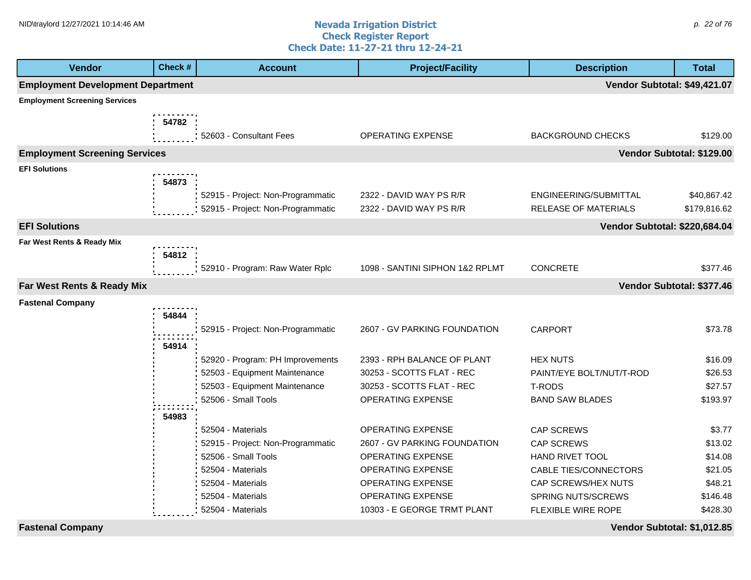#### **Nevada Irrigation District Check Register Report Check Date: 11-27-21 thru 12-24-21** NID\traylord 12/27/2021 10:14:46 AM  $\rho$ . 22 of 76

| <b>Vendor</b>                            | Check # | <b>Account</b>                    | <b>Project/Facility</b>         | <b>Description</b>            | <b>Total</b> |
|------------------------------------------|---------|-----------------------------------|---------------------------------|-------------------------------|--------------|
| <b>Employment Development Department</b> |         |                                   |                                 | Vendor Subtotal: \$49,421.07  |              |
| <b>Employment Screening Services</b>     |         |                                   |                                 |                               |              |
|                                          | 54782   |                                   |                                 |                               |              |
|                                          |         | 52603 - Consultant Fees           | <b>OPERATING EXPENSE</b>        | <b>BACKGROUND CHECKS</b>      | \$129.00     |
| <b>Employment Screening Services</b>     |         |                                   |                                 | Vendor Subtotal: \$129.00     |              |
| <b>EFI Solutions</b>                     |         |                                   |                                 |                               |              |
|                                          | 54873   |                                   |                                 |                               |              |
|                                          |         | 52915 - Project: Non-Programmatic | 2322 - DAVID WAY PS R/R         | ENGINEERING/SUBMITTAL         | \$40,867.42  |
|                                          |         | 52915 - Project: Non-Programmatic | 2322 - DAVID WAY PS R/R         | RELEASE OF MATERIALS          | \$179,816.62 |
| <b>EFI Solutions</b>                     |         |                                   |                                 | Vendor Subtotal: \$220,684.04 |              |
| Far West Rents & Ready Mix               |         |                                   |                                 |                               |              |
|                                          | 54812   |                                   |                                 |                               |              |
|                                          |         | 52910 - Program: Raw Water Rplc   | 1098 - SANTINI SIPHON 1&2 RPLMT | <b>CONCRETE</b>               | \$377.46     |
| Far West Rents & Ready Mix               |         |                                   |                                 | Vendor Subtotal: \$377.46     |              |
| <b>Fastenal Company</b>                  |         |                                   |                                 |                               |              |
|                                          | 54844   |                                   |                                 |                               |              |
|                                          |         | 52915 - Project: Non-Programmatic | 2607 - GV PARKING FOUNDATION    | <b>CARPORT</b>                | \$73.78      |
|                                          | 54914   |                                   |                                 |                               |              |
|                                          |         | 52920 - Program: PH Improvements  | 2393 - RPH BALANCE OF PLANT     | <b>HEX NUTS</b>               | \$16.09      |
|                                          |         | 52503 - Equipment Maintenance     | 30253 - SCOTTS FLAT - REC       | PAINT/EYE BOLT/NUT/T-ROD      | \$26.53      |
|                                          |         | 52503 - Equipment Maintenance     | 30253 - SCOTTS FLAT - REC       | <b>T-RODS</b>                 | \$27.57      |
|                                          |         | 52506 - Small Tools               | <b>OPERATING EXPENSE</b>        | <b>BAND SAW BLADES</b>        | \$193.97     |
|                                          | 54983   |                                   |                                 |                               |              |
|                                          |         | 52504 - Materials                 | <b>OPERATING EXPENSE</b>        | <b>CAP SCREWS</b>             | \$3.77       |
|                                          |         | 52915 - Project: Non-Programmatic | 2607 - GV PARKING FOUNDATION    | <b>CAP SCREWS</b>             | \$13.02      |
|                                          |         | 52506 - Small Tools               | <b>OPERATING EXPENSE</b>        | <b>HAND RIVET TOOL</b>        | \$14.08      |
|                                          |         | 52504 - Materials                 | <b>OPERATING EXPENSE</b>        | CABLE TIES/CONNECTORS         | \$21.05      |
|                                          |         | 52504 - Materials                 | OPERATING EXPENSE               | CAP SCREWS/HEX NUTS           | \$48.21      |
|                                          |         | 52504 - Materials                 | OPERATING EXPENSE               | <b>SPRING NUTS/SCREWS</b>     | \$146.48     |
|                                          |         | 52504 - Materials                 | 10303 - E GEORGE TRMT PLANT     | FLEXIBLE WIRE ROPE            | \$428.30     |

**Fastenal Company Vendor Subtotal: \$1,012.85**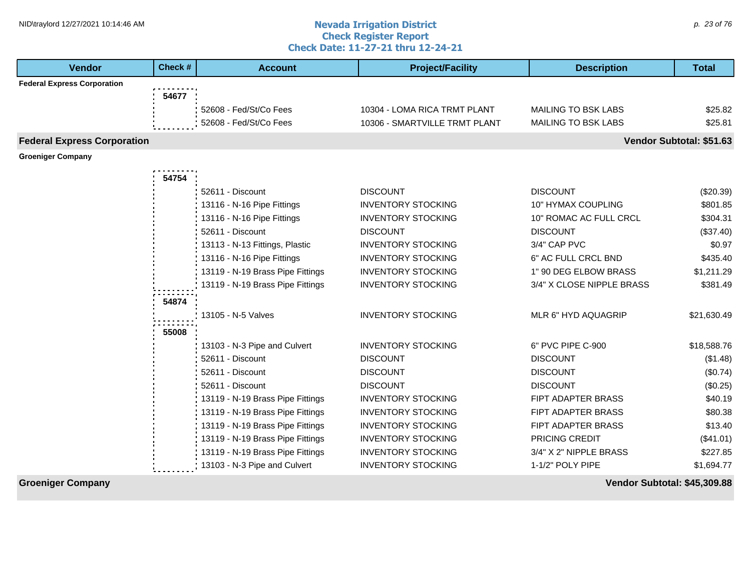#### **Nevada Irrigation District Check Register Report Check Date: 11-27-21 thru 12-24-21** NID\traylord 12/27/2021 10:14:46 AM  $\rho$  23 of 76

| <b>Vendor</b>                      | Check # | <b>Account</b>                   | <b>Project/Facility</b>       | <b>Description</b>        | <b>Total</b>             |
|------------------------------------|---------|----------------------------------|-------------------------------|---------------------------|--------------------------|
| <b>Federal Express Corporation</b> |         |                                  |                               |                           |                          |
|                                    | 54677   |                                  |                               |                           |                          |
|                                    |         | 52608 - Fed/St/Co Fees           | 10304 - LOMA RICA TRMT PLANT  | MAILING TO BSK LABS       | \$25.82                  |
|                                    |         | 52608 - Fed/St/Co Fees           | 10306 - SMARTVILLE TRMT PLANT | MAILING TO BSK LABS       | \$25.81                  |
| <b>Federal Express Corporation</b> |         |                                  |                               |                           | Vendor Subtotal: \$51.63 |
| <b>Groeniger Company</b>           |         |                                  |                               |                           |                          |
|                                    | 54754   |                                  |                               |                           |                          |
|                                    |         | 52611 - Discount                 | <b>DISCOUNT</b>               | <b>DISCOUNT</b>           | (\$20.39)                |
|                                    |         | 13116 - N-16 Pipe Fittings       | <b>INVENTORY STOCKING</b>     | 10" HYMAX COUPLING        | \$801.85                 |
|                                    |         | 13116 - N-16 Pipe Fittings       | <b>INVENTORY STOCKING</b>     | 10" ROMAC AC FULL CRCL    | \$304.31                 |
|                                    |         | 52611 - Discount                 | <b>DISCOUNT</b>               | <b>DISCOUNT</b>           | (\$37.40)                |
|                                    |         | 13113 - N-13 Fittings, Plastic   | <b>INVENTORY STOCKING</b>     | 3/4" CAP PVC              | \$0.97                   |
|                                    |         | 13116 - N-16 Pipe Fittings       | <b>INVENTORY STOCKING</b>     | 6" AC FULL CRCL BND       | \$435.40                 |
|                                    |         | 13119 - N-19 Brass Pipe Fittings | <b>INVENTORY STOCKING</b>     | 1" 90 DEG ELBOW BRASS     | \$1,211.29               |
|                                    |         | 13119 - N-19 Brass Pipe Fittings | <b>INVENTORY STOCKING</b>     | 3/4" X CLOSE NIPPLE BRASS | \$381.49                 |
|                                    | 54874   |                                  |                               |                           |                          |
|                                    |         | 13105 - N-5 Valves               | <b>INVENTORY STOCKING</b>     | MLR 6" HYD AQUAGRIP       | \$21,630.49              |
|                                    | 55008   |                                  |                               |                           |                          |
|                                    |         | 13103 - N-3 Pipe and Culvert     | <b>INVENTORY STOCKING</b>     | 6" PVC PIPE C-900         | \$18,588.76              |
|                                    |         | 52611 - Discount                 | <b>DISCOUNT</b>               | <b>DISCOUNT</b>           | (\$1.48)                 |
|                                    |         | 52611 - Discount                 | <b>DISCOUNT</b>               | <b>DISCOUNT</b>           | (\$0.74)                 |
|                                    |         | 52611 - Discount                 | <b>DISCOUNT</b>               | <b>DISCOUNT</b>           | (\$0.25)                 |
|                                    |         | 13119 - N-19 Brass Pipe Fittings | <b>INVENTORY STOCKING</b>     | FIPT ADAPTER BRASS        | \$40.19                  |
|                                    |         | 13119 - N-19 Brass Pipe Fittings | <b>INVENTORY STOCKING</b>     | FIPT ADAPTER BRASS        | \$80.38                  |
|                                    |         | 13119 - N-19 Brass Pipe Fittings | <b>INVENTORY STOCKING</b>     | <b>FIPT ADAPTER BRASS</b> | \$13.40                  |
|                                    |         | 13119 - N-19 Brass Pipe Fittings | <b>INVENTORY STOCKING</b>     | PRICING CREDIT            | (\$41.01)                |
|                                    |         | 13119 - N-19 Brass Pipe Fittings | <b>INVENTORY STOCKING</b>     | 3/4" X 2" NIPPLE BRASS    | \$227.85                 |
|                                    |         | 13103 - N-3 Pipe and Culvert     | <b>INVENTORY STOCKING</b>     | 1-1/2" POLY PIPE          | \$1,694.77               |

**Groeniger Company Vendor Subtotal: \$45,309.88**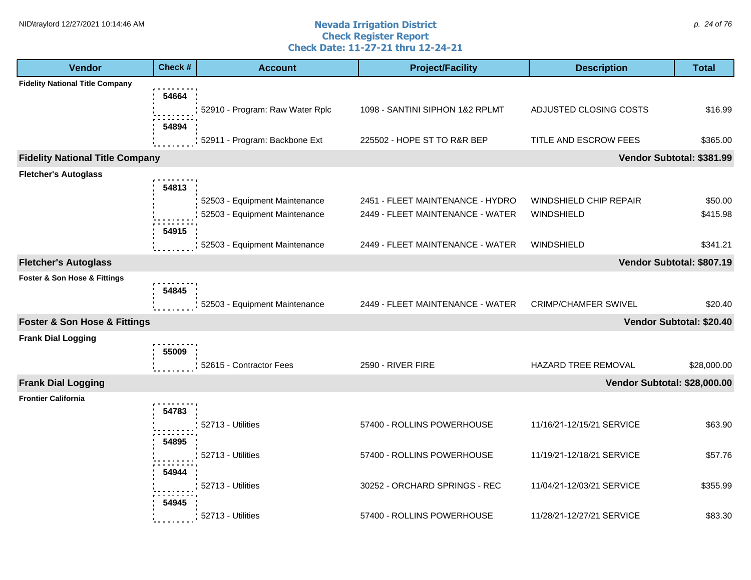#### **Nevada Irrigation District Check Register Report Check Date: 11-27-21 thru 12-24-21** NID\traylord 12/27/2021 10:14:46 AM  $\rho$ . 24 of 76

| <b>Vendor</b>                               | Check #        | <b>Account</b>                                                 | <b>Project/Facility</b>                                              | <b>Description</b>                   | <b>Total</b>             |
|---------------------------------------------|----------------|----------------------------------------------------------------|----------------------------------------------------------------------|--------------------------------------|--------------------------|
| <b>Fidelity National Title Company</b>      |                |                                                                |                                                                      |                                      |                          |
|                                             | 54664<br>54894 | 52910 - Program: Raw Water Rplc                                | 1098 - SANTINI SIPHON 1&2 RPLMT                                      | ADJUSTED CLOSING COSTS               | \$16.99                  |
|                                             |                | 52911 - Program: Backbone Ext                                  | 225502 - HOPE ST TO R&R BEP                                          | TITLE AND ESCROW FEES                | \$365.00                 |
| <b>Fidelity National Title Company</b>      |                |                                                                |                                                                      | Vendor Subtotal: \$381.99            |                          |
| <b>Fletcher's Autoglass</b>                 |                |                                                                |                                                                      |                                      |                          |
|                                             | 54813<br>54915 | 52503 - Equipment Maintenance<br>52503 - Equipment Maintenance | 2451 - FLEET MAINTENANCE - HYDRO<br>2449 - FLEET MAINTENANCE - WATER | WINDSHIELD CHIP REPAIR<br>WINDSHIELD | \$50.00<br>\$415.98      |
|                                             |                | 52503 - Equipment Maintenance                                  | 2449 - FLEET MAINTENANCE - WATER                                     | WINDSHIELD                           | \$341.21                 |
| <b>Fletcher's Autoglass</b>                 |                |                                                                |                                                                      | Vendor Subtotal: \$807.19            |                          |
| Foster & Son Hose & Fittings                | 54845          |                                                                |                                                                      |                                      |                          |
|                                             |                | 52503 - Equipment Maintenance                                  | 2449 - FLEET MAINTENANCE - WATER                                     | <b>CRIMP/CHAMFER SWIVEL</b>          | \$20.40                  |
| <b>Foster &amp; Son Hose &amp; Fittings</b> |                |                                                                |                                                                      |                                      | Vendor Subtotal: \$20.40 |
| <b>Frank Dial Logging</b>                   | 55009          |                                                                |                                                                      |                                      |                          |
|                                             |                | 52615 - Contractor Fees                                        | 2590 - RIVER FIRE                                                    | HAZARD TREE REMOVAL                  | \$28,000.00              |
| <b>Frank Dial Logging</b>                   |                |                                                                |                                                                      | Vendor Subtotal: \$28,000.00         |                          |
| <b>Frontier California</b>                  | 54783          |                                                                |                                                                      |                                      |                          |
|                                             | 54895          | 52713 - Utilities                                              | 57400 - ROLLINS POWERHOUSE                                           | 11/16/21-12/15/21 SERVICE            | \$63.90                  |
|                                             | 54944          | 52713 - Utilities                                              | 57400 - ROLLINS POWERHOUSE                                           | 11/19/21-12/18/21 SERVICE            | \$57.76                  |
|                                             | 54945          | 52713 - Utilities                                              | 30252 - ORCHARD SPRINGS - REC                                        | 11/04/21-12/03/21 SERVICE            | \$355.99                 |
|                                             |                | 52713 - Utilities                                              | 57400 - ROLLINS POWERHOUSE                                           | 11/28/21-12/27/21 SERVICE            | \$83.30                  |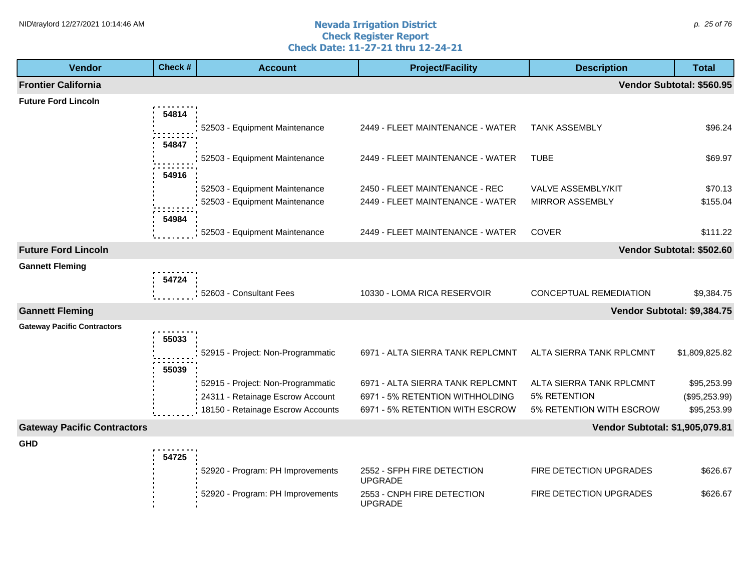#### **Nevada Irrigation District Check Register Report Check Date: 11-27-21 thru 12-24-21** NID\traylord 12/27/2021 10:14:46 AM  $\rho$ . 25 of 76

| <b>Vendor</b>                      | Check # | <b>Account</b>                    | <b>Project/Facility</b>                      | <b>Description</b>              | <b>Total</b>              |
|------------------------------------|---------|-----------------------------------|----------------------------------------------|---------------------------------|---------------------------|
| <b>Frontier California</b>         |         |                                   |                                              |                                 | Vendor Subtotal: \$560.95 |
| <b>Future Ford Lincoln</b>         |         |                                   |                                              |                                 |                           |
|                                    | 54814   |                                   |                                              |                                 |                           |
|                                    |         | 52503 - Equipment Maintenance     | 2449 - FLEET MAINTENANCE - WATER             | <b>TANK ASSEMBLY</b>            | \$96.24                   |
|                                    | 54847   |                                   |                                              |                                 |                           |
|                                    |         | 52503 - Equipment Maintenance     | 2449 - FLEET MAINTENANCE - WATER             | <b>TUBE</b>                     | \$69.97                   |
|                                    | 54916   |                                   |                                              |                                 |                           |
|                                    |         | 52503 - Equipment Maintenance     | 2450 - FLEET MAINTENANCE - REC               | VALVE ASSEMBLY/KIT              | \$70.13                   |
|                                    |         | 52503 - Equipment Maintenance     | 2449 - FLEET MAINTENANCE - WATER             | <b>MIRROR ASSEMBLY</b>          | \$155.04                  |
|                                    | 54984   |                                   |                                              |                                 |                           |
|                                    |         | 52503 - Equipment Maintenance     | 2449 - FLEET MAINTENANCE - WATER             | <b>COVER</b>                    | \$111.22                  |
| <b>Future Ford Lincoln</b>         |         |                                   |                                              |                                 | Vendor Subtotal: \$502.60 |
| <b>Gannett Fleming</b>             |         |                                   |                                              |                                 |                           |
|                                    | 54724   |                                   |                                              |                                 |                           |
|                                    |         | 52603 - Consultant Fees           | 10330 - LOMA RICA RESERVOIR                  | CONCEPTUAL REMEDIATION          | \$9,384.75                |
| <b>Gannett Fleming</b>             |         |                                   |                                              | Vendor Subtotal: \$9,384.75     |                           |
| <b>Gateway Pacific Contractors</b> |         |                                   |                                              |                                 |                           |
|                                    | 55033   |                                   |                                              |                                 |                           |
|                                    |         | 52915 - Project: Non-Programmatic | 6971 - ALTA SIERRA TANK REPLCMNT             | ALTA SIERRA TANK RPLCMNT        | \$1,809,825.82            |
|                                    | 55039   |                                   |                                              |                                 |                           |
|                                    |         | 52915 - Project: Non-Programmatic | 6971 - ALTA SIERRA TANK REPLCMNT             | ALTA SIERRA TANK RPLCMNT        | \$95,253.99               |
|                                    |         | 24311 - Retainage Escrow Account  | 6971 - 5% RETENTION WITHHOLDING              | 5% RETENTION                    | (\$95,253.99)             |
|                                    |         | 18150 - Retainage Escrow Accounts | 6971 - 5% RETENTION WITH ESCROW              | 5% RETENTION WITH ESCROW        | \$95,253.99               |
| <b>Gateway Pacific Contractors</b> |         |                                   |                                              | Vendor Subtotal: \$1,905,079.81 |                           |
| <b>GHD</b>                         |         |                                   |                                              |                                 |                           |
|                                    | 54725   |                                   |                                              | FIRE DETECTION UPGRADES         |                           |
|                                    |         | 52920 - Program: PH Improvements  | 2552 - SFPH FIRE DETECTION<br><b>UPGRADE</b> |                                 | \$626.67                  |
|                                    |         | 52920 - Program: PH Improvements  | 2553 - CNPH FIRE DETECTION<br><b>UPGRADE</b> | FIRE DETECTION UPGRADES         | \$626.67                  |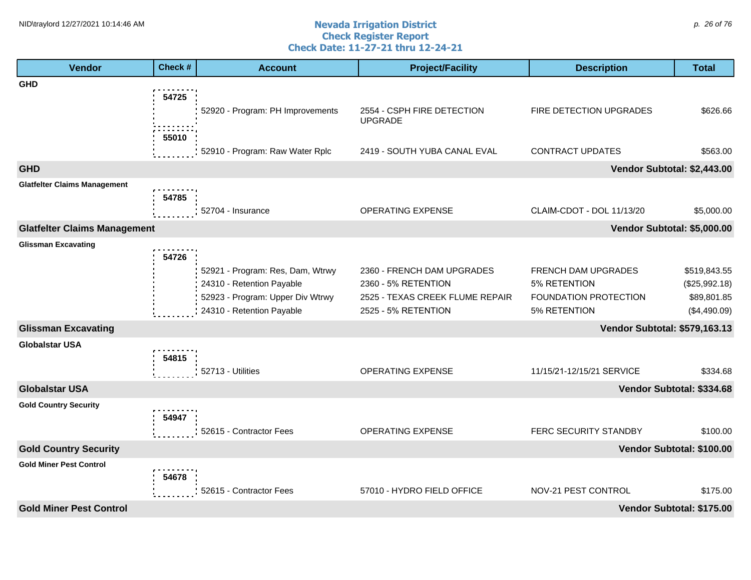#### **Nevada Irrigation District Check Register Report Check Date: 11-27-21 thru 12-24-21** NID\traylord 12/27/2021 10:14:46 AM  $\rho$ . 26 of 76

| <b>Vendor</b>                       | Check # | <b>Account</b>                                                | <b>Project/Facility</b>                                | <b>Description</b>                           | <b>Total</b>                  |
|-------------------------------------|---------|---------------------------------------------------------------|--------------------------------------------------------|----------------------------------------------|-------------------------------|
| <b>GHD</b>                          |         |                                                               |                                                        |                                              |                               |
|                                     | 54725   | 52920 - Program: PH Improvements                              | 2554 - CSPH FIRE DETECTION<br><b>UPGRADE</b>           | FIRE DETECTION UPGRADES                      | \$626.66                      |
|                                     | 55010   | 52910 - Program: Raw Water Rplc                               | 2419 - SOUTH YUBA CANAL EVAL                           | <b>CONTRACT UPDATES</b>                      | \$563.00                      |
| <b>GHD</b>                          |         |                                                               |                                                        | Vendor Subtotal: \$2,443.00                  |                               |
| <b>Glatfelter Claims Management</b> | 54785   |                                                               |                                                        |                                              |                               |
|                                     |         | 52704 - Insurance                                             | OPERATING EXPENSE                                      | CLAIM-CDOT - DOL 11/13/20                    | \$5,000.00                    |
| <b>Glatfelter Claims Management</b> |         |                                                               |                                                        | Vendor Subtotal: \$5,000.00                  |                               |
| <b>Glissman Excavating</b>          | 54726   |                                                               |                                                        |                                              |                               |
|                                     |         | 52921 - Program: Res, Dam, Wtrwy<br>24310 - Retention Payable | 2360 - FRENCH DAM UPGRADES<br>2360 - 5% RETENTION      | FRENCH DAM UPGRADES<br>5% RETENTION          | \$519,843.55<br>(\$25,992.18) |
|                                     |         | 52923 - Program: Upper Div Wtrwy<br>24310 - Retention Payable | 2525 - TEXAS CREEK FLUME REPAIR<br>2525 - 5% RETENTION | <b>FOUNDATION PROTECTION</b><br>5% RETENTION | \$89,801.85<br>(\$4,490.09)   |
| <b>Glissman Excavating</b>          |         |                                                               |                                                        | <b>Vendor Subtotal: \$579,163.13</b>         |                               |
| <b>Globalstar USA</b>               | 54815   |                                                               |                                                        |                                              |                               |
|                                     |         | 52713 - Utilities                                             | OPERATING EXPENSE                                      | 11/15/21-12/15/21 SERVICE                    | \$334.68                      |
| <b>Globalstar USA</b>               |         |                                                               |                                                        |                                              | Vendor Subtotal: \$334.68     |
| <b>Gold Country Security</b>        | 54947   |                                                               |                                                        |                                              |                               |
|                                     |         | 52615 - Contractor Fees                                       | OPERATING EXPENSE                                      | FERC SECURITY STANDBY                        | \$100.00                      |
| <b>Gold Country Security</b>        |         |                                                               |                                                        |                                              | Vendor Subtotal: \$100.00     |
| <b>Gold Miner Pest Control</b>      | 54678   |                                                               |                                                        |                                              |                               |
|                                     |         | 52615 - Contractor Fees                                       | 57010 - HYDRO FIELD OFFICE                             | NOV-21 PEST CONTROL                          | \$175.00                      |
| <b>Gold Miner Pest Control</b>      |         |                                                               |                                                        |                                              | Vendor Subtotal: \$175.00     |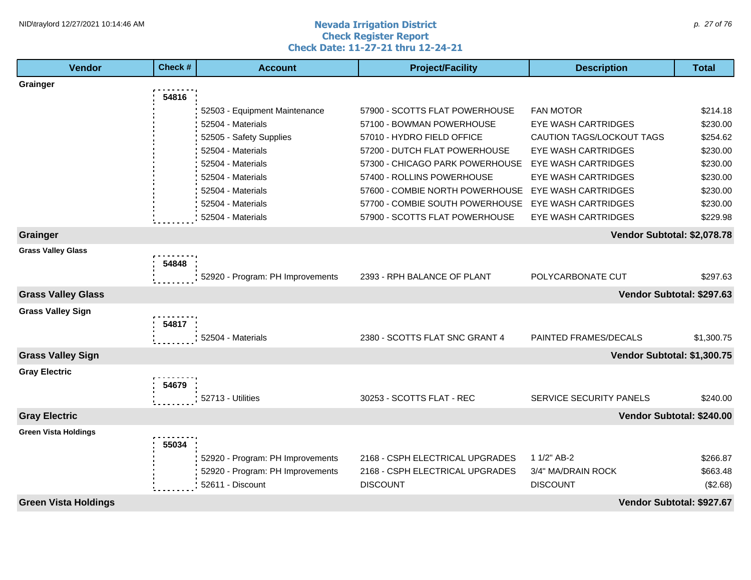#### **Nevada Irrigation District Check Register Report Check Date: 11-27-21 thru 12-24-21** NID\traylord 12/27/2021 10:14:46 AM  $\rho$ . 27 of 76

| <b>Vendor</b>               | Check # | <b>Account</b>                   | <b>Project/Facility</b>         | <b>Description</b>          | <b>Total</b>              |
|-----------------------------|---------|----------------------------------|---------------------------------|-----------------------------|---------------------------|
| Grainger                    |         |                                  |                                 |                             |                           |
|                             | 54816   |                                  |                                 |                             |                           |
|                             |         | 52503 - Equipment Maintenance    | 57900 - SCOTTS FLAT POWERHOUSE  | <b>FAN MOTOR</b>            | \$214.18                  |
|                             |         | 52504 - Materials                | 57100 - BOWMAN POWERHOUSE       | <b>EYE WASH CARTRIDGES</b>  | \$230.00                  |
|                             |         | 52505 - Safety Supplies          | 57010 - HYDRO FIELD OFFICE      | CAUTION TAGS/LOCKOUT TAGS   | \$254.62                  |
|                             |         | 52504 - Materials                | 57200 - DUTCH FLAT POWERHOUSE   | <b>EYE WASH CARTRIDGES</b>  | \$230.00                  |
|                             |         | 52504 - Materials                | 57300 - CHICAGO PARK POWERHOUSE | <b>EYE WASH CARTRIDGES</b>  | \$230.00                  |
|                             |         | 52504 - Materials                | 57400 - ROLLINS POWERHOUSE      | <b>EYE WASH CARTRIDGES</b>  | \$230.00                  |
|                             |         | 52504 - Materials                | 57600 - COMBIE NORTH POWERHOUSE | <b>EYE WASH CARTRIDGES</b>  | \$230.00                  |
|                             |         | 52504 - Materials                | 57700 - COMBIE SOUTH POWERHOUSE | <b>EYE WASH CARTRIDGES</b>  | \$230.00                  |
|                             |         | 52504 - Materials                | 57900 - SCOTTS FLAT POWERHOUSE  | <b>EYE WASH CARTRIDGES</b>  | \$229.98                  |
| Grainger                    |         |                                  |                                 | Vendor Subtotal: \$2,078.78 |                           |
| <b>Grass Valley Glass</b>   |         |                                  |                                 |                             |                           |
|                             | 54848   |                                  |                                 |                             |                           |
|                             |         | 52920 - Program: PH Improvements | 2393 - RPH BALANCE OF PLANT     | POLYCARBONATE CUT           | \$297.63                  |
| <b>Grass Valley Glass</b>   |         |                                  |                                 | Vendor Subtotal: \$297.63   |                           |
| <b>Grass Valley Sign</b>    |         |                                  |                                 |                             |                           |
|                             | 54817   |                                  |                                 |                             |                           |
|                             |         | 52504 - Materials                | 2380 - SCOTTS FLAT SNC GRANT 4  | PAINTED FRAMES/DECALS       | \$1,300.75                |
| <b>Grass Valley Sign</b>    |         |                                  |                                 | Vendor Subtotal: \$1,300.75 |                           |
| <b>Gray Electric</b>        |         |                                  |                                 |                             |                           |
|                             | 54679   |                                  |                                 |                             |                           |
|                             |         | 52713 - Utilities                | 30253 - SCOTTS FLAT - REC       | SERVICE SECURITY PANELS     | \$240.00                  |
| <b>Gray Electric</b>        |         |                                  |                                 |                             | Vendor Subtotal: \$240.00 |
|                             |         |                                  |                                 |                             |                           |
| <b>Green Vista Holdings</b> | 55034   |                                  |                                 |                             |                           |
|                             |         | 52920 - Program: PH Improvements | 2168 - CSPH ELECTRICAL UPGRADES | 1 1/2" AB-2                 | \$266.87                  |
|                             |         | 52920 - Program: PH Improvements | 2168 - CSPH ELECTRICAL UPGRADES | 3/4" MA/DRAIN ROCK          | \$663.48                  |
|                             |         | 52611 - Discount                 | <b>DISCOUNT</b>                 | <b>DISCOUNT</b>             | (\$2.68)                  |
|                             |         |                                  |                                 |                             |                           |
| <b>Green Vista Holdings</b> |         |                                  |                                 | Vendor Subtotal: \$927.67   |                           |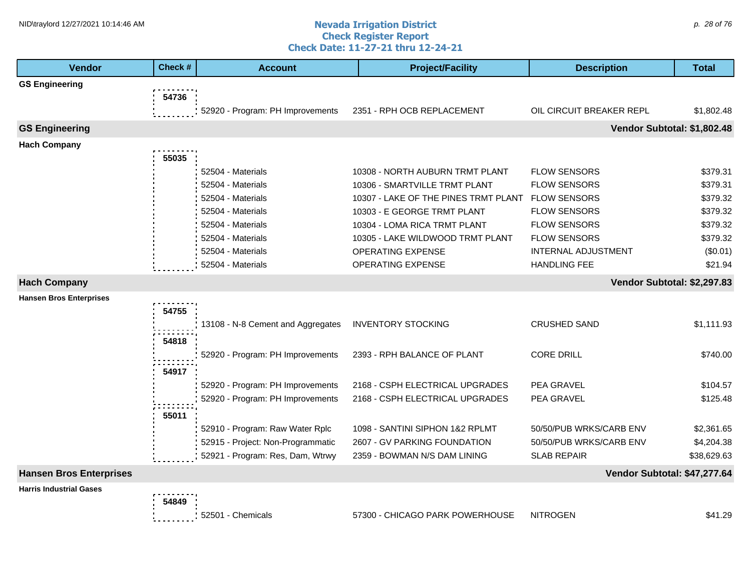#### **Nevada Irrigation District Check Register Report Check Date: 11-27-21 thru 12-24-21** NID\traylord 12/27/2021 10:14:46 AM  $\rho$ . 28 of 76

| Vendor                         | Check # | <b>Account</b>                    | <b>Project/Facility</b>              | <b>Description</b>           | <b>Total</b> |
|--------------------------------|---------|-----------------------------------|--------------------------------------|------------------------------|--------------|
| <b>GS Engineering</b>          |         |                                   |                                      |                              |              |
|                                | 54736   |                                   |                                      |                              |              |
|                                |         | 52920 - Program: PH Improvements  | 2351 - RPH OCB REPLACEMENT           | OIL CIRCUIT BREAKER REPL     | \$1,802.48   |
| <b>GS Engineering</b>          |         |                                   |                                      | Vendor Subtotal: \$1,802.48  |              |
| <b>Hach Company</b>            |         |                                   |                                      |                              |              |
|                                | 55035   |                                   |                                      |                              |              |
|                                |         | 52504 - Materials                 | 10308 - NORTH AUBURN TRMT PLANT      | <b>FLOW SENSORS</b>          | \$379.31     |
|                                |         | 52504 - Materials                 | 10306 - SMARTVILLE TRMT PLANT        | <b>FLOW SENSORS</b>          | \$379.31     |
|                                |         | 52504 - Materials                 | 10307 - LAKE OF THE PINES TRMT PLANT | <b>FLOW SENSORS</b>          | \$379.32     |
|                                |         | 52504 - Materials                 | 10303 - E GEORGE TRMT PLANT          | <b>FLOW SENSORS</b>          | \$379.32     |
|                                |         | 52504 - Materials                 | 10304 - LOMA RICA TRMT PLANT         | <b>FLOW SENSORS</b>          | \$379.32     |
|                                |         | 52504 - Materials                 | 10305 - LAKE WILDWOOD TRMT PLANT     | <b>FLOW SENSORS</b>          | \$379.32     |
|                                |         | 52504 - Materials                 | OPERATING EXPENSE                    | <b>INTERNAL ADJUSTMENT</b>   | (\$0.01)     |
|                                |         | 52504 - Materials                 | OPERATING EXPENSE                    | <b>HANDLING FEE</b>          | \$21.94      |
| <b>Hach Company</b>            |         |                                   |                                      | Vendor Subtotal: \$2,297.83  |              |
| <b>Hansen Bros Enterprises</b> |         |                                   |                                      |                              |              |
|                                | 54755   |                                   |                                      |                              |              |
|                                |         | 13108 - N-8 Cement and Aggregates | <b>INVENTORY STOCKING</b>            | <b>CRUSHED SAND</b>          | \$1,111.93   |
|                                | 54818   |                                   |                                      |                              |              |
|                                |         | 52920 - Program: PH Improvements  | 2393 - RPH BALANCE OF PLANT          | <b>CORE DRILL</b>            | \$740.00     |
|                                | 54917   |                                   |                                      |                              |              |
|                                |         | 52920 - Program: PH Improvements  | 2168 - CSPH ELECTRICAL UPGRADES      | PEA GRAVEL                   | \$104.57     |
|                                |         | 52920 - Program: PH Improvements  | 2168 - CSPH ELECTRICAL UPGRADES      | PEA GRAVEL                   | \$125.48     |
|                                |         |                                   |                                      |                              |              |
|                                | 55011   |                                   |                                      |                              |              |
|                                |         | 52910 - Program: Raw Water Rplc   | 1098 - SANTINI SIPHON 1&2 RPLMT      | 50/50/PUB WRKS/CARB ENV      | \$2,361.65   |
|                                |         | 52915 - Project: Non-Programmatic | 2607 - GV PARKING FOUNDATION         | 50/50/PUB WRKS/CARB ENV      | \$4,204.38   |
|                                |         | 52921 - Program: Res, Dam, Wtrwy  | 2359 - BOWMAN N/S DAM LINING         | <b>SLAB REPAIR</b>           | \$38,629.63  |
| <b>Hansen Bros Enterprises</b> |         |                                   |                                      | Vendor Subtotal: \$47,277.64 |              |
| <b>Harris Industrial Gases</b> |         |                                   |                                      |                              |              |
|                                | 54849   |                                   |                                      |                              |              |
|                                |         | 52501 - Chemicals                 | 57300 - CHICAGO PARK POWERHOUSE      | <b>NITROGEN</b>              | \$41.29      |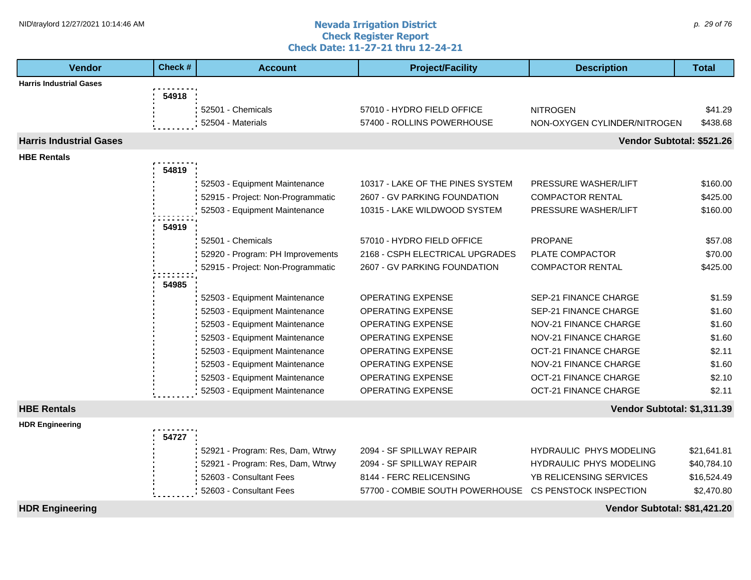#### **Nevada Irrigation District Check Register Report Check Date: 11-27-21 thru 12-24-21** NID\traylord 12/27/2021 10:14:46 AM  $\rho$ . 29 of 76

| <b>Vendor</b>                  | Check # | <b>Account</b>                    | <b>Project/Facility</b>          | <b>Description</b>            | <b>Total</b> |
|--------------------------------|---------|-----------------------------------|----------------------------------|-------------------------------|--------------|
| <b>Harris Industrial Gases</b> |         |                                   |                                  |                               |              |
|                                | 54918   |                                   |                                  |                               |              |
|                                |         | 52501 - Chemicals                 | 57010 - HYDRO FIELD OFFICE       | <b>NITROGEN</b>               | \$41.29      |
|                                |         | 52504 - Materials                 | 57400 - ROLLINS POWERHOUSE       | NON-OXYGEN CYLINDER/NITROGEN  | \$438.68     |
| <b>Harris Industrial Gases</b> |         |                                   |                                  | Vendor Subtotal: \$521.26     |              |
| <b>HBE Rentals</b>             |         |                                   |                                  |                               |              |
|                                | 54819   |                                   |                                  |                               |              |
|                                |         | 52503 - Equipment Maintenance     | 10317 - LAKE OF THE PINES SYSTEM | <b>PRESSURE WASHER/LIFT</b>   | \$160.00     |
|                                |         | 52915 - Project: Non-Programmatic | 2607 - GV PARKING FOUNDATION     | <b>COMPACTOR RENTAL</b>       | \$425.00     |
|                                |         | 52503 - Equipment Maintenance     | 10315 - LAKE WILDWOOD SYSTEM     | PRESSURE WASHER/LIFT          | \$160.00     |
|                                | 54919   |                                   |                                  |                               |              |
|                                |         | 52501 - Chemicals                 | 57010 - HYDRO FIELD OFFICE       | <b>PROPANE</b>                | \$57.08      |
|                                |         | 52920 - Program: PH Improvements  | 2168 - CSPH ELECTRICAL UPGRADES  | <b>PLATE COMPACTOR</b>        | \$70.00      |
|                                |         | 52915 - Project: Non-Programmatic | 2607 - GV PARKING FOUNDATION     | <b>COMPACTOR RENTAL</b>       | \$425.00     |
|                                | 54985   |                                   |                                  |                               |              |
|                                |         | 52503 - Equipment Maintenance     | <b>OPERATING EXPENSE</b>         | SEP-21 FINANCE CHARGE         | \$1.59       |
|                                |         | 52503 - Equipment Maintenance     | <b>OPERATING EXPENSE</b>         | <b>SEP-21 FINANCE CHARGE</b>  | \$1.60       |
|                                |         | 52503 - Equipment Maintenance     | <b>OPERATING EXPENSE</b>         | NOV-21 FINANCE CHARGE         | \$1.60       |
|                                |         | 52503 - Equipment Maintenance     | OPERATING EXPENSE                | NOV-21 FINANCE CHARGE         | \$1.60       |
|                                |         | 52503 - Equipment Maintenance     | <b>OPERATING EXPENSE</b>         | <b>OCT-21 FINANCE CHARGE</b>  | \$2.11       |
|                                |         | 52503 - Equipment Maintenance     | <b>OPERATING EXPENSE</b>         | <b>NOV-21 FINANCE CHARGE</b>  | \$1.60       |
|                                |         | 52503 - Equipment Maintenance     | <b>OPERATING EXPENSE</b>         | <b>OCT-21 FINANCE CHARGE</b>  | \$2.10       |
|                                |         | 52503 - Equipment Maintenance     | <b>OPERATING EXPENSE</b>         | <b>OCT-21 FINANCE CHARGE</b>  | \$2.11       |
| <b>HBE Rentals</b>             |         |                                   |                                  | Vendor Subtotal: \$1,311.39   |              |
| <b>HDR Engineering</b>         |         |                                   |                                  |                               |              |
|                                | 54727   |                                   |                                  |                               |              |
|                                |         | 52921 - Program: Res, Dam, Wtrwy  | 2094 - SF SPILLWAY REPAIR        | HYDRAULIC PHYS MODELING       | \$21,641.81  |
|                                |         | 52921 - Program: Res, Dam, Wtrwy  | 2094 - SF SPILLWAY REPAIR        | HYDRAULIC PHYS MODELING       | \$40,784.10  |
|                                |         | 52603 - Consultant Fees           | 8144 - FERC RELICENSING          | YB RELICENSING SERVICES       | \$16,524.49  |
|                                |         | 52603 - Consultant Fees           | 57700 - COMBIE SOUTH POWERHOUSE  | <b>CS PENSTOCK INSPECTION</b> | \$2,470.80   |
| <b>HDR Engineering</b>         |         |                                   |                                  | Vendor Subtotal: \$81,421.20  |              |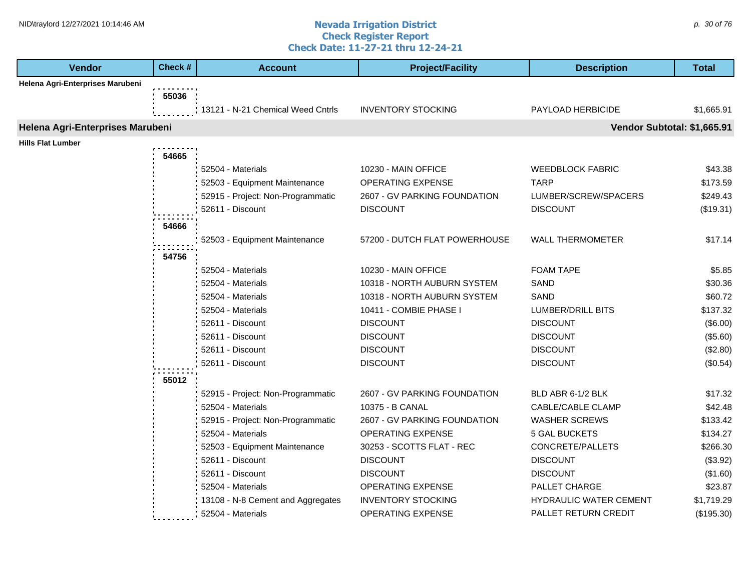#### **Nevada Irrigation District Check Register Report Check Date: 11-27-21 thru 12-24-21** NID\traylord 12/27/2021 10:14:46 AM  $\rho$ . 30 of 76

| <b>Vendor</b>                    | Check # | <b>Account</b>                    | <b>Project/Facility</b>       | <b>Description</b>          | <b>Total</b> |
|----------------------------------|---------|-----------------------------------|-------------------------------|-----------------------------|--------------|
| Helena Agri-Enterprises Marubeni |         |                                   |                               |                             |              |
|                                  | 55036   |                                   |                               |                             |              |
|                                  |         | 13121 - N-21 Chemical Weed Cntrls | <b>INVENTORY STOCKING</b>     | PAYLOAD HERBICIDE           | \$1,665.91   |
| Helena Agri-Enterprises Marubeni |         |                                   |                               | Vendor Subtotal: \$1,665.91 |              |
| <b>Hills Flat Lumber</b>         |         |                                   |                               |                             |              |
|                                  | 54665   |                                   |                               |                             |              |
|                                  |         | 52504 - Materials                 | 10230 - MAIN OFFICE           | <b>WEEDBLOCK FABRIC</b>     | \$43.38      |
|                                  |         | 52503 - Equipment Maintenance     | OPERATING EXPENSE             | <b>TARP</b>                 | \$173.59     |
|                                  |         | 52915 - Project: Non-Programmatic | 2607 - GV PARKING FOUNDATION  | LUMBER/SCREW/SPACERS        | \$249.43     |
|                                  |         | 52611 - Discount                  | <b>DISCOUNT</b>               | <b>DISCOUNT</b>             | (\$19.31)    |
|                                  | 54666   |                                   |                               |                             |              |
|                                  |         | 52503 - Equipment Maintenance     | 57200 - DUTCH FLAT POWERHOUSE | <b>WALL THERMOMETER</b>     | \$17.14      |
|                                  |         |                                   |                               |                             |              |
|                                  | 54756   |                                   |                               |                             |              |
|                                  |         | 52504 - Materials                 | 10230 - MAIN OFFICE           | <b>FOAM TAPE</b>            | \$5.85       |
|                                  |         | 52504 - Materials                 | 10318 - NORTH AUBURN SYSTEM   | SAND                        | \$30.36      |
|                                  |         | 52504 - Materials                 | 10318 - NORTH AUBURN SYSTEM   | SAND                        | \$60.72      |
|                                  |         | 52504 - Materials                 | 10411 - COMBIE PHASE I        | LUMBER/DRILL BITS           | \$137.32     |
|                                  |         | 52611 - Discount                  | <b>DISCOUNT</b>               | <b>DISCOUNT</b>             | (\$6.00)     |
|                                  |         | 52611 - Discount                  | <b>DISCOUNT</b>               | <b>DISCOUNT</b>             | (\$5.60)     |
|                                  |         | 52611 - Discount                  | <b>DISCOUNT</b>               | <b>DISCOUNT</b>             | (\$2.80)     |
|                                  |         | 52611 - Discount                  | <b>DISCOUNT</b>               | <b>DISCOUNT</b>             | (\$0.54)     |
|                                  | 55012   |                                   |                               |                             |              |
|                                  |         | 52915 - Project: Non-Programmatic | 2607 - GV PARKING FOUNDATION  | BLD ABR 6-1/2 BLK           | \$17.32      |
|                                  |         | 52504 - Materials                 | 10375 - B CANAL               | CABLE/CABLE CLAMP           | \$42.48      |
|                                  |         | 52915 - Project: Non-Programmatic | 2607 - GV PARKING FOUNDATION  | <b>WASHER SCREWS</b>        | \$133.42     |
|                                  |         | 52504 - Materials                 | OPERATING EXPENSE             | <b>5 GAL BUCKETS</b>        | \$134.27     |
|                                  |         | 52503 - Equipment Maintenance     | 30253 - SCOTTS FLAT - REC     | CONCRETE/PALLETS            | \$266.30     |
|                                  |         | 52611 - Discount                  | <b>DISCOUNT</b>               | <b>DISCOUNT</b>             | (\$3.92)     |
|                                  |         | 52611 - Discount                  | <b>DISCOUNT</b>               | <b>DISCOUNT</b>             | (\$1.60)     |
|                                  |         | 52504 - Materials                 | OPERATING EXPENSE             | PALLET CHARGE               | \$23.87      |
|                                  |         | 13108 - N-8 Cement and Aggregates | <b>INVENTORY STOCKING</b>     | HYDRAULIC WATER CEMENT      | \$1,719.29   |
|                                  |         | 52504 - Materials                 | OPERATING EXPENSE             | PALLET RETURN CREDIT        | (\$195.30)   |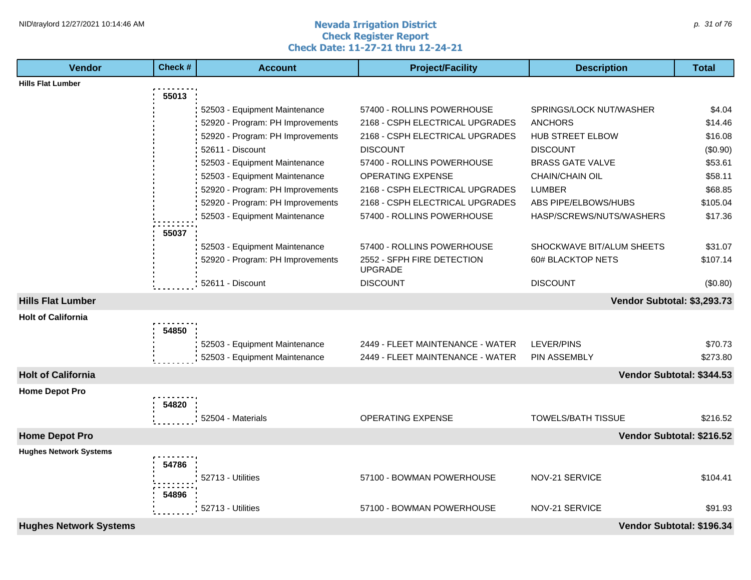#### **Nevada Irrigation District Check Register Report Check Date: 11-27-21 thru 12-24-21** NID\traylord 12/27/2021 10:14:46 AM  $\rho$ . 31 of 76

| <b>Vendor</b>                 | Check # | <b>Account</b>                   | <b>Project/Facility</b>                      | <b>Description</b>          | <b>Total</b>              |
|-------------------------------|---------|----------------------------------|----------------------------------------------|-----------------------------|---------------------------|
| <b>Hills Flat Lumber</b>      |         |                                  |                                              |                             |                           |
|                               | 55013   |                                  |                                              |                             |                           |
|                               |         | 52503 - Equipment Maintenance    | 57400 - ROLLINS POWERHOUSE                   | SPRINGS/LOCK NUT/WASHER     | \$4.04                    |
|                               |         | 52920 - Program: PH Improvements | 2168 - CSPH ELECTRICAL UPGRADES              | <b>ANCHORS</b>              | \$14.46                   |
|                               |         | 52920 - Program: PH Improvements | 2168 - CSPH ELECTRICAL UPGRADES              | HUB STREET ELBOW            | \$16.08                   |
|                               |         | 52611 - Discount                 | <b>DISCOUNT</b>                              | <b>DISCOUNT</b>             | (\$0.90)                  |
|                               |         | 52503 - Equipment Maintenance    | 57400 - ROLLINS POWERHOUSE                   | <b>BRASS GATE VALVE</b>     | \$53.61                   |
|                               |         | 52503 - Equipment Maintenance    | <b>OPERATING EXPENSE</b>                     | <b>CHAIN/CHAIN OIL</b>      | \$58.11                   |
|                               |         | 52920 - Program: PH Improvements | 2168 - CSPH ELECTRICAL UPGRADES              | <b>LUMBER</b>               | \$68.85                   |
|                               |         | 52920 - Program: PH Improvements | 2168 - CSPH ELECTRICAL UPGRADES              | ABS PIPE/ELBOWS/HUBS        | \$105.04                  |
|                               |         | 52503 - Equipment Maintenance    | 57400 - ROLLINS POWERHOUSE                   | HASP/SCREWS/NUTS/WASHERS    | \$17.36                   |
|                               | 55037   |                                  |                                              |                             |                           |
|                               |         | 52503 - Equipment Maintenance    | 57400 - ROLLINS POWERHOUSE                   | SHOCKWAVE BIT/ALUM SHEETS   | \$31.07                   |
|                               |         | 52920 - Program: PH Improvements | 2552 - SFPH FIRE DETECTION<br><b>UPGRADE</b> | 60# BLACKTOP NETS           | \$107.14                  |
|                               |         | 52611 - Discount                 | <b>DISCOUNT</b>                              | <b>DISCOUNT</b>             | (\$0.80)                  |
| <b>Hills Flat Lumber</b>      |         |                                  |                                              | Vendor Subtotal: \$3,293.73 |                           |
| <b>Holt of California</b>     |         |                                  |                                              |                             |                           |
|                               | 54850   |                                  |                                              |                             |                           |
|                               |         | 52503 - Equipment Maintenance    | 2449 - FLEET MAINTENANCE - WATER             | <b>LEVER/PINS</b>           | \$70.73                   |
|                               |         | 52503 - Equipment Maintenance    | 2449 - FLEET MAINTENANCE - WATER             | PIN ASSEMBLY                | \$273.80                  |
| <b>Holt of California</b>     |         |                                  |                                              |                             | Vendor Subtotal: \$344.53 |
| <b>Home Depot Pro</b>         |         |                                  |                                              |                             |                           |
|                               | 54820   |                                  |                                              |                             |                           |
|                               |         | 52504 - Materials                | <b>OPERATING EXPENSE</b>                     | <b>TOWELS/BATH TISSUE</b>   | \$216.52                  |
| <b>Home Depot Pro</b>         |         |                                  |                                              |                             | Vendor Subtotal: \$216.52 |
| <b>Hughes Network Systems</b> |         |                                  |                                              |                             |                           |
|                               | 54786   |                                  |                                              |                             |                           |
|                               |         | 52713 - Utilities                | 57100 - BOWMAN POWERHOUSE                    | NOV-21 SERVICE              | \$104.41                  |
|                               |         |                                  |                                              |                             |                           |
|                               | 54896   |                                  |                                              |                             |                           |
|                               |         | 52713 - Utilities                | 57100 - BOWMAN POWERHOUSE                    | NOV-21 SERVICE              | \$91.93                   |
| <b>Hughes Network Systems</b> |         |                                  |                                              |                             | Vendor Subtotal: \$196.34 |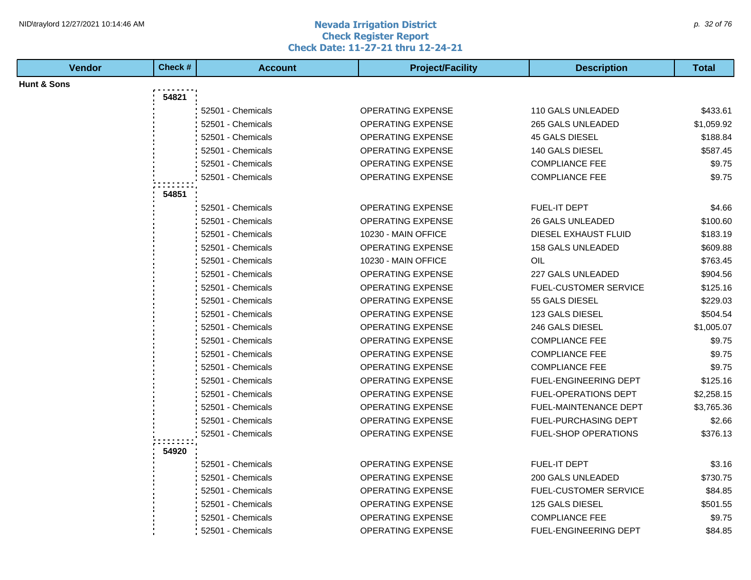#### **Nevada Irrigation District Check Register Report Check Date: 11-27-21 thru 12-24-21** NID\traylord 12/27/2021 10:14:46 AM  $\rho$ . 32 of 76

| <b>Vendor</b> | Check # | <b>Account</b>    | <b>Project/Facility</b>  | <b>Description</b>           | <b>Total</b> |
|---------------|---------|-------------------|--------------------------|------------------------------|--------------|
| Hunt & Sons   |         |                   |                          |                              |              |
|               | 54821   |                   |                          |                              |              |
|               |         | 52501 - Chemicals | <b>OPERATING EXPENSE</b> | 110 GALS UNLEADED            | \$433.61     |
|               |         | 52501 - Chemicals | <b>OPERATING EXPENSE</b> | 265 GALS UNLEADED            | \$1,059.92   |
|               |         | 52501 - Chemicals | <b>OPERATING EXPENSE</b> | 45 GALS DIESEL               | \$188.84     |
|               |         | 52501 - Chemicals | OPERATING EXPENSE        | 140 GALS DIESEL              | \$587.45     |
|               |         | 52501 - Chemicals | <b>OPERATING EXPENSE</b> | <b>COMPLIANCE FEE</b>        | \$9.75       |
|               |         | 52501 - Chemicals | <b>OPERATING EXPENSE</b> | <b>COMPLIANCE FEE</b>        | \$9.75       |
|               | 54851   |                   |                          |                              |              |
|               |         | 52501 - Chemicals | <b>OPERATING EXPENSE</b> | <b>FUEL-IT DEPT</b>          | \$4.66       |
|               |         | 52501 - Chemicals | <b>OPERATING EXPENSE</b> | <b>26 GALS UNLEADED</b>      | \$100.60     |
|               |         | 52501 - Chemicals | 10230 - MAIN OFFICE      | DIESEL EXHAUST FLUID         | \$183.19     |
|               |         | 52501 - Chemicals | OPERATING EXPENSE        | 158 GALS UNLEADED            | \$609.88     |
|               |         | 52501 - Chemicals | 10230 - MAIN OFFICE      | OIL                          | \$763.45     |
|               |         | 52501 - Chemicals | <b>OPERATING EXPENSE</b> | 227 GALS UNLEADED            | \$904.56     |
|               |         | 52501 - Chemicals | OPERATING EXPENSE        | FUEL-CUSTOMER SERVICE        | \$125.16     |
|               |         | 52501 - Chemicals | OPERATING EXPENSE        | 55 GALS DIESEL               | \$229.03     |
|               |         | 52501 - Chemicals | <b>OPERATING EXPENSE</b> | 123 GALS DIESEL              | \$504.54     |
|               |         | 52501 - Chemicals | OPERATING EXPENSE        | 246 GALS DIESEL              | \$1,005.07   |
|               |         | 52501 - Chemicals | <b>OPERATING EXPENSE</b> | <b>COMPLIANCE FEE</b>        | \$9.75       |
|               |         | 52501 - Chemicals | OPERATING EXPENSE        | <b>COMPLIANCE FEE</b>        | \$9.75       |
|               |         | 52501 - Chemicals | <b>OPERATING EXPENSE</b> | <b>COMPLIANCE FEE</b>        | \$9.75       |
|               |         | 52501 - Chemicals | <b>OPERATING EXPENSE</b> | FUEL-ENGINEERING DEPT        | \$125.16     |
|               |         | 52501 - Chemicals | OPERATING EXPENSE        | FUEL-OPERATIONS DEPT         | \$2,258.15   |
|               |         | 52501 - Chemicals | <b>OPERATING EXPENSE</b> | FUEL-MAINTENANCE DEPT        | \$3,765.36   |
|               |         | 52501 - Chemicals | <b>OPERATING EXPENSE</b> | FUEL-PURCHASING DEPT         | \$2.66       |
|               |         | 52501 - Chemicals | OPERATING EXPENSE        | FUEL-SHOP OPERATIONS         | \$376.13     |
|               | 54920   |                   |                          |                              |              |
|               |         | 52501 - Chemicals | <b>OPERATING EXPENSE</b> | FUEL-IT DEPT                 | \$3.16       |
|               |         | 52501 - Chemicals | OPERATING EXPENSE        | 200 GALS UNLEADED            | \$730.75     |
|               |         | 52501 - Chemicals | <b>OPERATING EXPENSE</b> | FUEL-CUSTOMER SERVICE        | \$84.85      |
|               |         | 52501 - Chemicals | OPERATING EXPENSE        | 125 GALS DIESEL              | \$501.55     |
|               |         | 52501 - Chemicals | OPERATING EXPENSE        | <b>COMPLIANCE FEE</b>        | \$9.75       |
|               |         | 52501 - Chemicals | <b>OPERATING EXPENSE</b> | <b>FUEL-ENGINEERING DEPT</b> | \$84.85      |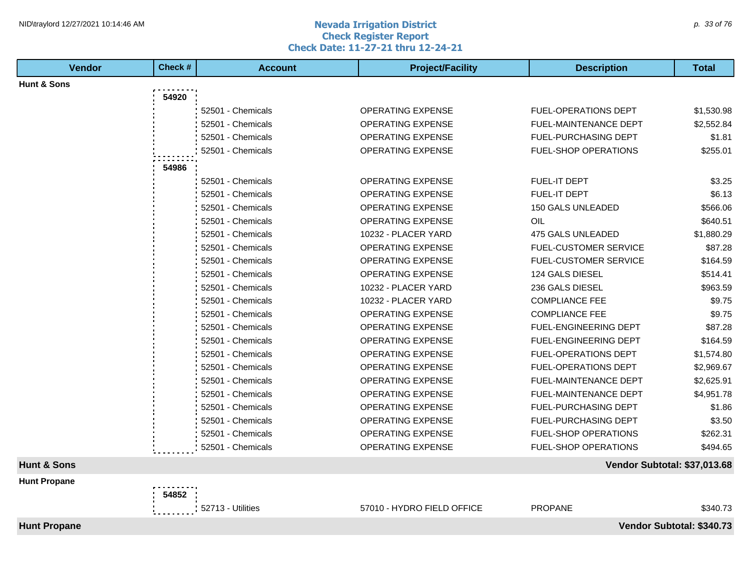#### **Nevada Irrigation District Check Register Report Check Date: 11-27-21 thru 12-24-21** NID\traylord 12/27/2021 10:14:46 AM  $\rho$  33 of 76

| <b>Vendor</b>          | Check # | <b>Account</b>    | <b>Project/Facility</b>    | <b>Description</b>           | Total                     |
|------------------------|---------|-------------------|----------------------------|------------------------------|---------------------------|
| <b>Hunt &amp; Sons</b> |         |                   |                            |                              |                           |
|                        | 54920   |                   |                            |                              |                           |
|                        |         | 52501 - Chemicals | OPERATING EXPENSE          | FUEL-OPERATIONS DEPT         | \$1,530.98                |
|                        |         | 52501 - Chemicals | <b>OPERATING EXPENSE</b>   | <b>FUEL-MAINTENANCE DEPT</b> | \$2,552.84                |
|                        |         | 52501 - Chemicals | OPERATING EXPENSE          | FUEL-PURCHASING DEPT         | \$1.81                    |
|                        |         | 52501 - Chemicals | <b>OPERATING EXPENSE</b>   | FUEL-SHOP OPERATIONS         | \$255.01                  |
|                        | 54986   |                   |                            |                              |                           |
|                        |         | 52501 - Chemicals | OPERATING EXPENSE          | FUEL-IT DEPT                 | \$3.25                    |
|                        |         | 52501 - Chemicals | <b>OPERATING EXPENSE</b>   | <b>FUEL-IT DEPT</b>          | \$6.13                    |
|                        |         | 52501 - Chemicals | <b>OPERATING EXPENSE</b>   | 150 GALS UNLEADED            | \$566.06                  |
|                        |         | 52501 - Chemicals | <b>OPERATING EXPENSE</b>   | OIL                          | \$640.51                  |
|                        |         | 52501 - Chemicals | 10232 - PLACER YARD        | 475 GALS UNLEADED            | \$1,880.29                |
|                        |         | 52501 - Chemicals | <b>OPERATING EXPENSE</b>   | <b>FUEL-CUSTOMER SERVICE</b> | \$87.28                   |
|                        |         | 52501 - Chemicals | <b>OPERATING EXPENSE</b>   | <b>FUEL-CUSTOMER SERVICE</b> | \$164.59                  |
|                        |         | 52501 - Chemicals | <b>OPERATING EXPENSE</b>   | 124 GALS DIESEL              | \$514.41                  |
|                        |         | 52501 - Chemicals | 10232 - PLACER YARD        | 236 GALS DIESEL              | \$963.59                  |
|                        |         | 52501 - Chemicals | 10232 - PLACER YARD        | <b>COMPLIANCE FEE</b>        | \$9.75                    |
|                        |         | 52501 - Chemicals | <b>OPERATING EXPENSE</b>   | <b>COMPLIANCE FEE</b>        | \$9.75                    |
|                        |         | 52501 - Chemicals | <b>OPERATING EXPENSE</b>   | <b>FUEL-ENGINEERING DEPT</b> | \$87.28                   |
|                        |         | 52501 - Chemicals | <b>OPERATING EXPENSE</b>   | FUEL-ENGINEERING DEPT        | \$164.59                  |
|                        |         | 52501 - Chemicals | <b>OPERATING EXPENSE</b>   | FUEL-OPERATIONS DEPT         | \$1,574.80                |
|                        |         | 52501 - Chemicals | <b>OPERATING EXPENSE</b>   | <b>FUEL-OPERATIONS DEPT</b>  |                           |
|                        |         |                   |                            |                              | \$2,969.67<br>\$2,625.91  |
|                        |         | 52501 - Chemicals | OPERATING EXPENSE          | FUEL-MAINTENANCE DEPT        |                           |
|                        |         | 52501 - Chemicals | <b>OPERATING EXPENSE</b>   | <b>FUEL-MAINTENANCE DEPT</b> | \$4,951.78                |
|                        |         | 52501 - Chemicals | OPERATING EXPENSE          | FUEL-PURCHASING DEPT         | \$1.86                    |
|                        |         | 52501 - Chemicals | <b>OPERATING EXPENSE</b>   | <b>FUEL-PURCHASING DEPT</b>  | \$3.50                    |
|                        |         | 52501 - Chemicals | <b>OPERATING EXPENSE</b>   | <b>FUEL-SHOP OPERATIONS</b>  | \$262.31                  |
|                        |         | 52501 - Chemicals | <b>OPERATING EXPENSE</b>   | <b>FUEL-SHOP OPERATIONS</b>  | \$494.65                  |
| <b>Hunt &amp; Sons</b> |         |                   |                            | Vendor Subtotal: \$37,013.68 |                           |
| <b>Hunt Propane</b>    |         |                   |                            |                              |                           |
|                        | 54852   |                   |                            |                              |                           |
|                        |         | 52713 - Utilities | 57010 - HYDRO FIELD OFFICE | <b>PROPANE</b>               | \$340.73                  |
| <b>Hunt Propane</b>    |         |                   |                            |                              | Vendor Subtotal: \$340.73 |
|                        |         |                   |                            |                              |                           |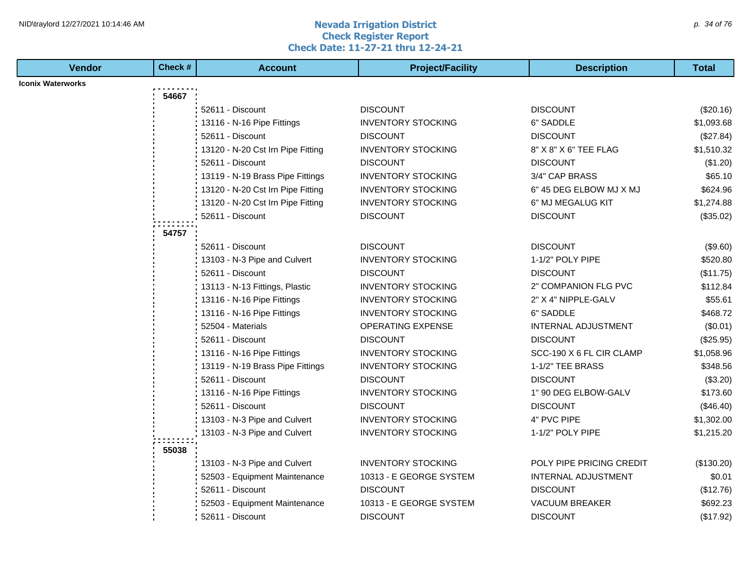#### **Nevada Irrigation District Check Register Report Check Date: 11-27-21 thru 12-24-21** NID\traylord 12/27/2021 10:14:46 AM  $\rho$ . 34 of 76

| <b>Iconix Waterworks</b><br>54667<br>52611 - Discount<br><b>DISCOUNT</b><br><b>DISCOUNT</b><br>(\$20.16)<br>13116 - N-16 Pipe Fittings<br><b>INVENTORY STOCKING</b><br>6" SADDLE<br>\$1,093.68<br>52611 - Discount<br><b>DISCOUNT</b><br><b>DISCOUNT</b><br>(\$27.84)<br>13120 - N-20 Cst Irn Pipe Fitting<br><b>INVENTORY STOCKING</b><br>8" X 8" X 6" TEE FLAG<br>\$1,510.32<br>52611 - Discount<br><b>DISCOUNT</b><br><b>DISCOUNT</b><br>(\$1.20)<br>13119 - N-19 Brass Pipe Fittings<br><b>INVENTORY STOCKING</b><br>3/4" CAP BRASS<br>\$65.10<br><b>INVENTORY STOCKING</b><br>6" 45 DEG ELBOW MJ X MJ<br>\$624.96<br>13120 - N-20 Cst Irn Pipe Fitting<br><b>INVENTORY STOCKING</b><br>13120 - N-20 Cst Irn Pipe Fitting<br>6" MJ MEGALUG KIT<br>\$1,274.88<br><b>DISCOUNT</b><br>52611 - Discount<br><b>DISCOUNT</b><br>(\$35.02)<br>54757<br>52611 - Discount<br><b>DISCOUNT</b><br><b>DISCOUNT</b><br>(\$9.60)<br>13103 - N-3 Pipe and Culvert<br><b>INVENTORY STOCKING</b><br>1-1/2" POLY PIPE<br>\$520.80<br>52611 - Discount<br><b>DISCOUNT</b><br><b>DISCOUNT</b><br>(\$11.75)<br>13113 - N-13 Fittings, Plastic<br><b>INVENTORY STOCKING</b><br>2" COMPANION FLG PVC<br>\$112.84<br>\$55.61<br>13116 - N-16 Pipe Fittings<br><b>INVENTORY STOCKING</b><br>2" X 4" NIPPLE-GALV<br>13116 - N-16 Pipe Fittings<br><b>INVENTORY STOCKING</b><br>6" SADDLE<br>\$468.72<br><b>OPERATING EXPENSE</b><br><b>INTERNAL ADJUSTMENT</b><br>52504 - Materials<br>(\$0.01)<br><b>DISCOUNT</b><br>52611 - Discount<br><b>DISCOUNT</b><br>(\$25.95)<br>13116 - N-16 Pipe Fittings<br><b>INVENTORY STOCKING</b><br>SCC-190 X 6 FL CIR CLAMP<br>\$1,058.96<br>13119 - N-19 Brass Pipe Fittings<br><b>INVENTORY STOCKING</b><br>1-1/2" TEE BRASS<br>\$348.56<br>52611 - Discount<br><b>DISCOUNT</b><br><b>DISCOUNT</b><br>(\$3.20)<br>13116 - N-16 Pipe Fittings<br><b>INVENTORY STOCKING</b><br>1" 90 DEG ELBOW-GALV<br>\$173.60<br>52611 - Discount<br><b>DISCOUNT</b><br><b>DISCOUNT</b><br>(\$46.40)<br>13103 - N-3 Pipe and Culvert<br><b>INVENTORY STOCKING</b><br>4" PVC PIPE<br>\$1,302.00<br>13103 - N-3 Pipe and Culvert<br><b>INVENTORY STOCKING</b><br>1-1/2" POLY PIPE<br>\$1,215.20<br>55038<br>POLY PIPE PRICING CREDIT<br>13103 - N-3 Pipe and Culvert<br><b>INVENTORY STOCKING</b><br>(\$130.20)<br>10313 - E GEORGE SYSTEM<br><b>INTERNAL ADJUSTMENT</b><br>\$0.01<br>52503 - Equipment Maintenance<br><b>DISCOUNT</b><br><b>DISCOUNT</b><br>(\$12.76)<br>52611 - Discount<br>52503 - Equipment Maintenance<br>10313 - E GEORGE SYSTEM<br>VACUUM BREAKER<br>\$692.23 | <b>Vendor</b> | Check # | <b>Account</b>   | <b>Project/Facility</b> | <b>Description</b> | <b>Total</b> |
|----------------------------------------------------------------------------------------------------------------------------------------------------------------------------------------------------------------------------------------------------------------------------------------------------------------------------------------------------------------------------------------------------------------------------------------------------------------------------------------------------------------------------------------------------------------------------------------------------------------------------------------------------------------------------------------------------------------------------------------------------------------------------------------------------------------------------------------------------------------------------------------------------------------------------------------------------------------------------------------------------------------------------------------------------------------------------------------------------------------------------------------------------------------------------------------------------------------------------------------------------------------------------------------------------------------------------------------------------------------------------------------------------------------------------------------------------------------------------------------------------------------------------------------------------------------------------------------------------------------------------------------------------------------------------------------------------------------------------------------------------------------------------------------------------------------------------------------------------------------------------------------------------------------------------------------------------------------------------------------------------------------------------------------------------------------------------------------------------------------------------------------------------------------------------------------------------------------------------------------------------------------------------------------------------------------------------------------------------------------------------------------------------------------------------------------------------------------------------------------------------------------------------------------------------------------------------------|---------------|---------|------------------|-------------------------|--------------------|--------------|
|                                                                                                                                                                                                                                                                                                                                                                                                                                                                                                                                                                                                                                                                                                                                                                                                                                                                                                                                                                                                                                                                                                                                                                                                                                                                                                                                                                                                                                                                                                                                                                                                                                                                                                                                                                                                                                                                                                                                                                                                                                                                                                                                                                                                                                                                                                                                                                                                                                                                                                                                                                                  |               |         |                  |                         |                    |              |
|                                                                                                                                                                                                                                                                                                                                                                                                                                                                                                                                                                                                                                                                                                                                                                                                                                                                                                                                                                                                                                                                                                                                                                                                                                                                                                                                                                                                                                                                                                                                                                                                                                                                                                                                                                                                                                                                                                                                                                                                                                                                                                                                                                                                                                                                                                                                                                                                                                                                                                                                                                                  |               |         |                  |                         |                    |              |
|                                                                                                                                                                                                                                                                                                                                                                                                                                                                                                                                                                                                                                                                                                                                                                                                                                                                                                                                                                                                                                                                                                                                                                                                                                                                                                                                                                                                                                                                                                                                                                                                                                                                                                                                                                                                                                                                                                                                                                                                                                                                                                                                                                                                                                                                                                                                                                                                                                                                                                                                                                                  |               |         |                  |                         |                    |              |
|                                                                                                                                                                                                                                                                                                                                                                                                                                                                                                                                                                                                                                                                                                                                                                                                                                                                                                                                                                                                                                                                                                                                                                                                                                                                                                                                                                                                                                                                                                                                                                                                                                                                                                                                                                                                                                                                                                                                                                                                                                                                                                                                                                                                                                                                                                                                                                                                                                                                                                                                                                                  |               |         |                  |                         |                    |              |
|                                                                                                                                                                                                                                                                                                                                                                                                                                                                                                                                                                                                                                                                                                                                                                                                                                                                                                                                                                                                                                                                                                                                                                                                                                                                                                                                                                                                                                                                                                                                                                                                                                                                                                                                                                                                                                                                                                                                                                                                                                                                                                                                                                                                                                                                                                                                                                                                                                                                                                                                                                                  |               |         |                  |                         |                    |              |
|                                                                                                                                                                                                                                                                                                                                                                                                                                                                                                                                                                                                                                                                                                                                                                                                                                                                                                                                                                                                                                                                                                                                                                                                                                                                                                                                                                                                                                                                                                                                                                                                                                                                                                                                                                                                                                                                                                                                                                                                                                                                                                                                                                                                                                                                                                                                                                                                                                                                                                                                                                                  |               |         |                  |                         |                    |              |
|                                                                                                                                                                                                                                                                                                                                                                                                                                                                                                                                                                                                                                                                                                                                                                                                                                                                                                                                                                                                                                                                                                                                                                                                                                                                                                                                                                                                                                                                                                                                                                                                                                                                                                                                                                                                                                                                                                                                                                                                                                                                                                                                                                                                                                                                                                                                                                                                                                                                                                                                                                                  |               |         |                  |                         |                    |              |
|                                                                                                                                                                                                                                                                                                                                                                                                                                                                                                                                                                                                                                                                                                                                                                                                                                                                                                                                                                                                                                                                                                                                                                                                                                                                                                                                                                                                                                                                                                                                                                                                                                                                                                                                                                                                                                                                                                                                                                                                                                                                                                                                                                                                                                                                                                                                                                                                                                                                                                                                                                                  |               |         |                  |                         |                    |              |
|                                                                                                                                                                                                                                                                                                                                                                                                                                                                                                                                                                                                                                                                                                                                                                                                                                                                                                                                                                                                                                                                                                                                                                                                                                                                                                                                                                                                                                                                                                                                                                                                                                                                                                                                                                                                                                                                                                                                                                                                                                                                                                                                                                                                                                                                                                                                                                                                                                                                                                                                                                                  |               |         |                  |                         |                    |              |
|                                                                                                                                                                                                                                                                                                                                                                                                                                                                                                                                                                                                                                                                                                                                                                                                                                                                                                                                                                                                                                                                                                                                                                                                                                                                                                                                                                                                                                                                                                                                                                                                                                                                                                                                                                                                                                                                                                                                                                                                                                                                                                                                                                                                                                                                                                                                                                                                                                                                                                                                                                                  |               |         |                  |                         |                    |              |
|                                                                                                                                                                                                                                                                                                                                                                                                                                                                                                                                                                                                                                                                                                                                                                                                                                                                                                                                                                                                                                                                                                                                                                                                                                                                                                                                                                                                                                                                                                                                                                                                                                                                                                                                                                                                                                                                                                                                                                                                                                                                                                                                                                                                                                                                                                                                                                                                                                                                                                                                                                                  |               |         |                  |                         |                    |              |
|                                                                                                                                                                                                                                                                                                                                                                                                                                                                                                                                                                                                                                                                                                                                                                                                                                                                                                                                                                                                                                                                                                                                                                                                                                                                                                                                                                                                                                                                                                                                                                                                                                                                                                                                                                                                                                                                                                                                                                                                                                                                                                                                                                                                                                                                                                                                                                                                                                                                                                                                                                                  |               |         |                  |                         |                    |              |
|                                                                                                                                                                                                                                                                                                                                                                                                                                                                                                                                                                                                                                                                                                                                                                                                                                                                                                                                                                                                                                                                                                                                                                                                                                                                                                                                                                                                                                                                                                                                                                                                                                                                                                                                                                                                                                                                                                                                                                                                                                                                                                                                                                                                                                                                                                                                                                                                                                                                                                                                                                                  |               |         |                  |                         |                    |              |
|                                                                                                                                                                                                                                                                                                                                                                                                                                                                                                                                                                                                                                                                                                                                                                                                                                                                                                                                                                                                                                                                                                                                                                                                                                                                                                                                                                                                                                                                                                                                                                                                                                                                                                                                                                                                                                                                                                                                                                                                                                                                                                                                                                                                                                                                                                                                                                                                                                                                                                                                                                                  |               |         |                  |                         |                    |              |
|                                                                                                                                                                                                                                                                                                                                                                                                                                                                                                                                                                                                                                                                                                                                                                                                                                                                                                                                                                                                                                                                                                                                                                                                                                                                                                                                                                                                                                                                                                                                                                                                                                                                                                                                                                                                                                                                                                                                                                                                                                                                                                                                                                                                                                                                                                                                                                                                                                                                                                                                                                                  |               |         |                  |                         |                    |              |
|                                                                                                                                                                                                                                                                                                                                                                                                                                                                                                                                                                                                                                                                                                                                                                                                                                                                                                                                                                                                                                                                                                                                                                                                                                                                                                                                                                                                                                                                                                                                                                                                                                                                                                                                                                                                                                                                                                                                                                                                                                                                                                                                                                                                                                                                                                                                                                                                                                                                                                                                                                                  |               |         |                  |                         |                    |              |
|                                                                                                                                                                                                                                                                                                                                                                                                                                                                                                                                                                                                                                                                                                                                                                                                                                                                                                                                                                                                                                                                                                                                                                                                                                                                                                                                                                                                                                                                                                                                                                                                                                                                                                                                                                                                                                                                                                                                                                                                                                                                                                                                                                                                                                                                                                                                                                                                                                                                                                                                                                                  |               |         |                  |                         |                    |              |
|                                                                                                                                                                                                                                                                                                                                                                                                                                                                                                                                                                                                                                                                                                                                                                                                                                                                                                                                                                                                                                                                                                                                                                                                                                                                                                                                                                                                                                                                                                                                                                                                                                                                                                                                                                                                                                                                                                                                                                                                                                                                                                                                                                                                                                                                                                                                                                                                                                                                                                                                                                                  |               |         |                  |                         |                    |              |
|                                                                                                                                                                                                                                                                                                                                                                                                                                                                                                                                                                                                                                                                                                                                                                                                                                                                                                                                                                                                                                                                                                                                                                                                                                                                                                                                                                                                                                                                                                                                                                                                                                                                                                                                                                                                                                                                                                                                                                                                                                                                                                                                                                                                                                                                                                                                                                                                                                                                                                                                                                                  |               |         |                  |                         |                    |              |
|                                                                                                                                                                                                                                                                                                                                                                                                                                                                                                                                                                                                                                                                                                                                                                                                                                                                                                                                                                                                                                                                                                                                                                                                                                                                                                                                                                                                                                                                                                                                                                                                                                                                                                                                                                                                                                                                                                                                                                                                                                                                                                                                                                                                                                                                                                                                                                                                                                                                                                                                                                                  |               |         |                  |                         |                    |              |
|                                                                                                                                                                                                                                                                                                                                                                                                                                                                                                                                                                                                                                                                                                                                                                                                                                                                                                                                                                                                                                                                                                                                                                                                                                                                                                                                                                                                                                                                                                                                                                                                                                                                                                                                                                                                                                                                                                                                                                                                                                                                                                                                                                                                                                                                                                                                                                                                                                                                                                                                                                                  |               |         |                  |                         |                    |              |
|                                                                                                                                                                                                                                                                                                                                                                                                                                                                                                                                                                                                                                                                                                                                                                                                                                                                                                                                                                                                                                                                                                                                                                                                                                                                                                                                                                                                                                                                                                                                                                                                                                                                                                                                                                                                                                                                                                                                                                                                                                                                                                                                                                                                                                                                                                                                                                                                                                                                                                                                                                                  |               |         |                  |                         |                    |              |
|                                                                                                                                                                                                                                                                                                                                                                                                                                                                                                                                                                                                                                                                                                                                                                                                                                                                                                                                                                                                                                                                                                                                                                                                                                                                                                                                                                                                                                                                                                                                                                                                                                                                                                                                                                                                                                                                                                                                                                                                                                                                                                                                                                                                                                                                                                                                                                                                                                                                                                                                                                                  |               |         |                  |                         |                    |              |
|                                                                                                                                                                                                                                                                                                                                                                                                                                                                                                                                                                                                                                                                                                                                                                                                                                                                                                                                                                                                                                                                                                                                                                                                                                                                                                                                                                                                                                                                                                                                                                                                                                                                                                                                                                                                                                                                                                                                                                                                                                                                                                                                                                                                                                                                                                                                                                                                                                                                                                                                                                                  |               |         |                  |                         |                    |              |
|                                                                                                                                                                                                                                                                                                                                                                                                                                                                                                                                                                                                                                                                                                                                                                                                                                                                                                                                                                                                                                                                                                                                                                                                                                                                                                                                                                                                                                                                                                                                                                                                                                                                                                                                                                                                                                                                                                                                                                                                                                                                                                                                                                                                                                                                                                                                                                                                                                                                                                                                                                                  |               |         |                  |                         |                    |              |
|                                                                                                                                                                                                                                                                                                                                                                                                                                                                                                                                                                                                                                                                                                                                                                                                                                                                                                                                                                                                                                                                                                                                                                                                                                                                                                                                                                                                                                                                                                                                                                                                                                                                                                                                                                                                                                                                                                                                                                                                                                                                                                                                                                                                                                                                                                                                                                                                                                                                                                                                                                                  |               |         |                  |                         |                    |              |
|                                                                                                                                                                                                                                                                                                                                                                                                                                                                                                                                                                                                                                                                                                                                                                                                                                                                                                                                                                                                                                                                                                                                                                                                                                                                                                                                                                                                                                                                                                                                                                                                                                                                                                                                                                                                                                                                                                                                                                                                                                                                                                                                                                                                                                                                                                                                                                                                                                                                                                                                                                                  |               |         |                  |                         |                    |              |
|                                                                                                                                                                                                                                                                                                                                                                                                                                                                                                                                                                                                                                                                                                                                                                                                                                                                                                                                                                                                                                                                                                                                                                                                                                                                                                                                                                                                                                                                                                                                                                                                                                                                                                                                                                                                                                                                                                                                                                                                                                                                                                                                                                                                                                                                                                                                                                                                                                                                                                                                                                                  |               |         |                  |                         |                    |              |
|                                                                                                                                                                                                                                                                                                                                                                                                                                                                                                                                                                                                                                                                                                                                                                                                                                                                                                                                                                                                                                                                                                                                                                                                                                                                                                                                                                                                                                                                                                                                                                                                                                                                                                                                                                                                                                                                                                                                                                                                                                                                                                                                                                                                                                                                                                                                                                                                                                                                                                                                                                                  |               |         |                  |                         |                    |              |
|                                                                                                                                                                                                                                                                                                                                                                                                                                                                                                                                                                                                                                                                                                                                                                                                                                                                                                                                                                                                                                                                                                                                                                                                                                                                                                                                                                                                                                                                                                                                                                                                                                                                                                                                                                                                                                                                                                                                                                                                                                                                                                                                                                                                                                                                                                                                                                                                                                                                                                                                                                                  |               |         |                  |                         |                    |              |
|                                                                                                                                                                                                                                                                                                                                                                                                                                                                                                                                                                                                                                                                                                                                                                                                                                                                                                                                                                                                                                                                                                                                                                                                                                                                                                                                                                                                                                                                                                                                                                                                                                                                                                                                                                                                                                                                                                                                                                                                                                                                                                                                                                                                                                                                                                                                                                                                                                                                                                                                                                                  |               |         |                  |                         |                    |              |
|                                                                                                                                                                                                                                                                                                                                                                                                                                                                                                                                                                                                                                                                                                                                                                                                                                                                                                                                                                                                                                                                                                                                                                                                                                                                                                                                                                                                                                                                                                                                                                                                                                                                                                                                                                                                                                                                                                                                                                                                                                                                                                                                                                                                                                                                                                                                                                                                                                                                                                                                                                                  |               |         |                  |                         |                    |              |
|                                                                                                                                                                                                                                                                                                                                                                                                                                                                                                                                                                                                                                                                                                                                                                                                                                                                                                                                                                                                                                                                                                                                                                                                                                                                                                                                                                                                                                                                                                                                                                                                                                                                                                                                                                                                                                                                                                                                                                                                                                                                                                                                                                                                                                                                                                                                                                                                                                                                                                                                                                                  |               |         | 52611 - Discount | <b>DISCOUNT</b>         | <b>DISCOUNT</b>    | (\$17.92)    |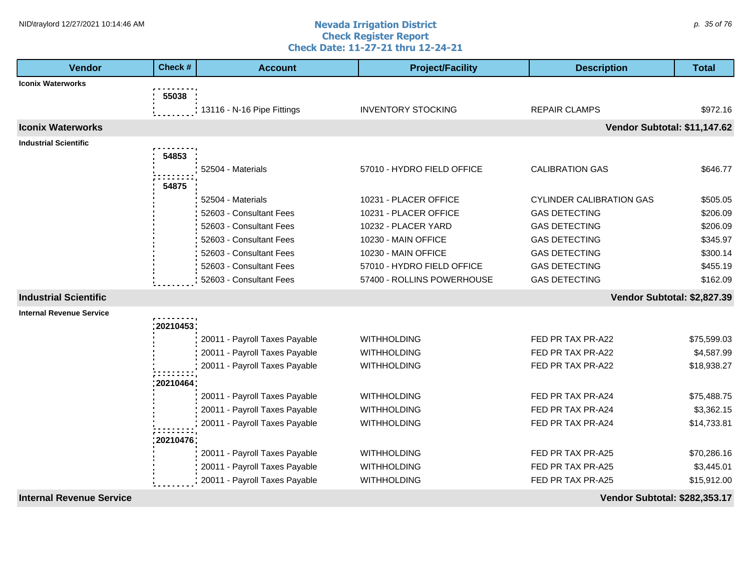#### **Nevada Irrigation District Check Register Report Check Date: 11-27-21 thru 12-24-21** NID\traylord 12/27/2021 10:14:46 AM  $\rho$  35 of 76

| Vendor                          | Check #    | <b>Account</b>                | <b>Project/Facility</b>    | <b>Description</b>                   | <b>Total</b> |
|---------------------------------|------------|-------------------------------|----------------------------|--------------------------------------|--------------|
| <b>Iconix Waterworks</b>        |            |                               |                            |                                      |              |
|                                 | 55038      |                               |                            |                                      |              |
|                                 |            | 13116 - N-16 Pipe Fittings    | <b>INVENTORY STOCKING</b>  | <b>REPAIR CLAMPS</b>                 | \$972.16     |
| <b>Iconix Waterworks</b>        |            |                               |                            | Vendor Subtotal: \$11,147.62         |              |
| <b>Industrial Scientific</b>    |            |                               |                            |                                      |              |
|                                 | 54853      |                               |                            |                                      |              |
|                                 |            | 52504 - Materials             | 57010 - HYDRO FIELD OFFICE | <b>CALIBRATION GAS</b>               | \$646.77     |
|                                 | 54875      |                               |                            |                                      |              |
|                                 |            | 52504 - Materials             | 10231 - PLACER OFFICE      | <b>CYLINDER CALIBRATION GAS</b>      | \$505.05     |
|                                 |            | 52603 - Consultant Fees       | 10231 - PLACER OFFICE      | <b>GAS DETECTING</b>                 | \$206.09     |
|                                 |            | 52603 - Consultant Fees       | 10232 - PLACER YARD        | <b>GAS DETECTING</b>                 | \$206.09     |
|                                 |            | 52603 - Consultant Fees       | 10230 - MAIN OFFICE        | <b>GAS DETECTING</b>                 | \$345.97     |
|                                 |            | 52603 - Consultant Fees       | 10230 - MAIN OFFICE        | <b>GAS DETECTING</b>                 | \$300.14     |
|                                 |            | 52603 - Consultant Fees       | 57010 - HYDRO FIELD OFFICE | <b>GAS DETECTING</b>                 | \$455.19     |
|                                 |            | 52603 - Consultant Fees       | 57400 - ROLLINS POWERHOUSE | <b>GAS DETECTING</b>                 | \$162.09     |
| <b>Industrial Scientific</b>    |            |                               |                            | Vendor Subtotal: \$2,827.39          |              |
| <b>Internal Revenue Service</b> |            |                               |                            |                                      |              |
|                                 | : 20210453 |                               |                            |                                      |              |
|                                 |            | 20011 - Payroll Taxes Payable | <b>WITHHOLDING</b>         | FED PR TAX PR-A22                    | \$75,599.03  |
|                                 |            | 20011 - Payroll Taxes Payable | <b>WITHHOLDING</b>         | FED PR TAX PR-A22                    | \$4,587.99   |
|                                 |            | 20011 - Payroll Taxes Payable | <b>WITHHOLDING</b>         | FED PR TAX PR-A22                    | \$18,938.27  |
|                                 | :20210464  |                               |                            |                                      |              |
|                                 |            | 20011 - Payroll Taxes Payable | <b>WITHHOLDING</b>         | FED PR TAX PR-A24                    | \$75,488.75  |
|                                 |            | 20011 - Payroll Taxes Payable | <b>WITHHOLDING</b>         | FED PR TAX PR-A24                    | \$3,362.15   |
|                                 |            | 20011 - Payroll Taxes Payable | <b>WITHHOLDING</b>         | FED PR TAX PR-A24                    | \$14,733.81  |
|                                 | 20210476   |                               |                            |                                      |              |
|                                 |            | 20011 - Payroll Taxes Payable | <b>WITHHOLDING</b>         | FED PR TAX PR-A25                    | \$70,286.16  |
|                                 |            | 20011 - Payroll Taxes Payable | <b>WITHHOLDING</b>         | FED PR TAX PR-A25                    | \$3,445.01   |
|                                 |            | 20011 - Payroll Taxes Payable | <b>WITHHOLDING</b>         | FED PR TAX PR-A25                    | \$15,912.00  |
| <b>Internal Revenue Service</b> |            |                               |                            | <b>Vendor Subtotal: \$282,353.17</b> |              |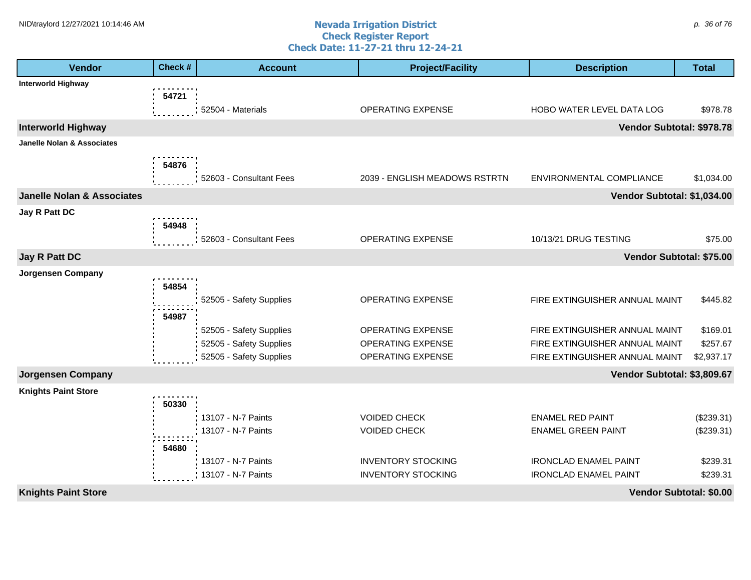#### **Nevada Irrigation District Check Register Report Check Date: 11-27-21 thru 12-24-21** NID\traylord 12/27/2021 10:14:46 AM  $\rho$ . 36 of 76

| <b>Vendor</b>                         | Check # | <b>Account</b>                                     | <b>Project/Facility</b>                | <b>Description</b>                                               | <b>Total</b>            |
|---------------------------------------|---------|----------------------------------------------------|----------------------------------------|------------------------------------------------------------------|-------------------------|
| <b>Interworld Highway</b>             |         |                                                    |                                        |                                                                  |                         |
|                                       | 54721   |                                                    |                                        |                                                                  |                         |
|                                       |         | 52504 - Materials                                  | OPERATING EXPENSE                      | HOBO WATER LEVEL DATA LOG                                        | \$978.78                |
| <b>Interworld Highway</b>             |         |                                                    |                                        | Vendor Subtotal: \$978.78                                        |                         |
| <b>Janelle Nolan &amp; Associates</b> |         |                                                    |                                        |                                                                  |                         |
|                                       | 54876   |                                                    |                                        |                                                                  |                         |
|                                       |         | 52603 - Consultant Fees                            | 2039 - ENGLISH MEADOWS RSTRTN          | ENVIRONMENTAL COMPLIANCE                                         | \$1,034.00              |
| <b>Janelle Nolan &amp; Associates</b> |         |                                                    |                                        | Vendor Subtotal: \$1,034.00                                      |                         |
| Jay R Patt DC                         |         |                                                    |                                        |                                                                  |                         |
|                                       | 54948   |                                                    |                                        |                                                                  |                         |
|                                       |         | 52603 - Consultant Fees                            | OPERATING EXPENSE                      | 10/13/21 DRUG TESTING                                            | \$75.00                 |
| Jay R Patt DC                         |         |                                                    |                                        | Vendor Subtotal: \$75.00                                         |                         |
| <b>Jorgensen Company</b>              |         |                                                    |                                        |                                                                  |                         |
|                                       | 54854   |                                                    |                                        |                                                                  |                         |
|                                       |         | 52505 - Safety Supplies                            | OPERATING EXPENSE                      | FIRE EXTINGUISHER ANNUAL MAINT                                   | \$445.82                |
|                                       | 54987   |                                                    |                                        |                                                                  |                         |
|                                       |         | 52505 - Safety Supplies<br>52505 - Safety Supplies | OPERATING EXPENSE<br>OPERATING EXPENSE | FIRE EXTINGUISHER ANNUAL MAINT<br>FIRE EXTINGUISHER ANNUAL MAINT | \$169.01<br>\$257.67    |
|                                       |         | 52505 - Safety Supplies                            | OPERATING EXPENSE                      | FIRE EXTINGUISHER ANNUAL MAINT                                   | \$2,937.17              |
| <b>Jorgensen Company</b>              |         |                                                    |                                        | Vendor Subtotal: \$3,809.67                                      |                         |
| <b>Knights Paint Store</b>            |         |                                                    |                                        |                                                                  |                         |
|                                       | 50330   |                                                    |                                        |                                                                  |                         |
|                                       |         | 13107 - N-7 Paints                                 | <b>VOIDED CHECK</b>                    | <b>ENAMEL RED PAINT</b>                                          | $(\$239.31)$            |
|                                       |         | 13107 - N-7 Paints                                 | <b>VOIDED CHECK</b>                    | <b>ENAMEL GREEN PAINT</b>                                        | (\$239.31)              |
|                                       | 54680   |                                                    |                                        |                                                                  |                         |
|                                       |         | 13107 - N-7 Paints                                 | <b>INVENTORY STOCKING</b>              | <b>IRONCLAD ENAMEL PAINT</b>                                     | \$239.31                |
|                                       |         | 13107 - N-7 Paints                                 | <b>INVENTORY STOCKING</b>              | <b>IRONCLAD ENAMEL PAINT</b>                                     | \$239.31                |
| <b>Knights Paint Store</b>            |         |                                                    |                                        |                                                                  | Vendor Subtotal: \$0.00 |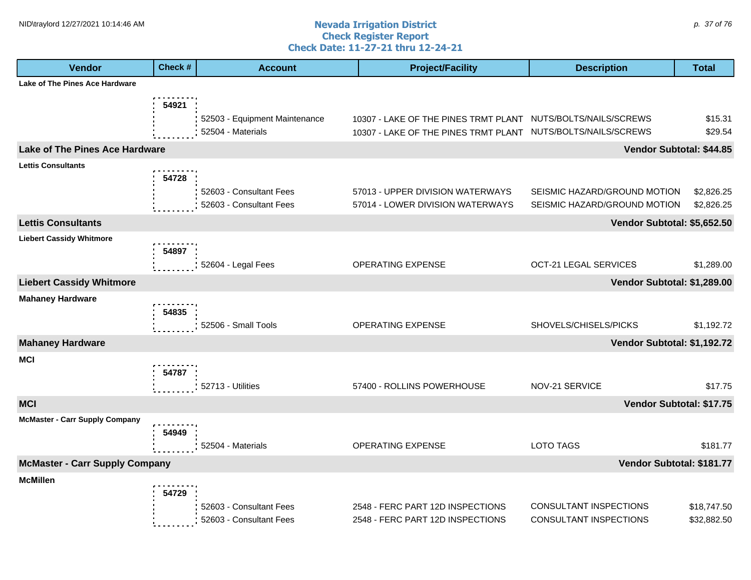#### **Nevada Irrigation District Check Register Report Check Date: 11-27-21 thru 12-24-21** NID\traylord 12/27/2021 10:14:46 AM  $\rho$ . 37 of 76

| <b>Lake of The Pines Ace Hardware</b><br>54921                                                       | \$15.31<br>\$29.54 |
|------------------------------------------------------------------------------------------------------|--------------------|
|                                                                                                      |                    |
|                                                                                                      |                    |
| 52503 - Equipment Maintenance<br>10307 - LAKE OF THE PINES TRMT PLANT<br>NUTS/BOLTS/NAILS/SCREWS     |                    |
| 52504 - Materials<br>NUTS/BOLTS/NAILS/SCREWS<br>10307 - LAKE OF THE PINES TRMT PLANT                 |                    |
| <b>Lake of The Pines Ace Hardware</b><br>Vendor Subtotal: \$44.85                                    |                    |
| <b>Lettis Consultants</b>                                                                            |                    |
| 54728<br>57013 - UPPER DIVISION WATERWAYS<br>52603 - Consultant Fees<br>SEISMIC HAZARD/GROUND MOTION | \$2,826.25         |
| 52603 - Consultant Fees<br>57014 - LOWER DIVISION WATERWAYS<br>SEISMIC HAZARD/GROUND MOTION          | \$2,826.25         |
| <b>Lettis Consultants</b><br>Vendor Subtotal: \$5,652.50                                             |                    |
| <b>Liebert Cassidy Whitmore</b>                                                                      |                    |
| 54897                                                                                                |                    |
| 52604 - Legal Fees<br>OPERATING EXPENSE<br>OCT-21 LEGAL SERVICES                                     | \$1,289.00         |
| <b>Liebert Cassidy Whitmore</b><br>Vendor Subtotal: \$1,289.00                                       |                    |
| <b>Mahaney Hardware</b>                                                                              |                    |
| 54835                                                                                                |                    |
| 52506 - Small Tools<br>OPERATING EXPENSE<br>SHOVELS/CHISELS/PICKS                                    | \$1,192.72         |
| <b>Mahaney Hardware</b><br>Vendor Subtotal: \$1,192.72                                               |                    |
| <b>MCI</b><br>54787                                                                                  |                    |
| 57400 - ROLLINS POWERHOUSE<br>NOV-21 SERVICE<br>52713 - Utilities                                    | \$17.75            |
| <b>MCI</b><br>Vendor Subtotal: \$17.75                                                               |                    |
| <b>McMaster - Carr Supply Company</b>                                                                |                    |
| 54949                                                                                                |                    |
| OPERATING EXPENSE<br><b>LOTO TAGS</b><br>52504 - Materials                                           | \$181.77           |
| <b>McMaster - Carr Supply Company</b><br>Vendor Subtotal: \$181.77                                   |                    |
| <b>McMillen</b>                                                                                      |                    |
| 54729<br>CONSULTANT INSPECTIONS<br>52603 - Consultant Fees<br>2548 - FERC PART 12D INSPECTIONS       | \$18,747.50        |
| 52603 - Consultant Fees<br>2548 - FERC PART 12D INSPECTIONS<br>CONSULTANT INSPECTIONS                | \$32,882.50        |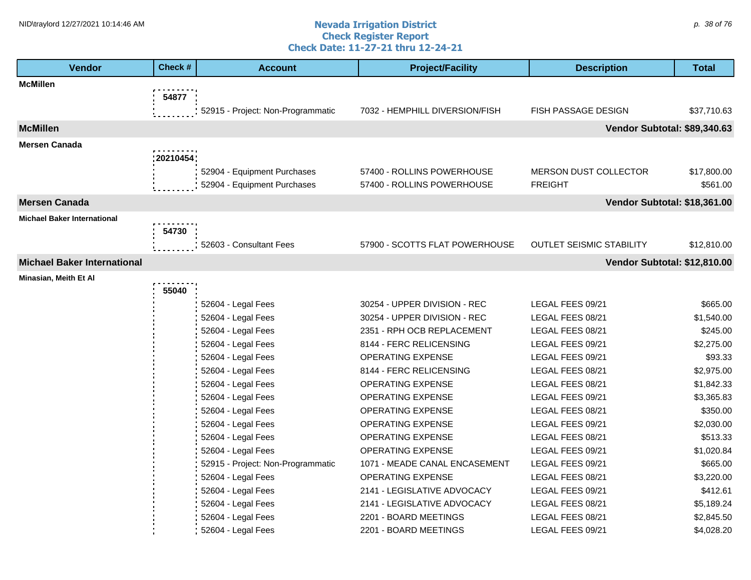#### **Nevada Irrigation District Check Register Report Check Date: 11-27-21 thru 12-24-21** NID\traylord 12/27/2021 10:14:46 AM  $\rho$ . 38 of 76

| <b>Vendor</b>                      | Check #       | <b>Account</b>                    | <b>Project/Facility</b>        | <b>Description</b>              | <b>Total</b> |
|------------------------------------|---------------|-----------------------------------|--------------------------------|---------------------------------|--------------|
| <b>McMillen</b>                    |               |                                   |                                |                                 |              |
|                                    | 54877         |                                   |                                |                                 |              |
|                                    |               | 52915 - Project: Non-Programmatic | 7032 - HEMPHILL DIVERSION/FISH | <b>FISH PASSAGE DESIGN</b>      | \$37,710.63  |
| <b>McMillen</b>                    |               |                                   |                                | Vendor Subtotal: \$89,340.63    |              |
| <b>Mersen Canada</b>               |               |                                   |                                |                                 |              |
|                                    | .<br>20210454 |                                   |                                |                                 |              |
|                                    |               | 52904 - Equipment Purchases       | 57400 - ROLLINS POWERHOUSE     | <b>MERSON DUST COLLECTOR</b>    | \$17,800.00  |
|                                    |               | 52904 - Equipment Purchases       | 57400 - ROLLINS POWERHOUSE     | <b>FREIGHT</b>                  | \$561.00     |
| <b>Mersen Canada</b>               |               |                                   |                                | Vendor Subtotal: \$18,361.00    |              |
| <b>Michael Baker International</b> |               |                                   |                                |                                 |              |
|                                    | 54730         |                                   |                                |                                 |              |
|                                    |               | 52603 - Consultant Fees           | 57900 - SCOTTS FLAT POWERHOUSE | <b>OUTLET SEISMIC STABILITY</b> | \$12,810.00  |
| <b>Michael Baker International</b> |               |                                   |                                | Vendor Subtotal: \$12,810.00    |              |
| Minasian, Meith Et Al              |               |                                   |                                |                                 |              |
|                                    | 55040         |                                   |                                |                                 |              |
|                                    |               | 52604 - Legal Fees                | 30254 - UPPER DIVISION - REC   | LEGAL FEES 09/21                | \$665.00     |
|                                    |               | 52604 - Legal Fees                | 30254 - UPPER DIVISION - REC   | LEGAL FEES 08/21                | \$1,540.00   |
|                                    |               | 52604 - Legal Fees                | 2351 - RPH OCB REPLACEMENT     | LEGAL FEES 08/21                | \$245.00     |
|                                    |               | 52604 - Legal Fees                | 8144 - FERC RELICENSING        | LEGAL FEES 09/21                | \$2,275.00   |
|                                    |               | 52604 - Legal Fees                | OPERATING EXPENSE              | LEGAL FEES 09/21                | \$93.33      |
|                                    |               | 52604 - Legal Fees                | 8144 - FERC RELICENSING        | LEGAL FEES 08/21                | \$2,975.00   |
|                                    |               | 52604 - Legal Fees                | <b>OPERATING EXPENSE</b>       | LEGAL FEES 08/21                | \$1,842.33   |
|                                    |               | 52604 - Legal Fees                | <b>OPERATING EXPENSE</b>       | LEGAL FEES 09/21                | \$3,365.83   |
|                                    |               | 52604 - Legal Fees                | OPERATING EXPENSE              | LEGAL FEES 08/21                | \$350.00     |
|                                    |               | 52604 - Legal Fees                | OPERATING EXPENSE              | LEGAL FEES 09/21                | \$2,030.00   |
|                                    |               | 52604 - Legal Fees                | OPERATING EXPENSE              | LEGAL FEES 08/21                | \$513.33     |
|                                    |               | 52604 - Legal Fees                | <b>OPERATING EXPENSE</b>       | LEGAL FEES 09/21                | \$1,020.84   |
|                                    |               | 52915 - Project: Non-Programmatic | 1071 - MEADE CANAL ENCASEMENT  | LEGAL FEES 09/21                | \$665.00     |
|                                    |               | 52604 - Legal Fees                | <b>OPERATING EXPENSE</b>       | LEGAL FEES 08/21                | \$3,220.00   |
|                                    |               | 52604 - Legal Fees                | 2141 - LEGISLATIVE ADVOCACY    | LEGAL FEES 09/21                | \$412.61     |
|                                    |               | 52604 - Legal Fees                | 2141 - LEGISLATIVE ADVOCACY    | LEGAL FEES 08/21                | \$5,189.24   |
|                                    |               | 52604 - Legal Fees                | 2201 - BOARD MEETINGS          | LEGAL FEES 08/21                | \$2,845.50   |
|                                    |               | 52604 - Legal Fees                | 2201 - BOARD MEETINGS          | LEGAL FEES 09/21                | \$4,028.20   |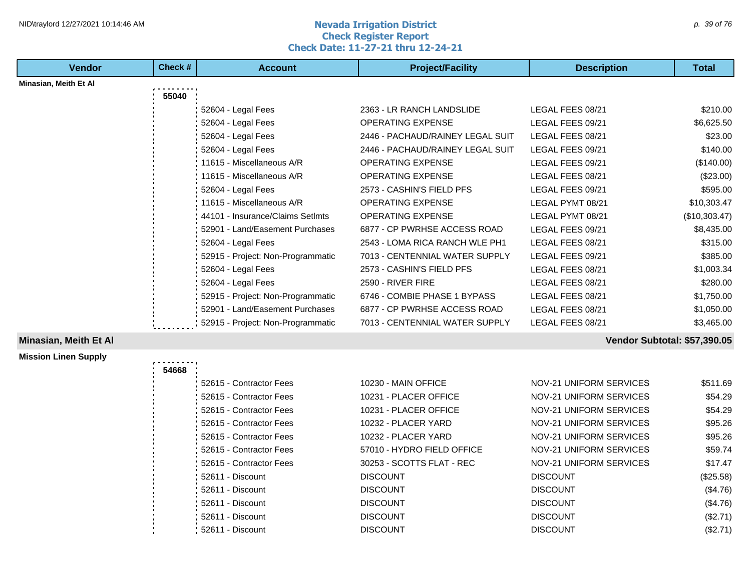## **1HD**\traylord 12/27/2021 10:14:46 AM **p.** 39 of 76 and **number of the set of the set of the set of the set of the set of the set of the set of the set of the set of the set of the set of the set of the set of the set of Check Register Report Check Date: 11-27-21 thru 12-24-21**

| <b>Vendor</b>                | Check # | <b>Account</b>                    | <b>Project/Facility</b>          | <b>Description</b>             | <b>Total</b>                 |
|------------------------------|---------|-----------------------------------|----------------------------------|--------------------------------|------------------------------|
| Minasian, Meith Et Al        |         |                                   |                                  |                                |                              |
|                              | 55040   |                                   |                                  |                                |                              |
|                              |         | 52604 - Legal Fees                | 2363 - LR RANCH LANDSLIDE        | LEGAL FEES 08/21               | \$210.00                     |
|                              |         | 52604 - Legal Fees                | <b>OPERATING EXPENSE</b>         | LEGAL FEES 09/21               | \$6,625.50                   |
|                              |         | 52604 - Legal Fees                | 2446 - PACHAUD/RAINEY LEGAL SUIT | LEGAL FEES 08/21               | \$23.00                      |
|                              |         | 52604 - Legal Fees                | 2446 - PACHAUD/RAINEY LEGAL SUIT | LEGAL FEES 09/21               | \$140.00                     |
|                              |         | 11615 - Miscellaneous A/R         | <b>OPERATING EXPENSE</b>         | LEGAL FEES 09/21               | (\$140.00)                   |
|                              |         | 11615 - Miscellaneous A/R         | OPERATING EXPENSE                | LEGAL FEES 08/21               | (\$23.00)                    |
|                              |         | 52604 - Legal Fees                | 2573 - CASHIN'S FIELD PFS        | LEGAL FEES 09/21               | \$595.00                     |
|                              |         | 11615 - Miscellaneous A/R         | OPERATING EXPENSE                | LEGAL PYMT 08/21               | \$10,303.47                  |
|                              |         | 44101 - Insurance/Claims SetImts  | OPERATING EXPENSE                | LEGAL PYMT 08/21               | (\$10,303.47)                |
|                              |         | 52901 - Land/Easement Purchases   | 6877 - CP PWRHSE ACCESS ROAD     | LEGAL FEES 09/21               | \$8,435.00                   |
|                              |         | 52604 - Legal Fees                | 2543 - LOMA RICA RANCH WLE PH1   | LEGAL FEES 08/21               | \$315.00                     |
|                              |         | 52915 - Project: Non-Programmatic | 7013 - CENTENNIAL WATER SUPPLY   | LEGAL FEES 09/21               | \$385.00                     |
|                              |         | 52604 - Legal Fees                | 2573 - CASHIN'S FIELD PFS        | LEGAL FEES 08/21               | \$1,003.34                   |
|                              |         | 52604 - Legal Fees                | 2590 - RIVER FIRE                | LEGAL FEES 08/21               | \$280.00                     |
|                              |         | 52915 - Project: Non-Programmatic | 6746 - COMBIE PHASE 1 BYPASS     | LEGAL FEES 08/21               | \$1,750.00                   |
|                              |         | 52901 - Land/Easement Purchases   | 6877 - CP PWRHSE ACCESS ROAD     | LEGAL FEES 08/21               | \$1,050.00                   |
|                              |         | 52915 - Project: Non-Programmatic | 7013 - CENTENNIAL WATER SUPPLY   | LEGAL FEES 08/21               | \$3,465.00                   |
| <b>Minasian, Meith Et Al</b> |         |                                   |                                  |                                | Vendor Subtotal: \$57,390.05 |
| <b>Mission Linen Supply</b>  |         |                                   |                                  |                                |                              |
|                              | 54668   |                                   |                                  |                                |                              |
|                              |         | 52615 - Contractor Fees           | 10230 - MAIN OFFICE              | <b>NOV-21 UNIFORM SERVICES</b> | \$511.69                     |
|                              |         | 52615 - Contractor Fees           | 10231 - PLACER OFFICE            | NOV-21 UNIFORM SERVICES        | \$54.29                      |
|                              |         | 52615 - Contractor Fees           | 10231 - PLACER OFFICE            | <b>NOV-21 UNIFORM SERVICES</b> | \$54.29                      |
|                              |         | 52615 - Contractor Fees           | 10232 - PLACER YARD              | NOV-21 UNIFORM SERVICES        | \$95.26                      |
|                              |         | 52615 - Contractor Fees           | 10232 - PLACER YARD              | <b>NOV-21 UNIFORM SERVICES</b> | \$95.26                      |
|                              |         | 52615 - Contractor Fees           | 57010 - HYDRO FIELD OFFICE       | NOV-21 UNIFORM SERVICES        | \$59.74                      |
|                              |         | 52615 - Contractor Fees           | 30253 - SCOTTS FLAT - REC        | NOV-21 UNIFORM SERVICES        | \$17.47                      |
|                              |         | 52611 - Discount                  | <b>DISCOUNT</b>                  | <b>DISCOUNT</b>                | (\$25.58)                    |

52611 - Discount DISCOUNT DISCOUNT (\$4.76)

52611 - Discount DISCOUNT DISCOUNT (\$4.76) 52611 - Discount DISCOUNT DISCOUNT (\$2.71)

52611 - Discount DISCOUNT DISCOUNT (\$2.71)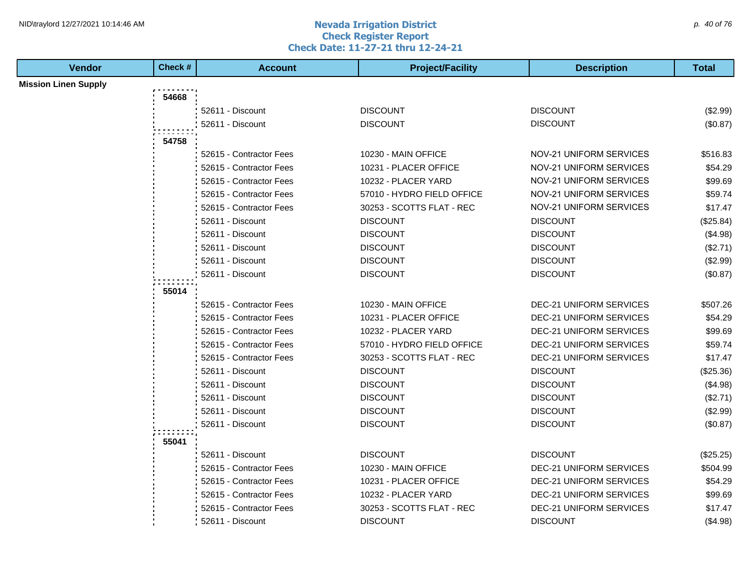#### **Nevada Irrigation District Check Register Report Check Date: 11-27-21 thru 12-24-21** NID\traylord 12/27/2021 10:14:46 AM  $\rho$ . 40 of 76

| <b>Vendor</b>               | Check # | <b>Account</b>          | <b>Project/Facility</b>    | <b>Description</b>             | <b>Total</b> |
|-----------------------------|---------|-------------------------|----------------------------|--------------------------------|--------------|
| <b>Mission Linen Supply</b> |         |                         |                            |                                |              |
|                             | 54668   |                         |                            |                                |              |
|                             |         | 52611 - Discount        | <b>DISCOUNT</b>            | <b>DISCOUNT</b>                | (\$2.99)     |
|                             |         | 52611 - Discount        | <b>DISCOUNT</b>            | <b>DISCOUNT</b>                | (\$0.87)     |
|                             | 54758   |                         |                            |                                |              |
|                             |         | 52615 - Contractor Fees | 10230 - MAIN OFFICE        | NOV-21 UNIFORM SERVICES        | \$516.83     |
|                             |         | 52615 - Contractor Fees | 10231 - PLACER OFFICE      | NOV-21 UNIFORM SERVICES        | \$54.29      |
|                             |         | 52615 - Contractor Fees | 10232 - PLACER YARD        | NOV-21 UNIFORM SERVICES        | \$99.69      |
|                             |         | 52615 - Contractor Fees | 57010 - HYDRO FIELD OFFICE | NOV-21 UNIFORM SERVICES        | \$59.74      |
|                             |         | 52615 - Contractor Fees | 30253 - SCOTTS FLAT - REC  | NOV-21 UNIFORM SERVICES        | \$17.47      |
|                             |         | 52611 - Discount        | <b>DISCOUNT</b>            | <b>DISCOUNT</b>                | (\$25.84)    |
|                             |         | 52611 - Discount        | <b>DISCOUNT</b>            | <b>DISCOUNT</b>                | (\$4.98)     |
|                             |         | 52611 - Discount        | <b>DISCOUNT</b>            | <b>DISCOUNT</b>                | (\$2.71)     |
|                             |         | 52611 - Discount        | <b>DISCOUNT</b>            | <b>DISCOUNT</b>                | (\$2.99)     |
|                             |         | 52611 - Discount        | <b>DISCOUNT</b>            | <b>DISCOUNT</b>                | (\$0.87)     |
|                             | 55014   |                         |                            |                                |              |
|                             |         | 52615 - Contractor Fees | 10230 - MAIN OFFICE        | <b>DEC-21 UNIFORM SERVICES</b> | \$507.26     |
|                             |         | 52615 - Contractor Fees | 10231 - PLACER OFFICE      | <b>DEC-21 UNIFORM SERVICES</b> | \$54.29      |
|                             |         | 52615 - Contractor Fees | 10232 - PLACER YARD        | <b>DEC-21 UNIFORM SERVICES</b> | \$99.69      |
|                             |         | 52615 - Contractor Fees | 57010 - HYDRO FIELD OFFICE | <b>DEC-21 UNIFORM SERVICES</b> | \$59.74      |
|                             |         | 52615 - Contractor Fees | 30253 - SCOTTS FLAT - REC  | <b>DEC-21 UNIFORM SERVICES</b> | \$17.47      |
|                             |         | 52611 - Discount        | <b>DISCOUNT</b>            | <b>DISCOUNT</b>                | (\$25.36)    |
|                             |         | 52611 - Discount        | <b>DISCOUNT</b>            | <b>DISCOUNT</b>                | (\$4.98)     |
|                             |         | 52611 - Discount        | <b>DISCOUNT</b>            | <b>DISCOUNT</b>                | (\$2.71)     |
|                             |         | 52611 - Discount        | <b>DISCOUNT</b>            | <b>DISCOUNT</b>                | (\$2.99)     |
|                             |         | 52611 - Discount        | <b>DISCOUNT</b>            | <b>DISCOUNT</b>                | (\$0.87)     |
|                             | 55041   |                         |                            |                                |              |
|                             |         | 52611 - Discount        | <b>DISCOUNT</b>            | <b>DISCOUNT</b>                | (\$25.25)    |
|                             |         | 52615 - Contractor Fees | 10230 - MAIN OFFICE        | <b>DEC-21 UNIFORM SERVICES</b> | \$504.99     |
|                             |         | 52615 - Contractor Fees | 10231 - PLACER OFFICE      | <b>DEC-21 UNIFORM SERVICES</b> | \$54.29      |
|                             |         | 52615 - Contractor Fees | 10232 - PLACER YARD        | <b>DEC-21 UNIFORM SERVICES</b> | \$99.69      |
|                             |         | 52615 - Contractor Fees | 30253 - SCOTTS FLAT - REC  | <b>DEC-21 UNIFORM SERVICES</b> | \$17.47      |
|                             |         | 52611 - Discount        | <b>DISCOUNT</b>            | <b>DISCOUNT</b>                | (\$4.98)     |
|                             |         |                         |                            |                                |              |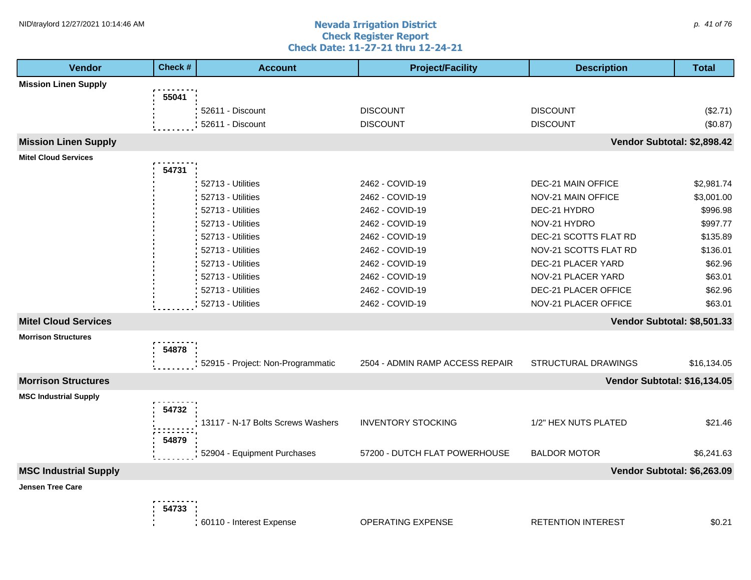#### **Nevada Irrigation District Check Register Report Check Date: 11-27-21 thru 12-24-21** NID\traylord 12/27/2021 10:14:46 AM  $p.$  41 of 76

| <b>Vendor</b>                | Check# | <b>Account</b>                    | <b>Project/Facility</b>         | <b>Description</b>           | <b>Total</b> |
|------------------------------|--------|-----------------------------------|---------------------------------|------------------------------|--------------|
| <b>Mission Linen Supply</b>  |        |                                   |                                 |                              |              |
|                              | 55041  |                                   |                                 |                              |              |
|                              |        | 52611 - Discount                  | <b>DISCOUNT</b>                 | <b>DISCOUNT</b>              | (\$2.71)     |
|                              |        | 52611 - Discount                  | <b>DISCOUNT</b>                 | <b>DISCOUNT</b>              | (\$0.87)     |
| <b>Mission Linen Supply</b>  |        |                                   |                                 | Vendor Subtotal: \$2,898.42  |              |
| <b>Mitel Cloud Services</b>  |        |                                   |                                 |                              |              |
|                              | 54731  |                                   |                                 |                              |              |
|                              |        | 52713 - Utilities                 | 2462 - COVID-19                 | DEC-21 MAIN OFFICE           | \$2,981.74   |
|                              |        | 52713 - Utilities                 | 2462 - COVID-19                 | NOV-21 MAIN OFFICE           | \$3,001.00   |
|                              |        | 52713 - Utilities                 | 2462 - COVID-19                 | DEC-21 HYDRO                 | \$996.98     |
|                              |        | 52713 - Utilities                 | 2462 - COVID-19                 | NOV-21 HYDRO                 | \$997.77     |
|                              |        | 52713 - Utilities                 | 2462 - COVID-19                 | DEC-21 SCOTTS FLAT RD        | \$135.89     |
|                              |        | 52713 - Utilities                 | 2462 - COVID-19                 | NOV-21 SCOTTS FLAT RD        | \$136.01     |
|                              |        | 52713 - Utilities                 | 2462 - COVID-19                 | DEC-21 PLACER YARD           | \$62.96      |
|                              |        | 52713 - Utilities                 | 2462 - COVID-19                 | NOV-21 PLACER YARD           | \$63.01      |
|                              |        | 52713 - Utilities                 | 2462 - COVID-19                 | DEC-21 PLACER OFFICE         | \$62.96      |
|                              |        | 52713 - Utilities                 | 2462 - COVID-19                 | NOV-21 PLACER OFFICE         | \$63.01      |
| <b>Mitel Cloud Services</b>  |        |                                   |                                 | Vendor Subtotal: \$8,501.33  |              |
| <b>Morrison Structures</b>   |        |                                   |                                 |                              |              |
|                              | 54878  |                                   |                                 |                              |              |
|                              |        | 52915 - Project: Non-Programmatic | 2504 - ADMIN RAMP ACCESS REPAIR | STRUCTURAL DRAWINGS          | \$16,134.05  |
| <b>Morrison Structures</b>   |        |                                   |                                 | Vendor Subtotal: \$16,134.05 |              |
| <b>MSC Industrial Supply</b> |        |                                   |                                 |                              |              |
|                              | 54732  |                                   |                                 |                              |              |
|                              |        | 13117 - N-17 Bolts Screws Washers | <b>INVENTORY STOCKING</b>       | 1/2" HEX NUTS PLATED         | \$21.46      |
|                              | 54879  |                                   |                                 |                              |              |
|                              |        | 52904 - Equipment Purchases       | 57200 - DUTCH FLAT POWERHOUSE   | <b>BALDOR MOTOR</b>          | \$6,241.63   |
| <b>MSC Industrial Supply</b> |        |                                   |                                 | Vendor Subtotal: \$6,263.09  |              |
| <b>Jensen Tree Care</b>      |        |                                   |                                 |                              |              |
|                              |        |                                   |                                 |                              |              |
|                              | 54733  |                                   |                                 |                              |              |
|                              |        | 60110 - Interest Expense          | OPERATING EXPENSE               | <b>RETENTION INTEREST</b>    | \$0.21       |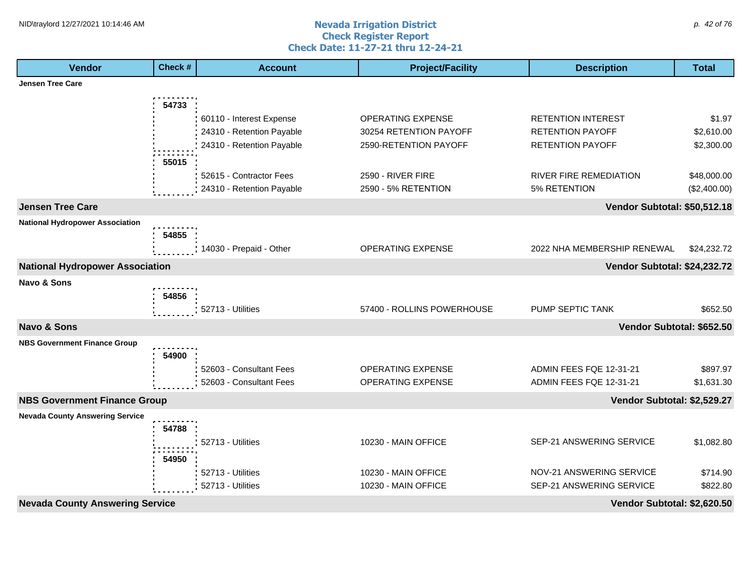#### **Nevada Irrigation District Check Register Report Check Date: 11-27-21 thru 12-24-21** NID\traylord 12/27/2021 10:14:46 AM  $\rho$ . 42 of 76

| <b>Vendor</b>                          | Check # | <b>Account</b>            | <b>Project/Facility</b>    | <b>Description</b>           | <b>Total</b> |
|----------------------------------------|---------|---------------------------|----------------------------|------------------------------|--------------|
| <b>Jensen Tree Care</b>                |         |                           |                            |                              |              |
|                                        | 54733   |                           |                            |                              |              |
|                                        |         | 60110 - Interest Expense  | OPERATING EXPENSE          | <b>RETENTION INTEREST</b>    | \$1.97       |
|                                        |         | 24310 - Retention Payable | 30254 RETENTION PAYOFF     | <b>RETENTION PAYOFF</b>      | \$2,610.00   |
|                                        |         | 24310 - Retention Payable | 2590-RETENTION PAYOFF      | RETENTION PAYOFF             | \$2,300.00   |
|                                        | 55015   |                           |                            |                              |              |
|                                        |         | 52615 - Contractor Fees   | 2590 - RIVER FIRE          | RIVER FIRE REMEDIATION       | \$48,000.00  |
|                                        |         | 24310 - Retention Payable | 2590 - 5% RETENTION        | 5% RETENTION                 | (\$2,400.00) |
| <b>Jensen Tree Care</b>                |         |                           |                            | Vendor Subtotal: \$50,512.18 |              |
| <b>National Hydropower Association</b> |         |                           |                            |                              |              |
|                                        | 54855   |                           |                            |                              |              |
|                                        |         | 14030 - Prepaid - Other   | OPERATING EXPENSE          | 2022 NHA MEMBERSHIP RENEWAL  | \$24,232.72  |
| <b>National Hydropower Association</b> |         |                           |                            | Vendor Subtotal: \$24,232.72 |              |
| Navo & Sons                            |         |                           |                            |                              |              |
|                                        | 54856   |                           |                            |                              |              |
|                                        |         | 52713 - Utilities         | 57400 - ROLLINS POWERHOUSE | PUMP SEPTIC TANK             | \$652.50     |
| <b>Navo &amp; Sons</b>                 |         |                           |                            | Vendor Subtotal: \$652.50    |              |
| <b>NBS Government Finance Group</b>    |         |                           |                            |                              |              |
|                                        | 54900   |                           |                            |                              |              |
|                                        |         | 52603 - Consultant Fees   | OPERATING EXPENSE          | ADMIN FEES FQE 12-31-21      | \$897.97     |
|                                        |         | 52603 - Consultant Fees   | <b>OPERATING EXPENSE</b>   | ADMIN FEES FQE 12-31-21      | \$1,631.30   |
| <b>NBS Government Finance Group</b>    |         |                           |                            | Vendor Subtotal: \$2,529.27  |              |
| <b>Nevada County Answering Service</b> |         |                           |                            |                              |              |
|                                        | 54788   |                           |                            |                              |              |
|                                        |         | 52713 - Utilities         | 10230 - MAIN OFFICE        | SEP-21 ANSWERING SERVICE     | \$1,082.80   |
|                                        | 54950   |                           |                            |                              |              |
|                                        |         | 52713 - Utilities         | 10230 - MAIN OFFICE        | NOV-21 ANSWERING SERVICE     | \$714.90     |
|                                        |         | 52713 - Utilities         | 10230 - MAIN OFFICE        | SEP-21 ANSWERING SERVICE     | \$822.80     |
| <b>Nevada County Answering Service</b> |         |                           |                            | Vendor Subtotal: \$2,620.50  |              |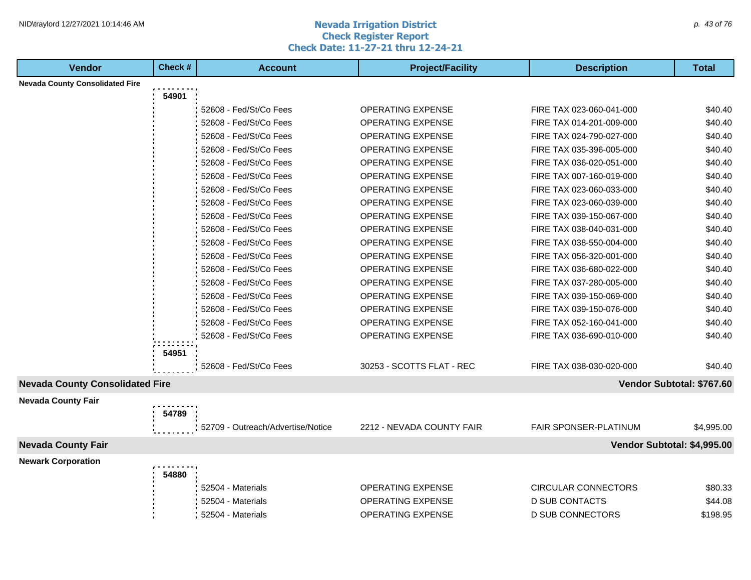### **Nevada Irrigation District Check Register Report Check Date: 11-27-21 thru 12-24-21** NID\traylord 12/27/2021 10:14:46 AM  $\rho$  and  $\sigma$  are allowed the contract of  $\alpha$  and  $\rho$  are allowed to  $\rho$  and  $\rho$  and  $\rho$  and  $\rho$  and  $\rho$  and  $\rho$  and  $\rho$  are allowed to  $\rho$  and  $\rho$  and  $\rho$  and  $\rho$  are allo

| <b>Vendor</b>                          | Check # | <b>Account</b>                    | <b>Project/Facility</b>   | <b>Description</b>          | <b>Total</b> |
|----------------------------------------|---------|-----------------------------------|---------------------------|-----------------------------|--------------|
| <b>Nevada County Consolidated Fire</b> |         |                                   |                           |                             |              |
|                                        | 54901   |                                   |                           |                             |              |
|                                        |         | 52608 - Fed/St/Co Fees            | <b>OPERATING EXPENSE</b>  | FIRE TAX 023-060-041-000    | \$40.40      |
|                                        |         | 52608 - Fed/St/Co Fees            | <b>OPERATING EXPENSE</b>  | FIRE TAX 014-201-009-000    | \$40.40      |
|                                        |         | 52608 - Fed/St/Co Fees            | <b>OPERATING EXPENSE</b>  | FIRE TAX 024-790-027-000    | \$40.40      |
|                                        |         | 52608 - Fed/St/Co Fees            | <b>OPERATING EXPENSE</b>  | FIRE TAX 035-396-005-000    | \$40.40      |
|                                        |         | 52608 - Fed/St/Co Fees            | <b>OPERATING EXPENSE</b>  | FIRE TAX 036-020-051-000    | \$40.40      |
|                                        |         | 52608 - Fed/St/Co Fees            | <b>OPERATING EXPENSE</b>  | FIRE TAX 007-160-019-000    | \$40.40      |
|                                        |         | 52608 - Fed/St/Co Fees            | <b>OPERATING EXPENSE</b>  | FIRE TAX 023-060-033-000    | \$40.40      |
|                                        |         | 52608 - Fed/St/Co Fees            | <b>OPERATING EXPENSE</b>  | FIRE TAX 023-060-039-000    | \$40.40      |
|                                        |         | 52608 - Fed/St/Co Fees            | <b>OPERATING EXPENSE</b>  | FIRE TAX 039-150-067-000    | \$40.40      |
|                                        |         | 52608 - Fed/St/Co Fees            | <b>OPERATING EXPENSE</b>  | FIRE TAX 038-040-031-000    | \$40.40      |
|                                        |         | 52608 - Fed/St/Co Fees            | <b>OPERATING EXPENSE</b>  | FIRE TAX 038-550-004-000    | \$40.40      |
|                                        |         | 52608 - Fed/St/Co Fees            | <b>OPERATING EXPENSE</b>  | FIRE TAX 056-320-001-000    | \$40.40      |
|                                        |         | 52608 - Fed/St/Co Fees            | OPERATING EXPENSE         | FIRE TAX 036-680-022-000    | \$40.40      |
|                                        |         | 52608 - Fed/St/Co Fees            | OPERATING EXPENSE         | FIRE TAX 037-280-005-000    | \$40.40      |
|                                        |         | 52608 - Fed/St/Co Fees            | <b>OPERATING EXPENSE</b>  | FIRE TAX 039-150-069-000    | \$40.40      |
|                                        |         | 52608 - Fed/St/Co Fees            | OPERATING EXPENSE         | FIRE TAX 039-150-076-000    | \$40.40      |
|                                        |         | 52608 - Fed/St/Co Fees            | <b>OPERATING EXPENSE</b>  | FIRE TAX 052-160-041-000    | \$40.40      |
|                                        |         | 52608 - Fed/St/Co Fees            | OPERATING EXPENSE         | FIRE TAX 036-690-010-000    | \$40.40      |
|                                        | 54951   |                                   |                           |                             |              |
|                                        |         | 52608 - Fed/St/Co Fees            | 30253 - SCOTTS FLAT - REC | FIRE TAX 038-030-020-000    | \$40.40      |
| <b>Nevada County Consolidated Fire</b> |         |                                   |                           | Vendor Subtotal: \$767.60   |              |
| <b>Nevada County Fair</b>              |         |                                   |                           |                             |              |
|                                        | 54789   |                                   |                           |                             |              |
|                                        |         | 52709 - Outreach/Advertise/Notice | 2212 - NEVADA COUNTY FAIR | FAIR SPONSER-PLATINUM       | \$4,995.00   |
| <b>Nevada County Fair</b>              |         |                                   |                           | Vendor Subtotal: \$4,995.00 |              |
| <b>Newark Corporation</b>              |         |                                   |                           |                             |              |
|                                        | 54880   |                                   |                           |                             |              |
|                                        |         | 52504 - Materials                 | <b>OPERATING EXPENSE</b>  | <b>CIRCULAR CONNECTORS</b>  | \$80.33      |
|                                        |         | 52504 - Materials                 | <b>OPERATING EXPENSE</b>  | <b>D SUB CONTACTS</b>       | \$44.08      |
|                                        |         | 52504 - Materials                 | <b>OPERATING EXPENSE</b>  | <b>D SUB CONNECTORS</b>     | \$198.95     |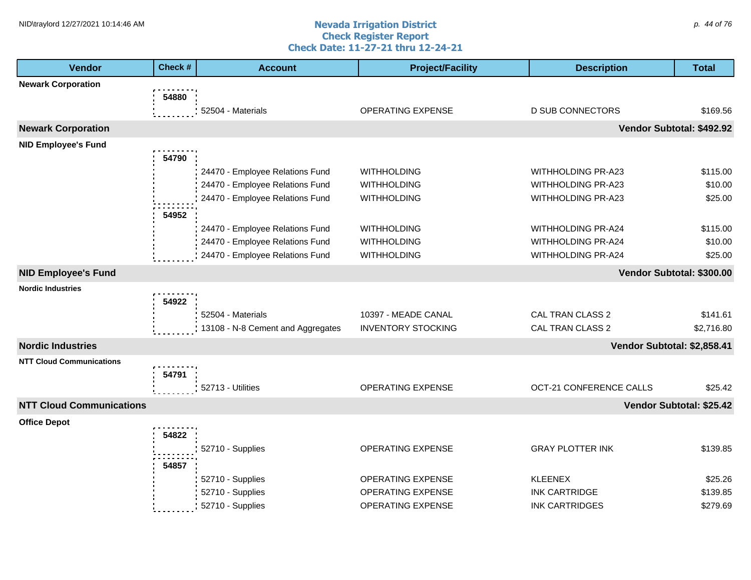#### **Nevada Irrigation District Check Register Report Check Date: 11-27-21 thru 12-24-21** NID\traylord 12/27/2021 10:14:46 AM  $\rho$ . 44 of 76

| <b>Vendor</b>                   | Check # | <b>Account</b>                    | <b>Project/Facility</b>   | <b>Description</b>          | <b>Total</b>             |
|---------------------------------|---------|-----------------------------------|---------------------------|-----------------------------|--------------------------|
| <b>Newark Corporation</b>       |         |                                   |                           |                             |                          |
|                                 | 54880   |                                   |                           |                             |                          |
|                                 |         | 52504 - Materials                 | <b>OPERATING EXPENSE</b>  | <b>D SUB CONNECTORS</b>     | \$169.56                 |
| <b>Newark Corporation</b>       |         |                                   |                           | Vendor Subtotal: \$492.92   |                          |
| <b>NID Employee's Fund</b>      |         |                                   |                           |                             |                          |
|                                 | 54790   |                                   |                           |                             |                          |
|                                 |         | 24470 - Employee Relations Fund   | <b>WITHHOLDING</b>        | WITHHOLDING PR-A23          | \$115.00                 |
|                                 |         | 24470 - Employee Relations Fund   | <b>WITHHOLDING</b>        | WITHHOLDING PR-A23          | \$10.00                  |
|                                 |         | 24470 - Employee Relations Fund   | <b>WITHHOLDING</b>        | WITHHOLDING PR-A23          | \$25.00                  |
|                                 | 54952   |                                   |                           |                             |                          |
|                                 |         | 24470 - Employee Relations Fund   | <b>WITHHOLDING</b>        | <b>WITHHOLDING PR-A24</b>   | \$115.00                 |
|                                 |         | 24470 - Employee Relations Fund   | <b>WITHHOLDING</b>        | WITHHOLDING PR-A24          | \$10.00                  |
|                                 |         | 24470 - Employee Relations Fund   | <b>WITHHOLDING</b>        | <b>WITHHOLDING PR-A24</b>   | \$25.00                  |
| <b>NID Employee's Fund</b>      |         |                                   |                           | Vendor Subtotal: \$300.00   |                          |
| <b>Nordic Industries</b>        |         |                                   |                           |                             |                          |
|                                 | 54922   |                                   |                           |                             |                          |
|                                 |         | 52504 - Materials                 | 10397 - MEADE CANAL       | CAL TRAN CLASS 2            | \$141.61                 |
|                                 |         | 13108 - N-8 Cement and Aggregates | <b>INVENTORY STOCKING</b> | <b>CAL TRAN CLASS 2</b>     | \$2,716.80               |
| <b>Nordic Industries</b>        |         |                                   |                           | Vendor Subtotal: \$2,858.41 |                          |
| <b>NTT Cloud Communications</b> |         |                                   |                           |                             |                          |
|                                 | 54791   |                                   |                           |                             |                          |
|                                 |         | 52713 - Utilities                 | <b>OPERATING EXPENSE</b>  | OCT-21 CONFERENCE CALLS     | \$25.42                  |
| <b>NTT Cloud Communications</b> |         |                                   |                           |                             | Vendor Subtotal: \$25.42 |
| <b>Office Depot</b>             |         |                                   |                           |                             |                          |
|                                 | 54822   |                                   |                           |                             |                          |
|                                 |         | 52710 - Supplies                  | <b>OPERATING EXPENSE</b>  | <b>GRAY PLOTTER INK</b>     | \$139.85                 |
|                                 | 54857   |                                   |                           |                             |                          |
|                                 |         | 52710 - Supplies                  | OPERATING EXPENSE         | <b>KLEENEX</b>              | \$25.26                  |
|                                 |         | 52710 - Supplies                  | OPERATING EXPENSE         | <b>INK CARTRIDGE</b>        | \$139.85                 |
|                                 |         | 52710 - Supplies                  | <b>OPERATING EXPENSE</b>  | <b>INK CARTRIDGES</b>       | \$279.69                 |
|                                 |         |                                   |                           |                             |                          |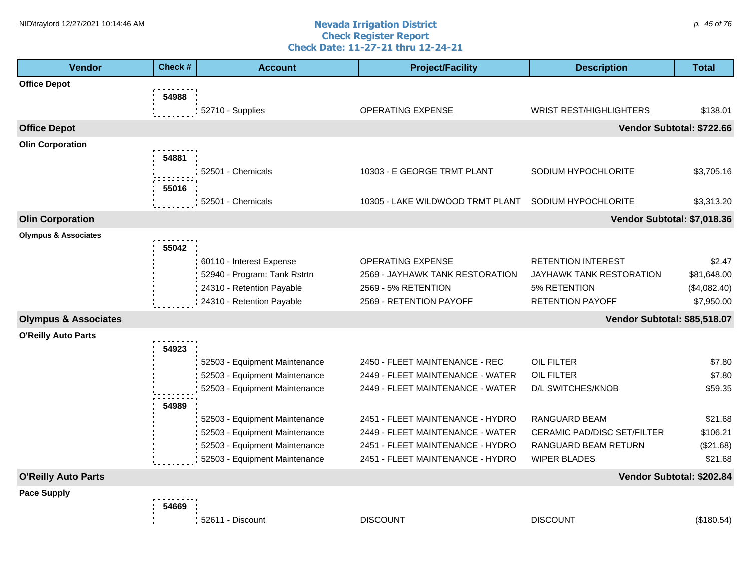#### **Nevada Irrigation District Check Register Report Check Date: 11-27-21 thru 12-24-21** NID\traylord 12/27/2021 10:14:46 AM  $\rho$ . 45 of 76

| <b>Vendor</b>                   | Check # | <b>Account</b>                                                 | <b>Project/Facility</b>                                              | <b>Description</b>                                  | <b>Total</b>          |
|---------------------------------|---------|----------------------------------------------------------------|----------------------------------------------------------------------|-----------------------------------------------------|-----------------------|
| <b>Office Depot</b>             |         |                                                                |                                                                      |                                                     |                       |
|                                 | 54988   |                                                                |                                                                      |                                                     |                       |
|                                 |         | 52710 - Supplies                                               | <b>OPERATING EXPENSE</b>                                             | <b>WRIST REST/HIGHLIGHTERS</b>                      | \$138.01              |
| <b>Office Depot</b>             |         |                                                                |                                                                      | Vendor Subtotal: \$722.66                           |                       |
| <b>Olin Corporation</b>         |         |                                                                |                                                                      |                                                     |                       |
|                                 | 54881   |                                                                |                                                                      |                                                     |                       |
|                                 |         | 52501 - Chemicals                                              | 10303 - E GEORGE TRMT PLANT                                          | SODIUM HYPOCHLORITE                                 | \$3,705.16            |
|                                 | 55016   |                                                                |                                                                      |                                                     |                       |
|                                 |         | 52501 - Chemicals                                              | 10305 - LAKE WILDWOOD TRMT PLANT                                     | SODIUM HYPOCHLORITE                                 | \$3,313.20            |
| <b>Olin Corporation</b>         |         |                                                                |                                                                      | Vendor Subtotal: \$7,018.36                         |                       |
| <b>Olympus &amp; Associates</b> |         |                                                                |                                                                      |                                                     |                       |
|                                 | 55042   | 60110 - Interest Expense                                       | OPERATING EXPENSE                                                    | <b>RETENTION INTEREST</b>                           | \$2.47                |
|                                 |         | 52940 - Program: Tank Rstrtn                                   | 2569 - JAYHAWK TANK RESTORATION                                      | JAYHAWK TANK RESTORATION                            | \$81,648.00           |
|                                 |         | 24310 - Retention Payable                                      | 2569 - 5% RETENTION                                                  | 5% RETENTION                                        | (\$4,082.40)          |
|                                 |         | 24310 - Retention Payable                                      | 2569 - RETENTION PAYOFF                                              | RETENTION PAYOFF                                    | \$7,950.00            |
| <b>Olympus &amp; Associates</b> |         |                                                                |                                                                      | Vendor Subtotal: \$85,518.07                        |                       |
| <b>O'Reilly Auto Parts</b>      |         |                                                                |                                                                      |                                                     |                       |
|                                 | 54923   |                                                                |                                                                      |                                                     |                       |
|                                 |         | 52503 - Equipment Maintenance                                  | 2450 - FLEET MAINTENANCE - REC                                       | OIL FILTER                                          | \$7.80                |
|                                 |         | 52503 - Equipment Maintenance                                  | 2449 - FLEET MAINTENANCE - WATER                                     | OIL FILTER                                          | \$7.80                |
|                                 |         | 52503 - Equipment Maintenance                                  | 2449 - FLEET MAINTENANCE - WATER                                     | D/L SWITCHES/KNOB                                   | \$59.35               |
|                                 | 54989   |                                                                |                                                                      |                                                     |                       |
|                                 |         | 52503 - Equipment Maintenance                                  | 2451 - FLEET MAINTENANCE - HYDRO                                     | RANGUARD BEAM                                       | \$21.68               |
|                                 |         | 52503 - Equipment Maintenance<br>52503 - Equipment Maintenance | 2449 - FLEET MAINTENANCE - WATER<br>2451 - FLEET MAINTENANCE - HYDRO | CERAMIC PAD/DISC SET/FILTER<br>RANGUARD BEAM RETURN | \$106.21<br>(\$21.68) |
|                                 |         | 52503 - Equipment Maintenance                                  | 2451 - FLEET MAINTENANCE - HYDRO                                     | <b>WIPER BLADES</b>                                 | \$21.68               |
| <b>O'Reilly Auto Parts</b>      |         |                                                                |                                                                      | Vendor Subtotal: \$202.84                           |                       |
| <b>Pace Supply</b>              |         |                                                                |                                                                      |                                                     |                       |
|                                 | 54669   |                                                                |                                                                      |                                                     |                       |
|                                 |         | 52611 - Discount                                               | <b>DISCOUNT</b>                                                      | <b>DISCOUNT</b>                                     | (\$180.54)            |
|                                 |         |                                                                |                                                                      |                                                     |                       |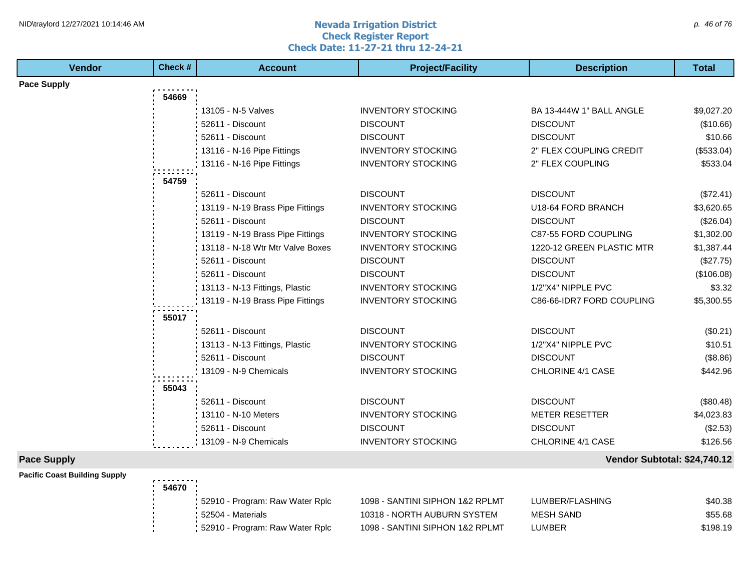#### **Nevada Irrigation District Check Register Report Check Date: 11-27-21 thru 12-24-21** NID\traylord 12/27/2021 10:14:46 AM  $\rho$ . 46 of 76

| <b>Vendor</b>      | Check # | <b>Account</b>                   | <b>Project/Facility</b>   | <b>Description</b>           | <b>Total</b> |
|--------------------|---------|----------------------------------|---------------------------|------------------------------|--------------|
| <b>Pace Supply</b> |         |                                  |                           |                              |              |
|                    | 54669   |                                  |                           |                              |              |
|                    |         | 13105 - N-5 Valves               | <b>INVENTORY STOCKING</b> | BA 13-444W 1" BALL ANGLE     | \$9,027.20   |
|                    |         | 52611 - Discount                 | <b>DISCOUNT</b>           | <b>DISCOUNT</b>              | (\$10.66)    |
|                    |         | 52611 - Discount                 | <b>DISCOUNT</b>           | <b>DISCOUNT</b>              | \$10.66      |
|                    |         | 13116 - N-16 Pipe Fittings       | <b>INVENTORY STOCKING</b> | 2" FLEX COUPLING CREDIT      | (\$533.04)   |
|                    |         | 13116 - N-16 Pipe Fittings       | <b>INVENTORY STOCKING</b> | 2" FLEX COUPLING             | \$533.04     |
|                    | 54759   |                                  |                           |                              |              |
|                    |         | 52611 - Discount                 | <b>DISCOUNT</b>           | <b>DISCOUNT</b>              | (\$72.41)    |
|                    |         | 13119 - N-19 Brass Pipe Fittings | <b>INVENTORY STOCKING</b> | U18-64 FORD BRANCH           | \$3,620.65   |
|                    |         | 52611 - Discount                 | <b>DISCOUNT</b>           | <b>DISCOUNT</b>              | (\$26.04)    |
|                    |         | 13119 - N-19 Brass Pipe Fittings | <b>INVENTORY STOCKING</b> | C87-55 FORD COUPLING         | \$1,302.00   |
|                    |         | 13118 - N-18 Wtr Mtr Valve Boxes | <b>INVENTORY STOCKING</b> | 1220-12 GREEN PLASTIC MTR    | \$1,387.44   |
|                    |         | 52611 - Discount                 | <b>DISCOUNT</b>           | <b>DISCOUNT</b>              | (\$27.75)    |
|                    |         | 52611 - Discount                 | <b>DISCOUNT</b>           | <b>DISCOUNT</b>              | (\$106.08)   |
|                    |         | 13113 - N-13 Fittings, Plastic   | <b>INVENTORY STOCKING</b> | 1/2"X4" NIPPLE PVC           | \$3.32       |
|                    |         | 13119 - N-19 Brass Pipe Fittings | <b>INVENTORY STOCKING</b> | C86-66-IDR7 FORD COUPLING    | \$5,300.55   |
|                    | 55017   |                                  |                           |                              |              |
|                    |         | 52611 - Discount                 | <b>DISCOUNT</b>           | <b>DISCOUNT</b>              | (\$0.21)     |
|                    |         | 13113 - N-13 Fittings, Plastic   | <b>INVENTORY STOCKING</b> | 1/2"X4" NIPPLE PVC           | \$10.51      |
|                    |         | 52611 - Discount                 | <b>DISCOUNT</b>           | <b>DISCOUNT</b>              | (\$8.86)     |
|                    |         | 13109 - N-9 Chemicals            | <b>INVENTORY STOCKING</b> | CHLORINE 4/1 CASE            | \$442.96     |
|                    |         |                                  |                           |                              |              |
|                    | 55043   |                                  |                           |                              |              |
|                    |         | 52611 - Discount                 | <b>DISCOUNT</b>           | <b>DISCOUNT</b>              | (\$80.48)    |
|                    |         | 13110 - N-10 Meters              | <b>INVENTORY STOCKING</b> | <b>METER RESETTER</b>        | \$4,023.83   |
|                    |         | 52611 - Discount                 | <b>DISCOUNT</b>           | <b>DISCOUNT</b>              | (\$2.53)     |
|                    |         | 13109 - N-9 Chemicals            | <b>INVENTORY STOCKING</b> | CHLORINE 4/1 CASE            | \$126.56     |
| <b>Pace Supply</b> |         |                                  |                           | Vendor Subtotal: \$24,740.12 |              |

| <b>Pacific Coast Building Supply</b> | .     |                                   |                                 |                  |          |
|--------------------------------------|-------|-----------------------------------|---------------------------------|------------------|----------|
|                                      | 54670 |                                   |                                 |                  |          |
|                                      |       | 52910 - Program: Raw Water Rplc   | 1098 - SANTINI SIPHON 1&2 RPLMT | LUMBER/FLASHING  | \$40.38  |
|                                      |       | 52504 - Materials                 | 10318 - NORTH AUBURN SYSTEM     | <b>MESH SAND</b> | \$55.68  |
|                                      |       | : 52910 - Program: Raw Water Rplc | 1098 - SANTINI SIPHON 1&2 RPLMT | LUMBER           | \$198.19 |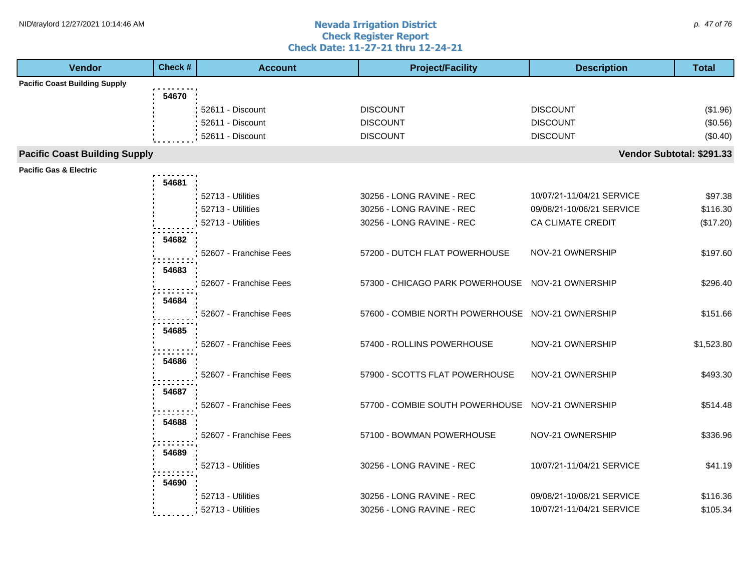#### **Nevada Irrigation District Check Register Report Check Date: 11-27-21 thru 12-24-21** NID\traylord 12/27/2021 10:14:46 AM  $\rho$ . 47 of 76

| Vendor                               | Check # | <b>Account</b>         | <b>Project/Facility</b>                          | <b>Description</b>        | <b>Total</b> |
|--------------------------------------|---------|------------------------|--------------------------------------------------|---------------------------|--------------|
| <b>Pacific Coast Building Supply</b> |         |                        |                                                  |                           |              |
|                                      | 54670   |                        |                                                  |                           |              |
|                                      |         | 52611 - Discount       | <b>DISCOUNT</b>                                  | <b>DISCOUNT</b>           | (\$1.96)     |
|                                      |         | 52611 - Discount       | <b>DISCOUNT</b>                                  | <b>DISCOUNT</b>           | (\$0.56)     |
|                                      |         | 52611 - Discount       | <b>DISCOUNT</b>                                  | <b>DISCOUNT</b>           | (\$0.40)     |
| <b>Pacific Coast Building Supply</b> |         |                        |                                                  | Vendor Subtotal: \$291.33 |              |
| <b>Pacific Gas &amp; Electric</b>    |         |                        |                                                  |                           |              |
|                                      | 54681   |                        |                                                  |                           |              |
|                                      |         | 52713 - Utilities      | 30256 - LONG RAVINE - REC                        | 10/07/21-11/04/21 SERVICE | \$97.38      |
|                                      |         | 52713 - Utilities      | 30256 - LONG RAVINE - REC                        | 09/08/21-10/06/21 SERVICE | \$116.30     |
|                                      |         | 52713 - Utilities      | 30256 - LONG RAVINE - REC                        | CA CLIMATE CREDIT         | (\$17.20)    |
|                                      | 54682   |                        |                                                  |                           |              |
|                                      |         | 52607 - Franchise Fees | 57200 - DUTCH FLAT POWERHOUSE                    | NOV-21 OWNERSHIP          | \$197.60     |
|                                      |         |                        |                                                  |                           |              |
|                                      | 54683   |                        |                                                  |                           |              |
|                                      |         | 52607 - Franchise Fees | 57300 - CHICAGO PARK POWERHOUSE NOV-21 OWNERSHIP |                           | \$296.40     |
|                                      | 54684   |                        |                                                  |                           |              |
|                                      |         | 52607 - Franchise Fees | 57600 - COMBIE NORTH POWERHOUSE NOV-21 OWNERSHIP |                           | \$151.66     |
|                                      | 54685   |                        |                                                  |                           |              |
|                                      |         | 52607 - Franchise Fees | 57400 - ROLLINS POWERHOUSE                       | NOV-21 OWNERSHIP          | \$1,523.80   |
|                                      | 54686   |                        |                                                  |                           |              |
|                                      |         | 52607 - Franchise Fees | 57900 - SCOTTS FLAT POWERHOUSE                   | NOV-21 OWNERSHIP          | \$493.30     |
|                                      | 54687   |                        |                                                  |                           |              |
|                                      |         | 52607 - Franchise Fees | 57700 - COMBIE SOUTH POWERHOUSE NOV-21 OWNERSHIP |                           | \$514.48     |
|                                      |         |                        |                                                  |                           |              |
|                                      | 54688   |                        |                                                  |                           |              |
|                                      |         | 52607 - Franchise Fees | 57100 - BOWMAN POWERHOUSE                        | NOV-21 OWNERSHIP          | \$336.96     |
|                                      | 54689   |                        |                                                  |                           |              |
|                                      |         | 52713 - Utilities      | 30256 - LONG RAVINE - REC                        | 10/07/21-11/04/21 SERVICE | \$41.19      |
|                                      | 54690   |                        |                                                  |                           |              |
|                                      |         | 52713 - Utilities      | 30256 - LONG RAVINE - REC                        | 09/08/21-10/06/21 SERVICE | \$116.36     |
|                                      |         | 52713 - Utilities      | 30256 - LONG RAVINE - REC                        | 10/07/21-11/04/21 SERVICE | \$105.34     |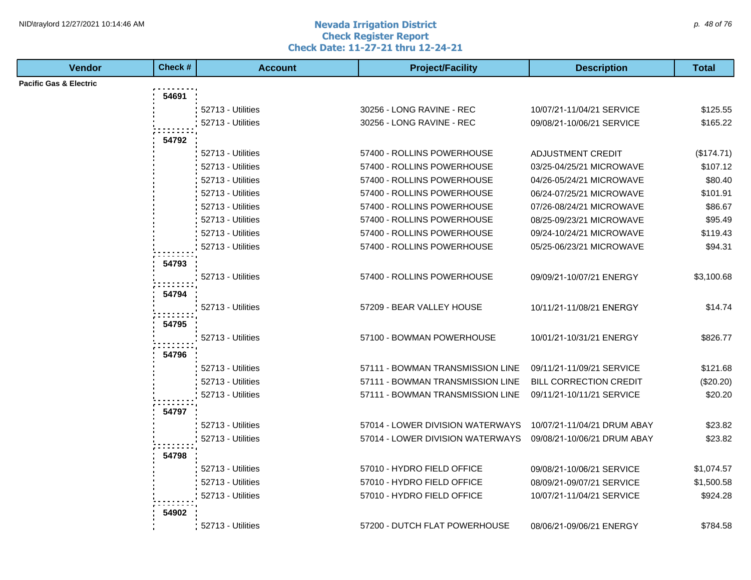#### **Nevada Irrigation District Check Register Report Check Date: 11-27-21 thru 12-24-21** NID\traylord 12/27/2021 10:14:46 AM  $\rho$ . 48 of 76

| <b>Vendor</b>                     | Check# | <b>Account</b>    | <b>Project/Facility</b>          | <b>Description</b>            | <b>Total</b> |
|-----------------------------------|--------|-------------------|----------------------------------|-------------------------------|--------------|
| <b>Pacific Gas &amp; Electric</b> |        |                   |                                  |                               |              |
|                                   | 54691  |                   |                                  |                               |              |
|                                   |        | 52713 - Utilities | 30256 - LONG RAVINE - REC        | 10/07/21-11/04/21 SERVICE     | \$125.55     |
|                                   |        | 52713 - Utilities | 30256 - LONG RAVINE - REC        | 09/08/21-10/06/21 SERVICE     | \$165.22     |
|                                   | 54792  |                   |                                  |                               |              |
|                                   |        | 52713 - Utilities | 57400 - ROLLINS POWERHOUSE       | <b>ADJUSTMENT CREDIT</b>      | (\$174.71)   |
|                                   |        | 52713 - Utilities | 57400 - ROLLINS POWERHOUSE       | 03/25-04/25/21 MICROWAVE      | \$107.12     |
|                                   |        | 52713 - Utilities | 57400 - ROLLINS POWERHOUSE       | 04/26-05/24/21 MICROWAVE      | \$80.40      |
|                                   |        | 52713 - Utilities | 57400 - ROLLINS POWERHOUSE       | 06/24-07/25/21 MICROWAVE      | \$101.91     |
|                                   |        | 52713 - Utilities | 57400 - ROLLINS POWERHOUSE       | 07/26-08/24/21 MICROWAVE      | \$86.67      |
|                                   |        | 52713 - Utilities | 57400 - ROLLINS POWERHOUSE       | 08/25-09/23/21 MICROWAVE      | \$95.49      |
|                                   |        | 52713 - Utilities | 57400 - ROLLINS POWERHOUSE       | 09/24-10/24/21 MICROWAVE      | \$119.43     |
|                                   |        | 52713 - Utilities | 57400 - ROLLINS POWERHOUSE       | 05/25-06/23/21 MICROWAVE      | \$94.31      |
|                                   |        |                   |                                  |                               |              |
|                                   | 54793  |                   |                                  |                               |              |
|                                   |        | 52713 - Utilities | 57400 - ROLLINS POWERHOUSE       | 09/09/21-10/07/21 ENERGY      | \$3,100.68   |
|                                   | 54794  |                   |                                  |                               |              |
|                                   |        | 52713 - Utilities | 57209 - BEAR VALLEY HOUSE        | 10/11/21-11/08/21 ENERGY      | \$14.74      |
|                                   | 54795  |                   |                                  |                               |              |
|                                   |        | 52713 - Utilities | 57100 - BOWMAN POWERHOUSE        | 10/01/21-10/31/21 ENERGY      | \$826.77     |
|                                   | 54796  |                   |                                  |                               |              |
|                                   |        | 52713 - Utilities | 57111 - BOWMAN TRANSMISSION LINE | 09/11/21-11/09/21 SERVICE     | \$121.68     |
|                                   |        | 52713 - Utilities | 57111 - BOWMAN TRANSMISSION LINE | <b>BILL CORRECTION CREDIT</b> | (\$20.20)    |
|                                   |        | 52713 - Utilities | 57111 - BOWMAN TRANSMISSION LINE | 09/11/21-10/11/21 SERVICE     | \$20.20      |
|                                   |        |                   |                                  |                               |              |
|                                   | 54797  |                   |                                  |                               |              |
|                                   |        | 52713 - Utilities | 57014 - LOWER DIVISION WATERWAYS | 10/07/21-11/04/21 DRUM ABAY   | \$23.82      |
|                                   |        | 52713 - Utilities | 57014 - LOWER DIVISION WATERWAYS | 09/08/21-10/06/21 DRUM ABAY   | \$23.82      |
|                                   | 54798  |                   |                                  |                               |              |
|                                   |        | 52713 - Utilities | 57010 - HYDRO FIELD OFFICE       | 09/08/21-10/06/21 SERVICE     | \$1,074.57   |
|                                   |        | 52713 - Utilities | 57010 - HYDRO FIELD OFFICE       | 08/09/21-09/07/21 SERVICE     | \$1,500.58   |
|                                   |        | 52713 - Utilities | 57010 - HYDRO FIELD OFFICE       | 10/07/21-11/04/21 SERVICE     | \$924.28     |
|                                   | 54902  |                   |                                  |                               |              |
|                                   |        | 52713 - Utilities | 57200 - DUTCH FLAT POWERHOUSE    | 08/06/21-09/06/21 ENERGY      | \$784.58     |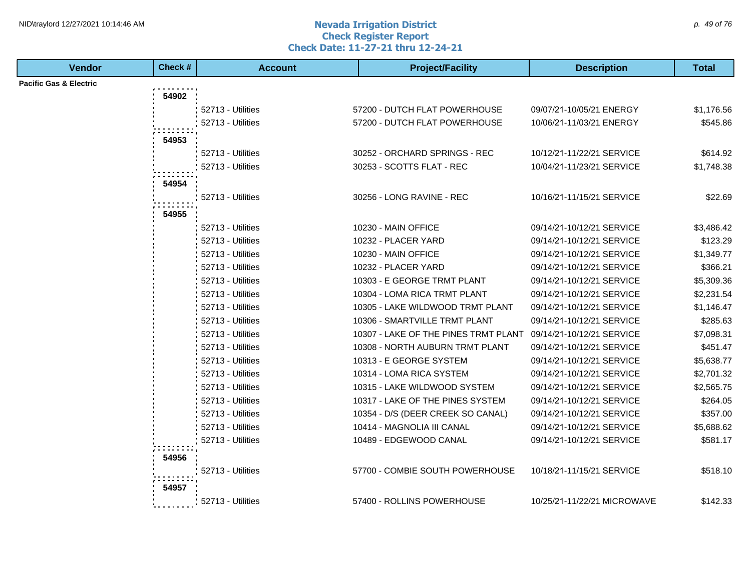#### **Nevada Irrigation District Check Register Report Check Date: 11-27-21 thru 12-24-21** NID\traylord 12/27/2021 10:14:46 AM  $\rho$ . 49 of 76

| <b>Vendor</b>                     | Check # | <b>Account</b>    | <b>Project/Facility</b>              | <b>Description</b>          | <b>Total</b> |
|-----------------------------------|---------|-------------------|--------------------------------------|-----------------------------|--------------|
| <b>Pacific Gas &amp; Electric</b> |         |                   |                                      |                             |              |
|                                   | 54902   |                   |                                      |                             |              |
|                                   |         | 52713 - Utilities | 57200 - DUTCH FLAT POWERHOUSE        | 09/07/21-10/05/21 ENERGY    | \$1,176.56   |
|                                   |         | 52713 - Utilities | 57200 - DUTCH FLAT POWERHOUSE        | 10/06/21-11/03/21 ENERGY    | \$545.86     |
|                                   | 54953   |                   |                                      |                             |              |
|                                   |         | 52713 - Utilities | 30252 - ORCHARD SPRINGS - REC        | 10/12/21-11/22/21 SERVICE   | \$614.92     |
|                                   |         | 52713 - Utilities | 30253 - SCOTTS FLAT - REC            | 10/04/21-11/23/21 SERVICE   | \$1,748.38   |
|                                   |         |                   |                                      |                             |              |
|                                   | 54954   |                   |                                      |                             |              |
|                                   |         | 52713 - Utilities | 30256 - LONG RAVINE - REC            | 10/16/21-11/15/21 SERVICE   | \$22.69      |
|                                   | 54955   |                   |                                      |                             |              |
|                                   |         | 52713 - Utilities | 10230 - MAIN OFFICE                  | 09/14/21-10/12/21 SERVICE   | \$3,486.42   |
|                                   |         | 52713 - Utilities | 10232 - PLACER YARD                  | 09/14/21-10/12/21 SERVICE   | \$123.29     |
|                                   |         | 52713 - Utilities | 10230 - MAIN OFFICE                  | 09/14/21-10/12/21 SERVICE   | \$1,349.77   |
|                                   |         | 52713 - Utilities | 10232 - PLACER YARD                  | 09/14/21-10/12/21 SERVICE   | \$366.21     |
|                                   |         | 52713 - Utilities | 10303 - E GEORGE TRMT PLANT          | 09/14/21-10/12/21 SERVICE   | \$5,309.36   |
|                                   |         | 52713 - Utilities | 10304 - LOMA RICA TRMT PLANT         | 09/14/21-10/12/21 SERVICE   | \$2,231.54   |
|                                   |         | 52713 - Utilities | 10305 - LAKE WILDWOOD TRMT PLANT     | 09/14/21-10/12/21 SERVICE   | \$1,146.47   |
|                                   |         | 52713 - Utilities | 10306 - SMARTVILLE TRMT PLANT        | 09/14/21-10/12/21 SERVICE   | \$285.63     |
|                                   |         | 52713 - Utilities | 10307 - LAKE OF THE PINES TRMT PLANT | 09/14/21-10/12/21 SERVICE   | \$7,098.31   |
|                                   |         | 52713 - Utilities | 10308 - NORTH AUBURN TRMT PLANT      | 09/14/21-10/12/21 SERVICE   | \$451.47     |
|                                   |         | 52713 - Utilities | 10313 - E GEORGE SYSTEM              | 09/14/21-10/12/21 SERVICE   | \$5,638.77   |
|                                   |         | 52713 - Utilities | 10314 - LOMA RICA SYSTEM             | 09/14/21-10/12/21 SERVICE   | \$2,701.32   |
|                                   |         | 52713 - Utilities | 10315 - LAKE WILDWOOD SYSTEM         | 09/14/21-10/12/21 SERVICE   | \$2,565.75   |
|                                   |         | 52713 - Utilities | 10317 - LAKE OF THE PINES SYSTEM     | 09/14/21-10/12/21 SERVICE   | \$264.05     |
|                                   |         | 52713 - Utilities | 10354 - D/S (DEER CREEK SO CANAL)    | 09/14/21-10/12/21 SERVICE   | \$357.00     |
|                                   |         | 52713 - Utilities | 10414 - MAGNOLIA III CANAL           | 09/14/21-10/12/21 SERVICE   | \$5,688.62   |
|                                   |         | 52713 - Utilities | 10489 - EDGEWOOD CANAL               | 09/14/21-10/12/21 SERVICE   | \$581.17     |
|                                   | 54956   |                   |                                      |                             |              |
|                                   |         | 52713 - Utilities | 57700 - COMBIE SOUTH POWERHOUSE      | 10/18/21-11/15/21 SERVICE   | \$518.10     |
|                                   | 54957   |                   |                                      |                             |              |
|                                   |         | 52713 - Utilities |                                      |                             |              |
|                                   |         |                   | 57400 - ROLLINS POWERHOUSE           | 10/25/21-11/22/21 MICROWAVE | \$142.33     |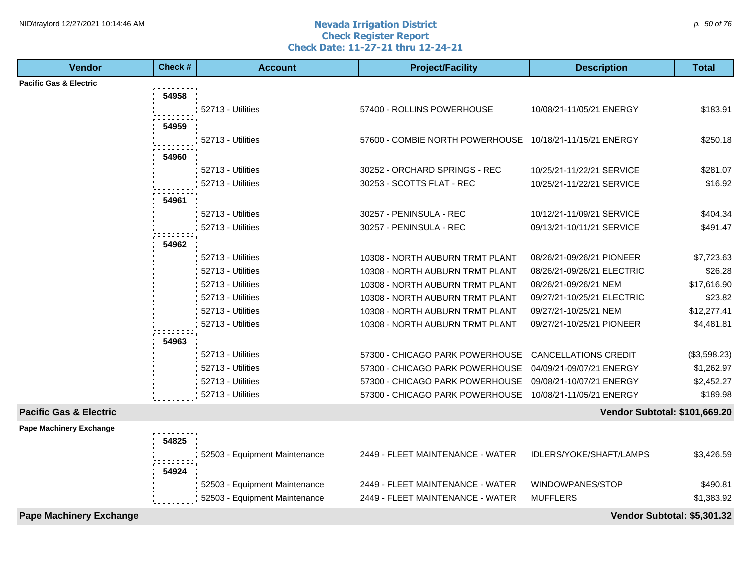#### **Nevada Irrigation District Check Register Report Check Date: 11-27-21 thru 12-24-21** NID\traylord 12/27/2021 10:14:46 AM  $\rho$  50 of 76

| <b>Vendor</b>                     | Check # | <b>Account</b>                | <b>Project/Facility</b>                                  | <b>Description</b>            | <b>Total</b> |
|-----------------------------------|---------|-------------------------------|----------------------------------------------------------|-------------------------------|--------------|
| <b>Pacific Gas &amp; Electric</b> |         |                               |                                                          |                               |              |
|                                   | 54958   |                               |                                                          |                               |              |
|                                   |         | 52713 - Utilities             | 57400 - ROLLINS POWERHOUSE                               | 10/08/21-11/05/21 ENERGY      | \$183.91     |
|                                   | 54959   |                               |                                                          |                               |              |
|                                   |         | 52713 - Utilities             | 57600 - COMBIE NORTH POWERHOUSE 10/18/21-11/15/21 ENERGY |                               | \$250.18     |
|                                   | 54960   |                               |                                                          |                               |              |
|                                   |         | 52713 - Utilities             | 30252 - ORCHARD SPRINGS - REC                            | 10/25/21-11/22/21 SERVICE     | \$281.07     |
|                                   |         | 52713 - Utilities             | 30253 - SCOTTS FLAT - REC                                | 10/25/21-11/22/21 SERVICE     | \$16.92      |
|                                   |         |                               |                                                          |                               |              |
|                                   | 54961   |                               |                                                          |                               |              |
|                                   |         | 52713 - Utilities             | 30257 - PENINSULA - REC                                  | 10/12/21-11/09/21 SERVICE     | \$404.34     |
|                                   |         | 52713 - Utilities             | 30257 - PENINSULA - REC                                  | 09/13/21-10/11/21 SERVICE     | \$491.47     |
|                                   | 54962   |                               |                                                          |                               |              |
|                                   |         | 52713 - Utilities             | 10308 - NORTH AUBURN TRMT PLANT                          | 08/26/21-09/26/21 PIONEER     | \$7,723.63   |
|                                   |         | 52713 - Utilities             | 10308 - NORTH AUBURN TRMT PLANT                          | 08/26/21-09/26/21 ELECTRIC    | \$26.28      |
|                                   |         | 52713 - Utilities             | 10308 - NORTH AUBURN TRMT PLANT                          | 08/26/21-09/26/21 NEM         | \$17,616.90  |
|                                   |         | 52713 - Utilities             | 10308 - NORTH AUBURN TRMT PLANT                          | 09/27/21-10/25/21 ELECTRIC    | \$23.82      |
|                                   |         | 52713 - Utilities             | 10308 - NORTH AUBURN TRMT PLANT                          | 09/27/21-10/25/21 NEM         | \$12,277.41  |
|                                   |         | 52713 - Utilities             | 10308 - NORTH AUBURN TRMT PLANT                          | 09/27/21-10/25/21 PIONEER     | \$4,481.81   |
|                                   | 54963   |                               |                                                          |                               |              |
|                                   |         | 52713 - Utilities             | 57300 - CHICAGO PARK POWERHOUSE                          | <b>CANCELLATIONS CREDIT</b>   | (\$3,598.23) |
|                                   |         | 52713 - Utilities             | 57300 - CHICAGO PARK POWERHOUSE                          | 04/09/21-09/07/21 ENERGY      | \$1,262.97   |
|                                   |         | 52713 - Utilities             | 57300 - CHICAGO PARK POWERHOUSE                          | 09/08/21-10/07/21 ENERGY      | \$2,452.27   |
|                                   |         | 52713 - Utilities             | 57300 - CHICAGO PARK POWERHOUSE 10/08/21-11/05/21 ENERGY |                               | \$189.98     |
| <b>Pacific Gas &amp; Electric</b> |         |                               |                                                          | Vendor Subtotal: \$101,669.20 |              |
| <b>Pape Machinery Exchange</b>    |         |                               |                                                          |                               |              |
|                                   | 54825   |                               |                                                          |                               |              |
|                                   |         | 52503 - Equipment Maintenance | 2449 - FLEET MAINTENANCE - WATER                         | IDLERS/YOKE/SHAFT/LAMPS       | \$3,426.59   |
|                                   |         |                               |                                                          |                               |              |
|                                   | 54924   |                               | 2449 - FLEET MAINTENANCE - WATER                         |                               |              |
|                                   |         | 52503 - Equipment Maintenance |                                                          | WINDOWPANES/STOP              | \$490.81     |
|                                   |         | 52503 - Equipment Maintenance | 2449 - FLEET MAINTENANCE - WATER                         | <b>MUFFLERS</b>               | \$1,383.92   |

**Pape Machinery Exchange Vendor Subtotal: \$5,301.32**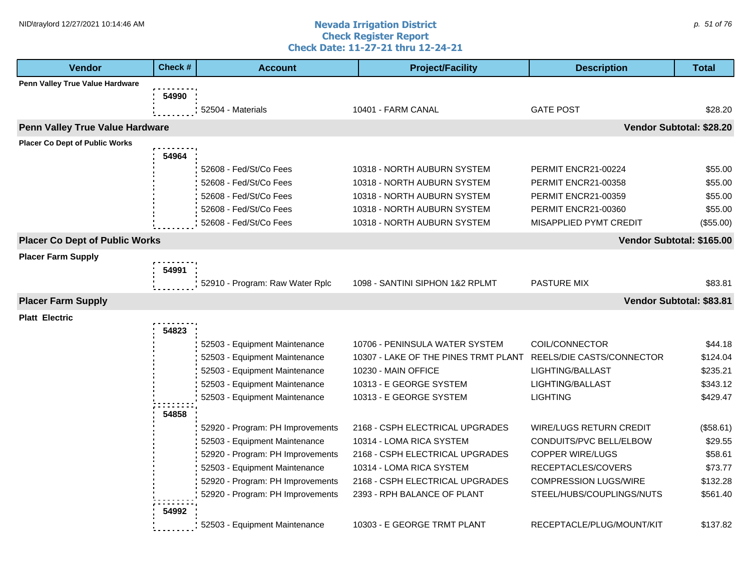#### **Nevada Irrigation District Check Register Report Check Date: 11-27-21 thru 12-24-21** NID\traylord 12/27/2021 10:14:46 AM  $\rho$ . 51 of 76

| <b>Vendor</b>                         | Check # | <b>Account</b>                   | <b>Project/Facility</b>              | <b>Description</b>           | <b>Total</b> |
|---------------------------------------|---------|----------------------------------|--------------------------------------|------------------------------|--------------|
| Penn Valley True Value Hardware       |         |                                  |                                      |                              |              |
|                                       | 54990   |                                  |                                      |                              |              |
|                                       |         | 52504 - Materials                | 10401 - FARM CANAL                   | <b>GATE POST</b>             | \$28.20      |
| Penn Valley True Value Hardware       |         |                                  |                                      | Vendor Subtotal: \$28.20     |              |
| <b>Placer Co Dept of Public Works</b> |         |                                  |                                      |                              |              |
|                                       | 54964   |                                  |                                      |                              |              |
|                                       |         | 52608 - Fed/St/Co Fees           | 10318 - NORTH AUBURN SYSTEM          | PERMIT ENCR21-00224          | \$55.00      |
|                                       |         | 52608 - Fed/St/Co Fees           | 10318 - NORTH AUBURN SYSTEM          | PERMIT ENCR21-00358          | \$55.00      |
|                                       |         | 52608 - Fed/St/Co Fees           | 10318 - NORTH AUBURN SYSTEM          | PERMIT ENCR21-00359          | \$55.00      |
|                                       |         | 52608 - Fed/St/Co Fees           | 10318 - NORTH AUBURN SYSTEM          | PERMIT ENCR21-00360          | \$55.00      |
|                                       |         | 52608 - Fed/St/Co Fees           | 10318 - NORTH AUBURN SYSTEM          | MISAPPLIED PYMT CREDIT       | (\$55.00)    |
| <b>Placer Co Dept of Public Works</b> |         |                                  |                                      | Vendor Subtotal: \$165.00    |              |
| <b>Placer Farm Supply</b>             |         |                                  |                                      |                              |              |
|                                       | 54991   |                                  |                                      |                              |              |
|                                       |         | 52910 - Program: Raw Water Rplc  | 1098 - SANTINI SIPHON 1&2 RPLMT      | <b>PASTURE MIX</b>           | \$83.81      |
| <b>Placer Farm Supply</b>             |         |                                  |                                      | Vendor Subtotal: \$83.81     |              |
| <b>Platt Electric</b>                 |         |                                  |                                      |                              |              |
|                                       | 54823   |                                  |                                      |                              |              |
|                                       |         | 52503 - Equipment Maintenance    | 10706 - PENINSULA WATER SYSTEM       | COIL/CONNECTOR               | \$44.18      |
|                                       |         | 52503 - Equipment Maintenance    | 10307 - LAKE OF THE PINES TRMT PLANT | REELS/DIE CASTS/CONNECTOR    | \$124.04     |
|                                       |         | 52503 - Equipment Maintenance    | 10230 - MAIN OFFICE                  | LIGHTING/BALLAST             | \$235.21     |
|                                       |         | 52503 - Equipment Maintenance    | 10313 - E GEORGE SYSTEM              | LIGHTING/BALLAST             | \$343.12     |
|                                       |         | 52503 - Equipment Maintenance    | 10313 - E GEORGE SYSTEM              | <b>LIGHTING</b>              | \$429.47     |
|                                       | 54858   |                                  |                                      |                              |              |
|                                       |         | 52920 - Program: PH Improvements | 2168 - CSPH ELECTRICAL UPGRADES      | WIRE/LUGS RETURN CREDIT      | (\$58.61)    |
|                                       |         | 52503 - Equipment Maintenance    | 10314 - LOMA RICA SYSTEM             | CONDUITS/PVC BELL/ELBOW      | \$29.55      |
|                                       |         | 52920 - Program: PH Improvements | 2168 - CSPH ELECTRICAL UPGRADES      | <b>COPPER WIRE/LUGS</b>      | \$58.61      |
|                                       |         | 52503 - Equipment Maintenance    | 10314 - LOMA RICA SYSTEM             | RECEPTACLES/COVERS           | \$73.77      |
|                                       |         | 52920 - Program: PH Improvements | 2168 - CSPH ELECTRICAL UPGRADES      | <b>COMPRESSION LUGS/WIRE</b> | \$132.28     |
|                                       |         | 52920 - Program: PH Improvements | 2393 - RPH BALANCE OF PLANT          | STEEL/HUBS/COUPLINGS/NUTS    | \$561.40     |
|                                       | 54992   |                                  |                                      |                              |              |
|                                       |         | 52503 - Equipment Maintenance    | 10303 - E GEORGE TRMT PLANT          | RECEPTACLE/PLUG/MOUNT/KIT    | \$137.82     |
|                                       |         |                                  |                                      |                              |              |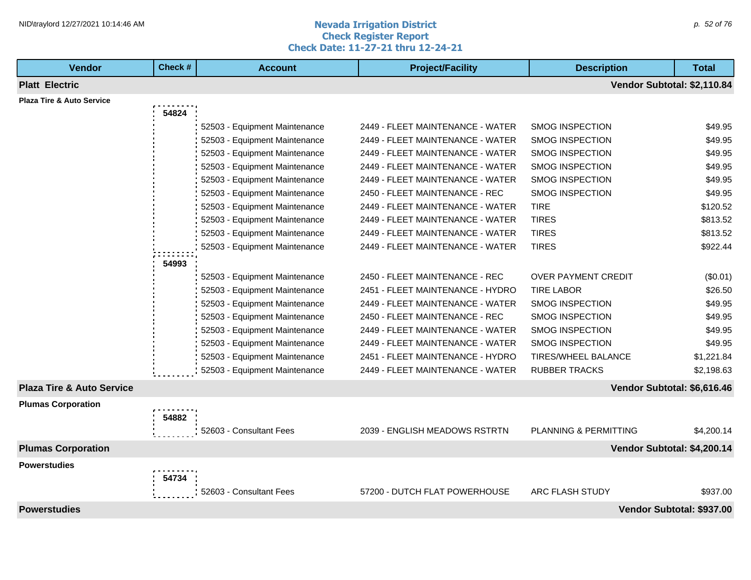#### **Nevada Irrigation District Check Register Report Check Date: 11-27-21 thru 12-24-21** NID\traylord 12/27/2021 10:14:46 AM  $\rho$  52 of 76

| <b>Vendor</b>                        | Check# | <b>Account</b>                | <b>Project/Facility</b>          | <b>Description</b>         | <b>Total</b>                |
|--------------------------------------|--------|-------------------------------|----------------------------------|----------------------------|-----------------------------|
| <b>Platt Electric</b>                |        |                               |                                  |                            | Vendor Subtotal: \$2,110.84 |
| <b>Plaza Tire &amp; Auto Service</b> |        |                               |                                  |                            |                             |
|                                      | 54824  |                               |                                  |                            |                             |
|                                      |        | 52503 - Equipment Maintenance | 2449 - FLEET MAINTENANCE - WATER | <b>SMOG INSPECTION</b>     | \$49.95                     |
|                                      |        | 52503 - Equipment Maintenance | 2449 - FLEET MAINTENANCE - WATER | <b>SMOG INSPECTION</b>     | \$49.95                     |
|                                      |        | 52503 - Equipment Maintenance | 2449 - FLEET MAINTENANCE - WATER | <b>SMOG INSPECTION</b>     | \$49.95                     |
|                                      |        | 52503 - Equipment Maintenance | 2449 - FLEET MAINTENANCE - WATER | SMOG INSPECTION            | \$49.95                     |
|                                      |        | 52503 - Equipment Maintenance | 2449 - FLEET MAINTENANCE - WATER | <b>SMOG INSPECTION</b>     | \$49.95                     |
|                                      |        | 52503 - Equipment Maintenance | 2450 - FLEET MAINTENANCE - REC   | <b>SMOG INSPECTION</b>     | \$49.95                     |
|                                      |        | 52503 - Equipment Maintenance | 2449 - FLEET MAINTENANCE - WATER | <b>TIRE</b>                | \$120.52                    |
|                                      |        | 52503 - Equipment Maintenance | 2449 - FLEET MAINTENANCE - WATER | <b>TIRES</b>               | \$813.52                    |
|                                      |        | 52503 - Equipment Maintenance | 2449 - FLEET MAINTENANCE - WATER | <b>TIRES</b>               | \$813.52                    |
|                                      |        | 52503 - Equipment Maintenance | 2449 - FLEET MAINTENANCE - WATER | <b>TIRES</b>               | \$922.44                    |
|                                      | 54993  |                               |                                  |                            |                             |
|                                      |        | 52503 - Equipment Maintenance | 2450 - FLEET MAINTENANCE - REC   | <b>OVER PAYMENT CREDIT</b> | (\$0.01)                    |
|                                      |        | 52503 - Equipment Maintenance | 2451 - FLEET MAINTENANCE - HYDRO | <b>TIRE LABOR</b>          | \$26.50                     |
|                                      |        | 52503 - Equipment Maintenance | 2449 - FLEET MAINTENANCE - WATER | <b>SMOG INSPECTION</b>     | \$49.95                     |
|                                      |        | 52503 - Equipment Maintenance | 2450 - FLEET MAINTENANCE - REC   | <b>SMOG INSPECTION</b>     | \$49.95                     |
|                                      |        | 52503 - Equipment Maintenance | 2449 - FLEET MAINTENANCE - WATER | <b>SMOG INSPECTION</b>     | \$49.95                     |
|                                      |        | 52503 - Equipment Maintenance | 2449 - FLEET MAINTENANCE - WATER | <b>SMOG INSPECTION</b>     | \$49.95                     |
|                                      |        | 52503 - Equipment Maintenance | 2451 - FLEET MAINTENANCE - HYDRO | TIRES/WHEEL BALANCE        | \$1,221.84                  |
|                                      |        | 52503 - Equipment Maintenance | 2449 - FLEET MAINTENANCE - WATER | <b>RUBBER TRACKS</b>       | \$2,198.63                  |
| <b>Plaza Tire &amp; Auto Service</b> |        |                               |                                  |                            | Vendor Subtotal: \$6,616.46 |
| <b>Plumas Corporation</b>            |        |                               |                                  |                            |                             |
|                                      | 54882  |                               |                                  |                            |                             |
|                                      |        | 52603 - Consultant Fees       | 2039 - ENGLISH MEADOWS RSTRTN    | PLANNING & PERMITTING      | \$4,200.14                  |
| <b>Plumas Corporation</b>            |        |                               |                                  |                            | Vendor Subtotal: \$4,200.14 |
| <b>Powerstudies</b>                  |        |                               |                                  |                            |                             |
|                                      | 54734  |                               |                                  |                            |                             |
|                                      |        | 52603 - Consultant Fees       | 57200 - DUTCH FLAT POWERHOUSE    | ARC FLASH STUDY            | \$937.00                    |
| <b>Powerstudies</b>                  |        |                               |                                  |                            | Vendor Subtotal: \$937.00   |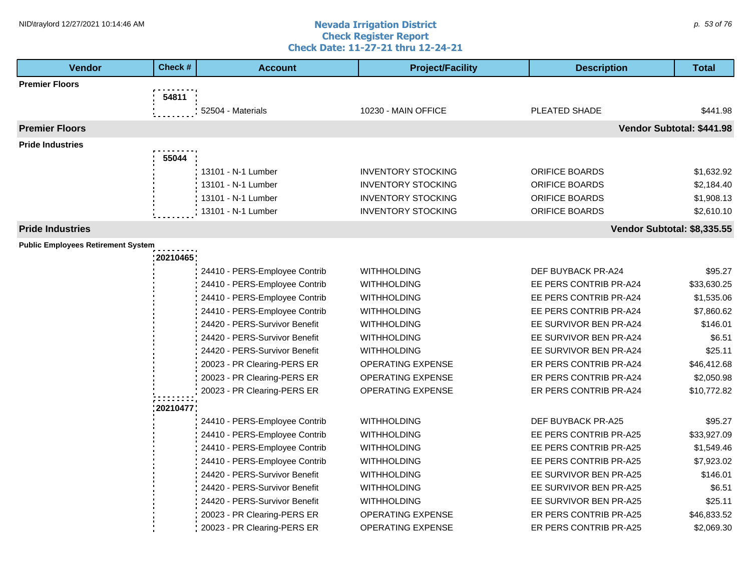$\mathbf{I}$ 

#### **Nevada Irrigation District Check Register Report Check Date: 11-27-21 thru 12-24-21** NID\traylord 12/27/2021 10:14:46 AM  $\rho$  53 of 76

| <b>Vendor</b>                             | Check #  | <b>Account</b>                | <b>Project/Facility</b>   | <b>Description</b>          | <b>Total</b>              |
|-------------------------------------------|----------|-------------------------------|---------------------------|-----------------------------|---------------------------|
| <b>Premier Floors</b>                     |          |                               |                           |                             |                           |
|                                           | 54811    |                               |                           |                             |                           |
|                                           |          | 52504 - Materials             | 10230 - MAIN OFFICE       | PLEATED SHADE               | \$441.98                  |
| <b>Premier Floors</b>                     |          |                               |                           |                             | Vendor Subtotal: \$441.98 |
| <b>Pride Industries</b>                   |          |                               |                           |                             |                           |
|                                           | 55044    |                               |                           |                             |                           |
|                                           |          | 13101 - N-1 Lumber            | <b>INVENTORY STOCKING</b> | ORIFICE BOARDS              | \$1,632.92                |
|                                           |          | 13101 - N-1 Lumber            | <b>INVENTORY STOCKING</b> | <b>ORIFICE BOARDS</b>       | \$2,184.40                |
|                                           |          | 13101 - N-1 Lumber            | <b>INVENTORY STOCKING</b> | ORIFICE BOARDS              | \$1,908.13                |
|                                           |          | 13101 - N-1 Lumber            | <b>INVENTORY STOCKING</b> | ORIFICE BOARDS              | \$2,610.10                |
| <b>Pride Industries</b>                   |          |                               |                           | Vendor Subtotal: \$8,335.55 |                           |
| <b>Public Employees Retirement System</b> |          |                               |                           |                             |                           |
|                                           | 20210465 |                               |                           |                             |                           |
|                                           |          | 24410 - PERS-Employee Contrib | <b>WITHHOLDING</b>        | DEF BUYBACK PR-A24          | \$95.27                   |
|                                           |          | 24410 - PERS-Employee Contrib | <b>WITHHOLDING</b>        | EE PERS CONTRIB PR-A24      | \$33,630.25               |
|                                           |          | 24410 - PERS-Employee Contrib | <b>WITHHOLDING</b>        | EE PERS CONTRIB PR-A24      | \$1,535.06                |
|                                           |          | 24410 - PERS-Employee Contrib | <b>WITHHOLDING</b>        | EE PERS CONTRIB PR-A24      | \$7,860.62                |
|                                           |          | 24420 - PERS-Survivor Benefit | <b>WITHHOLDING</b>        | EE SURVIVOR BEN PR-A24      | \$146.01                  |
|                                           |          | 24420 - PERS-Survivor Benefit | WITHHOLDING               | EE SURVIVOR BEN PR-A24      | \$6.51                    |
|                                           |          | 24420 - PERS-Survivor Benefit | <b>WITHHOLDING</b>        | EE SURVIVOR BEN PR-A24      | \$25.11                   |
|                                           |          | 20023 - PR Clearing-PERS ER   | OPERATING EXPENSE         | ER PERS CONTRIB PR-A24      | \$46,412.68               |
|                                           |          | 20023 - PR Clearing-PERS ER   | <b>OPERATING EXPENSE</b>  | ER PERS CONTRIB PR-A24      | \$2,050.98                |
|                                           |          | 20023 - PR Clearing-PERS ER   | OPERATING EXPENSE         | ER PERS CONTRIB PR-A24      | \$10,772.82               |
|                                           | 20210477 |                               |                           |                             |                           |
|                                           |          | 24410 - PERS-Employee Contrib | WITHHOLDING               | DEF BUYBACK PR-A25          | \$95.27                   |
|                                           |          | 24410 - PERS-Employee Contrib | WITHHOLDING               | EE PERS CONTRIB PR-A25      | \$33,927.09               |
|                                           |          | 24410 - PERS-Employee Contrib | WITHHOLDING               | EE PERS CONTRIB PR-A25      | \$1,549.46                |
|                                           |          | 24410 - PERS-Employee Contrib | WITHHOLDING               | EE PERS CONTRIB PR-A25      | \$7,923.02                |
|                                           |          | 24420 - PERS-Survivor Benefit | <b>WITHHOLDING</b>        | EE SURVIVOR BEN PR-A25      | \$146.01                  |
|                                           |          | 24420 - PERS-Survivor Benefit | WITHHOLDING               | EE SURVIVOR BEN PR-A25      | \$6.51                    |
|                                           |          | 24420 - PERS-Survivor Benefit | WITHHOLDING               | EE SURVIVOR BEN PR-A25      | \$25.11                   |
|                                           |          | 20023 - PR Clearing-PERS ER   | <b>OPERATING EXPENSE</b>  | ER PERS CONTRIB PR-A25      | \$46,833.52               |
|                                           |          | 20023 - PR Clearing-PERS ER   | <b>OPERATING EXPENSE</b>  | ER PERS CONTRIB PR-A25      | \$2,069.30                |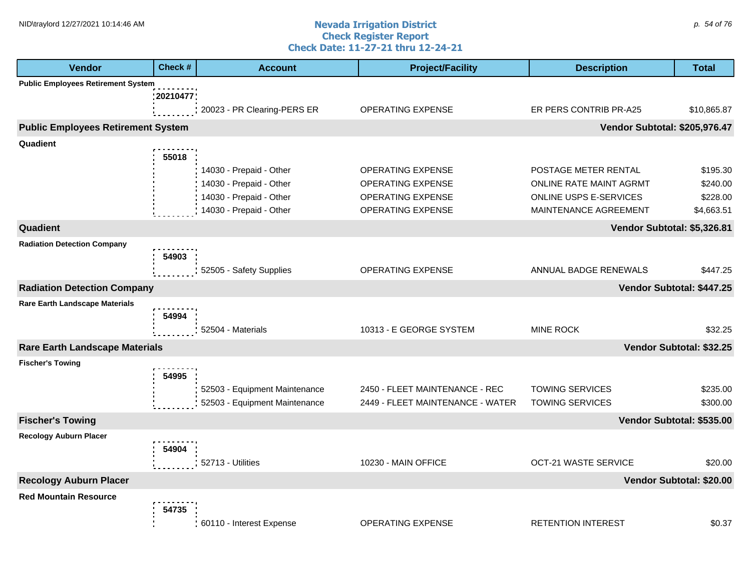#### **Nevada Irrigation District Check Register Report Check Date: 11-27-21 thru 12-24-21** NID\traylord 12/27/2021 10:14:46 AM  $\rho$  54 of 76

| <b>Vendor</b>                             | Check #  | <b>Account</b>                | <b>Project/Facility</b>          | <b>Description</b>            | Total                     |
|-------------------------------------------|----------|-------------------------------|----------------------------------|-------------------------------|---------------------------|
| <b>Public Employees Retirement System</b> |          |                               |                                  |                               |                           |
|                                           | 20210477 |                               |                                  |                               |                           |
|                                           |          | 20023 - PR Clearing-PERS ER   | OPERATING EXPENSE                | ER PERS CONTRIB PR-A25        | \$10,865.87               |
| <b>Public Employees Retirement System</b> |          |                               |                                  | Vendor Subtotal: \$205,976.47 |                           |
| Quadient                                  |          |                               |                                  |                               |                           |
|                                           | 55018    |                               |                                  |                               |                           |
|                                           |          | 14030 - Prepaid - Other       | <b>OPERATING EXPENSE</b>         | POSTAGE METER RENTAL          | \$195.30                  |
|                                           |          | 14030 - Prepaid - Other       | <b>OPERATING EXPENSE</b>         | ONLINE RATE MAINT AGRMT       | \$240.00                  |
|                                           |          | 14030 - Prepaid - Other       | OPERATING EXPENSE                | ONLINE USPS E-SERVICES        | \$228.00                  |
|                                           |          | 14030 - Prepaid - Other       | OPERATING EXPENSE                | MAINTENANCE AGREEMENT         | \$4,663.51                |
| Quadient                                  |          |                               |                                  | Vendor Subtotal: \$5,326.81   |                           |
| <b>Radiation Detection Company</b>        |          |                               |                                  |                               |                           |
|                                           | 54903    |                               |                                  |                               |                           |
|                                           |          | 52505 - Safety Supplies       | OPERATING EXPENSE                | ANNUAL BADGE RENEWALS         | \$447.25                  |
| <b>Radiation Detection Company</b>        |          |                               |                                  |                               | Vendor Subtotal: \$447.25 |
| <b>Rare Earth Landscape Materials</b>     |          |                               |                                  |                               |                           |
|                                           | 54994    |                               |                                  |                               |                           |
|                                           |          | 52504 - Materials             | 10313 - E GEORGE SYSTEM          | <b>MINE ROCK</b>              | \$32.25                   |
| <b>Rare Earth Landscape Materials</b>     |          |                               |                                  |                               | Vendor Subtotal: \$32.25  |
| <b>Fischer's Towing</b>                   |          |                               |                                  |                               |                           |
|                                           | 54995    |                               |                                  |                               |                           |
|                                           |          | 52503 - Equipment Maintenance | 2450 - FLEET MAINTENANCE - REC   | <b>TOWING SERVICES</b>        | \$235.00                  |
|                                           |          | 52503 - Equipment Maintenance | 2449 - FLEET MAINTENANCE - WATER | <b>TOWING SERVICES</b>        | \$300.00                  |
| <b>Fischer's Towing</b>                   |          |                               |                                  |                               | Vendor Subtotal: \$535.00 |
| <b>Recology Auburn Placer</b>             |          |                               |                                  |                               |                           |
|                                           | 54904    |                               |                                  |                               |                           |
|                                           |          | 52713 - Utilities             | 10230 - MAIN OFFICE              | <b>OCT-21 WASTE SERVICE</b>   | \$20.00                   |
| <b>Recology Auburn Placer</b>             |          |                               |                                  |                               | Vendor Subtotal: \$20.00  |
| <b>Red Mountain Resource</b>              |          |                               |                                  |                               |                           |
|                                           | 54735    |                               |                                  |                               |                           |
|                                           |          | : 60110 - Interest Expense    | <b>OPERATING EXPENSE</b>         | <b>RETENTION INTEREST</b>     | \$0.37                    |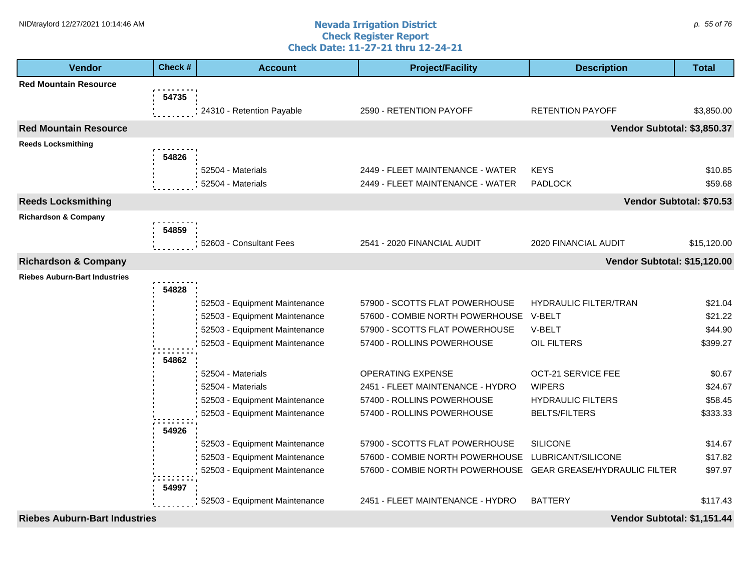#### **Nevada Irrigation District Check Register Report Check Date: 11-27-21 thru 12-24-21** NID\traylord 12/27/2021 10:14:46 AM  $\rho$  55 of 76

| <b>Vendor</b>                        | Check # | <b>Account</b>                | <b>Project/Facility</b>                                      | <b>Description</b>           | <b>Total</b>             |
|--------------------------------------|---------|-------------------------------|--------------------------------------------------------------|------------------------------|--------------------------|
| <b>Red Mountain Resource</b>         |         |                               |                                                              |                              |                          |
|                                      | 54735   |                               |                                                              |                              |                          |
|                                      |         | 24310 - Retention Payable     | 2590 - RETENTION PAYOFF                                      | <b>RETENTION PAYOFF</b>      | \$3,850.00               |
| <b>Red Mountain Resource</b>         |         |                               |                                                              | Vendor Subtotal: \$3,850.37  |                          |
| <b>Reeds Locksmithing</b>            |         |                               |                                                              |                              |                          |
|                                      | 54826   |                               |                                                              |                              |                          |
|                                      |         | 52504 - Materials             | 2449 - FLEET MAINTENANCE - WATER                             | <b>KEYS</b>                  | \$10.85                  |
|                                      |         | 52504 - Materials             | 2449 - FLEET MAINTENANCE - WATER                             | <b>PADLOCK</b>               | \$59.68                  |
| <b>Reeds Locksmithing</b>            |         |                               |                                                              |                              | Vendor Subtotal: \$70.53 |
| <b>Richardson &amp; Company</b>      |         |                               |                                                              |                              |                          |
|                                      | 54859   |                               |                                                              |                              |                          |
|                                      |         | 52603 - Consultant Fees       | 2541 - 2020 FINANCIAL AUDIT                                  | 2020 FINANCIAL AUDIT         | \$15,120.00              |
| <b>Richardson &amp; Company</b>      |         |                               |                                                              | Vendor Subtotal: \$15,120.00 |                          |
| <b>Riebes Auburn-Bart Industries</b> |         |                               |                                                              |                              |                          |
|                                      | 54828   |                               |                                                              |                              |                          |
|                                      |         | 52503 - Equipment Maintenance | 57900 - SCOTTS FLAT POWERHOUSE                               | <b>HYDRAULIC FILTER/TRAN</b> | \$21.04                  |
|                                      |         | 52503 - Equipment Maintenance | 57600 - COMBIE NORTH POWERHOUSE                              | V-BELT                       | \$21.22                  |
|                                      |         | 52503 - Equipment Maintenance | 57900 - SCOTTS FLAT POWERHOUSE                               | V-BELT                       | \$44.90                  |
|                                      |         | 52503 - Equipment Maintenance | 57400 - ROLLINS POWERHOUSE                                   | OIL FILTERS                  | \$399.27                 |
|                                      | 54862   |                               |                                                              |                              |                          |
|                                      |         | 52504 - Materials             | <b>OPERATING EXPENSE</b>                                     | OCT-21 SERVICE FEE           | \$0.67                   |
|                                      |         | 52504 - Materials             | 2451 - FLEET MAINTENANCE - HYDRO                             | <b>WIPERS</b>                | \$24.67                  |
|                                      |         | 52503 - Equipment Maintenance | 57400 - ROLLINS POWERHOUSE                                   | <b>HYDRAULIC FILTERS</b>     | \$58.45                  |
|                                      |         | 52503 - Equipment Maintenance | 57400 - ROLLINS POWERHOUSE                                   | <b>BELTS/FILTERS</b>         | \$333.33                 |
|                                      | 54926   |                               |                                                              |                              |                          |
|                                      |         | 52503 - Equipment Maintenance | 57900 - SCOTTS FLAT POWERHOUSE                               | <b>SILICONE</b>              | \$14.67                  |
|                                      |         | 52503 - Equipment Maintenance | 57600 - COMBIE NORTH POWERHOUSE                              | LUBRICANT/SILICONE           | \$17.82                  |
|                                      |         | 52503 - Equipment Maintenance | 57600 - COMBIE NORTH POWERHOUSE GEAR GREASE/HYDRAULIC FILTER |                              | \$97.97                  |
|                                      | 54997   |                               |                                                              |                              |                          |
|                                      |         | 52503 - Equipment Maintenance | 2451 - FLEET MAINTENANCE - HYDRO                             | <b>BATTERY</b>               | \$117.43                 |
| <b>Riebes Auburn-Bart Industries</b> |         |                               |                                                              | Vendor Subtotal: \$1,151.44  |                          |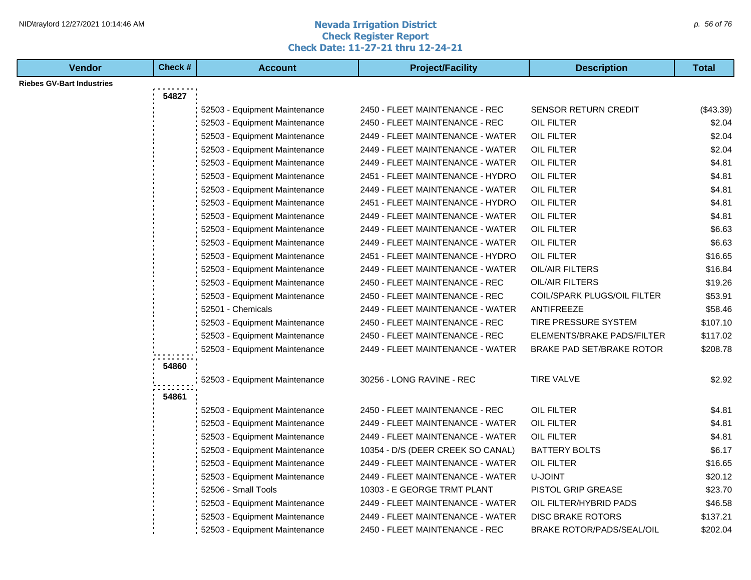#### **Nevada Irrigation District Check Register Report Check Date: 11-27-21 thru 12-24-21** NID\traylord 12/27/2021 10:14:46 AM  $\rho$  56 of 76

| <b>Vendor</b>                    | Check # | <b>Account</b>                | <b>Project/Facility</b>           | <b>Description</b>               | <b>Total</b> |
|----------------------------------|---------|-------------------------------|-----------------------------------|----------------------------------|--------------|
| <b>Riebes GV-Bart Industries</b> |         |                               |                                   |                                  |              |
|                                  | 54827   |                               |                                   |                                  |              |
|                                  |         | 52503 - Equipment Maintenance | 2450 - FLEET MAINTENANCE - REC    | <b>SENSOR RETURN CREDIT</b>      | (\$43.39)    |
|                                  |         | 52503 - Equipment Maintenance | 2450 - FLEET MAINTENANCE - REC    | OIL FILTER                       | \$2.04       |
|                                  |         | 52503 - Equipment Maintenance | 2449 - FLEET MAINTENANCE - WATER  | OIL FILTER                       | \$2.04       |
|                                  |         | 52503 - Equipment Maintenance | 2449 - FLEET MAINTENANCE - WATER  | OIL FILTER                       | \$2.04       |
|                                  |         | 52503 - Equipment Maintenance | 2449 - FLEET MAINTENANCE - WATER  | <b>OIL FILTER</b>                | \$4.81       |
|                                  |         | 52503 - Equipment Maintenance | 2451 - FLEET MAINTENANCE - HYDRO  | OIL FILTER                       | \$4.81       |
|                                  |         | 52503 - Equipment Maintenance | 2449 - FLEET MAINTENANCE - WATER  | OIL FILTER                       | \$4.81       |
|                                  |         | 52503 - Equipment Maintenance | 2451 - FLEET MAINTENANCE - HYDRO  | OIL FILTER                       | \$4.81       |
|                                  |         | 52503 - Equipment Maintenance | 2449 - FLEET MAINTENANCE - WATER  | OIL FILTER                       | \$4.81       |
|                                  |         | 52503 - Equipment Maintenance | 2449 - FLEET MAINTENANCE - WATER  | OIL FILTER                       | \$6.63       |
|                                  |         | 52503 - Equipment Maintenance | 2449 - FLEET MAINTENANCE - WATER  | OIL FILTER                       | \$6.63       |
|                                  |         | 52503 - Equipment Maintenance | 2451 - FLEET MAINTENANCE - HYDRO  | OIL FILTER                       | \$16.65      |
|                                  |         | 52503 - Equipment Maintenance | 2449 - FLEET MAINTENANCE - WATER  | OIL/AIR FILTERS                  | \$16.84      |
|                                  |         | 52503 - Equipment Maintenance | 2450 - FLEET MAINTENANCE - REC    | OIL/AIR FILTERS                  | \$19.26      |
|                                  |         | 52503 - Equipment Maintenance | 2450 - FLEET MAINTENANCE - REC    | COIL/SPARK PLUGS/OIL FILTER      | \$53.91      |
|                                  |         | 52501 - Chemicals             | 2449 - FLEET MAINTENANCE - WATER  | ANTIFREEZE                       | \$58.46      |
|                                  |         | 52503 - Equipment Maintenance | 2450 - FLEET MAINTENANCE - REC    | TIRE PRESSURE SYSTEM             | \$107.10     |
|                                  |         | 52503 - Equipment Maintenance | 2450 - FLEET MAINTENANCE - REC    | ELEMENTS/BRAKE PADS/FILTER       | \$117.02     |
|                                  |         | 52503 - Equipment Maintenance | 2449 - FLEET MAINTENANCE - WATER  | BRAKE PAD SET/BRAKE ROTOR        | \$208.78     |
|                                  | 54860   |                               |                                   |                                  |              |
|                                  |         | 52503 - Equipment Maintenance | 30256 - LONG RAVINE - REC         | <b>TIRE VALVE</b>                | \$2.92       |
|                                  |         |                               |                                   |                                  |              |
|                                  | 54861   |                               |                                   |                                  |              |
|                                  |         | 52503 - Equipment Maintenance | 2450 - FLEET MAINTENANCE - REC    | OIL FILTER                       | \$4.81       |
|                                  |         | 52503 - Equipment Maintenance | 2449 - FLEET MAINTENANCE - WATER  | <b>OIL FILTER</b>                | \$4.81       |
|                                  |         | 52503 - Equipment Maintenance | 2449 - FLEET MAINTENANCE - WATER  | OIL FILTER                       | \$4.81       |
|                                  |         | 52503 - Equipment Maintenance | 10354 - D/S (DEER CREEK SO CANAL) | <b>BATTERY BOLTS</b>             | \$6.17       |
|                                  |         | 52503 - Equipment Maintenance | 2449 - FLEET MAINTENANCE - WATER  | OIL FILTER                       | \$16.65      |
|                                  |         | 52503 - Equipment Maintenance | 2449 - FLEET MAINTENANCE - WATER  | U-JOINT                          | \$20.12      |
|                                  |         | 52506 - Small Tools           | 10303 - E GEORGE TRMT PLANT       | PISTOL GRIP GREASE               | \$23.70      |
|                                  |         | 52503 - Equipment Maintenance | 2449 - FLEET MAINTENANCE - WATER  | OIL FILTER/HYBRID PADS           | \$46.58      |
|                                  |         | 52503 - Equipment Maintenance | 2449 - FLEET MAINTENANCE - WATER  | <b>DISC BRAKE ROTORS</b>         | \$137.21     |
|                                  |         | 52503 - Equipment Maintenance | 2450 - FLEET MAINTENANCE - REC    | <b>BRAKE ROTOR/PADS/SEAL/OIL</b> | \$202.04     |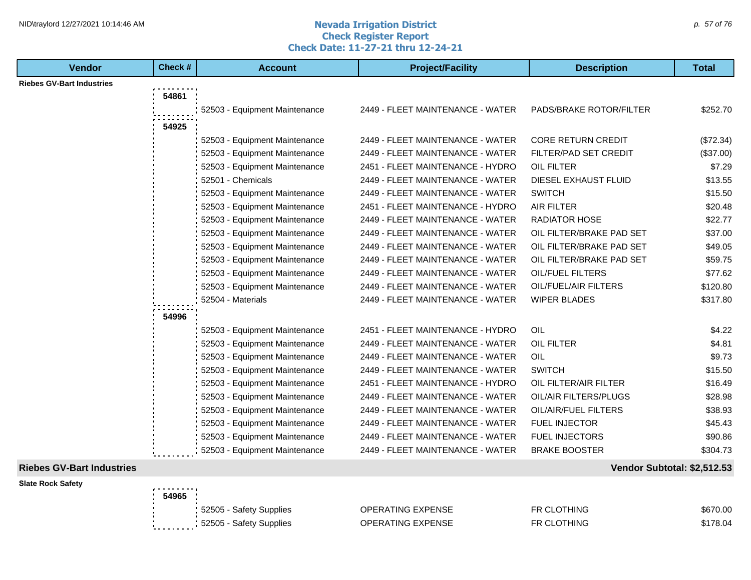#### **Nevada Irrigation District Check Register Report Check Date: 11-27-21 thru 12-24-21** NID\traylord 12/27/2021 10:14:46 AM  $\rho$ . 57 of 76

| <b>Riebes GV-Bart Industries</b><br>54861<br>2449 - FLEET MAINTENANCE - WATER<br>PADS/BRAKE ROTOR/FILTER<br>\$252.70<br>52503 - Equipment Maintenance<br>54925<br>2449 - FLEET MAINTENANCE - WATER<br><b>CORE RETURN CREDIT</b><br>52503 - Equipment Maintenance<br>(\$72.34)<br>52503 - Equipment Maintenance<br>2449 - FLEET MAINTENANCE - WATER<br>FILTER/PAD SET CREDIT<br>\$7.29<br>52503 - Equipment Maintenance<br>2451 - FLEET MAINTENANCE - HYDRO<br><b>OIL FILTER</b><br>2449 - FLEET MAINTENANCE - WATER<br>DIESEL EXHAUST FLUID<br>\$13.55<br>52501 - Chemicals<br>52503 - Equipment Maintenance<br>2449 - FLEET MAINTENANCE - WATER<br><b>SWITCH</b><br>\$15.50<br>\$20.48<br>52503 - Equipment Maintenance<br>2451 - FLEET MAINTENANCE - HYDRO<br><b>AIR FILTER</b><br>2449 - FLEET MAINTENANCE - WATER<br>52503 - Equipment Maintenance<br><b>RADIATOR HOSE</b><br>\$22.77<br>2449 - FLEET MAINTENANCE - WATER<br>OIL FILTER/BRAKE PAD SET<br>\$37.00<br>52503 - Equipment Maintenance<br>52503 - Equipment Maintenance<br>2449 - FLEET MAINTENANCE - WATER<br>OIL FILTER/BRAKE PAD SET<br>\$49.05<br>52503 - Equipment Maintenance<br>2449 - FLEET MAINTENANCE - WATER<br>OIL FILTER/BRAKE PAD SET<br>\$59.75<br>52503 - Equipment Maintenance<br>2449 - FLEET MAINTENANCE - WATER<br>OIL/FUEL FILTERS<br>\$77.62<br>2449 - FLEET MAINTENANCE - WATER<br>52503 - Equipment Maintenance<br>OIL/FUEL/AIR FILTERS<br>\$120.80<br><b>WIPER BLADES</b><br>\$317.80<br>52504 - Materials<br>2449 - FLEET MAINTENANCE - WATER<br>54996<br>2451 - FLEET MAINTENANCE - HYDRO<br>OIL<br>\$4.22<br>52503 - Equipment Maintenance<br>2449 - FLEET MAINTENANCE - WATER<br><b>OIL FILTER</b><br>\$4.81<br>52503 - Equipment Maintenance<br>\$9.73<br>52503 - Equipment Maintenance<br>2449 - FLEET MAINTENANCE - WATER<br><b>OIL</b><br><b>SWITCH</b><br>52503 - Equipment Maintenance<br>2449 - FLEET MAINTENANCE - WATER<br>\$15.50<br>2451 - FLEET MAINTENANCE - HYDRO<br>OIL FILTER/AIR FILTER<br>52503 - Equipment Maintenance<br>\$16.49<br>2449 - FLEET MAINTENANCE - WATER<br>OIL/AIR FILTERS/PLUGS<br>\$28.98<br>52503 - Equipment Maintenance<br>52503 - Equipment Maintenance<br>2449 - FLEET MAINTENANCE - WATER<br>OIL/AIR/FUEL FILTERS<br>\$38.93<br>52503 - Equipment Maintenance<br>2449 - FLEET MAINTENANCE - WATER<br><b>FUEL INJECTOR</b><br>\$45.43<br>2449 - FLEET MAINTENANCE - WATER<br>FUEL INJECTORS<br>\$90.86<br>52503 - Equipment Maintenance<br>52503 - Equipment Maintenance<br>2449 - FLEET MAINTENANCE - WATER<br><b>BRAKE BOOSTER</b><br>\$304.73 | <b>Vendor</b> | Check # | <b>Account</b> | <b>Project/Facility</b> | <b>Description</b> | <b>Total</b> |
|--------------------------------------------------------------------------------------------------------------------------------------------------------------------------------------------------------------------------------------------------------------------------------------------------------------------------------------------------------------------------------------------------------------------------------------------------------------------------------------------------------------------------------------------------------------------------------------------------------------------------------------------------------------------------------------------------------------------------------------------------------------------------------------------------------------------------------------------------------------------------------------------------------------------------------------------------------------------------------------------------------------------------------------------------------------------------------------------------------------------------------------------------------------------------------------------------------------------------------------------------------------------------------------------------------------------------------------------------------------------------------------------------------------------------------------------------------------------------------------------------------------------------------------------------------------------------------------------------------------------------------------------------------------------------------------------------------------------------------------------------------------------------------------------------------------------------------------------------------------------------------------------------------------------------------------------------------------------------------------------------------------------------------------------------------------------------------------------------------------------------------------------------------------------------------------------------------------------------------------------------------------------------------------------------------------------------------------------------------------------------------------------------------------------------------------------------------------------------------------------------------------------------------------------------------------------------------------|---------------|---------|----------------|-------------------------|--------------------|--------------|
| (\$37.00)                                                                                                                                                                                                                                                                                                                                                                                                                                                                                                                                                                                                                                                                                                                                                                                                                                                                                                                                                                                                                                                                                                                                                                                                                                                                                                                                                                                                                                                                                                                                                                                                                                                                                                                                                                                                                                                                                                                                                                                                                                                                                                                                                                                                                                                                                                                                                                                                                                                                                                                                                                            |               |         |                |                         |                    |              |
|                                                                                                                                                                                                                                                                                                                                                                                                                                                                                                                                                                                                                                                                                                                                                                                                                                                                                                                                                                                                                                                                                                                                                                                                                                                                                                                                                                                                                                                                                                                                                                                                                                                                                                                                                                                                                                                                                                                                                                                                                                                                                                                                                                                                                                                                                                                                                                                                                                                                                                                                                                                      |               |         |                |                         |                    |              |
|                                                                                                                                                                                                                                                                                                                                                                                                                                                                                                                                                                                                                                                                                                                                                                                                                                                                                                                                                                                                                                                                                                                                                                                                                                                                                                                                                                                                                                                                                                                                                                                                                                                                                                                                                                                                                                                                                                                                                                                                                                                                                                                                                                                                                                                                                                                                                                                                                                                                                                                                                                                      |               |         |                |                         |                    |              |
|                                                                                                                                                                                                                                                                                                                                                                                                                                                                                                                                                                                                                                                                                                                                                                                                                                                                                                                                                                                                                                                                                                                                                                                                                                                                                                                                                                                                                                                                                                                                                                                                                                                                                                                                                                                                                                                                                                                                                                                                                                                                                                                                                                                                                                                                                                                                                                                                                                                                                                                                                                                      |               |         |                |                         |                    |              |
|                                                                                                                                                                                                                                                                                                                                                                                                                                                                                                                                                                                                                                                                                                                                                                                                                                                                                                                                                                                                                                                                                                                                                                                                                                                                                                                                                                                                                                                                                                                                                                                                                                                                                                                                                                                                                                                                                                                                                                                                                                                                                                                                                                                                                                                                                                                                                                                                                                                                                                                                                                                      |               |         |                |                         |                    |              |
|                                                                                                                                                                                                                                                                                                                                                                                                                                                                                                                                                                                                                                                                                                                                                                                                                                                                                                                                                                                                                                                                                                                                                                                                                                                                                                                                                                                                                                                                                                                                                                                                                                                                                                                                                                                                                                                                                                                                                                                                                                                                                                                                                                                                                                                                                                                                                                                                                                                                                                                                                                                      |               |         |                |                         |                    |              |
|                                                                                                                                                                                                                                                                                                                                                                                                                                                                                                                                                                                                                                                                                                                                                                                                                                                                                                                                                                                                                                                                                                                                                                                                                                                                                                                                                                                                                                                                                                                                                                                                                                                                                                                                                                                                                                                                                                                                                                                                                                                                                                                                                                                                                                                                                                                                                                                                                                                                                                                                                                                      |               |         |                |                         |                    |              |
|                                                                                                                                                                                                                                                                                                                                                                                                                                                                                                                                                                                                                                                                                                                                                                                                                                                                                                                                                                                                                                                                                                                                                                                                                                                                                                                                                                                                                                                                                                                                                                                                                                                                                                                                                                                                                                                                                                                                                                                                                                                                                                                                                                                                                                                                                                                                                                                                                                                                                                                                                                                      |               |         |                |                         |                    |              |
|                                                                                                                                                                                                                                                                                                                                                                                                                                                                                                                                                                                                                                                                                                                                                                                                                                                                                                                                                                                                                                                                                                                                                                                                                                                                                                                                                                                                                                                                                                                                                                                                                                                                                                                                                                                                                                                                                                                                                                                                                                                                                                                                                                                                                                                                                                                                                                                                                                                                                                                                                                                      |               |         |                |                         |                    |              |
|                                                                                                                                                                                                                                                                                                                                                                                                                                                                                                                                                                                                                                                                                                                                                                                                                                                                                                                                                                                                                                                                                                                                                                                                                                                                                                                                                                                                                                                                                                                                                                                                                                                                                                                                                                                                                                                                                                                                                                                                                                                                                                                                                                                                                                                                                                                                                                                                                                                                                                                                                                                      |               |         |                |                         |                    |              |
|                                                                                                                                                                                                                                                                                                                                                                                                                                                                                                                                                                                                                                                                                                                                                                                                                                                                                                                                                                                                                                                                                                                                                                                                                                                                                                                                                                                                                                                                                                                                                                                                                                                                                                                                                                                                                                                                                                                                                                                                                                                                                                                                                                                                                                                                                                                                                                                                                                                                                                                                                                                      |               |         |                |                         |                    |              |
|                                                                                                                                                                                                                                                                                                                                                                                                                                                                                                                                                                                                                                                                                                                                                                                                                                                                                                                                                                                                                                                                                                                                                                                                                                                                                                                                                                                                                                                                                                                                                                                                                                                                                                                                                                                                                                                                                                                                                                                                                                                                                                                                                                                                                                                                                                                                                                                                                                                                                                                                                                                      |               |         |                |                         |                    |              |
|                                                                                                                                                                                                                                                                                                                                                                                                                                                                                                                                                                                                                                                                                                                                                                                                                                                                                                                                                                                                                                                                                                                                                                                                                                                                                                                                                                                                                                                                                                                                                                                                                                                                                                                                                                                                                                                                                                                                                                                                                                                                                                                                                                                                                                                                                                                                                                                                                                                                                                                                                                                      |               |         |                |                         |                    |              |
|                                                                                                                                                                                                                                                                                                                                                                                                                                                                                                                                                                                                                                                                                                                                                                                                                                                                                                                                                                                                                                                                                                                                                                                                                                                                                                                                                                                                                                                                                                                                                                                                                                                                                                                                                                                                                                                                                                                                                                                                                                                                                                                                                                                                                                                                                                                                                                                                                                                                                                                                                                                      |               |         |                |                         |                    |              |
|                                                                                                                                                                                                                                                                                                                                                                                                                                                                                                                                                                                                                                                                                                                                                                                                                                                                                                                                                                                                                                                                                                                                                                                                                                                                                                                                                                                                                                                                                                                                                                                                                                                                                                                                                                                                                                                                                                                                                                                                                                                                                                                                                                                                                                                                                                                                                                                                                                                                                                                                                                                      |               |         |                |                         |                    |              |
|                                                                                                                                                                                                                                                                                                                                                                                                                                                                                                                                                                                                                                                                                                                                                                                                                                                                                                                                                                                                                                                                                                                                                                                                                                                                                                                                                                                                                                                                                                                                                                                                                                                                                                                                                                                                                                                                                                                                                                                                                                                                                                                                                                                                                                                                                                                                                                                                                                                                                                                                                                                      |               |         |                |                         |                    |              |
|                                                                                                                                                                                                                                                                                                                                                                                                                                                                                                                                                                                                                                                                                                                                                                                                                                                                                                                                                                                                                                                                                                                                                                                                                                                                                                                                                                                                                                                                                                                                                                                                                                                                                                                                                                                                                                                                                                                                                                                                                                                                                                                                                                                                                                                                                                                                                                                                                                                                                                                                                                                      |               |         |                |                         |                    |              |
|                                                                                                                                                                                                                                                                                                                                                                                                                                                                                                                                                                                                                                                                                                                                                                                                                                                                                                                                                                                                                                                                                                                                                                                                                                                                                                                                                                                                                                                                                                                                                                                                                                                                                                                                                                                                                                                                                                                                                                                                                                                                                                                                                                                                                                                                                                                                                                                                                                                                                                                                                                                      |               |         |                |                         |                    |              |
|                                                                                                                                                                                                                                                                                                                                                                                                                                                                                                                                                                                                                                                                                                                                                                                                                                                                                                                                                                                                                                                                                                                                                                                                                                                                                                                                                                                                                                                                                                                                                                                                                                                                                                                                                                                                                                                                                                                                                                                                                                                                                                                                                                                                                                                                                                                                                                                                                                                                                                                                                                                      |               |         |                |                         |                    |              |
|                                                                                                                                                                                                                                                                                                                                                                                                                                                                                                                                                                                                                                                                                                                                                                                                                                                                                                                                                                                                                                                                                                                                                                                                                                                                                                                                                                                                                                                                                                                                                                                                                                                                                                                                                                                                                                                                                                                                                                                                                                                                                                                                                                                                                                                                                                                                                                                                                                                                                                                                                                                      |               |         |                |                         |                    |              |
|                                                                                                                                                                                                                                                                                                                                                                                                                                                                                                                                                                                                                                                                                                                                                                                                                                                                                                                                                                                                                                                                                                                                                                                                                                                                                                                                                                                                                                                                                                                                                                                                                                                                                                                                                                                                                                                                                                                                                                                                                                                                                                                                                                                                                                                                                                                                                                                                                                                                                                                                                                                      |               |         |                |                         |                    |              |
|                                                                                                                                                                                                                                                                                                                                                                                                                                                                                                                                                                                                                                                                                                                                                                                                                                                                                                                                                                                                                                                                                                                                                                                                                                                                                                                                                                                                                                                                                                                                                                                                                                                                                                                                                                                                                                                                                                                                                                                                                                                                                                                                                                                                                                                                                                                                                                                                                                                                                                                                                                                      |               |         |                |                         |                    |              |
|                                                                                                                                                                                                                                                                                                                                                                                                                                                                                                                                                                                                                                                                                                                                                                                                                                                                                                                                                                                                                                                                                                                                                                                                                                                                                                                                                                                                                                                                                                                                                                                                                                                                                                                                                                                                                                                                                                                                                                                                                                                                                                                                                                                                                                                                                                                                                                                                                                                                                                                                                                                      |               |         |                |                         |                    |              |
|                                                                                                                                                                                                                                                                                                                                                                                                                                                                                                                                                                                                                                                                                                                                                                                                                                                                                                                                                                                                                                                                                                                                                                                                                                                                                                                                                                                                                                                                                                                                                                                                                                                                                                                                                                                                                                                                                                                                                                                                                                                                                                                                                                                                                                                                                                                                                                                                                                                                                                                                                                                      |               |         |                |                         |                    |              |
|                                                                                                                                                                                                                                                                                                                                                                                                                                                                                                                                                                                                                                                                                                                                                                                                                                                                                                                                                                                                                                                                                                                                                                                                                                                                                                                                                                                                                                                                                                                                                                                                                                                                                                                                                                                                                                                                                                                                                                                                                                                                                                                                                                                                                                                                                                                                                                                                                                                                                                                                                                                      |               |         |                |                         |                    |              |
|                                                                                                                                                                                                                                                                                                                                                                                                                                                                                                                                                                                                                                                                                                                                                                                                                                                                                                                                                                                                                                                                                                                                                                                                                                                                                                                                                                                                                                                                                                                                                                                                                                                                                                                                                                                                                                                                                                                                                                                                                                                                                                                                                                                                                                                                                                                                                                                                                                                                                                                                                                                      |               |         |                |                         |                    |              |
|                                                                                                                                                                                                                                                                                                                                                                                                                                                                                                                                                                                                                                                                                                                                                                                                                                                                                                                                                                                                                                                                                                                                                                                                                                                                                                                                                                                                                                                                                                                                                                                                                                                                                                                                                                                                                                                                                                                                                                                                                                                                                                                                                                                                                                                                                                                                                                                                                                                                                                                                                                                      |               |         |                |                         |                    |              |
|                                                                                                                                                                                                                                                                                                                                                                                                                                                                                                                                                                                                                                                                                                                                                                                                                                                                                                                                                                                                                                                                                                                                                                                                                                                                                                                                                                                                                                                                                                                                                                                                                                                                                                                                                                                                                                                                                                                                                                                                                                                                                                                                                                                                                                                                                                                                                                                                                                                                                                                                                                                      |               |         |                |                         |                    |              |

## **Slate Rock Safety**

# **Riebes GV-Bart Industries Vendor Subtotal: \$2,512.53**

| <b>с Sarety</b> | .                                    |                          |                    |          |
|-----------------|--------------------------------------|--------------------------|--------------------|----------|
|                 | 54965                                |                          |                    |          |
|                 | 52505 - Safety Supplies              | <b>OPERATING EXPENSE</b> | <b>FR CLOTHING</b> | \$670.00 |
|                 | 52505 - Safety Supplies<br>--------- | <b>OPERATING EXPENSE</b> | <b>FR CLOTHING</b> | \$178.04 |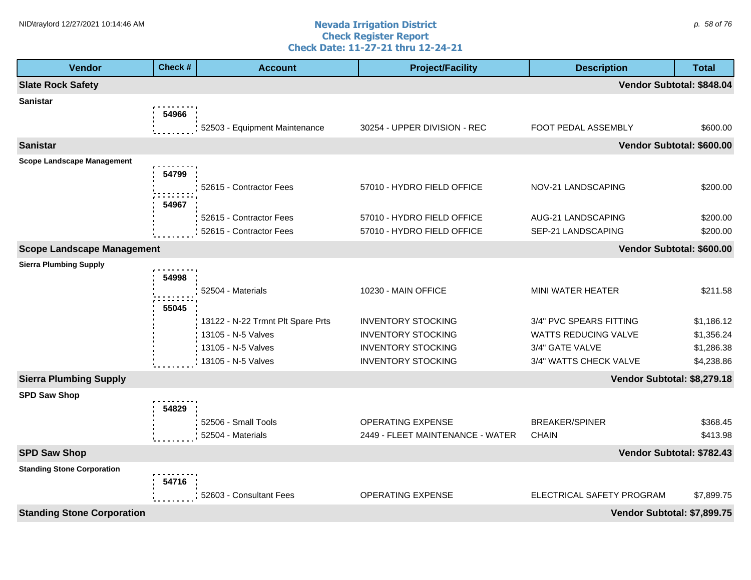#### **Nevada Irrigation District Check Register Report Check Date: 11-27-21 thru 12-24-21** NID\traylord 12/27/2021 10:14:46 AM  $\rho$  58 of 76

| <b>Vendor</b>                     | Check # | <b>Account</b>                    | <b>Project/Facility</b>          | <b>Description</b>          | <b>Total</b> |
|-----------------------------------|---------|-----------------------------------|----------------------------------|-----------------------------|--------------|
| <b>Slate Rock Safety</b>          |         |                                   |                                  | Vendor Subtotal: \$848.04   |              |
| <b>Sanistar</b>                   |         |                                   |                                  |                             |              |
|                                   | 54966   |                                   |                                  |                             |              |
|                                   |         | 52503 - Equipment Maintenance     | 30254 - UPPER DIVISION - REC     | FOOT PEDAL ASSEMBLY         | \$600.00     |
| <b>Sanistar</b>                   |         |                                   |                                  | Vendor Subtotal: \$600.00   |              |
| <b>Scope Landscape Management</b> |         |                                   |                                  |                             |              |
|                                   | 54799   |                                   |                                  |                             |              |
|                                   |         | 52615 - Contractor Fees           | 57010 - HYDRO FIELD OFFICE       | NOV-21 LANDSCAPING          | \$200.00     |
|                                   | 54967   |                                   |                                  |                             |              |
|                                   |         | 52615 - Contractor Fees           | 57010 - HYDRO FIELD OFFICE       | AUG-21 LANDSCAPING          | \$200.00     |
|                                   |         | 52615 - Contractor Fees           | 57010 - HYDRO FIELD OFFICE       | SEP-21 LANDSCAPING          | \$200.00     |
| <b>Scope Landscape Management</b> |         |                                   |                                  | Vendor Subtotal: \$600.00   |              |
| <b>Sierra Plumbing Supply</b>     |         |                                   |                                  |                             |              |
|                                   | 54998   |                                   |                                  |                             |              |
|                                   |         | 52504 - Materials                 | 10230 - MAIN OFFICE              | MINI WATER HEATER           | \$211.58     |
|                                   | 55045   |                                   |                                  |                             |              |
|                                   |         | 13122 - N-22 Trmnt Plt Spare Prts | <b>INVENTORY STOCKING</b>        | 3/4" PVC SPEARS FITTING     | \$1,186.12   |
|                                   |         | 13105 - N-5 Valves                | <b>INVENTORY STOCKING</b>        | WATTS REDUCING VALVE        | \$1,356.24   |
|                                   |         | 13105 - N-5 Valves                | <b>INVENTORY STOCKING</b>        | 3/4" GATE VALVE             | \$1,286.38   |
|                                   |         | 13105 - N-5 Valves                | <b>INVENTORY STOCKING</b>        | 3/4" WATTS CHECK VALVE      | \$4,238.86   |
| <b>Sierra Plumbing Supply</b>     |         |                                   |                                  | Vendor Subtotal: \$8,279.18 |              |
| <b>SPD Saw Shop</b>               |         |                                   |                                  |                             |              |
|                                   | 54829   |                                   |                                  |                             |              |
|                                   |         | 52506 - Small Tools               | <b>OPERATING EXPENSE</b>         | <b>BREAKER/SPINER</b>       | \$368.45     |
|                                   |         | 52504 - Materials                 | 2449 - FLEET MAINTENANCE - WATER | <b>CHAIN</b>                | \$413.98     |
| <b>SPD Saw Shop</b>               |         |                                   |                                  | Vendor Subtotal: \$782.43   |              |
| <b>Standing Stone Corporation</b> |         |                                   |                                  |                             |              |
|                                   | 54716   |                                   |                                  |                             |              |
|                                   |         | 52603 - Consultant Fees           | OPERATING EXPENSE                | ELECTRICAL SAFETY PROGRAM   | \$7,899.75   |
| <b>Standing Stone Corporation</b> |         |                                   |                                  | Vendor Subtotal: \$7,899.75 |              |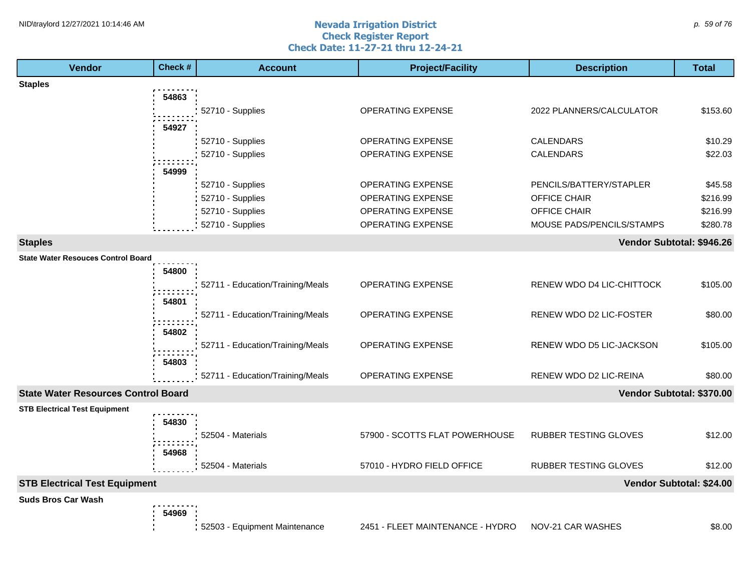#### **Nevada Irrigation District Check Register Report Check Date: 11-27-21 thru 12-24-21** NID\traylord 12/27/2021 10:14:46 AM  $\rho$  59 of 76

| <b>Vendor</b>                              | Check # | <b>Account</b>                   | <b>Project/Facility</b>          | <b>Description</b>           | <b>Total</b>              |
|--------------------------------------------|---------|----------------------------------|----------------------------------|------------------------------|---------------------------|
| <b>Staples</b>                             |         |                                  |                                  |                              |                           |
|                                            | 54863   |                                  |                                  |                              |                           |
|                                            |         | 52710 - Supplies                 | <b>OPERATING EXPENSE</b>         | 2022 PLANNERS/CALCULATOR     | \$153.60                  |
|                                            | 54927   |                                  |                                  |                              |                           |
|                                            |         | 52710 - Supplies                 | OPERATING EXPENSE                | CALENDARS                    | \$10.29                   |
|                                            |         | 52710 - Supplies                 | OPERATING EXPENSE                | <b>CALENDARS</b>             | \$22.03                   |
|                                            | 54999   |                                  |                                  |                              |                           |
|                                            |         | 52710 - Supplies                 | <b>OPERATING EXPENSE</b>         | PENCILS/BATTERY/STAPLER      | \$45.58                   |
|                                            |         | 52710 - Supplies                 | <b>OPERATING EXPENSE</b>         | OFFICE CHAIR                 | \$216.99                  |
|                                            |         | 52710 - Supplies                 | OPERATING EXPENSE                | OFFICE CHAIR                 | \$216.99                  |
|                                            |         | 52710 - Supplies                 | OPERATING EXPENSE                | MOUSE PADS/PENCILS/STAMPS    | \$280.78                  |
| <b>Staples</b>                             |         |                                  |                                  |                              | Vendor Subtotal: \$946.26 |
| <b>State Water Resouces Control Board</b>  |         |                                  |                                  |                              |                           |
|                                            | 54800   |                                  |                                  |                              |                           |
|                                            |         | 52711 - Education/Training/Meals | <b>OPERATING EXPENSE</b>         | RENEW WDO D4 LIC-CHITTOCK    | \$105.00                  |
|                                            | 54801   |                                  |                                  |                              |                           |
|                                            |         | 52711 - Education/Training/Meals | OPERATING EXPENSE                | RENEW WDO D2 LIC-FOSTER      | \$80.00                   |
|                                            | 54802   |                                  |                                  |                              |                           |
|                                            |         | 52711 - Education/Training/Meals | OPERATING EXPENSE                | RENEW WDO D5 LIC-JACKSON     | \$105.00                  |
|                                            | 54803   |                                  |                                  |                              |                           |
|                                            |         | 52711 - Education/Training/Meals | OPERATING EXPENSE                | RENEW WDO D2 LIC-REINA       | \$80.00                   |
| <b>State Water Resources Control Board</b> |         |                                  |                                  |                              | Vendor Subtotal: \$370.00 |
| <b>STB Electrical Test Equipment</b>       |         |                                  |                                  |                              |                           |
|                                            | 54830   |                                  |                                  |                              |                           |
|                                            |         | 52504 - Materials                | 57900 - SCOTTS FLAT POWERHOUSE   | RUBBER TESTING GLOVES        | \$12.00                   |
|                                            | 54968   |                                  |                                  |                              |                           |
|                                            |         | 52504 - Materials                | 57010 - HYDRO FIELD OFFICE       | <b>RUBBER TESTING GLOVES</b> | \$12.00                   |
| <b>STB Electrical Test Equipment</b>       |         |                                  |                                  |                              | Vendor Subtotal: \$24.00  |
| <b>Suds Bros Car Wash</b>                  |         |                                  |                                  |                              |                           |
|                                            | 54969   |                                  |                                  |                              |                           |
|                                            |         | 52503 - Equipment Maintenance    | 2451 - FLEET MAINTENANCE - HYDRO | NOV-21 CAR WASHES            | \$8.00                    |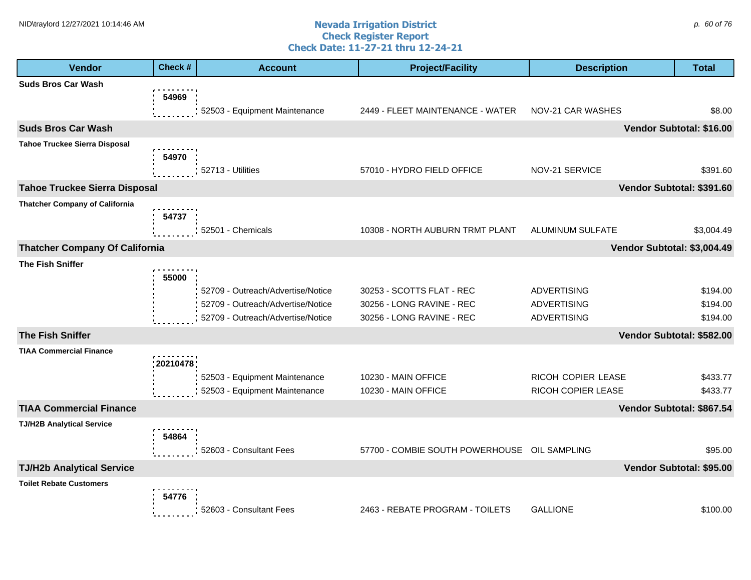#### **Nevada Irrigation District Check Register Report Check Date: 11-27-21 thru 12-24-21** NID\traylord 12/27/2021 10:14:46 AM  $\rho$  60 of 76

| <b>Vendor</b>                         | Check #  | <b>Account</b>                                                         | <b>Project/Facility</b>                                | <b>Description</b>          | <b>Total</b>              |
|---------------------------------------|----------|------------------------------------------------------------------------|--------------------------------------------------------|-----------------------------|---------------------------|
| <b>Suds Bros Car Wash</b>             |          |                                                                        |                                                        |                             |                           |
|                                       | 54969    | 52503 - Equipment Maintenance                                          | 2449 - FLEET MAINTENANCE - WATER                       | NOV-21 CAR WASHES           | \$8.00                    |
|                                       |          |                                                                        |                                                        |                             |                           |
| <b>Suds Bros Car Wash</b>             |          |                                                                        |                                                        |                             | Vendor Subtotal: \$16.00  |
| <b>Tahoe Truckee Sierra Disposal</b>  | 54970    |                                                                        |                                                        |                             |                           |
|                                       |          | 52713 - Utilities                                                      | 57010 - HYDRO FIELD OFFICE                             | NOV-21 SERVICE              | \$391.60                  |
| <b>Tahoe Truckee Sierra Disposal</b>  |          |                                                                        |                                                        |                             | Vendor Subtotal: \$391.60 |
| <b>Thatcher Company of California</b> |          |                                                                        |                                                        |                             |                           |
|                                       | 54737    |                                                                        |                                                        |                             |                           |
|                                       |          | 52501 - Chemicals                                                      | 10308 - NORTH AUBURN TRMT PLANT                        | ALUMINUM SULFATE            | \$3,004.49                |
| <b>Thatcher Company Of California</b> |          |                                                                        |                                                        | Vendor Subtotal: \$3,004.49 |                           |
| <b>The Fish Sniffer</b>               |          |                                                                        |                                                        |                             |                           |
|                                       | 55000    |                                                                        |                                                        | <b>ADVERTISING</b>          |                           |
|                                       |          | 52709 - Outreach/Advertise/Notice<br>52709 - Outreach/Advertise/Notice | 30253 - SCOTTS FLAT - REC<br>30256 - LONG RAVINE - REC | <b>ADVERTISING</b>          | \$194.00<br>\$194.00      |
|                                       |          | 52709 - Outreach/Advertise/Notice                                      | 30256 - LONG RAVINE - REC                              | <b>ADVERTISING</b>          | \$194.00                  |
| <b>The Fish Sniffer</b>               |          |                                                                        |                                                        |                             | Vendor Subtotal: \$582.00 |
| <b>TIAA Commercial Finance</b>        |          |                                                                        |                                                        |                             |                           |
|                                       | 20210478 |                                                                        |                                                        |                             |                           |
|                                       |          | 52503 - Equipment Maintenance                                          | 10230 - MAIN OFFICE                                    | RICOH COPIER LEASE          | \$433.77                  |
|                                       |          | 52503 - Equipment Maintenance                                          | 10230 - MAIN OFFICE                                    | RICOH COPIER LEASE          | \$433.77                  |
| <b>TIAA Commercial Finance</b>        |          |                                                                        |                                                        |                             | Vendor Subtotal: \$867.54 |
| <b>TJ/H2B Analytical Service</b>      |          |                                                                        |                                                        |                             |                           |
|                                       | 54864    | 52603 - Consultant Fees                                                | 57700 - COMBIE SOUTH POWERHOUSE OIL SAMPLING           |                             | \$95.00                   |
| <b>TJ/H2b Analytical Service</b>      |          |                                                                        |                                                        |                             | Vendor Subtotal: \$95.00  |
| <b>Toilet Rebate Customers</b>        |          |                                                                        |                                                        |                             |                           |
|                                       | 54776    |                                                                        |                                                        |                             |                           |
|                                       |          | 52603 - Consultant Fees                                                | 2463 - REBATE PROGRAM - TOILETS                        | <b>GALLIONE</b>             | \$100.00                  |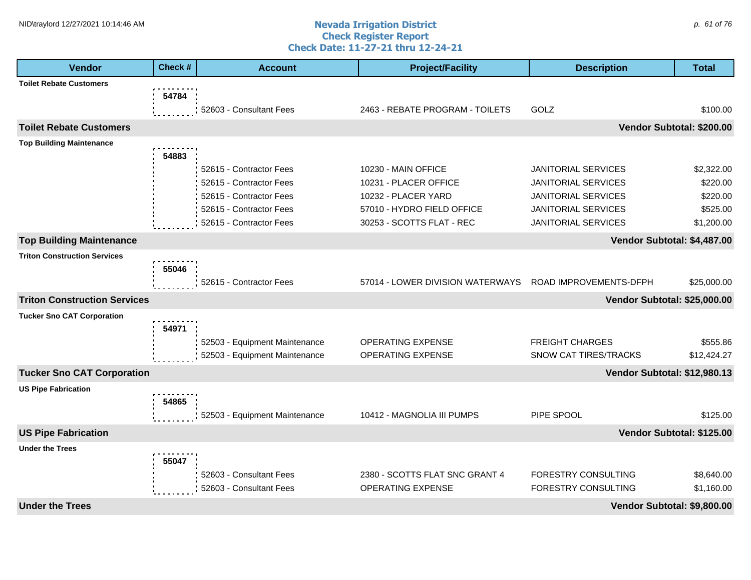#### **Nevada Irrigation District Check Register Report Check Date: 11-27-21 thru 12-24-21** NID\traylord 12/27/2021 10:14:46 AM  $\rho$  61 of 76

| <b>Vendor</b>                       | Check # | <b>Account</b>                | <b>Project/Facility</b>          | <b>Description</b>           | <b>Total</b>              |
|-------------------------------------|---------|-------------------------------|----------------------------------|------------------------------|---------------------------|
| <b>Toilet Rebate Customers</b>      |         |                               |                                  |                              |                           |
|                                     | 54784   |                               |                                  |                              |                           |
|                                     |         | 52603 - Consultant Fees       | 2463 - REBATE PROGRAM - TOILETS  | GOLZ                         | \$100.00                  |
| <b>Toilet Rebate Customers</b>      |         |                               |                                  |                              | Vendor Subtotal: \$200.00 |
| <b>Top Building Maintenance</b>     |         |                               |                                  |                              |                           |
|                                     | 54883   |                               |                                  |                              |                           |
|                                     |         | 52615 - Contractor Fees       | 10230 - MAIN OFFICE              | <b>JANITORIAL SERVICES</b>   | \$2,322.00                |
|                                     |         | 52615 - Contractor Fees       | 10231 - PLACER OFFICE            | <b>JANITORIAL SERVICES</b>   | \$220.00                  |
|                                     |         | 52615 - Contractor Fees       | 10232 - PLACER YARD              | <b>JANITORIAL SERVICES</b>   | \$220.00                  |
|                                     |         | 52615 - Contractor Fees       | 57010 - HYDRO FIELD OFFICE       | <b>JANITORIAL SERVICES</b>   | \$525.00                  |
|                                     |         | 52615 - Contractor Fees       | 30253 - SCOTTS FLAT - REC        | JANITORIAL SERVICES          | \$1,200.00                |
| <b>Top Building Maintenance</b>     |         |                               |                                  | Vendor Subtotal: \$4,487.00  |                           |
| <b>Triton Construction Services</b> |         |                               |                                  |                              |                           |
|                                     | 55046   |                               |                                  |                              |                           |
|                                     |         | 52615 - Contractor Fees       | 57014 - LOWER DIVISION WATERWAYS | ROAD IMPROVEMENTS-DFPH       | \$25,000.00               |
| <b>Triton Construction Services</b> |         |                               |                                  | Vendor Subtotal: \$25,000.00 |                           |
| <b>Tucker Sno CAT Corporation</b>   |         |                               |                                  |                              |                           |
|                                     | 54971   |                               |                                  |                              |                           |
|                                     |         | 52503 - Equipment Maintenance | <b>OPERATING EXPENSE</b>         | <b>FREIGHT CHARGES</b>       | \$555.86                  |
|                                     |         | 52503 - Equipment Maintenance | OPERATING EXPENSE                | SNOW CAT TIRES/TRACKS        | \$12,424.27               |
| <b>Tucker Sno CAT Corporation</b>   |         |                               |                                  | Vendor Subtotal: \$12,980.13 |                           |
| <b>US Pipe Fabrication</b>          |         |                               |                                  |                              |                           |
|                                     | 54865   |                               |                                  |                              |                           |
|                                     |         | 52503 - Equipment Maintenance | 10412 - MAGNOLIA III PUMPS       | PIPE SPOOL                   | \$125.00                  |
| <b>US Pipe Fabrication</b>          |         |                               |                                  |                              | Vendor Subtotal: \$125.00 |
| <b>Under the Trees</b>              |         |                               |                                  |                              |                           |
|                                     | 55047   |                               |                                  |                              |                           |
|                                     |         | 52603 - Consultant Fees       | 2380 - SCOTTS FLAT SNC GRANT 4   | FORESTRY CONSULTING          | \$8,640.00                |
|                                     |         | 52603 - Consultant Fees       | OPERATING EXPENSE                | <b>FORESTRY CONSULTING</b>   | \$1,160.00                |
| <b>Under the Trees</b>              |         |                               |                                  | Vendor Subtotal: \$9,800.00  |                           |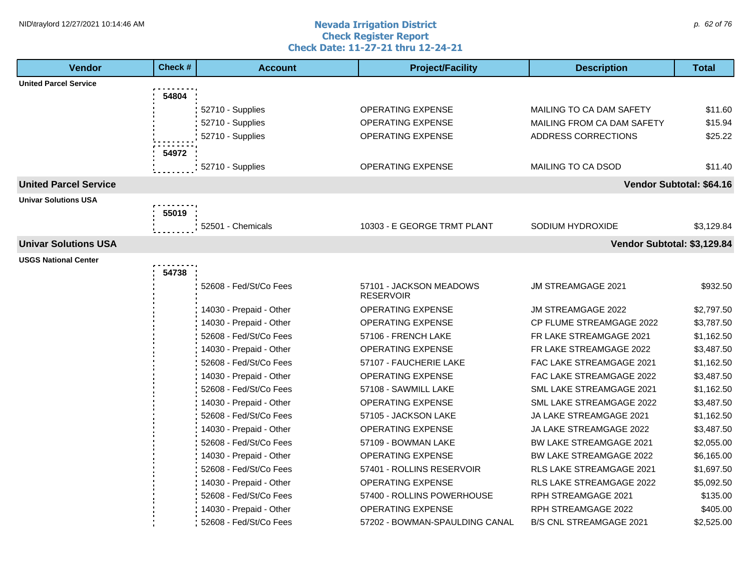#### **Nevada Irrigation District Check Register Report Check Date: 11-27-21 thru 12-24-21** NID\traylord 12/27/2021 10:14:46 AM  $\rho$  62 of 76

| <b>Vendor</b>                | Check # | <b>Account</b>          | <b>Project/Facility</b>        | <b>Description</b>              | <b>Total</b>             |
|------------------------------|---------|-------------------------|--------------------------------|---------------------------------|--------------------------|
| <b>United Parcel Service</b> |         |                         |                                |                                 |                          |
|                              | 54804   |                         |                                |                                 |                          |
|                              |         | 52710 - Supplies        | <b>OPERATING EXPENSE</b>       | MAILING TO CA DAM SAFETY        | \$11.60                  |
|                              |         | 52710 - Supplies        | <b>OPERATING EXPENSE</b>       | MAILING FROM CA DAM SAFETY      | \$15.94                  |
|                              |         | 52710 - Supplies        | OPERATING EXPENSE              | ADDRESS CORRECTIONS             | \$25.22                  |
|                              | 54972   |                         |                                |                                 |                          |
|                              |         | 52710 - Supplies        | <b>OPERATING EXPENSE</b>       | MAILING TO CA DSOD              | \$11.40                  |
| <b>United Parcel Service</b> |         |                         |                                |                                 | Vendor Subtotal: \$64.16 |
| <b>Univar Solutions USA</b>  |         |                         |                                |                                 |                          |
|                              | 55019   |                         |                                |                                 |                          |
|                              |         | 52501 - Chemicals       | 10303 - E GEORGE TRMT PLANT    | SODIUM HYDROXIDE                | \$3,129.84               |
| <b>Univar Solutions USA</b>  |         |                         |                                | Vendor Subtotal: \$3,129.84     |                          |
| USGS National Center         |         |                         |                                |                                 |                          |
|                              | 54738   |                         |                                |                                 |                          |
|                              |         | 52608 - Fed/St/Co Fees  | 57101 - JACKSON MEADOWS        | <b>JM STREAMGAGE 2021</b>       | \$932.50                 |
|                              |         |                         | <b>RESERVOIR</b>               |                                 |                          |
|                              |         | 14030 - Prepaid - Other | <b>OPERATING EXPENSE</b>       | <b>JM STREAMGAGE 2022</b>       | \$2,797.50               |
|                              |         | 14030 - Prepaid - Other | OPERATING EXPENSE              | <b>CP FLUME STREAMGAGE 2022</b> | \$3,787.50               |
|                              |         | 52608 - Fed/St/Co Fees  | 57106 - FRENCH LAKE            | FR LAKE STREAMGAGE 2021         | \$1,162.50               |
|                              |         | 14030 - Prepaid - Other | OPERATING EXPENSE              | FR LAKE STREAMGAGE 2022         | \$3,487.50               |
|                              |         | 52608 - Fed/St/Co Fees  | 57107 - FAUCHERIE LAKE         | FAC LAKE STREAMGAGE 2021        | \$1,162.50               |
|                              |         | 14030 - Prepaid - Other | <b>OPERATING EXPENSE</b>       | FAC LAKE STREAMGAGE 2022        | \$3,487.50               |
|                              |         | 52608 - Fed/St/Co Fees  | 57108 - SAWMILL LAKE           | SML LAKE STREAMGAGE 2021        | \$1,162.50               |
|                              |         | 14030 - Prepaid - Other | <b>OPERATING EXPENSE</b>       | SML LAKE STREAMGAGE 2022        | \$3,487.50               |
|                              |         | 52608 - Fed/St/Co Fees  | 57105 - JACKSON LAKE           | JA LAKE STREAMGAGE 2021         | \$1,162.50               |
|                              |         | 14030 - Prepaid - Other | OPERATING EXPENSE              | JA LAKE STREAMGAGE 2022         | \$3,487.50               |
|                              |         | 52608 - Fed/St/Co Fees  | 57109 - BOWMAN LAKE            | BW LAKE STREAMGAGE 2021         | \$2,055.00               |
|                              |         | 14030 - Prepaid - Other | <b>OPERATING EXPENSE</b>       | <b>BW LAKE STREAMGAGE 2022</b>  | \$6,165.00               |
|                              |         | 52608 - Fed/St/Co Fees  | 57401 - ROLLINS RESERVOIR      | RLS LAKE STREAMGAGE 2021        | \$1,697.50               |
|                              |         | 14030 - Prepaid - Other | <b>OPERATING EXPENSE</b>       | RLS LAKE STREAMGAGE 2022        | \$5,092.50               |
|                              |         | 52608 - Fed/St/Co Fees  | 57400 - ROLLINS POWERHOUSE     | RPH STREAMGAGE 2021             | \$135.00                 |
|                              |         | 14030 - Prepaid - Other | OPERATING EXPENSE              | RPH STREAMGAGE 2022             | \$405.00                 |
|                              |         | 52608 - Fed/St/Co Fees  | 57202 - BOWMAN-SPAULDING CANAL | <b>B/S CNL STREAMGAGE 2021</b>  | \$2,525.00               |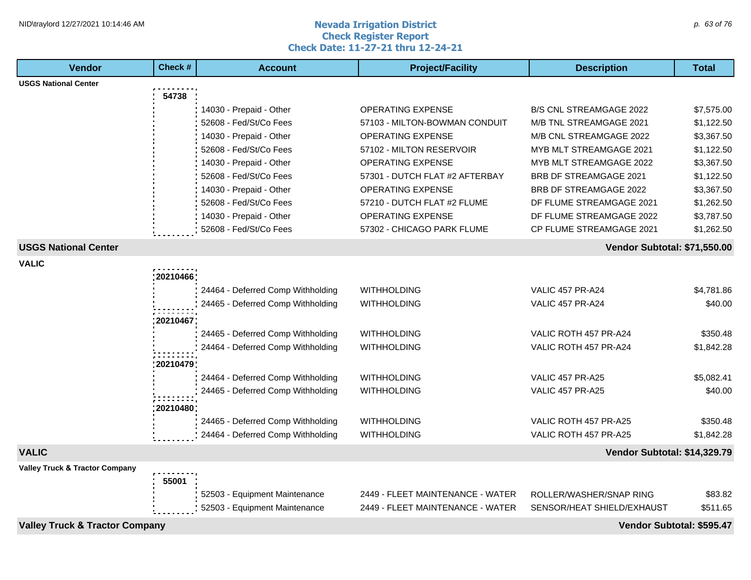#### **Nevada Irrigation District Check Register Report Check Date: 11-27-21 thru 12-24-21** NID\traylord 12/27/2021 10:14:46 AM  $\rho$  63 of 76

| <b>Vendor</b>                             | Check #   | <b>Account</b>                                                         | <b>Project/Facility</b>                  | <b>Description</b>                                 | <b>Total</b> |
|-------------------------------------------|-----------|------------------------------------------------------------------------|------------------------------------------|----------------------------------------------------|--------------|
| <b>USGS National Center</b>               |           |                                                                        |                                          |                                                    |              |
|                                           | 54738     |                                                                        |                                          |                                                    |              |
|                                           |           | 14030 - Prepaid - Other                                                | <b>OPERATING EXPENSE</b>                 | <b>B/S CNL STREAMGAGE 2022</b>                     | \$7,575.00   |
|                                           |           | 52608 - Fed/St/Co Fees                                                 | 57103 - MILTON-BOWMAN CONDUIT            | M/B TNL STREAMGAGE 2021                            | \$1,122.50   |
|                                           |           | 14030 - Prepaid - Other                                                | OPERATING EXPENSE                        | M/B CNL STREAMGAGE 2022                            | \$3,367.50   |
|                                           |           | 52608 - Fed/St/Co Fees                                                 | 57102 - MILTON RESERVOIR                 | <b>MYB MLT STREAMGAGE 2021</b>                     | \$1,122.50   |
|                                           |           | 14030 - Prepaid - Other                                                | <b>OPERATING EXPENSE</b>                 | MYB MLT STREAMGAGE 2022                            | \$3,367.50   |
|                                           |           | 52608 - Fed/St/Co Fees                                                 | 57301 - DUTCH FLAT #2 AFTERBAY           | <b>BRB DF STREAMGAGE 2021</b>                      | \$1,122.50   |
|                                           |           | 14030 - Prepaid - Other                                                | <b>OPERATING EXPENSE</b>                 | <b>BRB DF STREAMGAGE 2022</b>                      | \$3,367.50   |
|                                           |           | 52608 - Fed/St/Co Fees                                                 | 57210 - DUTCH FLAT #2 FLUME              | DF FLUME STREAMGAGE 2021                           | \$1,262.50   |
|                                           |           | 14030 - Prepaid - Other                                                | <b>OPERATING EXPENSE</b>                 | DF FLUME STREAMGAGE 2022                           | \$3,787.50   |
|                                           |           | 52608 - Fed/St/Co Fees                                                 | 57302 - CHICAGO PARK FLUME               | CP FLUME STREAMGAGE 2021                           | \$1,262.50   |
| <b>USGS National Center</b>               |           |                                                                        |                                          | Vendor Subtotal: \$71,550.00                       |              |
| <b>VALIC</b>                              |           |                                                                        |                                          |                                                    |              |
|                                           | 20210466  |                                                                        |                                          |                                                    |              |
|                                           |           | 24464 - Deferred Comp Withholding                                      | <b>WITHHOLDING</b>                       | <b>VALIC 457 PR-A24</b>                            | \$4,781.86   |
|                                           |           | 24465 - Deferred Comp Withholding                                      | <b>WITHHOLDING</b>                       | <b>VALIC 457 PR-A24</b>                            | \$40.00      |
|                                           | 20210467  |                                                                        |                                          |                                                    |              |
|                                           |           | 24465 - Deferred Comp Withholding                                      | <b>WITHHOLDING</b>                       | VALIC ROTH 457 PR-A24                              | \$350.48     |
|                                           |           | 24464 - Deferred Comp Withholding                                      | <b>WITHHOLDING</b>                       | VALIC ROTH 457 PR-A24                              | \$1,842.28   |
|                                           |           |                                                                        |                                          |                                                    |              |
|                                           | :20210479 |                                                                        |                                          |                                                    |              |
|                                           |           | 24464 - Deferred Comp Withholding<br>24465 - Deferred Comp Withholding | <b>WITHHOLDING</b><br><b>WITHHOLDING</b> | <b>VALIC 457 PR-A25</b><br><b>VALIC 457 PR-A25</b> | \$5,082.41   |
|                                           |           |                                                                        |                                          |                                                    | \$40.00      |
|                                           | 20210480  |                                                                        |                                          |                                                    |              |
|                                           |           | 24465 - Deferred Comp Withholding                                      | <b>WITHHOLDING</b>                       | VALIC ROTH 457 PR-A25                              | \$350.48     |
|                                           |           | 24464 - Deferred Comp Withholding                                      | <b>WITHHOLDING</b>                       | VALIC ROTH 457 PR-A25                              | \$1,842.28   |
| <b>VALIC</b>                              |           |                                                                        |                                          | Vendor Subtotal: \$14,329.79                       |              |
| <b>Valley Truck &amp; Tractor Company</b> |           |                                                                        |                                          |                                                    |              |
|                                           | 55001     |                                                                        |                                          |                                                    |              |
|                                           |           | 52503 - Equipment Maintenance                                          | 2449 - FLEET MAINTENANCE - WATER         | ROLLER/WASHER/SNAP RING                            | \$83.82      |
|                                           |           | 52503 - Equipment Maintenance                                          | 2449 - FLEET MAINTENANCE - WATER         | SENSOR/HEAT SHIELD/EXHAUST                         | \$511.65     |
| <b>Valley Truck &amp; Tractor Company</b> |           |                                                                        |                                          | Vendor Subtotal: \$595.47                          |              |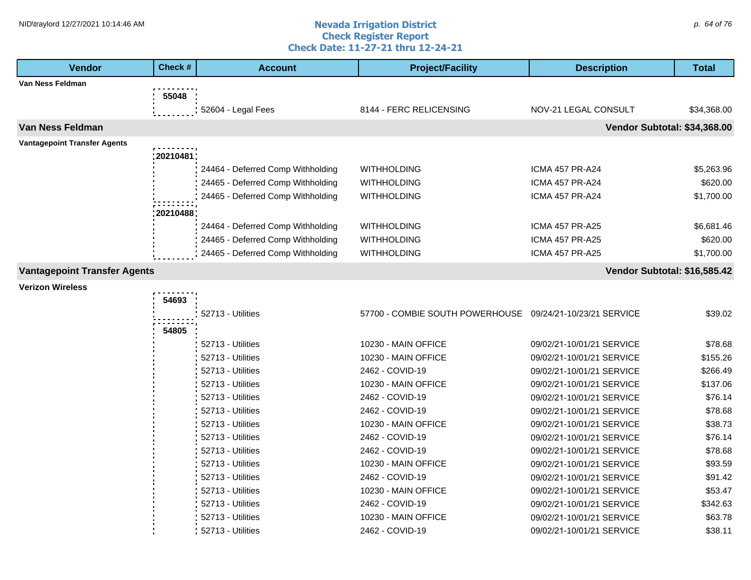#### **Nevada Irrigation District Check Register Report Check Date: 11-27-21 thru 12-24-21** NID\traylord 12/27/2021 10:14:46 AM  $\rho$  64 of 76

| <b>Vendor</b>                       | Check #     | <b>Account</b>                    | <b>Project/Facility</b>                                   | <b>Description</b>           | <b>Total</b> |
|-------------------------------------|-------------|-----------------------------------|-----------------------------------------------------------|------------------------------|--------------|
| Van Ness Feldman                    |             |                                   |                                                           |                              |              |
|                                     | 55048       |                                   |                                                           |                              |              |
|                                     |             | 52604 - Legal Fees                | 8144 - FERC RELICENSING                                   | NOV-21 LEGAL CONSULT         | \$34,368.00  |
| Van Ness Feldman                    |             |                                   |                                                           | Vendor Subtotal: \$34,368.00 |              |
| <b>Vantagepoint Transfer Agents</b> |             |                                   |                                                           |                              |              |
|                                     | : 20210481: |                                   |                                                           |                              |              |
|                                     |             | 24464 - Deferred Comp Withholding | <b>WITHHOLDING</b>                                        | <b>ICMA 457 PR-A24</b>       | \$5,263.96   |
|                                     |             | 24465 - Deferred Comp Withholding | WITHHOLDING                                               | <b>ICMA 457 PR-A24</b>       | \$620.00     |
|                                     |             | 24465 - Deferred Comp Withholding | <b>WITHHOLDING</b>                                        | <b>ICMA 457 PR-A24</b>       | \$1,700.00   |
|                                     | 20210488    |                                   |                                                           |                              |              |
|                                     |             | 24464 - Deferred Comp Withholding | <b>WITHHOLDING</b>                                        | <b>ICMA 457 PR-A25</b>       | \$6,681.46   |
|                                     |             | 24465 - Deferred Comp Withholding | <b>WITHHOLDING</b>                                        | <b>ICMA 457 PR-A25</b>       | \$620.00     |
|                                     |             | 24465 - Deferred Comp Withholding | <b>WITHHOLDING</b>                                        | <b>ICMA 457 PR-A25</b>       | \$1,700.00   |
| <b>Vantagepoint Transfer Agents</b> |             |                                   |                                                           | Vendor Subtotal: \$16,585.42 |              |
| <b>Verizon Wireless</b>             |             |                                   |                                                           |                              |              |
|                                     | 54693       |                                   |                                                           |                              |              |
|                                     |             | 52713 - Utilities                 | 57700 - COMBIE SOUTH POWERHOUSE 09/24/21-10/23/21 SERVICE |                              | \$39.02      |
|                                     | 54805       |                                   |                                                           |                              |              |
|                                     |             | 52713 - Utilities                 | 10230 - MAIN OFFICE                                       | 09/02/21-10/01/21 SERVICE    | \$78.68      |
|                                     |             | 52713 - Utilities                 | 10230 - MAIN OFFICE                                       | 09/02/21-10/01/21 SERVICE    | \$155.26     |
|                                     |             | 52713 - Utilities                 | 2462 - COVID-19                                           | 09/02/21-10/01/21 SERVICE    | \$266.49     |
|                                     |             | 52713 - Utilities                 | 10230 - MAIN OFFICE                                       | 09/02/21-10/01/21 SERVICE    | \$137.06     |
|                                     |             | 52713 - Utilities                 | 2462 - COVID-19                                           | 09/02/21-10/01/21 SERVICE    | \$76.14      |
|                                     |             | 52713 - Utilities                 | 2462 - COVID-19                                           | 09/02/21-10/01/21 SERVICE    | \$78.68      |
|                                     |             | 52713 - Utilities                 | 10230 - MAIN OFFICE                                       | 09/02/21-10/01/21 SERVICE    | \$38.73      |
|                                     |             | 52713 - Utilities                 | 2462 - COVID-19                                           | 09/02/21-10/01/21 SERVICE    | \$76.14      |
|                                     |             | 52713 - Utilities                 | 2462 - COVID-19                                           | 09/02/21-10/01/21 SERVICE    | \$78.68      |
|                                     |             | 52713 - Utilities                 | 10230 - MAIN OFFICE                                       | 09/02/21-10/01/21 SERVICE    | \$93.59      |
|                                     |             | 52713 - Utilities                 | 2462 - COVID-19                                           | 09/02/21-10/01/21 SERVICE    | \$91.42      |
|                                     |             | 52713 - Utilities                 | 10230 - MAIN OFFICE                                       | 09/02/21-10/01/21 SERVICE    | \$53.47      |
|                                     |             | 52713 - Utilities                 | 2462 - COVID-19                                           | 09/02/21-10/01/21 SERVICE    | \$342.63     |
|                                     |             | 52713 - Utilities                 | 10230 - MAIN OFFICE                                       | 09/02/21-10/01/21 SERVICE    | \$63.78      |
|                                     |             | 52713 - Utilities                 | 2462 - COVID-19                                           | 09/02/21-10/01/21 SERVICE    | \$38.11      |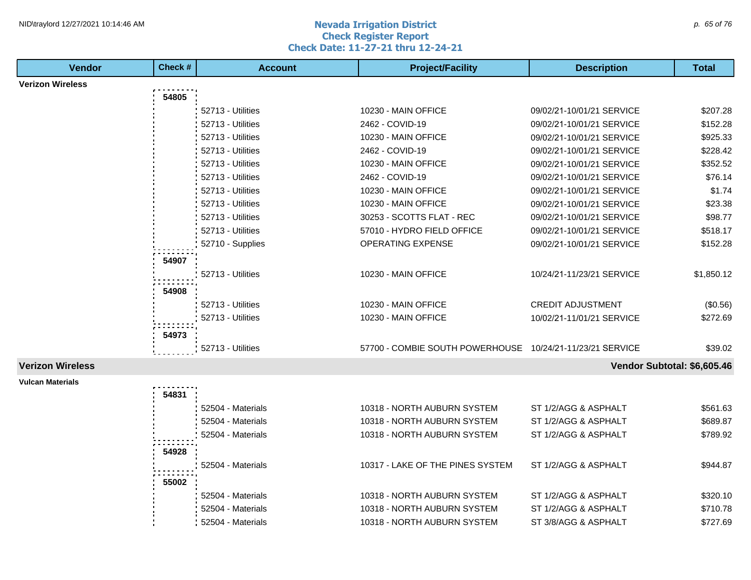#### **Nevada Irrigation District Check Register Report Check Date: 11-27-21 thru 12-24-21** NID\traylord 12/27/2021 10:14:46 AM  $\rho$  65 of 76

| <b>Vendor</b>           | Check# | <b>Account</b>    | <b>Project/Facility</b>                                   | <b>Description</b>          | <b>Total</b> |
|-------------------------|--------|-------------------|-----------------------------------------------------------|-----------------------------|--------------|
| <b>Verizon Wireless</b> |        |                   |                                                           |                             |              |
|                         | 54805  |                   |                                                           |                             |              |
|                         |        | 52713 - Utilities | 10230 - MAIN OFFICE                                       | 09/02/21-10/01/21 SERVICE   | \$207.28     |
|                         |        | 52713 - Utilities | 2462 - COVID-19                                           | 09/02/21-10/01/21 SERVICE   | \$152.28     |
|                         |        | 52713 - Utilities | 10230 - MAIN OFFICE                                       | 09/02/21-10/01/21 SERVICE   | \$925.33     |
|                         |        | 52713 - Utilities | 2462 - COVID-19                                           | 09/02/21-10/01/21 SERVICE   | \$228.42     |
|                         |        | 52713 - Utilities | 10230 - MAIN OFFICE                                       | 09/02/21-10/01/21 SERVICE   | \$352.52     |
|                         |        | 52713 - Utilities | 2462 - COVID-19                                           | 09/02/21-10/01/21 SERVICE   | \$76.14      |
|                         |        | 52713 - Utilities | 10230 - MAIN OFFICE                                       | 09/02/21-10/01/21 SERVICE   | \$1.74       |
|                         |        | 52713 - Utilities | 10230 - MAIN OFFICE                                       | 09/02/21-10/01/21 SERVICE   | \$23.38      |
|                         |        | 52713 - Utilities | 30253 - SCOTTS FLAT - REC                                 | 09/02/21-10/01/21 SERVICE   | \$98.77      |
|                         |        | 52713 - Utilities | 57010 - HYDRO FIELD OFFICE                                | 09/02/21-10/01/21 SERVICE   | \$518.17     |
|                         |        | 52710 - Supplies  | OPERATING EXPENSE                                         | 09/02/21-10/01/21 SERVICE   | \$152.28     |
|                         | 54907  |                   |                                                           |                             |              |
|                         |        | 52713 - Utilities | 10230 - MAIN OFFICE                                       | 10/24/21-11/23/21 SERVICE   | \$1,850.12   |
|                         | 54908  |                   |                                                           |                             |              |
|                         |        | 52713 - Utilities | 10230 - MAIN OFFICE                                       | <b>CREDIT ADJUSTMENT</b>    | (\$0.56)     |
|                         |        | 52713 - Utilities | 10230 - MAIN OFFICE                                       | 10/02/21-11/01/21 SERVICE   | \$272.69     |
|                         | 54973  |                   |                                                           |                             |              |
|                         |        | 52713 - Utilities | 57700 - COMBIE SOUTH POWERHOUSE 10/24/21-11/23/21 SERVICE |                             | \$39.02      |
|                         |        |                   |                                                           |                             |              |
| <b>Verizon Wireless</b> |        |                   |                                                           | Vendor Subtotal: \$6,605.46 |              |
| <b>Vulcan Materials</b> | 54831  |                   |                                                           |                             |              |
|                         |        | 52504 - Materials | 10318 - NORTH AUBURN SYSTEM                               | ST 1/2/AGG & ASPHALT        | \$561.63     |
|                         |        | 52504 - Materials | 10318 - NORTH AUBURN SYSTEM                               | ST 1/2/AGG & ASPHALT        | \$689.87     |
|                         |        | 52504 - Materials | 10318 - NORTH AUBURN SYSTEM                               | ST 1/2/AGG & ASPHALT        | \$789.92     |
|                         |        |                   |                                                           |                             |              |
|                         | 54928  |                   |                                                           |                             |              |
|                         |        | 52504 - Materials | 10317 - LAKE OF THE PINES SYSTEM                          | ST 1/2/AGG & ASPHALT        | \$944.87     |
|                         | 55002  |                   |                                                           |                             |              |
|                         |        | 52504 - Materials | 10318 - NORTH AUBURN SYSTEM                               | ST 1/2/AGG & ASPHALT        | \$320.10     |
|                         |        | 52504 - Materials | 10318 - NORTH AUBURN SYSTEM                               | ST 1/2/AGG & ASPHALT        | \$710.78     |
|                         |        | 52504 - Materials | 10318 - NORTH AUBURN SYSTEM                               | ST 3/8/AGG & ASPHALT        | \$727.69     |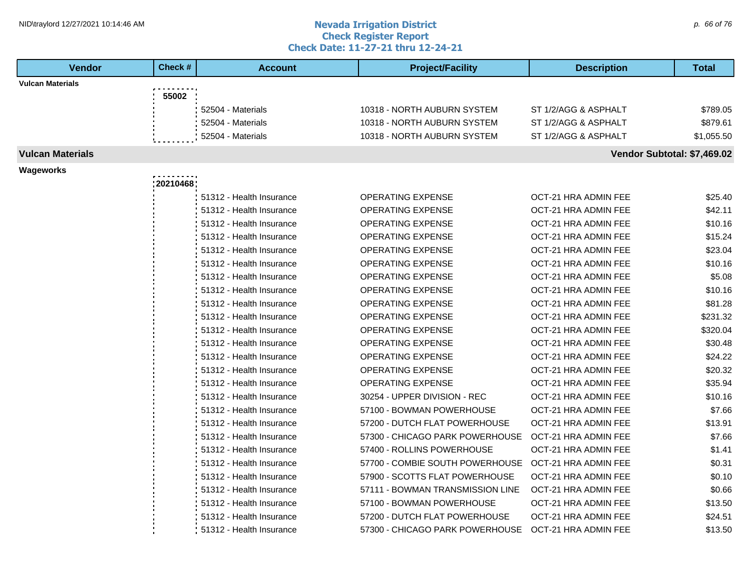#### **Nevada Irrigation District Check Register Report Check Date: 11-27-21 thru 12-24-21** NID\traylord 12/27/2021 10:14:46 AM  $\rho$  66 of 76

| <b>Vendor</b>           | Check #  | <b>Account</b>             | <b>Project/Facility</b>          | <b>Description</b>          | <b>Total</b> |
|-------------------------|----------|----------------------------|----------------------------------|-----------------------------|--------------|
| <b>Vulcan Materials</b> |          |                            |                                  |                             |              |
|                         | 55002    |                            |                                  |                             |              |
|                         |          | 52504 - Materials          | 10318 - NORTH AUBURN SYSTEM      | ST 1/2/AGG & ASPHALT        | \$789.05     |
|                         |          | 52504 - Materials          | 10318 - NORTH AUBURN SYSTEM      | ST 1/2/AGG & ASPHALT        | \$879.61     |
|                         |          | 52504 - Materials          | 10318 - NORTH AUBURN SYSTEM      | ST 1/2/AGG & ASPHALT        | \$1,055.50   |
| <b>Vulcan Materials</b> |          |                            |                                  | Vendor Subtotal: \$7,469.02 |              |
| Wageworks               |          |                            |                                  |                             |              |
|                         | 20210468 |                            |                                  |                             |              |
|                         |          | 51312 - Health Insurance   | <b>OPERATING EXPENSE</b>         | OCT-21 HRA ADMIN FEE        | \$25.40      |
|                         |          | 51312 - Health Insurance   | <b>OPERATING EXPENSE</b>         | OCT-21 HRA ADMIN FEE        | \$42.11      |
|                         |          | 51312 - Health Insurance   | <b>OPERATING EXPENSE</b>         | OCT-21 HRA ADMIN FEE        | \$10.16      |
|                         |          | 51312 - Health Insurance   | OPERATING EXPENSE                | OCT-21 HRA ADMIN FEE        | \$15.24      |
|                         |          | 51312 - Health Insurance   | OPERATING EXPENSE                | OCT-21 HRA ADMIN FEE        | \$23.04      |
|                         |          | 51312 - Health Insurance   | <b>OPERATING EXPENSE</b>         | OCT-21 HRA ADMIN FEE        | \$10.16      |
|                         |          | 51312 - Health Insurance   | <b>OPERATING EXPENSE</b>         | OCT-21 HRA ADMIN FEE        | \$5.08       |
|                         |          | 51312 - Health Insurance   | <b>OPERATING EXPENSE</b>         | OCT-21 HRA ADMIN FEE        | \$10.16      |
|                         |          | 51312 - Health Insurance   | <b>OPERATING EXPENSE</b>         | OCT-21 HRA ADMIN FEE        | \$81.28      |
|                         |          | 51312 - Health Insurance   | OPERATING EXPENSE                | OCT-21 HRA ADMIN FEE        | \$231.32     |
|                         |          | 51312 - Health Insurance   | <b>OPERATING EXPENSE</b>         | OCT-21 HRA ADMIN FEE        | \$320.04     |
|                         |          | 51312 - Health Insurance   | <b>OPERATING EXPENSE</b>         | OCT-21 HRA ADMIN FEE        | \$30.48      |
|                         |          | 51312 - Health Insurance   | <b>OPERATING EXPENSE</b>         | OCT-21 HRA ADMIN FEE        | \$24.22      |
|                         |          | 51312 - Health Insurance   | OPERATING EXPENSE                | OCT-21 HRA ADMIN FEE        | \$20.32      |
|                         |          | 51312 - Health Insurance   | <b>OPERATING EXPENSE</b>         | OCT-21 HRA ADMIN FEE        | \$35.94      |
|                         |          | 51312 - Health Insurance   | 30254 - UPPER DIVISION - REC     | OCT-21 HRA ADMIN FEE        | \$10.16      |
|                         |          | 51312 - Health Insurance   | 57100 - BOWMAN POWERHOUSE        | OCT-21 HRA ADMIN FEE        | \$7.66       |
|                         |          | 51312 - Health Insurance   | 57200 - DUTCH FLAT POWERHOUSE    | OCT-21 HRA ADMIN FEE        | \$13.91      |
|                         |          | 51312 - Health Insurance   | 57300 - CHICAGO PARK POWERHOUSE  | OCT-21 HRA ADMIN FEE        | \$7.66       |
|                         |          | 51312 - Health Insurance   | 57400 - ROLLINS POWERHOUSE       | OCT-21 HRA ADMIN FEE        | \$1.41       |
|                         |          | 51312 - Health Insurance   | 57700 - COMBIE SOUTH POWERHOUSE  | OCT-21 HRA ADMIN FEE        | \$0.31       |
|                         |          | 51312 - Health Insurance   | 57900 - SCOTTS FLAT POWERHOUSE   | OCT-21 HRA ADMIN FEE        | \$0.10       |
|                         |          | 51312 - Health Insurance   | 57111 - BOWMAN TRANSMISSION LINE | OCT-21 HRA ADMIN FEE        | \$0.66       |
|                         |          | 51312 - Health Insurance   | 57100 - BOWMAN POWERHOUSE        | OCT-21 HRA ADMIN FEE        | \$13.50      |
|                         |          | 51312 - Health Insurance   | 57200 - DUTCH FLAT POWERHOUSE    | OCT-21 HRA ADMIN FEE        | \$24.51      |
|                         |          | : 51312 - Health Insurance | 57300 - CHICAGO PARK POWERHOUSE  | OCT-21 HRA ADMIN FEE        | \$13.50      |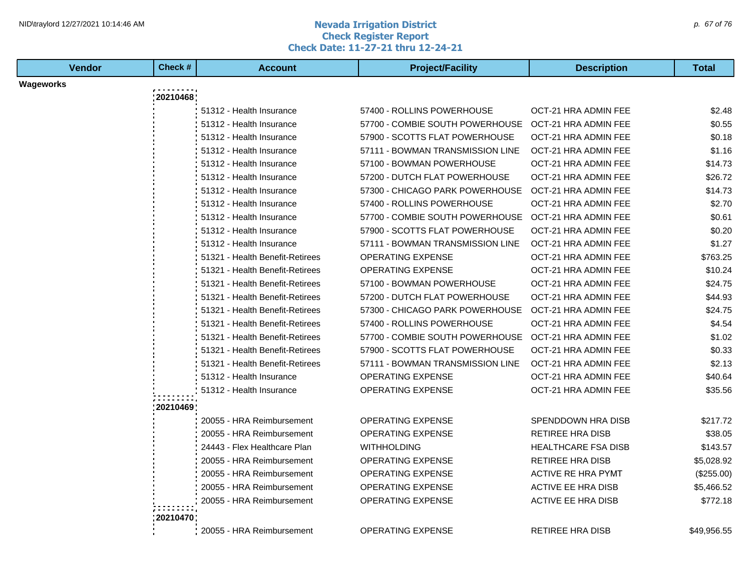#### **Nevada Irrigation District Check Register Report Check Date: 11-27-21 thru 12-24-21** NID\traylord 12/27/2021 10:14:46 AM  $\rho$  67 of 76

| Vendor    | Check#   | <b>Account</b>                  | <b>Project/Facility</b>          | <b>Description</b>         | <b>Total</b> |
|-----------|----------|---------------------------------|----------------------------------|----------------------------|--------------|
| Wageworks |          |                                 |                                  |                            |              |
|           | 20210468 |                                 |                                  |                            |              |
|           |          | 51312 - Health Insurance        | 57400 - ROLLINS POWERHOUSE       | OCT-21 HRA ADMIN FEE       | \$2.48       |
|           |          | 51312 - Health Insurance        | 57700 - COMBIE SOUTH POWERHOUSE  | OCT-21 HRA ADMIN FEE       | \$0.55       |
|           |          | 51312 - Health Insurance        | 57900 - SCOTTS FLAT POWERHOUSE   | OCT-21 HRA ADMIN FEE       | \$0.18       |
|           |          | 51312 - Health Insurance        | 57111 - BOWMAN TRANSMISSION LINE | OCT-21 HRA ADMIN FEE       | \$1.16       |
|           |          | 51312 - Health Insurance        | 57100 - BOWMAN POWERHOUSE        | OCT-21 HRA ADMIN FEE       | \$14.73      |
|           |          | 51312 - Health Insurance        | 57200 - DUTCH FLAT POWERHOUSE    | OCT-21 HRA ADMIN FEE       | \$26.72      |
|           |          | 51312 - Health Insurance        | 57300 - CHICAGO PARK POWERHOUSE  | OCT-21 HRA ADMIN FEE       | \$14.73      |
|           |          | 51312 - Health Insurance        | 57400 - ROLLINS POWERHOUSE       | OCT-21 HRA ADMIN FEE       | \$2.70       |
|           |          | 51312 - Health Insurance        | 57700 - COMBIE SOUTH POWERHOUSE  | OCT-21 HRA ADMIN FEE       | \$0.61       |
|           |          | 51312 - Health Insurance        | 57900 - SCOTTS FLAT POWERHOUSE   | OCT-21 HRA ADMIN FEE       | \$0.20       |
|           |          | 51312 - Health Insurance        | 57111 - BOWMAN TRANSMISSION LINE | OCT-21 HRA ADMIN FEE       | \$1.27       |
|           |          | 51321 - Health Benefit-Retirees | <b>OPERATING EXPENSE</b>         | OCT-21 HRA ADMIN FEE       | \$763.25     |
|           |          | 51321 - Health Benefit-Retirees | <b>OPERATING EXPENSE</b>         | OCT-21 HRA ADMIN FEE       | \$10.24      |
|           |          | 51321 - Health Benefit-Retirees | 57100 - BOWMAN POWERHOUSE        | OCT-21 HRA ADMIN FEE       | \$24.75      |
|           |          | 51321 - Health Benefit-Retirees | 57200 - DUTCH FLAT POWERHOUSE    | OCT-21 HRA ADMIN FEE       | \$44.93      |
|           |          | 51321 - Health Benefit-Retirees | 57300 - CHICAGO PARK POWERHOUSE  | OCT-21 HRA ADMIN FEE       | \$24.75      |
|           |          | 51321 - Health Benefit-Retirees | 57400 - ROLLINS POWERHOUSE       | OCT-21 HRA ADMIN FEE       | \$4.54       |
|           |          | 51321 - Health Benefit-Retirees | 57700 - COMBIE SOUTH POWERHOUSE  | OCT-21 HRA ADMIN FEE       | \$1.02       |
|           |          | 51321 - Health Benefit-Retirees | 57900 - SCOTTS FLAT POWERHOUSE   | OCT-21 HRA ADMIN FEE       | \$0.33       |
|           |          | 51321 - Health Benefit-Retirees | 57111 - BOWMAN TRANSMISSION LINE | OCT-21 HRA ADMIN FEE       | \$2.13       |
|           |          | 51312 - Health Insurance        | <b>OPERATING EXPENSE</b>         | OCT-21 HRA ADMIN FEE       | \$40.64      |
|           |          | 51312 - Health Insurance        | <b>OPERATING EXPENSE</b>         | OCT-21 HRA ADMIN FEE       | \$35.56      |
|           | 20210469 |                                 |                                  |                            |              |
|           |          | 20055 - HRA Reimbursement       | OPERATING EXPENSE                | SPENDDOWN HRA DISB         | \$217.72     |
|           |          | 20055 - HRA Reimbursement       | <b>OPERATING EXPENSE</b>         | <b>RETIREE HRA DISB</b>    | \$38.05      |
|           |          | 24443 - Flex Healthcare Plan    | <b>WITHHOLDING</b>               | <b>HEALTHCARE FSA DISB</b> | \$143.57     |
|           |          | 20055 - HRA Reimbursement       | OPERATING EXPENSE                | <b>RETIREE HRA DISB</b>    | \$5,028.92   |
|           |          | 20055 - HRA Reimbursement       | <b>OPERATING EXPENSE</b>         | <b>ACTIVE RE HRA PYMT</b>  | (\$255.00)   |
|           |          | 20055 - HRA Reimbursement       | OPERATING EXPENSE                | <b>ACTIVE EE HRA DISB</b>  | \$5,466.52   |
|           |          | 20055 - HRA Reimbursement       | <b>OPERATING EXPENSE</b>         | <b>ACTIVE EE HRA DISB</b>  | \$772.18     |
|           | 20210470 |                                 |                                  |                            |              |
|           |          | 20055 - HRA Reimbursement       | OPERATING EXPENSE                | <b>RETIREE HRA DISB</b>    | \$49,956.55  |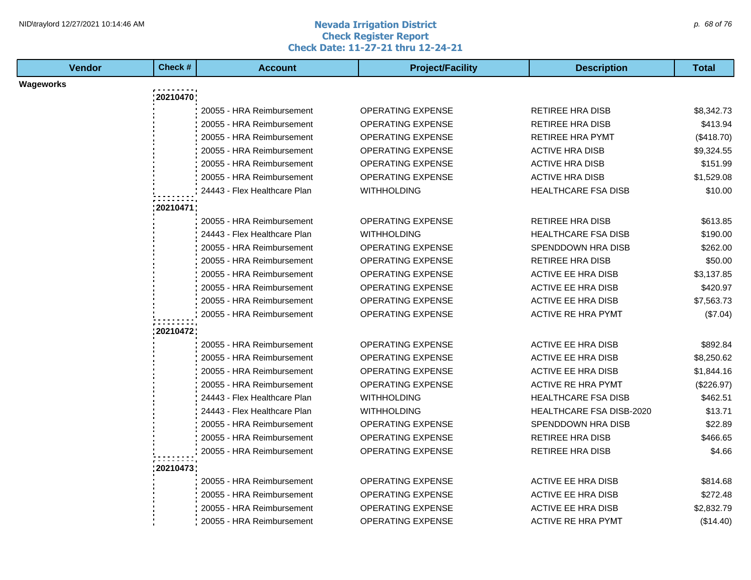#### **Nevada Irrigation District Check Register Report Check Date: 11-27-21 thru 12-24-21** NID\traylord 12/27/2021 10:14:46 AM  $\rho$  68 of 76

| <b>Vendor</b> | Check #      | <b>Account</b>               | <b>Project/Facility</b>  | <b>Description</b>         | <b>Total</b> |
|---------------|--------------|------------------------------|--------------------------|----------------------------|--------------|
| Wageworks     |              |                              |                          |                            |              |
|               | 20210470     |                              |                          |                            |              |
|               |              | 20055 - HRA Reimbursement    | OPERATING EXPENSE        | <b>RETIREE HRA DISB</b>    | \$8,342.73   |
|               |              | 20055 - HRA Reimbursement    | OPERATING EXPENSE        | <b>RETIREE HRA DISB</b>    | \$413.94     |
|               |              | 20055 - HRA Reimbursement    | <b>OPERATING EXPENSE</b> | <b>RETIREE HRA PYMT</b>    | (\$418.70)   |
|               |              | 20055 - HRA Reimbursement    | <b>OPERATING EXPENSE</b> | <b>ACTIVE HRA DISB</b>     | \$9,324.55   |
|               |              | 20055 - HRA Reimbursement    | OPERATING EXPENSE        | <b>ACTIVE HRA DISB</b>     | \$151.99     |
|               |              | 20055 - HRA Reimbursement    | <b>OPERATING EXPENSE</b> | <b>ACTIVE HRA DISB</b>     | \$1,529.08   |
|               |              | 24443 - Flex Healthcare Plan | <b>WITHHOLDING</b>       | <b>HEALTHCARE FSA DISB</b> | \$10.00      |
|               | : 20210471 ; |                              |                          |                            |              |
|               |              | 20055 - HRA Reimbursement    | <b>OPERATING EXPENSE</b> | <b>RETIREE HRA DISB</b>    | \$613.85     |
|               |              | 24443 - Flex Healthcare Plan | <b>WITHHOLDING</b>       | <b>HEALTHCARE FSA DISB</b> | \$190.00     |
|               |              | 20055 - HRA Reimbursement    | OPERATING EXPENSE        | SPENDDOWN HRA DISB         | \$262.00     |
|               |              | 20055 - HRA Reimbursement    | OPERATING EXPENSE        | <b>RETIREE HRA DISB</b>    | \$50.00      |
|               |              | 20055 - HRA Reimbursement    | OPERATING EXPENSE        | <b>ACTIVE EE HRA DISB</b>  | \$3,137.85   |
|               |              | 20055 - HRA Reimbursement    | OPERATING EXPENSE        | <b>ACTIVE EE HRA DISB</b>  | \$420.97     |
|               |              | 20055 - HRA Reimbursement    | OPERATING EXPENSE        | ACTIVE EE HRA DISB         | \$7,563.73   |
|               |              | 20055 - HRA Reimbursement    | OPERATING EXPENSE        | <b>ACTIVE RE HRA PYMT</b>  | (\$7.04)     |
|               | : 20210472;  |                              |                          |                            |              |
|               |              | 20055 - HRA Reimbursement    | OPERATING EXPENSE        | <b>ACTIVE EE HRA DISB</b>  | \$892.84     |
|               |              | 20055 - HRA Reimbursement    | <b>OPERATING EXPENSE</b> | <b>ACTIVE EE HRA DISB</b>  | \$8,250.62   |
|               |              | 20055 - HRA Reimbursement    | OPERATING EXPENSE        | ACTIVE EE HRA DISB         | \$1,844.16   |
|               |              | 20055 - HRA Reimbursement    | <b>OPERATING EXPENSE</b> | <b>ACTIVE RE HRA PYMT</b>  | (\$226.97)   |
|               |              | 24443 - Flex Healthcare Plan | <b>WITHHOLDING</b>       | <b>HEALTHCARE FSA DISB</b> | \$462.51     |
|               |              | 24443 - Flex Healthcare Plan | <b>WITHHOLDING</b>       | HEALTHCARE FSA DISB-2020   | \$13.71      |
|               |              | 20055 - HRA Reimbursement    | <b>OPERATING EXPENSE</b> | SPENDDOWN HRA DISB         | \$22.89      |
|               |              | 20055 - HRA Reimbursement    | OPERATING EXPENSE        | <b>RETIREE HRA DISB</b>    | \$466.65     |
|               |              | 20055 - HRA Reimbursement    | OPERATING EXPENSE        | <b>RETIREE HRA DISB</b>    | \$4.66       |
|               |              |                              |                          |                            |              |
|               | 20210473     |                              |                          |                            |              |
|               |              | 20055 - HRA Reimbursement    | OPERATING EXPENSE        | ACTIVE EE HRA DISB         | \$814.68     |
|               |              | 20055 - HRA Reimbursement    | OPERATING EXPENSE        | <b>ACTIVE EE HRA DISB</b>  | \$272.48     |
|               |              | 20055 - HRA Reimbursement    | OPERATING EXPENSE        | <b>ACTIVE EE HRA DISB</b>  | \$2,832.79   |
|               |              | 20055 - HRA Reimbursement    | <b>OPERATING EXPENSE</b> | <b>ACTIVE RE HRA PYMT</b>  | (\$14.40)    |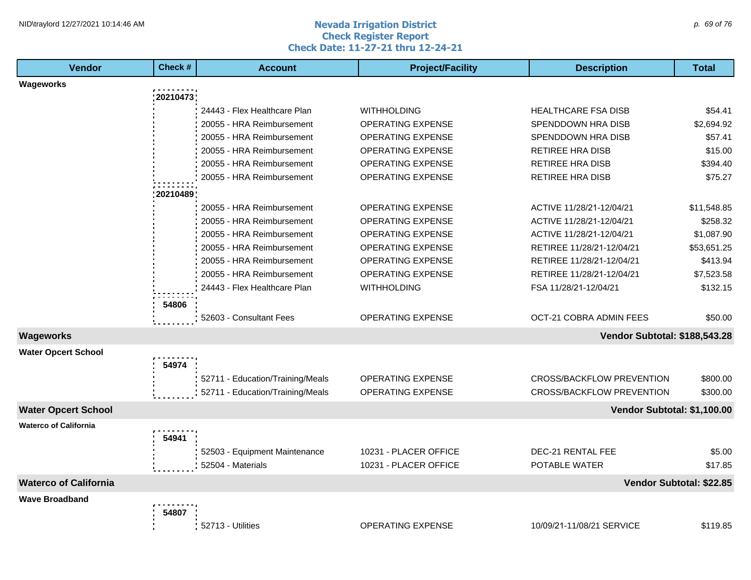#### **Nevada Irrigation District Check Register Report Check Date: 11-27-21 thru 12-24-21** NID\traylord 12/27/2021 10:14:46 AM  $\rho$  69 of 76

| <b>Vendor</b>                | Check#      | <b>Account</b>                   | <b>Project/Facility</b>  | <b>Description</b>               | Total                    |
|------------------------------|-------------|----------------------------------|--------------------------|----------------------------------|--------------------------|
| Wageworks                    |             |                                  |                          |                                  |                          |
|                              | 20210473    |                                  |                          |                                  |                          |
|                              |             | 24443 - Flex Healthcare Plan     | <b>WITHHOLDING</b>       | <b>HEALTHCARE FSA DISB</b>       | \$54.41                  |
|                              |             | 20055 - HRA Reimbursement        | <b>OPERATING EXPENSE</b> | SPENDDOWN HRA DISB               | \$2,694.92               |
|                              |             | 20055 - HRA Reimbursement        | <b>OPERATING EXPENSE</b> | SPENDDOWN HRA DISB               | \$57.41                  |
|                              |             | 20055 - HRA Reimbursement        | <b>OPERATING EXPENSE</b> | RETIREE HRA DISB                 | \$15.00                  |
|                              |             | 20055 - HRA Reimbursement        | OPERATING EXPENSE        | <b>RETIREE HRA DISB</b>          | \$394.40                 |
|                              |             | 20055 - HRA Reimbursement        | <b>OPERATING EXPENSE</b> | RETIREE HRA DISB                 | \$75.27                  |
|                              | : 20210489; |                                  |                          |                                  |                          |
|                              |             | 20055 - HRA Reimbursement        | <b>OPERATING EXPENSE</b> | ACTIVE 11/28/21-12/04/21         | \$11,548.85              |
|                              |             | 20055 - HRA Reimbursement        | <b>OPERATING EXPENSE</b> | ACTIVE 11/28/21-12/04/21         | \$258.32                 |
|                              |             | 20055 - HRA Reimbursement        | <b>OPERATING EXPENSE</b> | ACTIVE 11/28/21-12/04/21         | \$1,087.90               |
|                              |             | 20055 - HRA Reimbursement        | <b>OPERATING EXPENSE</b> | RETIREE 11/28/21-12/04/21        | \$53,651.25              |
|                              |             | 20055 - HRA Reimbursement        | <b>OPERATING EXPENSE</b> | RETIREE 11/28/21-12/04/21        | \$413.94                 |
|                              |             | 20055 - HRA Reimbursement        | <b>OPERATING EXPENSE</b> | RETIREE 11/28/21-12/04/21        | \$7,523.58               |
|                              |             | 24443 - Flex Healthcare Plan     | <b>WITHHOLDING</b>       | FSA 11/28/21-12/04/21            | \$132.15                 |
|                              | 54806       |                                  |                          |                                  |                          |
|                              |             | 52603 - Consultant Fees          | <b>OPERATING EXPENSE</b> | OCT-21 COBRA ADMIN FEES          | \$50.00                  |
|                              |             |                                  |                          |                                  |                          |
| Wageworks                    |             |                                  |                          | Vendor Subtotal: \$188,543.28    |                          |
| <b>Water Opcert School</b>   |             |                                  |                          |                                  |                          |
|                              | 54974       |                                  |                          |                                  |                          |
|                              |             | 52711 - Education/Training/Meals | <b>OPERATING EXPENSE</b> | CROSS/BACKFLOW PREVENTION        | \$800.00                 |
|                              |             | 52711 - Education/Training/Meals | OPERATING EXPENSE        | <b>CROSS/BACKFLOW PREVENTION</b> | \$300.00                 |
| <b>Water Opcert School</b>   |             |                                  |                          | Vendor Subtotal: \$1,100.00      |                          |
| <b>Waterco of California</b> |             |                                  |                          |                                  |                          |
|                              | 54941       |                                  |                          |                                  |                          |
|                              |             | 52503 - Equipment Maintenance    | 10231 - PLACER OFFICE    | DEC-21 RENTAL FEE                | \$5.00                   |
|                              |             | 52504 - Materials                | 10231 - PLACER OFFICE    | POTABLE WATER                    | \$17.85                  |
| <b>Waterco of California</b> |             |                                  |                          |                                  | Vendor Subtotal: \$22.85 |
| <b>Wave Broadband</b>        |             |                                  |                          |                                  |                          |
|                              | 54807       |                                  |                          |                                  |                          |
|                              |             | 52713 - Utilities                | <b>OPERATING EXPENSE</b> | 10/09/21-11/08/21 SERVICE        | \$119.85                 |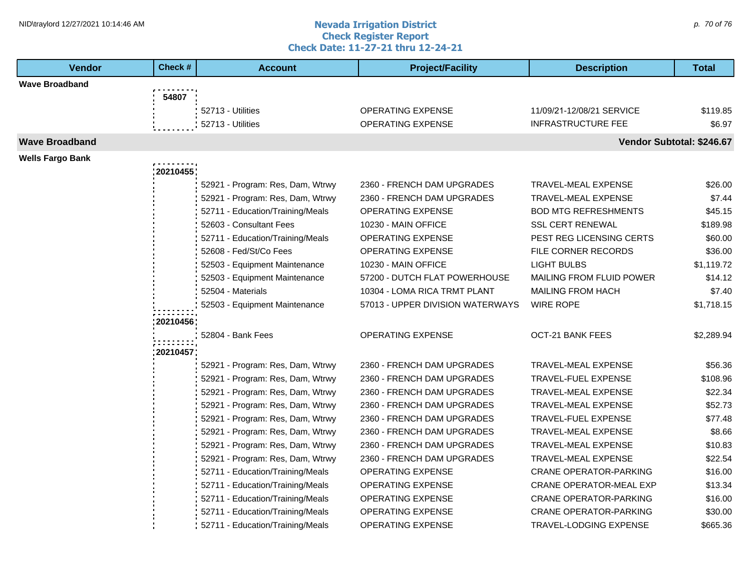#### **Nevada Irrigation District Check Register Report Check Date: 11-27-21 thru 12-24-21** NID\traylord 12/27/2021 10:14:46 AM  $\rho$ . 70 of 76

| <b>Vendor</b>           | Check #   | <b>Account</b>                   | <b>Project/Facility</b>          | <b>Description</b>              | <b>Total</b>              |
|-------------------------|-----------|----------------------------------|----------------------------------|---------------------------------|---------------------------|
| <b>Wave Broadband</b>   |           |                                  |                                  |                                 |                           |
|                         | 54807     |                                  |                                  |                                 |                           |
|                         |           | 52713 - Utilities                | <b>OPERATING EXPENSE</b>         | 11/09/21-12/08/21 SERVICE       | \$119.85                  |
|                         |           | 52713 - Utilities                | <b>OPERATING EXPENSE</b>         | <b>INFRASTRUCTURE FEE</b>       | \$6.97                    |
| <b>Wave Broadband</b>   |           |                                  |                                  |                                 | Vendor Subtotal: \$246.67 |
| <b>Wells Fargo Bank</b> |           |                                  |                                  |                                 |                           |
|                         | 20210455  |                                  |                                  |                                 |                           |
|                         |           | 52921 - Program: Res, Dam, Wtrwy | 2360 - FRENCH DAM UPGRADES       | <b>TRAVEL-MEAL EXPENSE</b>      | \$26.00                   |
|                         |           | 52921 - Program: Res, Dam, Wtrwy | 2360 - FRENCH DAM UPGRADES       | <b>TRAVEL-MEAL EXPENSE</b>      | \$7.44                    |
|                         |           | 52711 - Education/Training/Meals | <b>OPERATING EXPENSE</b>         | <b>BOD MTG REFRESHMENTS</b>     | \$45.15                   |
|                         |           | 52603 - Consultant Fees          | 10230 - MAIN OFFICE              | <b>SSL CERT RENEWAL</b>         | \$189.98                  |
|                         |           | 52711 - Education/Training/Meals | <b>OPERATING EXPENSE</b>         | PEST REG LICENSING CERTS        | \$60.00                   |
|                         |           | 52608 - Fed/St/Co Fees           | <b>OPERATING EXPENSE</b>         | FILE CORNER RECORDS             | \$36.00                   |
|                         |           | 52503 - Equipment Maintenance    | 10230 - MAIN OFFICE              | <b>LIGHT BULBS</b>              | \$1,119.72                |
|                         |           | 52503 - Equipment Maintenance    | 57200 - DUTCH FLAT POWERHOUSE    | <b>MAILING FROM FLUID POWER</b> | \$14.12                   |
|                         |           | 52504 - Materials                | 10304 - LOMA RICA TRMT PLANT     | <b>MAILING FROM HACH</b>        | \$7.40                    |
|                         |           | 52503 - Equipment Maintenance    | 57013 - UPPER DIVISION WATERWAYS | <b>WIRE ROPE</b>                | \$1,718.15                |
|                         | :20210456 |                                  |                                  |                                 |                           |
|                         |           | 52804 - Bank Fees                | <b>OPERATING EXPENSE</b>         | <b>OCT-21 BANK FEES</b>         | \$2,289.94                |
|                         | 20210457  |                                  |                                  |                                 |                           |
|                         |           | 52921 - Program: Res, Dam, Wtrwy | 2360 - FRENCH DAM UPGRADES       | TRAVEL-MEAL EXPENSE             | \$56.36                   |
|                         |           | 52921 - Program: Res, Dam, Wtrwy | 2360 - FRENCH DAM UPGRADES       | <b>TRAVEL-FUEL EXPENSE</b>      | \$108.96                  |
|                         |           | 52921 - Program: Res, Dam, Wtrwy | 2360 - FRENCH DAM UPGRADES       | TRAVEL-MEAL EXPENSE             | \$22.34                   |
|                         |           | 52921 - Program: Res, Dam, Wtrwy | 2360 - FRENCH DAM UPGRADES       | <b>TRAVEL-MEAL EXPENSE</b>      | \$52.73                   |
|                         |           | 52921 - Program: Res, Dam, Wtrwy | 2360 - FRENCH DAM UPGRADES       | <b>TRAVEL-FUEL EXPENSE</b>      | \$77.48                   |
|                         |           | 52921 - Program: Res, Dam, Wtrwy | 2360 - FRENCH DAM UPGRADES       | TRAVEL-MEAL EXPENSE             | \$8.66                    |
|                         |           | 52921 - Program: Res, Dam, Wtrwy | 2360 - FRENCH DAM UPGRADES       | TRAVEL-MEAL EXPENSE             | \$10.83                   |
|                         |           | 52921 - Program: Res, Dam, Wtrwy | 2360 - FRENCH DAM UPGRADES       | TRAVEL-MEAL EXPENSE             | \$22.54                   |
|                         |           | 52711 - Education/Training/Meals | OPERATING EXPENSE                | <b>CRANE OPERATOR-PARKING</b>   | \$16.00                   |
|                         |           | 52711 - Education/Training/Meals | <b>OPERATING EXPENSE</b>         | <b>CRANE OPERATOR-MEAL EXP</b>  | \$13.34                   |
|                         |           | 52711 - Education/Training/Meals | OPERATING EXPENSE                | <b>CRANE OPERATOR-PARKING</b>   | \$16.00                   |
|                         |           | 52711 - Education/Training/Meals | OPERATING EXPENSE                | <b>CRANE OPERATOR-PARKING</b>   | \$30.00                   |
|                         |           | 52711 - Education/Training/Meals | <b>OPERATING EXPENSE</b>         | <b>TRAVEL-LODGING EXPENSE</b>   | \$665.36                  |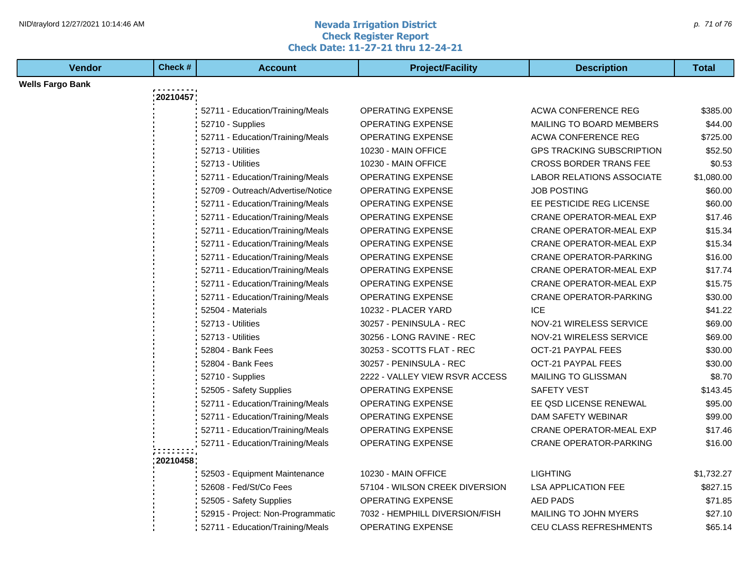#### **Nevada Irrigation District Check Register Report Check Date: 11-27-21 thru 12-24-21** NID\traylord 12/27/2021 10:14:46 AM  $\rho$ . 71 of 76

| <b>Vendor</b>           | Check #  | <b>Account</b>                    | <b>Project/Facility</b>        | <b>Description</b>               | <b>Total</b> |  |
|-------------------------|----------|-----------------------------------|--------------------------------|----------------------------------|--------------|--|
| <b>Wells Fargo Bank</b> |          |                                   |                                |                                  |              |  |
|                         | 20210457 |                                   |                                |                                  |              |  |
|                         |          | 52711 - Education/Training/Meals  | OPERATING EXPENSE              | ACWA CONFERENCE REG              | \$385.00     |  |
|                         |          | 52710 - Supplies                  | OPERATING EXPENSE              | MAILING TO BOARD MEMBERS         | \$44.00      |  |
|                         |          | 52711 - Education/Training/Meals  | <b>OPERATING EXPENSE</b>       | <b>ACWA CONFERENCE REG</b>       | \$725.00     |  |
|                         |          | 52713 - Utilities                 | 10230 - MAIN OFFICE            | <b>GPS TRACKING SUBSCRIPTION</b> | \$52.50      |  |
|                         |          | 52713 - Utilities                 | 10230 - MAIN OFFICE            | <b>CROSS BORDER TRANS FEE</b>    | \$0.53       |  |
|                         |          | 52711 - Education/Training/Meals  | OPERATING EXPENSE              | LABOR RELATIONS ASSOCIATE        | \$1,080.00   |  |
|                         |          | 52709 - Outreach/Advertise/Notice | <b>OPERATING EXPENSE</b>       | <b>JOB POSTING</b>               | \$60.00      |  |
|                         |          | 52711 - Education/Training/Meals  | <b>OPERATING EXPENSE</b>       | EE PESTICIDE REG LICENSE         | \$60.00      |  |
|                         |          | 52711 - Education/Training/Meals  | <b>OPERATING EXPENSE</b>       | <b>CRANE OPERATOR-MEAL EXP</b>   | \$17.46      |  |
|                         |          | 52711 - Education/Training/Meals  | OPERATING EXPENSE              | <b>CRANE OPERATOR-MEAL EXP</b>   | \$15.34      |  |
|                         |          | 52711 - Education/Training/Meals  | OPERATING EXPENSE              | CRANE OPERATOR-MEAL EXP          | \$15.34      |  |
|                         |          | 52711 - Education/Training/Meals  | <b>OPERATING EXPENSE</b>       | <b>CRANE OPERATOR-PARKING</b>    | \$16.00      |  |
|                         |          | 52711 - Education/Training/Meals  | OPERATING EXPENSE              | <b>CRANE OPERATOR-MEAL EXP</b>   | \$17.74      |  |
|                         |          | 52711 - Education/Training/Meals  | <b>OPERATING EXPENSE</b>       | CRANE OPERATOR-MEAL EXP          | \$15.75      |  |
|                         |          | 52711 - Education/Training/Meals  | OPERATING EXPENSE              | <b>CRANE OPERATOR-PARKING</b>    | \$30.00      |  |
|                         |          | 52504 - Materials                 | 10232 - PLACER YARD            | <b>ICE</b>                       | \$41.22      |  |
|                         |          | 52713 - Utilities                 | 30257 - PENINSULA - REC        | NOV-21 WIRELESS SERVICE          | \$69.00      |  |
|                         |          | 52713 - Utilities                 | 30256 - LONG RAVINE - REC      | NOV-21 WIRELESS SERVICE          | \$69.00      |  |
|                         |          | 52804 - Bank Fees                 | 30253 - SCOTTS FLAT - REC      | OCT-21 PAYPAL FEES               | \$30.00      |  |
|                         |          | 52804 - Bank Fees                 | 30257 - PENINSULA - REC        | <b>OCT-21 PAYPAL FEES</b>        | \$30.00      |  |
|                         |          | 52710 - Supplies                  | 2222 - VALLEY VIEW RSVR ACCESS | <b>MAILING TO GLISSMAN</b>       | \$8.70       |  |
|                         |          | 52505 - Safety Supplies           | OPERATING EXPENSE              | SAFETY VEST                      | \$143.45     |  |
|                         |          | 52711 - Education/Training/Meals  | <b>OPERATING EXPENSE</b>       | EE QSD LICENSE RENEWAL           | \$95.00      |  |
|                         |          | 52711 - Education/Training/Meals  | OPERATING EXPENSE              | DAM SAFETY WEBINAR               | \$99.00      |  |
|                         |          | 52711 - Education/Training/Meals  | <b>OPERATING EXPENSE</b>       | CRANE OPERATOR-MEAL EXP          | \$17.46      |  |
|                         |          | 52711 - Education/Training/Meals  | <b>OPERATING EXPENSE</b>       | <b>CRANE OPERATOR-PARKING</b>    | \$16.00      |  |
|                         | 20210458 |                                   |                                |                                  |              |  |
|                         |          | 52503 - Equipment Maintenance     | 10230 - MAIN OFFICE            | <b>LIGHTING</b>                  | \$1,732.27   |  |
|                         |          | 52608 - Fed/St/Co Fees            | 57104 - WILSON CREEK DIVERSION | <b>LSA APPLICATION FEE</b>       | \$827.15     |  |
|                         |          | 52505 - Safety Supplies           | <b>OPERATING EXPENSE</b>       | AED PADS                         | \$71.85      |  |
|                         |          | 52915 - Project: Non-Programmatic | 7032 - HEMPHILL DIVERSION/FISH | MAILING TO JOHN MYERS            | \$27.10      |  |
|                         |          | 52711 - Education/Training/Meals  | OPERATING EXPENSE              | <b>CEU CLASS REFRESHMENTS</b>    | \$65.14      |  |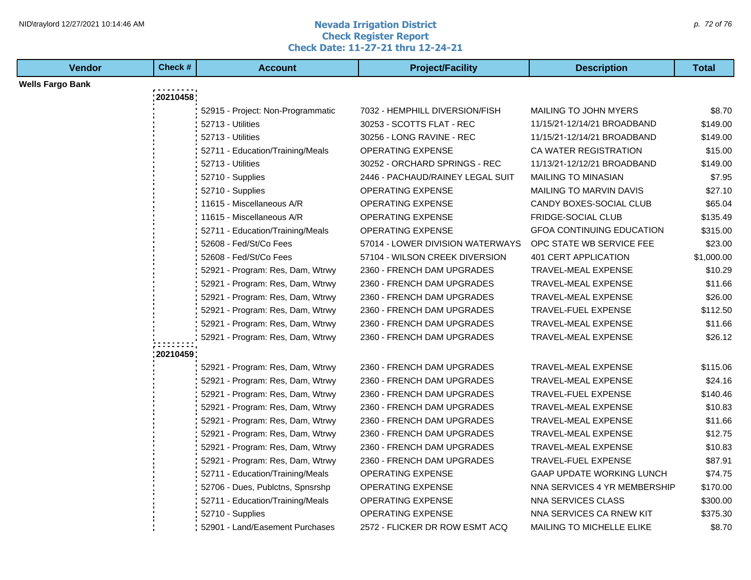#### **Nevada Irrigation District Check Register Report Check Date: 11-27-21 thru 12-24-21** NID\traylord 12/27/2021 10:14:46 AM  $\rho$ . 72 of 76

| <b>Vendor</b>           | Check #  | <b>Account</b>                    | <b>Project/Facility</b>          | <b>Description</b>               | <b>Total</b> |
|-------------------------|----------|-----------------------------------|----------------------------------|----------------------------------|--------------|
| <b>Wells Fargo Bank</b> |          |                                   |                                  |                                  |              |
|                         | 20210458 |                                   |                                  |                                  |              |
|                         |          | 52915 - Project: Non-Programmatic | 7032 - HEMPHILL DIVERSION/FISH   | <b>MAILING TO JOHN MYERS</b>     | \$8.70       |
|                         |          | 52713 - Utilities                 | 30253 - SCOTTS FLAT - REC        | 11/15/21-12/14/21 BROADBAND      | \$149.00     |
|                         |          | 52713 - Utilities                 | 30256 - LONG RAVINE - REC        | 11/15/21-12/14/21 BROADBAND      | \$149.00     |
|                         |          | 52711 - Education/Training/Meals  | <b>OPERATING EXPENSE</b>         | CA WATER REGISTRATION            | \$15.00      |
|                         |          | 52713 - Utilities                 | 30252 - ORCHARD SPRINGS - REC    | 11/13/21-12/12/21 BROADBAND      | \$149.00     |
|                         |          | 52710 - Supplies                  | 2446 - PACHAUD/RAINEY LEGAL SUIT | <b>MAILING TO MINASIAN</b>       | \$7.95       |
|                         |          | 52710 - Supplies                  | <b>OPERATING EXPENSE</b>         | <b>MAILING TO MARVIN DAVIS</b>   | \$27.10      |
|                         |          | 11615 - Miscellaneous A/R         | <b>OPERATING EXPENSE</b>         | CANDY BOXES-SOCIAL CLUB          | \$65.04      |
|                         |          | 11615 - Miscellaneous A/R         | OPERATING EXPENSE                | FRIDGE-SOCIAL CLUB               | \$135.49     |
|                         |          | 52711 - Education/Training/Meals  | <b>OPERATING EXPENSE</b>         | <b>GFOA CONTINUING EDUCATION</b> | \$315.00     |
|                         |          | 52608 - Fed/St/Co Fees            | 57014 - LOWER DIVISION WATERWAYS | OPC STATE WB SERVICE FEE         | \$23.00      |
|                         |          | 52608 - Fed/St/Co Fees            | 57104 - WILSON CREEK DIVERSION   | 401 CERT APPLICATION             | \$1,000.00   |
|                         |          | 52921 - Program: Res, Dam, Wtrwy  | 2360 - FRENCH DAM UPGRADES       | <b>TRAVEL-MEAL EXPENSE</b>       | \$10.29      |
|                         |          | 52921 - Program: Res, Dam, Wtrwy  | 2360 - FRENCH DAM UPGRADES       | <b>TRAVEL-MEAL EXPENSE</b>       | \$11.66      |
|                         |          | 52921 - Program: Res, Dam, Wtrwy  | 2360 - FRENCH DAM UPGRADES       | TRAVEL-MEAL EXPENSE              | \$26.00      |
|                         |          | 52921 - Program: Res, Dam, Wtrwy  | 2360 - FRENCH DAM UPGRADES       | TRAVEL-FUEL EXPENSE              | \$112.50     |
|                         |          | 52921 - Program: Res, Dam, Wtrwy  | 2360 - FRENCH DAM UPGRADES       | <b>TRAVEL-MEAL EXPENSE</b>       | \$11.66      |
|                         |          | 52921 - Program: Res, Dam, Wtrwy  | 2360 - FRENCH DAM UPGRADES       | <b>TRAVEL-MEAL EXPENSE</b>       | \$26.12      |
|                         | 20210459 |                                   |                                  |                                  |              |
|                         |          | 52921 - Program: Res, Dam, Wtrwy  | 2360 - FRENCH DAM UPGRADES       | TRAVEL-MEAL EXPENSE              | \$115.06     |
|                         |          | 52921 - Program: Res, Dam, Wtrwy  | 2360 - FRENCH DAM UPGRADES       | TRAVEL-MEAL EXPENSE              | \$24.16      |
|                         |          | 52921 - Program: Res, Dam, Wtrwy  | 2360 - FRENCH DAM UPGRADES       | TRAVEL-FUEL EXPENSE              | \$140.46     |
|                         |          | 52921 - Program: Res, Dam, Wtrwy  | 2360 - FRENCH DAM UPGRADES       | <b>TRAVEL-MEAL EXPENSE</b>       | \$10.83      |
|                         |          | 52921 - Program: Res, Dam, Wtrwy  | 2360 - FRENCH DAM UPGRADES       | <b>TRAVEL-MEAL EXPENSE</b>       | \$11.66      |
|                         |          | 52921 - Program: Res, Dam, Wtrwy  | 2360 - FRENCH DAM UPGRADES       | <b>TRAVEL-MEAL EXPENSE</b>       | \$12.75      |
|                         |          | 52921 - Program: Res, Dam, Wtrwy  | 2360 - FRENCH DAM UPGRADES       | <b>TRAVEL-MEAL EXPENSE</b>       | \$10.83      |
|                         |          | 52921 - Program: Res, Dam, Wtrwy  | 2360 - FRENCH DAM UPGRADES       | TRAVEL-FUEL EXPENSE              | \$87.91      |
|                         |          | 52711 - Education/Training/Meals  | <b>OPERATING EXPENSE</b>         | <b>GAAP UPDATE WORKING LUNCH</b> | \$74.75      |
|                         |          | 52706 - Dues, Publctns, Spnsrshp  | <b>OPERATING EXPENSE</b>         | NNA SERVICES 4 YR MEMBERSHIP     | \$170.00     |
|                         |          | 52711 - Education/Training/Meals  | <b>OPERATING EXPENSE</b>         | NNA SERVICES CLASS               | \$300.00     |
|                         |          | 52710 - Supplies                  | OPERATING EXPENSE                | NNA SERVICES CA RNEW KIT         | \$375.30     |
|                         |          | 52901 - Land/Easement Purchases   | 2572 - FLICKER DR ROW ESMT ACQ   | <b>MAILING TO MICHELLE ELIKE</b> | \$8.70       |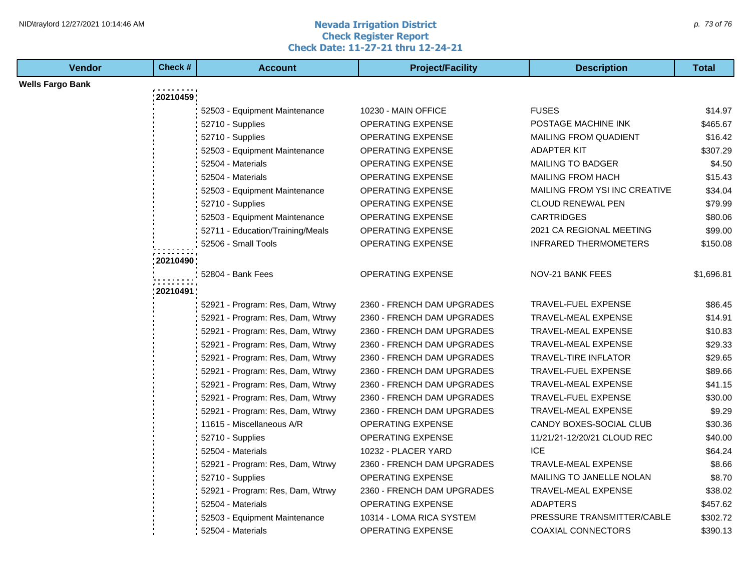#### **Nevada Irrigation District Check Register Report Check Date: 11-27-21 thru 12-24-21** NID\traylord 12/27/2021 10:14:46 AM  $\rho$ . 73 of 76

| <b>Vendor</b>           | Check #      | <b>Account</b>                                                       | <b>Project/Facility</b>                                  | <b>Description</b>                                        | <b>Total</b>        |  |
|-------------------------|--------------|----------------------------------------------------------------------|----------------------------------------------------------|-----------------------------------------------------------|---------------------|--|
| <b>Wells Fargo Bank</b> |              |                                                                      |                                                          |                                                           |                     |  |
|                         | 20210459     |                                                                      |                                                          |                                                           |                     |  |
|                         |              | 52503 - Equipment Maintenance                                        | 10230 - MAIN OFFICE                                      | <b>FUSES</b>                                              | \$14.97             |  |
|                         |              | 52710 - Supplies                                                     | <b>OPERATING EXPENSE</b>                                 | POSTAGE MACHINE INK                                       | \$465.67            |  |
|                         |              | 52710 - Supplies                                                     | OPERATING EXPENSE                                        | <b>MAILING FROM QUADIENT</b>                              | \$16.42             |  |
|                         |              | 52503 - Equipment Maintenance                                        | <b>OPERATING EXPENSE</b>                                 | <b>ADAPTER KIT</b>                                        | \$307.29            |  |
|                         |              | 52504 - Materials                                                    | <b>OPERATING EXPENSE</b>                                 | <b>MAILING TO BADGER</b>                                  | \$4.50              |  |
|                         |              | 52504 - Materials                                                    | OPERATING EXPENSE                                        | <b>MAILING FROM HACH</b>                                  | \$15.43             |  |
|                         |              | 52503 - Equipment Maintenance                                        | OPERATING EXPENSE                                        | MAILING FROM YSI INC CREATIVE                             | \$34.04             |  |
|                         |              | 52710 - Supplies                                                     | <b>OPERATING EXPENSE</b>                                 | <b>CLOUD RENEWAL PEN</b>                                  | \$79.99             |  |
|                         |              | 52503 - Equipment Maintenance                                        | <b>OPERATING EXPENSE</b>                                 | <b>CARTRIDGES</b>                                         | \$80.06             |  |
|                         |              | 52711 - Education/Training/Meals                                     | OPERATING EXPENSE                                        | 2021 CA REGIONAL MEETING                                  | \$99.00             |  |
|                         |              | 52506 - Small Tools                                                  | <b>OPERATING EXPENSE</b>                                 | <b>INFRARED THERMOMETERS</b>                              | \$150.08            |  |
|                         | : 20210490 } |                                                                      |                                                          |                                                           |                     |  |
|                         |              | 52804 - Bank Fees                                                    | OPERATING EXPENSE                                        | NOV-21 BANK FEES                                          | \$1,696.81          |  |
|                         | :20210491    |                                                                      |                                                          |                                                           |                     |  |
|                         |              |                                                                      |                                                          | <b>TRAVEL-FUEL EXPENSE</b>                                |                     |  |
|                         |              | 52921 - Program: Res, Dam, Wtrwy                                     | 2360 - FRENCH DAM UPGRADES                               |                                                           | \$86.45<br>\$14.91  |  |
|                         |              | 52921 - Program: Res, Dam, Wtrwy                                     | 2360 - FRENCH DAM UPGRADES                               | TRAVEL-MEAL EXPENSE                                       |                     |  |
|                         |              | 52921 - Program: Res, Dam, Wtrwy                                     | 2360 - FRENCH DAM UPGRADES                               | TRAVEL-MEAL EXPENSE                                       | \$10.83             |  |
|                         |              | 52921 - Program: Res, Dam, Wtrwy                                     | 2360 - FRENCH DAM UPGRADES                               | <b>TRAVEL-MEAL EXPENSE</b>                                | \$29.33             |  |
|                         |              | 52921 - Program: Res, Dam, Wtrwy                                     | 2360 - FRENCH DAM UPGRADES<br>2360 - FRENCH DAM UPGRADES | <b>TRAVEL-TIRE INFLATOR</b><br><b>TRAVEL-FUEL EXPENSE</b> | \$29.65             |  |
|                         |              | 52921 - Program: Res, Dam, Wtrwy                                     |                                                          | <b>TRAVEL-MEAL EXPENSE</b>                                | \$89.66<br>\$41.15  |  |
|                         |              | 52921 - Program: Res, Dam, Wtrwy<br>52921 - Program: Res, Dam, Wtrwy | 2360 - FRENCH DAM UPGRADES<br>2360 - FRENCH DAM UPGRADES | TRAVEL-FUEL EXPENSE                                       | \$30.00             |  |
|                         |              |                                                                      |                                                          | TRAVEL-MEAL EXPENSE                                       |                     |  |
|                         |              | 52921 - Program: Res, Dam, Wtrwy<br>11615 - Miscellaneous A/R        | 2360 - FRENCH DAM UPGRADES<br><b>OPERATING EXPENSE</b>   | CANDY BOXES-SOCIAL CLUB                                   | \$9.29<br>\$30.36   |  |
|                         |              | 52710 - Supplies                                                     | <b>OPERATING EXPENSE</b>                                 | 11/21/21-12/20/21 CLOUD REC                               | \$40.00             |  |
|                         |              | 52504 - Materials                                                    | 10232 - PLACER YARD                                      | <b>ICE</b>                                                | \$64.24             |  |
|                         |              |                                                                      | 2360 - FRENCH DAM UPGRADES                               | TRAVLE-MEAL EXPENSE                                       | \$8.66              |  |
|                         |              | 52921 - Program: Res, Dam, Wtrwy<br>52710 - Supplies                 |                                                          |                                                           | \$8.70              |  |
|                         |              |                                                                      | OPERATING EXPENSE                                        | MAILING TO JANELLE NOLAN<br>TRAVEL-MEAL EXPENSE           |                     |  |
|                         |              | 52921 - Program: Res, Dam, Wtrwy                                     | 2360 - FRENCH DAM UPGRADES                               |                                                           | \$38.02<br>\$457.62 |  |
|                         |              | 52504 - Materials                                                    | <b>OPERATING EXPENSE</b>                                 | <b>ADAPTERS</b><br>PRESSURE TRANSMITTER/CABLE             |                     |  |
|                         |              | 52503 - Equipment Maintenance                                        | 10314 - LOMA RICA SYSTEM                                 |                                                           | \$302.72            |  |
|                         |              | 52504 - Materials                                                    | <b>OPERATING EXPENSE</b>                                 | <b>COAXIAL CONNECTORS</b>                                 | \$390.13            |  |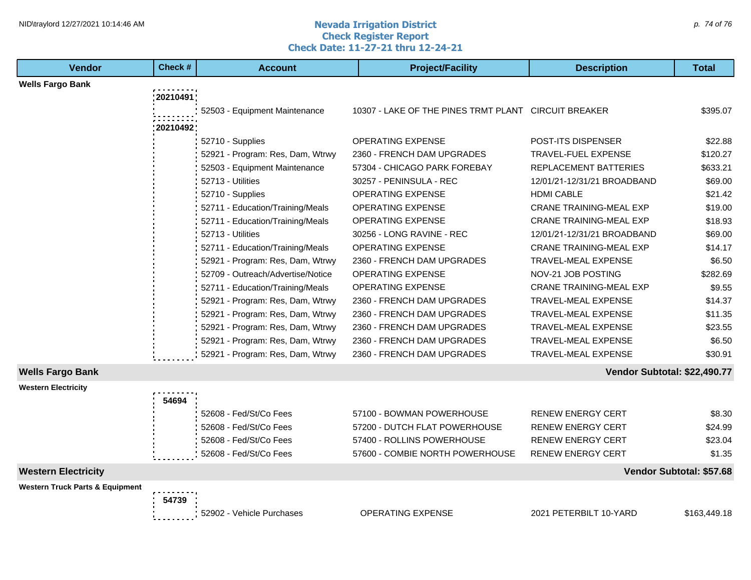#### **Nevada Irrigation District Check Register Report Check Date: 11-27-21 thru 12-24-21** NID\traylord 12/27/2021 10:14:46 AM  $\rho$ . 74 of 76

| <b>Vendor</b>                              | Check #   | <b>Account</b>                    | <b>Project/Facility</b>                              | <b>Description</b>             | Total                    |
|--------------------------------------------|-----------|-----------------------------------|------------------------------------------------------|--------------------------------|--------------------------|
| <b>Wells Fargo Bank</b>                    |           |                                   |                                                      |                                |                          |
|                                            | :20210491 |                                   |                                                      |                                |                          |
|                                            |           | 52503 - Equipment Maintenance     | 10307 - LAKE OF THE PINES TRMT PLANT CIRCUIT BREAKER |                                | \$395.07                 |
|                                            | 20210492  |                                   |                                                      |                                |                          |
|                                            |           | 52710 - Supplies                  | <b>OPERATING EXPENSE</b>                             | <b>POST-ITS DISPENSER</b>      | \$22.88                  |
|                                            |           | 52921 - Program: Res, Dam, Wtrwy  | 2360 - FRENCH DAM UPGRADES                           | <b>TRAVEL-FUEL EXPENSE</b>     | \$120.27                 |
|                                            |           | 52503 - Equipment Maintenance     | 57304 - CHICAGO PARK FOREBAY                         | <b>REPLACEMENT BATTERIES</b>   | \$633.21                 |
|                                            |           | 52713 - Utilities                 | 30257 - PENINSULA - REC                              | 12/01/21-12/31/21 BROADBAND    | \$69.00                  |
|                                            |           | 52710 - Supplies                  | <b>OPERATING EXPENSE</b>                             | <b>HDMI CABLE</b>              | \$21.42                  |
|                                            |           | 52711 - Education/Training/Meals  | <b>OPERATING EXPENSE</b>                             | <b>CRANE TRAINING-MEAL EXP</b> | \$19.00                  |
|                                            |           | 52711 - Education/Training/Meals  | OPERATING EXPENSE                                    | <b>CRANE TRAINING-MEAL EXP</b> | \$18.93                  |
|                                            |           | 52713 - Utilities                 | 30256 - LONG RAVINE - REC                            | 12/01/21-12/31/21 BROADBAND    | \$69.00                  |
|                                            |           | 52711 - Education/Training/Meals  | <b>OPERATING EXPENSE</b>                             | <b>CRANE TRAINING-MEAL EXP</b> | \$14.17                  |
|                                            |           | 52921 - Program: Res, Dam, Wtrwy  | 2360 - FRENCH DAM UPGRADES                           | <b>TRAVEL-MEAL EXPENSE</b>     | \$6.50                   |
|                                            |           | 52709 - Outreach/Advertise/Notice | <b>OPERATING EXPENSE</b>                             | NOV-21 JOB POSTING             | \$282.69                 |
|                                            |           | 52711 - Education/Training/Meals  | <b>OPERATING EXPENSE</b>                             | <b>CRANE TRAINING-MEAL EXP</b> | \$9.55                   |
|                                            |           | 52921 - Program: Res, Dam, Wtrwy  | 2360 - FRENCH DAM UPGRADES                           | <b>TRAVEL-MEAL EXPENSE</b>     | \$14.37                  |
|                                            |           | 52921 - Program: Res, Dam, Wtrwy  | 2360 - FRENCH DAM UPGRADES                           | <b>TRAVEL-MEAL EXPENSE</b>     | \$11.35                  |
|                                            |           | 52921 - Program: Res, Dam, Wtrwy  | 2360 - FRENCH DAM UPGRADES                           | <b>TRAVEL-MEAL EXPENSE</b>     | \$23.55                  |
|                                            |           | 52921 - Program: Res, Dam, Wtrwy  | 2360 - FRENCH DAM UPGRADES                           | <b>TRAVEL-MEAL EXPENSE</b>     | \$6.50                   |
|                                            |           | 52921 - Program: Res, Dam, Wtrwy  | 2360 - FRENCH DAM UPGRADES                           | <b>TRAVEL-MEAL EXPENSE</b>     | \$30.91                  |
| <b>Wells Fargo Bank</b>                    |           |                                   |                                                      | Vendor Subtotal: \$22,490.77   |                          |
| <b>Western Electricity</b>                 |           |                                   |                                                      |                                |                          |
|                                            | 54694     |                                   |                                                      |                                |                          |
|                                            |           | 52608 - Fed/St/Co Fees            | 57100 - BOWMAN POWERHOUSE                            | <b>RENEW ENERGY CERT</b>       | \$8.30                   |
|                                            |           | 52608 - Fed/St/Co Fees            | 57200 - DUTCH FLAT POWERHOUSE                        | <b>RENEW ENERGY CERT</b>       | \$24.99                  |
|                                            |           | 52608 - Fed/St/Co Fees            | 57400 - ROLLINS POWERHOUSE                           | <b>RENEW ENERGY CERT</b>       | \$23.04                  |
|                                            |           | 52608 - Fed/St/Co Fees            | 57600 - COMBIE NORTH POWERHOUSE                      | <b>RENEW ENERGY CERT</b>       | \$1.35                   |
| <b>Western Electricity</b>                 |           |                                   |                                                      |                                | Vendor Subtotal: \$57.68 |
| <b>Western Truck Parts &amp; Equipment</b> |           |                                   |                                                      |                                |                          |
|                                            | 54739     |                                   |                                                      |                                |                          |
|                                            |           | 52902 - Vehicle Purchases         | <b>OPERATING EXPENSE</b>                             | 2021 PETERBILT 10-YARD         | \$163,449.18             |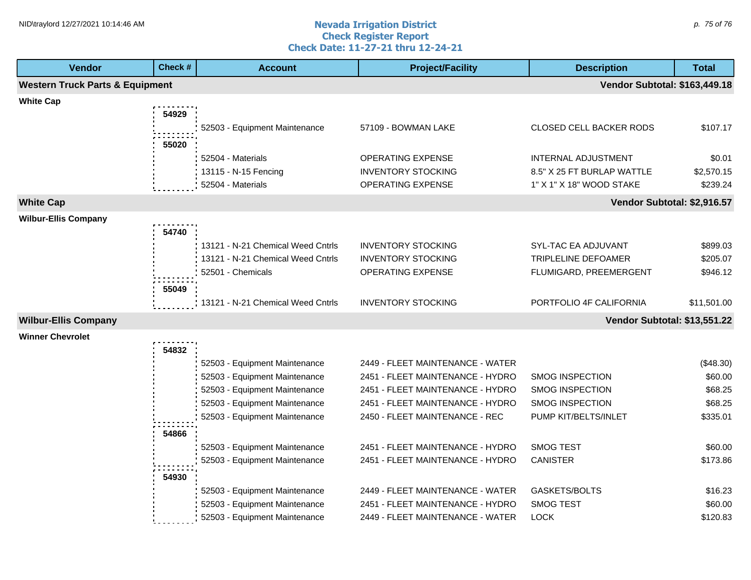Г

#### **Nevada Irrigation District Check Register Report Check Date: 11-27-21 thru 12-24-21** NID\traylord 12/27/2021 10:14:46 AM  $\rho$ . 75 of 76

| <b>Vendor</b>                              | Check # | <b>Account</b>                    | <b>Project/Facility</b>          | <b>Description</b>                   | <b>Total</b> |
|--------------------------------------------|---------|-----------------------------------|----------------------------------|--------------------------------------|--------------|
| <b>Western Truck Parts &amp; Equipment</b> |         |                                   |                                  | <b>Vendor Subtotal: \$163,449.18</b> |              |
| <b>White Cap</b>                           |         |                                   |                                  |                                      |              |
|                                            | 54929   |                                   |                                  |                                      |              |
|                                            |         | 52503 - Equipment Maintenance     | 57109 - BOWMAN LAKE              | CLOSED CELL BACKER RODS              | \$107.17     |
|                                            | 55020   |                                   |                                  |                                      |              |
|                                            |         | 52504 - Materials                 | OPERATING EXPENSE                | INTERNAL ADJUSTMENT                  | \$0.01       |
|                                            |         | 13115 - N-15 Fencing              | <b>INVENTORY STOCKING</b>        | 8.5" X 25 FT BURLAP WATTLE           | \$2,570.15   |
|                                            |         | 52504 - Materials                 | OPERATING EXPENSE                | 1" X 1" X 18" WOOD STAKE             | \$239.24     |
| <b>White Cap</b>                           |         |                                   |                                  | Vendor Subtotal: \$2,916.57          |              |
| <b>Wilbur-Ellis Company</b>                |         |                                   |                                  |                                      |              |
|                                            | 54740   |                                   |                                  |                                      |              |
|                                            |         | 13121 - N-21 Chemical Weed Cntrls | <b>INVENTORY STOCKING</b>        | SYL-TAC EA ADJUVANT                  | \$899.03     |
|                                            |         | 13121 - N-21 Chemical Weed Cntrls | <b>INVENTORY STOCKING</b>        | TRIPLELINE DEFOAMER                  | \$205.07     |
|                                            |         | 52501 - Chemicals                 | <b>OPERATING EXPENSE</b>         | FLUMIGARD, PREEMERGENT               | \$946.12     |
|                                            | 55049   |                                   |                                  |                                      |              |
|                                            |         | 13121 - N-21 Chemical Weed Cntrls | <b>INVENTORY STOCKING</b>        | PORTFOLIO 4F CALIFORNIA              | \$11,501.00  |
| <b>Wilbur-Ellis Company</b>                |         |                                   |                                  | Vendor Subtotal: \$13,551.22         |              |
| <b>Winner Chevrolet</b>                    |         |                                   |                                  |                                      |              |
|                                            | 54832   |                                   |                                  |                                      |              |
|                                            |         | 52503 - Equipment Maintenance     | 2449 - FLEET MAINTENANCE - WATER |                                      | (\$48.30)    |
|                                            |         | 52503 - Equipment Maintenance     | 2451 - FLEET MAINTENANCE - HYDRO | <b>SMOG INSPECTION</b>               | \$60.00      |
|                                            |         | 52503 - Equipment Maintenance     | 2451 - FLEET MAINTENANCE - HYDRO | <b>SMOG INSPECTION</b>               | \$68.25      |
|                                            |         | 52503 - Equipment Maintenance     | 2451 - FLEET MAINTENANCE - HYDRO | <b>SMOG INSPECTION</b>               | \$68.25      |
|                                            |         | 52503 - Equipment Maintenance     | 2450 - FLEET MAINTENANCE - REC   | PUMP KIT/BELTS/INLET                 | \$335.01     |
|                                            | 54866   |                                   |                                  |                                      |              |
|                                            |         | 52503 - Equipment Maintenance     | 2451 - FLEET MAINTENANCE - HYDRO | <b>SMOG TEST</b>                     | \$60.00      |
|                                            |         | 52503 - Equipment Maintenance     | 2451 - FLEET MAINTENANCE - HYDRO | <b>CANISTER</b>                      | \$173.86     |
|                                            | 54930   |                                   |                                  |                                      |              |
|                                            |         | 52503 - Equipment Maintenance     | 2449 - FLEET MAINTENANCE - WATER | GASKETS/BOLTS                        | \$16.23      |
|                                            |         | 52503 - Equipment Maintenance     | 2451 - FLEET MAINTENANCE - HYDRO | <b>SMOG TEST</b>                     | \$60.00      |
|                                            |         | 52503 - Equipment Maintenance     | 2449 - FLEET MAINTENANCE - WATER | <b>LOCK</b>                          | \$120.83     |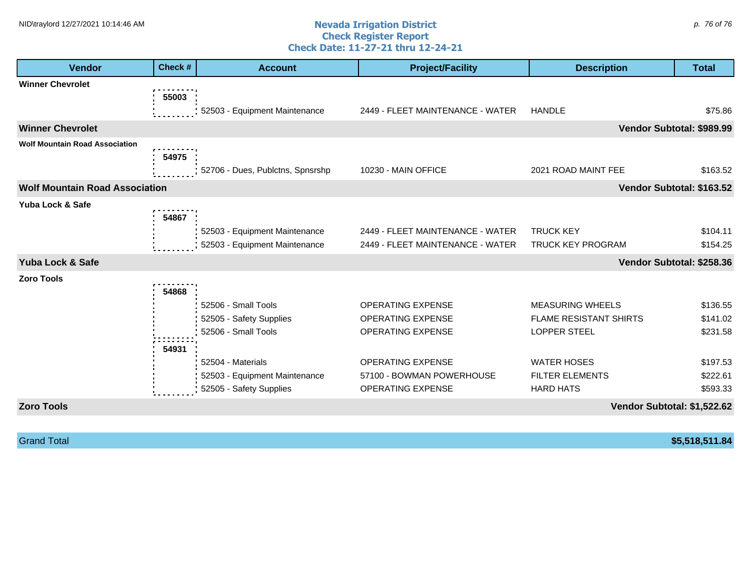#### **Nevada Irrigation District Check Register Report Check Date: 11-27-21 thru 12-24-21** NID\traylord 12/27/2021 10:14:46 AM  $\rho$ . 76 of 76

| <b>Vendor</b>                         | Check # | <b>Account</b>                   | <b>Project/Facility</b>          | <b>Description</b>            | <b>Total</b> |
|---------------------------------------|---------|----------------------------------|----------------------------------|-------------------------------|--------------|
| <b>Winner Chevrolet</b>               |         |                                  |                                  |                               |              |
|                                       | 55003   |                                  |                                  |                               |              |
|                                       |         | 52503 - Equipment Maintenance    | 2449 - FLEET MAINTENANCE - WATER | <b>HANDLE</b>                 | \$75.86      |
| <b>Winner Chevrolet</b>               |         |                                  |                                  | Vendor Subtotal: \$989.99     |              |
| <b>Wolf Mountain Road Association</b> |         |                                  |                                  |                               |              |
|                                       | 54975   |                                  |                                  |                               |              |
|                                       |         | 52706 - Dues, Publctns, Spnsrshp | 10230 - MAIN OFFICE              | 2021 ROAD MAINT FEE           | \$163.52     |
| <b>Wolf Mountain Road Association</b> |         |                                  |                                  | Vendor Subtotal: \$163.52     |              |
| Yuba Lock & Safe                      |         |                                  |                                  |                               |              |
|                                       | 54867   |                                  |                                  |                               |              |
|                                       |         | 52503 - Equipment Maintenance    | 2449 - FLEET MAINTENANCE - WATER | <b>TRUCK KEY</b>              | \$104.11     |
|                                       |         | 52503 - Equipment Maintenance    | 2449 - FLEET MAINTENANCE - WATER | <b>TRUCK KEY PROGRAM</b>      | \$154.25     |
| Yuba Lock & Safe                      |         |                                  |                                  | Vendor Subtotal: \$258.36     |              |
| <b>Zoro Tools</b>                     |         |                                  |                                  |                               |              |
|                                       | 54868   |                                  |                                  |                               |              |
|                                       |         | 52506 - Small Tools              | OPERATING EXPENSE                | <b>MEASURING WHEELS</b>       | \$136.55     |
|                                       |         | 52505 - Safety Supplies          | OPERATING EXPENSE                | <b>FLAME RESISTANT SHIRTS</b> | \$141.02     |
|                                       |         | 52506 - Small Tools              | OPERATING EXPENSE                | <b>LOPPER STEEL</b>           | \$231.58     |
|                                       | 54931   |                                  |                                  |                               |              |
|                                       |         | 52504 - Materials                | OPERATING EXPENSE                | <b>WATER HOSES</b>            | \$197.53     |
|                                       |         | 52503 - Equipment Maintenance    | 57100 - BOWMAN POWERHOUSE        | <b>FILTER ELEMENTS</b>        | \$222.61     |
|                                       |         | 52505 - Safety Supplies          | <b>OPERATING EXPENSE</b>         | <b>HARD HATS</b>              | \$593.33     |
| <b>Zoro Tools</b>                     |         |                                  |                                  | Vendor Subtotal: \$1,522.62   |              |

Grand Total **\$5,518,511.84**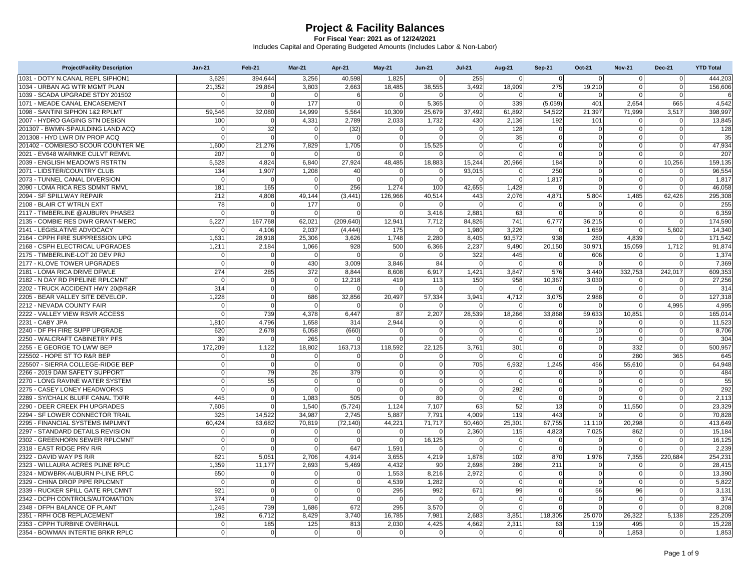| 1031 - DOTY N.CANAL REPL SIPHON1<br>3.626<br>394.644<br>3,256<br>40.598<br>1,825<br>$\Omega$<br>255<br>$\Omega$<br>$\Omega$<br>$\Omega$<br>444.203<br>$\Omega$<br>$\Omega$<br>1034 - URBAN AG WTR MGMT PLAN<br>21,352<br>3,803<br>2,663<br>18,485<br>38,555<br>3,492<br>18,909<br>275<br>19,210<br>$\mathbf 0$<br>29,864<br>$\mathbf 0$<br>156,606<br>1039 - SCADA UPGRADE STDY 201502<br>$\mathbf 0$<br>$\Omega$<br>$\Omega$<br>$\mathbf{0}$<br>6<br>$\Omega$<br>$\Omega$<br>$\Omega$<br>6<br>C<br>$\Omega$<br>$\Omega$<br>$\Omega$<br>177<br>5.365<br>339<br>1071 - MEADE CANAL ENCASEMENT<br>$\Omega$<br>$\Omega$<br>$\Omega$<br>(5,059)<br>401<br>2.654<br>665<br>4,542<br>$\Omega$<br>$\Omega$<br>1098 - SANTINI SIPHON 1&2 RPLMT<br>59,546<br>32,080<br>14,999<br>5,564<br>10,309<br>25,679<br>37,492<br>61,892<br>54,522<br>21,397<br>71,999<br>3,517<br>398,997<br>2007 - HYDRO GAGING STN DESIGN<br>2,033<br>1,732<br>2,136<br>13.845<br>100<br>4,331<br>2.789<br>430<br>192<br>101<br>$\Omega$<br>$\Omega$<br>201307 - BWMN-SPAULDING LAND ACO<br>32<br>128<br>$\Omega$<br>(32)<br>$\mathbf 0$<br>128<br>$\Omega$<br>$\mathbf 0$<br>$\Omega$<br>$\Omega$<br>$\Omega$<br>$\Omega$<br>$\Omega$<br>201308 - HYD LWR DIV PROP ACQ<br>$\mathbf 0$<br>$\mathbf 0$<br>$\mathbf 0$<br>$\overline{0}$<br>35<br> 0 <br>$\mathbf 0$<br>35<br>$\Omega$<br>$\Omega$<br>$\overline{0}$<br>$\mathsf{C}$<br>201402 - COMBIESO SCOUR COUNTER ME<br>1.600<br>21.276<br>7,829<br>1.705<br>$\mathbf 0$<br>15,525<br>$\Omega$<br>$\Omega$<br><sub>0</sub><br>$\Omega$<br>47.934<br>$\Omega$<br>$\Omega$<br>2021 - EV648 WARMKE CULVT REMVL<br>207<br>$\overline{0}$<br>207<br>$\Omega$<br>$\Omega$<br>$\overline{0}$<br>$\overline{0}$<br>$\mathbf 0$<br>$\mathbf{0}$<br>$\Omega$<br>$\Omega$<br>5,528<br>48,485<br>18,883<br>2039 - ENGLISH MEADOWS RSTRTN<br>4,824<br>6,840<br>27,924<br>15,244<br>20,966<br>184<br>$\overline{0}$<br>$\mathbf 0$<br>10,256<br>159,135<br>2071 - LIDSTER/COUNTRY CLUB<br>134<br>1,907<br>40<br>$\Omega$<br>93,015<br>250<br>$\Omega$<br>$\Omega$<br>96,554<br>1,208<br>$\Omega$<br>$\Omega$<br>2073 - TUNNEL CANAL DIVERSION<br>$\mathbf 0$<br>1,817<br> 0 <br>$\Omega$<br>$\mathbf 0$<br>$\mathbf{0}$<br>$\overline{0}$<br>$\mathbf 0$<br>$\mathbf 0$<br>$\Omega$<br>1,817<br>$\Omega$<br>O<br>2090 - LOMA RICA RES SDMNT RMVL<br>256<br>1,428<br>181<br>165<br>$\mathbf{0}$<br>1,274<br>100<br>42,655<br>$\Omega$<br>$\Omega$<br>$\Omega$<br>46,058<br>$\Omega$<br>2094 - SF SPILLWAY REPAIR<br>212<br>4,808<br>49,144<br>(3, 441)<br>126,966<br>40,514<br>443<br>2,076<br>4,871<br>5,804<br>1,485<br>62,426<br>295,308<br>78<br>2108 - BLAIR CT WTRLN EXT<br>177<br>255<br>$\Omega$<br>$\Omega$<br>$\Omega$<br>$\Omega$<br>$\Omega$<br>$\Omega$<br>$\Omega$<br>$\mathbf 0$<br>0<br>$\Omega$<br>2117 - TIMBERLINE @AUBURN PHASE2<br>$\Omega$<br>63<br>$\Omega$<br>6,359<br>$\Omega$<br>$\mathbf{0}$<br>3,416<br>2.881<br>$\Omega$<br>$\Omega$<br>$\Omega$<br>$\Omega$<br>$\Omega$<br>2135 - COMBIE RES DWR GRANT-MERC<br>5,227<br>167,768<br>62,021<br>12,941<br>7,712<br>84,826<br>741<br>6,777<br>$\mathbf 0$<br>174,590<br>(209, 640)<br>36,215<br>2141 - LEGISLATIVE ADVOCACY<br>2.037<br>175<br>1,980<br>3.226<br>$\mathbf 0$<br>5.602<br>14,340<br>$\Omega$<br>4,106<br>(4.444)<br>$\Omega$<br>1.659<br>$\mathbf 0$<br>2164 - CPPH FIRE SUPPRESSION UPG<br>1,631<br>28,918<br>1,748<br>2,280<br>8,405<br>93,572<br>938<br>280<br>4,839<br>25,306<br>3,626<br>171,542<br>$\Omega$<br>2,237<br>2168 - CSPH ELECTRICAL UPGRADES<br>1,211<br>2,184<br>1,066<br>928<br>500<br>6,366<br>9,490<br>20,150<br>30,971<br>15,059<br>1,712<br>91,874<br>322<br>2175 - TIMBERLINE-LOT 20 DEV PRJ<br>445<br>606<br>1,374<br>$\mathbf 0$<br>$\mathbf 0$<br>$\mathsf{C}$<br>$\mathbf 0$<br>$\mathbf 0$<br>$\mathbf 0$<br>$\mathbf 0$<br>$\Omega$<br>$\Omega$<br>2177 - KLOVE TOWER UPGRADES<br>$\mathbf 0$<br>430<br>84<br>$\mathbf 0$<br>7,369<br>$\Omega$<br>3,009<br>3,846<br>$\Omega$<br>$\Omega$<br>$\Omega$<br>$\overline{0}$<br>$\Omega$<br>2181 - LOMA RICA DRIVE DFWLE<br>274<br>372<br>332,753<br>285<br>8.844<br>8,608<br>6,917<br>1,421<br>3,847<br>576<br>3.440<br>242,017<br>609,353<br>958<br>10.367<br>3.030<br>27.256<br>2182 - N DAY RD PIPELINE RPLCMNT<br>$\mathbf 0$<br>$\mathbf 0$<br>12.218<br>419<br>150<br>$\mathbf 0$<br>113<br>$\mathbf{0}$<br>$\Omega$<br>2202 - TRUCK ACCIDENT HWY 20@R&R<br>314<br>$\mathbf 0$<br>314<br>$\mathbf 0$<br>$\mathbf 0$<br>$\Omega$<br>$\mathbf 0$<br>$\Omega$<br>$\Omega$<br>$\Omega$<br> 0 <br>$\Omega$<br>$\sqrt{ }$<br>2205 - BEAR VALLEY SITE DEVELOP.<br>1,228<br>686<br>57,334<br>4,712<br>3,075<br>2,988<br>$\Omega$<br>$\Omega$<br>32,856<br>20,497<br>3,941<br>$\Omega$<br>127,318<br>4,995<br>2212 - NEVADA COUNTY FAIR<br>$\mathbf 0$<br>$\Omega$<br>$\mathbf 0$<br>$\mathbf 0$<br>4,995<br>$\Omega$<br>$\Omega$<br>$\Omega$<br>$\Omega$<br>$\Omega$<br>$\Omega$<br>C<br>2222 - VALLEY VIEW RSVR ACCESS<br>$\Omega$<br>739<br>4,378<br>6,447<br>87<br>2,207<br>28,539<br>18,266<br>33,868<br>59,633<br>10,851<br>165,014<br>$\Omega$<br>2231 - CABY JPA<br>4.796<br>314<br>2,944<br>11,523<br>1.810<br>1.658<br>$\Omega$<br>$\Omega$<br>$\Omega$<br>$\Omega$<br>$\Omega$<br>2240 - DF PH FIRE SUPP UPGRADE<br>620<br>2,678<br>(660)<br>$\mathbf 0$<br>8,706<br>6,058<br>$\overline{0}$<br>$\Omega$<br>$\mathbf 0$<br>10<br>$\mathbf 0$<br>$\Omega$<br>$\overline{0}$<br>39<br>2250 - WALCRAFT CABINETRY PFS<br>265<br>$\Omega$<br>$\Omega$<br>304<br>$\Omega$<br>$\Omega$<br>$\Omega$<br>$\Omega$<br> 0 <br>O<br>C<br>2255 - E GEORGE TO LWW BEP<br>172.209<br>1,122<br>18,802<br>163,713<br>118,592<br>22,125<br>3.761<br>301<br>$\Omega$<br>332<br>500.957<br>$\Omega$<br>$\Omega$<br>280<br>365<br>225502 - HOPE ST TO R&R BEP<br>$\mathbf 0$<br> 0 <br>645<br>$\mathbf 0$<br>$\mathbf 0$<br>$\mathbf{0}$<br>$\Omega$<br>$\Omega$<br>$\Omega$<br>$\Omega$<br>O<br>225507 - SIERRA COLLEGE-RIDGE BEP<br>$\mathbf 0$<br>$\mathbf{0}$<br>$\mathbf 0$<br>$\overline{0}$<br>705<br>6,932<br>1,245<br>456<br>55,610<br>64.948<br>$\Omega$<br>$\Omega$<br>$\Omega$<br>2266 - 2019 DAM SAFETY SUPPORT<br>$\Omega$<br>79<br>26<br>379<br>$\mathbf 0$<br>$\Omega$<br>$\Omega$<br>484<br>$\Omega$<br>$\Omega$<br>$\Omega$<br>$\Omega$<br>55<br>$\mathbf 0$<br>55<br>2270 - LONG RAVINE WATER SYSTEM<br>$\mathbf 0$<br>$\mathbf 0$<br>$\mathbf 0$<br>$\Omega$<br>$\mathbf 0$<br>$\overline{0}$<br>$\Omega$<br>$\mathbf 0$<br>$\overline{0}$<br>$\Omega$<br>2275 - CASEY LONEY HEADWORKS<br>$\Omega$<br>$\mathbf 0$<br>$\mathbf 0$<br>292<br>$\Omega$<br>292<br>$\Omega$<br>$\sqrt{ }$<br>$\Omega$<br>$\Omega$<br>$\Omega$<br>0<br>2289 - SY/CHALK BLUFF CANAL TXFR<br>445<br>$\Omega$<br>1,083<br>505<br>$\Omega$<br>80<br>$\Omega$<br><sub>0</sub><br>2,113<br>$\overline{0}$<br>$\Omega$<br>$\Omega$<br>$\Omega$<br>7,605<br>1,124<br>63<br>52<br>11,550<br>23.329<br>2290 - DEER CREEK PH UPGRADES<br>1.540<br>(5, 724)<br>7,107<br>13<br>$\overline{0}$<br>$\Omega$<br>$\Omega$<br>325<br>443<br>2294 - SF LOWER CONNECTOR TRAIL<br>14,522<br>34,987<br>2.745<br>5,887<br>7,791<br>4.009<br>119<br>70.828<br>$\Omega$<br>2295 - FINANCIAL SYSTEMS IMPLMNT<br>60,424<br>63,682<br>70,819<br>(72, 140)<br>44,221<br>71,717<br>50,460<br>25,301<br>67,755<br>11,110<br>20,298<br>413,649<br>$\Omega$<br>2297 - STANDARD DETAILS REVISION<br>115<br>862<br>15,184<br>2.360<br>4,823<br>7.025<br>$\mathbf 0$<br>$\Omega$<br>$\mathbf{0}$<br>$\Omega$<br>$\mathbf 0$<br>$\Omega$<br>$\Omega$<br>2302 - GREENHORN SEWER RPLCMNT<br>$\Omega$<br>$\mathbf 0$<br>$\Omega$<br>16,125<br>$\Omega$<br>16,125<br>$\Omega$<br>$\Omega$<br>$\Omega$<br>$\Omega$<br>$\Omega$<br>2318 - EAST RIDGE PRV R/R<br>$\Omega$<br>$\mathbf{0}$<br>647<br>1,591<br>$\Omega$<br>$\Omega$<br>$\mathbf 0$<br>$\Omega$<br>$\Omega$<br>2,239<br>2322 - DAVID WAY PS R/R<br>821<br>4.914<br>3.655<br>4.219<br>102<br>870<br>1,976<br>7,355<br>220.684<br>254.231<br>5.051<br>2.706<br>1.878<br>2323 - WILLAURA ACRES PLINE RPLC<br>1,359<br>5,469<br>4,432<br>2,698<br>286<br>28,415<br>11,177<br>2,693<br>90<br>211<br>$\overline{0}$<br>0<br>2324 - MDWBRK-AUBURN P-LINE RPLC<br>2,972<br>650<br>$\mathbf{0}$<br>1,553<br>8,216<br>$\Omega$<br>$\Omega$<br>$\Omega$<br>$\Omega$<br>$\Omega$<br>13,390<br>$\Omega$<br>$\sqrt{ }$<br>2329 - CHINA DROP PIPE RPLCMNT<br>$\Omega$<br>$\Omega$<br>$\Omega$<br>4,539<br>1,282<br>$\Omega$<br>5,822<br>$\Omega$<br>$\mathbf 0$<br>$\Omega$<br>$\Omega$<br>$\Omega$<br>$\Omega$<br>96<br>2339 - RUCKER SPILL GATE RPLCMNT<br>921<br>295<br>992<br>671<br>99<br>56<br>3,131<br>$\Omega$<br>$\Omega$<br>$\Omega$<br>$\Omega$<br>2342 - DCPH CONTROLS/AUTOMATION<br>374<br>$\Omega$<br>$\Omega$<br>$\Omega$<br>$\Omega$<br>$\Omega$<br>$\Omega$<br>$\Omega$<br>$\Omega$<br>$\Omega$<br>$\Omega$<br>374<br>2348 - DFPH BALANCE OF PLANT<br>1,245<br>739<br>672<br>295<br>3,570<br>$\overline{0}$<br>$\overline{0}$<br>8,208<br>1,686<br>$\Omega$<br>$\Omega$<br>$\overline{0}$<br>$\mathbf 0$<br>26,322<br>2351 - RPH OCB REPLACEMENT<br>192<br>6,712<br>8,429<br>3,740<br>16,785<br>7,981<br>2,683<br>3,851<br>5,138<br>225,209<br>118,305<br>25,070<br>2353 - CPPH TURBINE OVERHAUL<br>813<br>4,425<br>15,228<br>$\Omega$<br>185<br>125<br>2,030<br>4.662<br>2.311<br>63<br>119<br>495<br>$\Omega$<br>$\mathbf 0$<br>2354 - BOWMAN INTERTIE BRKR RPLC<br>$\mathbf 0$<br>$\overline{0}$<br>$\mathbf 0$<br>$\mathbf 0$<br>$\overline{0}$<br>$\overline{0}$<br>1,853<br><sub>0</sub><br>1,853<br>$\overline{0}$<br>$\overline{0}$<br>$\mathbf 0$ | <b>Project/Facility Description</b> | $Jan-21$ | Feb-21 | <b>Mar-21</b> | Apr-21 | $May-21$ | <b>Jun-21</b> | <b>Jul-21</b> | <b>Aug-21</b> | <b>Sep-21</b> | Oct-21 | <b>Nov-21</b> | <b>Dec-21</b> | <b>YTD Total</b> |
|--------------------------------------------------------------------------------------------------------------------------------------------------------------------------------------------------------------------------------------------------------------------------------------------------------------------------------------------------------------------------------------------------------------------------------------------------------------------------------------------------------------------------------------------------------------------------------------------------------------------------------------------------------------------------------------------------------------------------------------------------------------------------------------------------------------------------------------------------------------------------------------------------------------------------------------------------------------------------------------------------------------------------------------------------------------------------------------------------------------------------------------------------------------------------------------------------------------------------------------------------------------------------------------------------------------------------------------------------------------------------------------------------------------------------------------------------------------------------------------------------------------------------------------------------------------------------------------------------------------------------------------------------------------------------------------------------------------------------------------------------------------------------------------------------------------------------------------------------------------------------------------------------------------------------------------------------------------------------------------------------------------------------------------------------------------------------------------------------------------------------------------------------------------------------------------------------------------------------------------------------------------------------------------------------------------------------------------------------------------------------------------------------------------------------------------------------------------------------------------------------------------------------------------------------------------------------------------------------------------------------------------------------------------------------------------------------------------------------------------------------------------------------------------------------------------------------------------------------------------------------------------------------------------------------------------------------------------------------------------------------------------------------------------------------------------------------------------------------------------------------------------------------------------------------------------------------------------------------------------------------------------------------------------------------------------------------------------------------------------------------------------------------------------------------------------------------------------------------------------------------------------------------------------------------------------------------------------------------------------------------------------------------------------------------------------------------------------------------------------------------------------------------------------------------------------------------------------------------------------------------------------------------------------------------------------------------------------------------------------------------------------------------------------------------------------------------------------------------------------------------------------------------------------------------------------------------------------------------------------------------------------------------------------------------------------------------------------------------------------------------------------------------------------------------------------------------------------------------------------------------------------------------------------------------------------------------------------------------------------------------------------------------------------------------------------------------------------------------------------------------------------------------------------------------------------------------------------------------------------------------------------------------------------------------------------------------------------------------------------------------------------------------------------------------------------------------------------------------------------------------------------------------------------------------------------------------------------------------------------------------------------------------------------------------------------------------------------------------------------------------------------------------------------------------------------------------------------------------------------------------------------------------------------------------------------------------------------------------------------------------------------------------------------------------------------------------------------------------------------------------------------------------------------------------------------------------------------------------------------------------------------------------------------------------------------------------------------------------------------------------------------------------------------------------------------------------------------------------------------------------------------------------------------------------------------------------------------------------------------------------------------------------------------------------------------------------------------------------------------------------------------------------------------------------------------------------------------------------------------------------------------------------------------------------------------------------------------------------------------------------------------------------------------------------------------------------------------------------------------------------------------------------------------------------------------------------------------------------------------------------------------------------------------------------------------------------------------------------------------------------------------------------------------------------------------------------------------------------------------------------------------------------------------------------------------------------------------------------------------------------------------------------------------------------------------------------------------------------------------------------------------------------------------------------------------------------------------------------------------------------------------------------------------------------------------------------------------------------------------------------------------------------------------------------------------------------------------------------------------------------------------------------------------------------------------------------------------------------------------------------------------------------------------------------------------------------------------------------------------------------------------------------------------------------------------------------------------------------------------------------------------------------------------------------------------------------------------------------------------------------------------------------------------------------------------------------------------------------------------------------------------------------------------------------------------------------------------------------------------------------------------------------------------------------------------------------------------------------------------------------------------------------------------------------------------------------------------------------------------------------------------------------------------------------------------------------------------------------------------------------------------------------------------------------------------------------------------------------------------------------------------------------------------------------------------------------------------------------------------------------------------------------------------------------------------------------------------------------------------------------------------------------------------------------------------------------------------------------------------------------------------------------------------------------------------------------------------------------------------------------------------------------------------------------------------------------------------------------------------------------------------|-------------------------------------|----------|--------|---------------|--------|----------|---------------|---------------|---------------|---------------|--------|---------------|---------------|------------------|
|                                                                                                                                                                                                                                                                                                                                                                                                                                                                                                                                                                                                                                                                                                                                                                                                                                                                                                                                                                                                                                                                                                                                                                                                                                                                                                                                                                                                                                                                                                                                                                                                                                                                                                                                                                                                                                                                                                                                                                                                                                                                                                                                                                                                                                                                                                                                                                                                                                                                                                                                                                                                                                                                                                                                                                                                                                                                                                                                                                                                                                                                                                                                                                                                                                                                                                                                                                                                                                                                                                                                                                                                                                                                                                                                                                                                                                                                                                                                                                                                                                                                                                                                                                                                                                                                                                                                                                                                                                                                                                                                                                                                                                                                                                                                                                                                                                                                                                                                                                                                                                                                                                                                                                                                                                                                                                                                                                                                                                                                                                                                                                                                                                                                                                                                                                                                                                                                                                                                                                                                                                                                                                                                                                                                                                                                                                                                                                                                                                                                                                                                                                                                                                                                                                                                                                                                                                                                                                                                                                                                                                                                                                                                                                                                                                                                                                                                                                                                                                                                                                                                                                                                                                                                                                                                                                                                                                                                                                                                                                                                                                                                                                                                                                                                                                                                                                                                                                                                                                                                                                                                                                                                                                                                                                                                                                                                                                                                                                                                                                                                                                                                                                                                                                                                                                                                                                                                                                                                                                                                                                                                                                                                                                      |                                     |          |        |               |        |          |               |               |               |               |        |               |               |                  |
|                                                                                                                                                                                                                                                                                                                                                                                                                                                                                                                                                                                                                                                                                                                                                                                                                                                                                                                                                                                                                                                                                                                                                                                                                                                                                                                                                                                                                                                                                                                                                                                                                                                                                                                                                                                                                                                                                                                                                                                                                                                                                                                                                                                                                                                                                                                                                                                                                                                                                                                                                                                                                                                                                                                                                                                                                                                                                                                                                                                                                                                                                                                                                                                                                                                                                                                                                                                                                                                                                                                                                                                                                                                                                                                                                                                                                                                                                                                                                                                                                                                                                                                                                                                                                                                                                                                                                                                                                                                                                                                                                                                                                                                                                                                                                                                                                                                                                                                                                                                                                                                                                                                                                                                                                                                                                                                                                                                                                                                                                                                                                                                                                                                                                                                                                                                                                                                                                                                                                                                                                                                                                                                                                                                                                                                                                                                                                                                                                                                                                                                                                                                                                                                                                                                                                                                                                                                                                                                                                                                                                                                                                                                                                                                                                                                                                                                                                                                                                                                                                                                                                                                                                                                                                                                                                                                                                                                                                                                                                                                                                                                                                                                                                                                                                                                                                                                                                                                                                                                                                                                                                                                                                                                                                                                                                                                                                                                                                                                                                                                                                                                                                                                                                                                                                                                                                                                                                                                                                                                                                                                                                                                                                                      |                                     |          |        |               |        |          |               |               |               |               |        |               |               |                  |
|                                                                                                                                                                                                                                                                                                                                                                                                                                                                                                                                                                                                                                                                                                                                                                                                                                                                                                                                                                                                                                                                                                                                                                                                                                                                                                                                                                                                                                                                                                                                                                                                                                                                                                                                                                                                                                                                                                                                                                                                                                                                                                                                                                                                                                                                                                                                                                                                                                                                                                                                                                                                                                                                                                                                                                                                                                                                                                                                                                                                                                                                                                                                                                                                                                                                                                                                                                                                                                                                                                                                                                                                                                                                                                                                                                                                                                                                                                                                                                                                                                                                                                                                                                                                                                                                                                                                                                                                                                                                                                                                                                                                                                                                                                                                                                                                                                                                                                                                                                                                                                                                                                                                                                                                                                                                                                                                                                                                                                                                                                                                                                                                                                                                                                                                                                                                                                                                                                                                                                                                                                                                                                                                                                                                                                                                                                                                                                                                                                                                                                                                                                                                                                                                                                                                                                                                                                                                                                                                                                                                                                                                                                                                                                                                                                                                                                                                                                                                                                                                                                                                                                                                                                                                                                                                                                                                                                                                                                                                                                                                                                                                                                                                                                                                                                                                                                                                                                                                                                                                                                                                                                                                                                                                                                                                                                                                                                                                                                                                                                                                                                                                                                                                                                                                                                                                                                                                                                                                                                                                                                                                                                                                                                      |                                     |          |        |               |        |          |               |               |               |               |        |               |               |                  |
|                                                                                                                                                                                                                                                                                                                                                                                                                                                                                                                                                                                                                                                                                                                                                                                                                                                                                                                                                                                                                                                                                                                                                                                                                                                                                                                                                                                                                                                                                                                                                                                                                                                                                                                                                                                                                                                                                                                                                                                                                                                                                                                                                                                                                                                                                                                                                                                                                                                                                                                                                                                                                                                                                                                                                                                                                                                                                                                                                                                                                                                                                                                                                                                                                                                                                                                                                                                                                                                                                                                                                                                                                                                                                                                                                                                                                                                                                                                                                                                                                                                                                                                                                                                                                                                                                                                                                                                                                                                                                                                                                                                                                                                                                                                                                                                                                                                                                                                                                                                                                                                                                                                                                                                                                                                                                                                                                                                                                                                                                                                                                                                                                                                                                                                                                                                                                                                                                                                                                                                                                                                                                                                                                                                                                                                                                                                                                                                                                                                                                                                                                                                                                                                                                                                                                                                                                                                                                                                                                                                                                                                                                                                                                                                                                                                                                                                                                                                                                                                                                                                                                                                                                                                                                                                                                                                                                                                                                                                                                                                                                                                                                                                                                                                                                                                                                                                                                                                                                                                                                                                                                                                                                                                                                                                                                                                                                                                                                                                                                                                                                                                                                                                                                                                                                                                                                                                                                                                                                                                                                                                                                                                                                                      |                                     |          |        |               |        |          |               |               |               |               |        |               |               |                  |
|                                                                                                                                                                                                                                                                                                                                                                                                                                                                                                                                                                                                                                                                                                                                                                                                                                                                                                                                                                                                                                                                                                                                                                                                                                                                                                                                                                                                                                                                                                                                                                                                                                                                                                                                                                                                                                                                                                                                                                                                                                                                                                                                                                                                                                                                                                                                                                                                                                                                                                                                                                                                                                                                                                                                                                                                                                                                                                                                                                                                                                                                                                                                                                                                                                                                                                                                                                                                                                                                                                                                                                                                                                                                                                                                                                                                                                                                                                                                                                                                                                                                                                                                                                                                                                                                                                                                                                                                                                                                                                                                                                                                                                                                                                                                                                                                                                                                                                                                                                                                                                                                                                                                                                                                                                                                                                                                                                                                                                                                                                                                                                                                                                                                                                                                                                                                                                                                                                                                                                                                                                                                                                                                                                                                                                                                                                                                                                                                                                                                                                                                                                                                                                                                                                                                                                                                                                                                                                                                                                                                                                                                                                                                                                                                                                                                                                                                                                                                                                                                                                                                                                                                                                                                                                                                                                                                                                                                                                                                                                                                                                                                                                                                                                                                                                                                                                                                                                                                                                                                                                                                                                                                                                                                                                                                                                                                                                                                                                                                                                                                                                                                                                                                                                                                                                                                                                                                                                                                                                                                                                                                                                                                                                      |                                     |          |        |               |        |          |               |               |               |               |        |               |               |                  |
|                                                                                                                                                                                                                                                                                                                                                                                                                                                                                                                                                                                                                                                                                                                                                                                                                                                                                                                                                                                                                                                                                                                                                                                                                                                                                                                                                                                                                                                                                                                                                                                                                                                                                                                                                                                                                                                                                                                                                                                                                                                                                                                                                                                                                                                                                                                                                                                                                                                                                                                                                                                                                                                                                                                                                                                                                                                                                                                                                                                                                                                                                                                                                                                                                                                                                                                                                                                                                                                                                                                                                                                                                                                                                                                                                                                                                                                                                                                                                                                                                                                                                                                                                                                                                                                                                                                                                                                                                                                                                                                                                                                                                                                                                                                                                                                                                                                                                                                                                                                                                                                                                                                                                                                                                                                                                                                                                                                                                                                                                                                                                                                                                                                                                                                                                                                                                                                                                                                                                                                                                                                                                                                                                                                                                                                                                                                                                                                                                                                                                                                                                                                                                                                                                                                                                                                                                                                                                                                                                                                                                                                                                                                                                                                                                                                                                                                                                                                                                                                                                                                                                                                                                                                                                                                                                                                                                                                                                                                                                                                                                                                                                                                                                                                                                                                                                                                                                                                                                                                                                                                                                                                                                                                                                                                                                                                                                                                                                                                                                                                                                                                                                                                                                                                                                                                                                                                                                                                                                                                                                                                                                                                                                                      |                                     |          |        |               |        |          |               |               |               |               |        |               |               |                  |
|                                                                                                                                                                                                                                                                                                                                                                                                                                                                                                                                                                                                                                                                                                                                                                                                                                                                                                                                                                                                                                                                                                                                                                                                                                                                                                                                                                                                                                                                                                                                                                                                                                                                                                                                                                                                                                                                                                                                                                                                                                                                                                                                                                                                                                                                                                                                                                                                                                                                                                                                                                                                                                                                                                                                                                                                                                                                                                                                                                                                                                                                                                                                                                                                                                                                                                                                                                                                                                                                                                                                                                                                                                                                                                                                                                                                                                                                                                                                                                                                                                                                                                                                                                                                                                                                                                                                                                                                                                                                                                                                                                                                                                                                                                                                                                                                                                                                                                                                                                                                                                                                                                                                                                                                                                                                                                                                                                                                                                                                                                                                                                                                                                                                                                                                                                                                                                                                                                                                                                                                                                                                                                                                                                                                                                                                                                                                                                                                                                                                                                                                                                                                                                                                                                                                                                                                                                                                                                                                                                                                                                                                                                                                                                                                                                                                                                                                                                                                                                                                                                                                                                                                                                                                                                                                                                                                                                                                                                                                                                                                                                                                                                                                                                                                                                                                                                                                                                                                                                                                                                                                                                                                                                                                                                                                                                                                                                                                                                                                                                                                                                                                                                                                                                                                                                                                                                                                                                                                                                                                                                                                                                                                                                      |                                     |          |        |               |        |          |               |               |               |               |        |               |               |                  |
|                                                                                                                                                                                                                                                                                                                                                                                                                                                                                                                                                                                                                                                                                                                                                                                                                                                                                                                                                                                                                                                                                                                                                                                                                                                                                                                                                                                                                                                                                                                                                                                                                                                                                                                                                                                                                                                                                                                                                                                                                                                                                                                                                                                                                                                                                                                                                                                                                                                                                                                                                                                                                                                                                                                                                                                                                                                                                                                                                                                                                                                                                                                                                                                                                                                                                                                                                                                                                                                                                                                                                                                                                                                                                                                                                                                                                                                                                                                                                                                                                                                                                                                                                                                                                                                                                                                                                                                                                                                                                                                                                                                                                                                                                                                                                                                                                                                                                                                                                                                                                                                                                                                                                                                                                                                                                                                                                                                                                                                                                                                                                                                                                                                                                                                                                                                                                                                                                                                                                                                                                                                                                                                                                                                                                                                                                                                                                                                                                                                                                                                                                                                                                                                                                                                                                                                                                                                                                                                                                                                                                                                                                                                                                                                                                                                                                                                                                                                                                                                                                                                                                                                                                                                                                                                                                                                                                                                                                                                                                                                                                                                                                                                                                                                                                                                                                                                                                                                                                                                                                                                                                                                                                                                                                                                                                                                                                                                                                                                                                                                                                                                                                                                                                                                                                                                                                                                                                                                                                                                                                                                                                                                                                                      |                                     |          |        |               |        |          |               |               |               |               |        |               |               |                  |
|                                                                                                                                                                                                                                                                                                                                                                                                                                                                                                                                                                                                                                                                                                                                                                                                                                                                                                                                                                                                                                                                                                                                                                                                                                                                                                                                                                                                                                                                                                                                                                                                                                                                                                                                                                                                                                                                                                                                                                                                                                                                                                                                                                                                                                                                                                                                                                                                                                                                                                                                                                                                                                                                                                                                                                                                                                                                                                                                                                                                                                                                                                                                                                                                                                                                                                                                                                                                                                                                                                                                                                                                                                                                                                                                                                                                                                                                                                                                                                                                                                                                                                                                                                                                                                                                                                                                                                                                                                                                                                                                                                                                                                                                                                                                                                                                                                                                                                                                                                                                                                                                                                                                                                                                                                                                                                                                                                                                                                                                                                                                                                                                                                                                                                                                                                                                                                                                                                                                                                                                                                                                                                                                                                                                                                                                                                                                                                                                                                                                                                                                                                                                                                                                                                                                                                                                                                                                                                                                                                                                                                                                                                                                                                                                                                                                                                                                                                                                                                                                                                                                                                                                                                                                                                                                                                                                                                                                                                                                                                                                                                                                                                                                                                                                                                                                                                                                                                                                                                                                                                                                                                                                                                                                                                                                                                                                                                                                                                                                                                                                                                                                                                                                                                                                                                                                                                                                                                                                                                                                                                                                                                                                                                      |                                     |          |        |               |        |          |               |               |               |               |        |               |               |                  |
|                                                                                                                                                                                                                                                                                                                                                                                                                                                                                                                                                                                                                                                                                                                                                                                                                                                                                                                                                                                                                                                                                                                                                                                                                                                                                                                                                                                                                                                                                                                                                                                                                                                                                                                                                                                                                                                                                                                                                                                                                                                                                                                                                                                                                                                                                                                                                                                                                                                                                                                                                                                                                                                                                                                                                                                                                                                                                                                                                                                                                                                                                                                                                                                                                                                                                                                                                                                                                                                                                                                                                                                                                                                                                                                                                                                                                                                                                                                                                                                                                                                                                                                                                                                                                                                                                                                                                                                                                                                                                                                                                                                                                                                                                                                                                                                                                                                                                                                                                                                                                                                                                                                                                                                                                                                                                                                                                                                                                                                                                                                                                                                                                                                                                                                                                                                                                                                                                                                                                                                                                                                                                                                                                                                                                                                                                                                                                                                                                                                                                                                                                                                                                                                                                                                                                                                                                                                                                                                                                                                                                                                                                                                                                                                                                                                                                                                                                                                                                                                                                                                                                                                                                                                                                                                                                                                                                                                                                                                                                                                                                                                                                                                                                                                                                                                                                                                                                                                                                                                                                                                                                                                                                                                                                                                                                                                                                                                                                                                                                                                                                                                                                                                                                                                                                                                                                                                                                                                                                                                                                                                                                                                                                                      |                                     |          |        |               |        |          |               |               |               |               |        |               |               |                  |
|                                                                                                                                                                                                                                                                                                                                                                                                                                                                                                                                                                                                                                                                                                                                                                                                                                                                                                                                                                                                                                                                                                                                                                                                                                                                                                                                                                                                                                                                                                                                                                                                                                                                                                                                                                                                                                                                                                                                                                                                                                                                                                                                                                                                                                                                                                                                                                                                                                                                                                                                                                                                                                                                                                                                                                                                                                                                                                                                                                                                                                                                                                                                                                                                                                                                                                                                                                                                                                                                                                                                                                                                                                                                                                                                                                                                                                                                                                                                                                                                                                                                                                                                                                                                                                                                                                                                                                                                                                                                                                                                                                                                                                                                                                                                                                                                                                                                                                                                                                                                                                                                                                                                                                                                                                                                                                                                                                                                                                                                                                                                                                                                                                                                                                                                                                                                                                                                                                                                                                                                                                                                                                                                                                                                                                                                                                                                                                                                                                                                                                                                                                                                                                                                                                                                                                                                                                                                                                                                                                                                                                                                                                                                                                                                                                                                                                                                                                                                                                                                                                                                                                                                                                                                                                                                                                                                                                                                                                                                                                                                                                                                                                                                                                                                                                                                                                                                                                                                                                                                                                                                                                                                                                                                                                                                                                                                                                                                                                                                                                                                                                                                                                                                                                                                                                                                                                                                                                                                                                                                                                                                                                                                                                      |                                     |          |        |               |        |          |               |               |               |               |        |               |               |                  |
|                                                                                                                                                                                                                                                                                                                                                                                                                                                                                                                                                                                                                                                                                                                                                                                                                                                                                                                                                                                                                                                                                                                                                                                                                                                                                                                                                                                                                                                                                                                                                                                                                                                                                                                                                                                                                                                                                                                                                                                                                                                                                                                                                                                                                                                                                                                                                                                                                                                                                                                                                                                                                                                                                                                                                                                                                                                                                                                                                                                                                                                                                                                                                                                                                                                                                                                                                                                                                                                                                                                                                                                                                                                                                                                                                                                                                                                                                                                                                                                                                                                                                                                                                                                                                                                                                                                                                                                                                                                                                                                                                                                                                                                                                                                                                                                                                                                                                                                                                                                                                                                                                                                                                                                                                                                                                                                                                                                                                                                                                                                                                                                                                                                                                                                                                                                                                                                                                                                                                                                                                                                                                                                                                                                                                                                                                                                                                                                                                                                                                                                                                                                                                                                                                                                                                                                                                                                                                                                                                                                                                                                                                                                                                                                                                                                                                                                                                                                                                                                                                                                                                                                                                                                                                                                                                                                                                                                                                                                                                                                                                                                                                                                                                                                                                                                                                                                                                                                                                                                                                                                                                                                                                                                                                                                                                                                                                                                                                                                                                                                                                                                                                                                                                                                                                                                                                                                                                                                                                                                                                                                                                                                                                                      |                                     |          |        |               |        |          |               |               |               |               |        |               |               |                  |
|                                                                                                                                                                                                                                                                                                                                                                                                                                                                                                                                                                                                                                                                                                                                                                                                                                                                                                                                                                                                                                                                                                                                                                                                                                                                                                                                                                                                                                                                                                                                                                                                                                                                                                                                                                                                                                                                                                                                                                                                                                                                                                                                                                                                                                                                                                                                                                                                                                                                                                                                                                                                                                                                                                                                                                                                                                                                                                                                                                                                                                                                                                                                                                                                                                                                                                                                                                                                                                                                                                                                                                                                                                                                                                                                                                                                                                                                                                                                                                                                                                                                                                                                                                                                                                                                                                                                                                                                                                                                                                                                                                                                                                                                                                                                                                                                                                                                                                                                                                                                                                                                                                                                                                                                                                                                                                                                                                                                                                                                                                                                                                                                                                                                                                                                                                                                                                                                                                                                                                                                                                                                                                                                                                                                                                                                                                                                                                                                                                                                                                                                                                                                                                                                                                                                                                                                                                                                                                                                                                                                                                                                                                                                                                                                                                                                                                                                                                                                                                                                                                                                                                                                                                                                                                                                                                                                                                                                                                                                                                                                                                                                                                                                                                                                                                                                                                                                                                                                                                                                                                                                                                                                                                                                                                                                                                                                                                                                                                                                                                                                                                                                                                                                                                                                                                                                                                                                                                                                                                                                                                                                                                                                                                      |                                     |          |        |               |        |          |               |               |               |               |        |               |               |                  |
|                                                                                                                                                                                                                                                                                                                                                                                                                                                                                                                                                                                                                                                                                                                                                                                                                                                                                                                                                                                                                                                                                                                                                                                                                                                                                                                                                                                                                                                                                                                                                                                                                                                                                                                                                                                                                                                                                                                                                                                                                                                                                                                                                                                                                                                                                                                                                                                                                                                                                                                                                                                                                                                                                                                                                                                                                                                                                                                                                                                                                                                                                                                                                                                                                                                                                                                                                                                                                                                                                                                                                                                                                                                                                                                                                                                                                                                                                                                                                                                                                                                                                                                                                                                                                                                                                                                                                                                                                                                                                                                                                                                                                                                                                                                                                                                                                                                                                                                                                                                                                                                                                                                                                                                                                                                                                                                                                                                                                                                                                                                                                                                                                                                                                                                                                                                                                                                                                                                                                                                                                                                                                                                                                                                                                                                                                                                                                                                                                                                                                                                                                                                                                                                                                                                                                                                                                                                                                                                                                                                                                                                                                                                                                                                                                                                                                                                                                                                                                                                                                                                                                                                                                                                                                                                                                                                                                                                                                                                                                                                                                                                                                                                                                                                                                                                                                                                                                                                                                                                                                                                                                                                                                                                                                                                                                                                                                                                                                                                                                                                                                                                                                                                                                                                                                                                                                                                                                                                                                                                                                                                                                                                                                                      |                                     |          |        |               |        |          |               |               |               |               |        |               |               |                  |
|                                                                                                                                                                                                                                                                                                                                                                                                                                                                                                                                                                                                                                                                                                                                                                                                                                                                                                                                                                                                                                                                                                                                                                                                                                                                                                                                                                                                                                                                                                                                                                                                                                                                                                                                                                                                                                                                                                                                                                                                                                                                                                                                                                                                                                                                                                                                                                                                                                                                                                                                                                                                                                                                                                                                                                                                                                                                                                                                                                                                                                                                                                                                                                                                                                                                                                                                                                                                                                                                                                                                                                                                                                                                                                                                                                                                                                                                                                                                                                                                                                                                                                                                                                                                                                                                                                                                                                                                                                                                                                                                                                                                                                                                                                                                                                                                                                                                                                                                                                                                                                                                                                                                                                                                                                                                                                                                                                                                                                                                                                                                                                                                                                                                                                                                                                                                                                                                                                                                                                                                                                                                                                                                                                                                                                                                                                                                                                                                                                                                                                                                                                                                                                                                                                                                                                                                                                                                                                                                                                                                                                                                                                                                                                                                                                                                                                                                                                                                                                                                                                                                                                                                                                                                                                                                                                                                                                                                                                                                                                                                                                                                                                                                                                                                                                                                                                                                                                                                                                                                                                                                                                                                                                                                                                                                                                                                                                                                                                                                                                                                                                                                                                                                                                                                                                                                                                                                                                                                                                                                                                                                                                                                                                      |                                     |          |        |               |        |          |               |               |               |               |        |               |               |                  |
|                                                                                                                                                                                                                                                                                                                                                                                                                                                                                                                                                                                                                                                                                                                                                                                                                                                                                                                                                                                                                                                                                                                                                                                                                                                                                                                                                                                                                                                                                                                                                                                                                                                                                                                                                                                                                                                                                                                                                                                                                                                                                                                                                                                                                                                                                                                                                                                                                                                                                                                                                                                                                                                                                                                                                                                                                                                                                                                                                                                                                                                                                                                                                                                                                                                                                                                                                                                                                                                                                                                                                                                                                                                                                                                                                                                                                                                                                                                                                                                                                                                                                                                                                                                                                                                                                                                                                                                                                                                                                                                                                                                                                                                                                                                                                                                                                                                                                                                                                                                                                                                                                                                                                                                                                                                                                                                                                                                                                                                                                                                                                                                                                                                                                                                                                                                                                                                                                                                                                                                                                                                                                                                                                                                                                                                                                                                                                                                                                                                                                                                                                                                                                                                                                                                                                                                                                                                                                                                                                                                                                                                                                                                                                                                                                                                                                                                                                                                                                                                                                                                                                                                                                                                                                                                                                                                                                                                                                                                                                                                                                                                                                                                                                                                                                                                                                                                                                                                                                                                                                                                                                                                                                                                                                                                                                                                                                                                                                                                                                                                                                                                                                                                                                                                                                                                                                                                                                                                                                                                                                                                                                                                                                                      |                                     |          |        |               |        |          |               |               |               |               |        |               |               |                  |
|                                                                                                                                                                                                                                                                                                                                                                                                                                                                                                                                                                                                                                                                                                                                                                                                                                                                                                                                                                                                                                                                                                                                                                                                                                                                                                                                                                                                                                                                                                                                                                                                                                                                                                                                                                                                                                                                                                                                                                                                                                                                                                                                                                                                                                                                                                                                                                                                                                                                                                                                                                                                                                                                                                                                                                                                                                                                                                                                                                                                                                                                                                                                                                                                                                                                                                                                                                                                                                                                                                                                                                                                                                                                                                                                                                                                                                                                                                                                                                                                                                                                                                                                                                                                                                                                                                                                                                                                                                                                                                                                                                                                                                                                                                                                                                                                                                                                                                                                                                                                                                                                                                                                                                                                                                                                                                                                                                                                                                                                                                                                                                                                                                                                                                                                                                                                                                                                                                                                                                                                                                                                                                                                                                                                                                                                                                                                                                                                                                                                                                                                                                                                                                                                                                                                                                                                                                                                                                                                                                                                                                                                                                                                                                                                                                                                                                                                                                                                                                                                                                                                                                                                                                                                                                                                                                                                                                                                                                                                                                                                                                                                                                                                                                                                                                                                                                                                                                                                                                                                                                                                                                                                                                                                                                                                                                                                                                                                                                                                                                                                                                                                                                                                                                                                                                                                                                                                                                                                                                                                                                                                                                                                                                      |                                     |          |        |               |        |          |               |               |               |               |        |               |               |                  |
|                                                                                                                                                                                                                                                                                                                                                                                                                                                                                                                                                                                                                                                                                                                                                                                                                                                                                                                                                                                                                                                                                                                                                                                                                                                                                                                                                                                                                                                                                                                                                                                                                                                                                                                                                                                                                                                                                                                                                                                                                                                                                                                                                                                                                                                                                                                                                                                                                                                                                                                                                                                                                                                                                                                                                                                                                                                                                                                                                                                                                                                                                                                                                                                                                                                                                                                                                                                                                                                                                                                                                                                                                                                                                                                                                                                                                                                                                                                                                                                                                                                                                                                                                                                                                                                                                                                                                                                                                                                                                                                                                                                                                                                                                                                                                                                                                                                                                                                                                                                                                                                                                                                                                                                                                                                                                                                                                                                                                                                                                                                                                                                                                                                                                                                                                                                                                                                                                                                                                                                                                                                                                                                                                                                                                                                                                                                                                                                                                                                                                                                                                                                                                                                                                                                                                                                                                                                                                                                                                                                                                                                                                                                                                                                                                                                                                                                                                                                                                                                                                                                                                                                                                                                                                                                                                                                                                                                                                                                                                                                                                                                                                                                                                                                                                                                                                                                                                                                                                                                                                                                                                                                                                                                                                                                                                                                                                                                                                                                                                                                                                                                                                                                                                                                                                                                                                                                                                                                                                                                                                                                                                                                                                                      |                                     |          |        |               |        |          |               |               |               |               |        |               |               |                  |
|                                                                                                                                                                                                                                                                                                                                                                                                                                                                                                                                                                                                                                                                                                                                                                                                                                                                                                                                                                                                                                                                                                                                                                                                                                                                                                                                                                                                                                                                                                                                                                                                                                                                                                                                                                                                                                                                                                                                                                                                                                                                                                                                                                                                                                                                                                                                                                                                                                                                                                                                                                                                                                                                                                                                                                                                                                                                                                                                                                                                                                                                                                                                                                                                                                                                                                                                                                                                                                                                                                                                                                                                                                                                                                                                                                                                                                                                                                                                                                                                                                                                                                                                                                                                                                                                                                                                                                                                                                                                                                                                                                                                                                                                                                                                                                                                                                                                                                                                                                                                                                                                                                                                                                                                                                                                                                                                                                                                                                                                                                                                                                                                                                                                                                                                                                                                                                                                                                                                                                                                                                                                                                                                                                                                                                                                                                                                                                                                                                                                                                                                                                                                                                                                                                                                                                                                                                                                                                                                                                                                                                                                                                                                                                                                                                                                                                                                                                                                                                                                                                                                                                                                                                                                                                                                                                                                                                                                                                                                                                                                                                                                                                                                                                                                                                                                                                                                                                                                                                                                                                                                                                                                                                                                                                                                                                                                                                                                                                                                                                                                                                                                                                                                                                                                                                                                                                                                                                                                                                                                                                                                                                                                                                      |                                     |          |        |               |        |          |               |               |               |               |        |               |               |                  |
|                                                                                                                                                                                                                                                                                                                                                                                                                                                                                                                                                                                                                                                                                                                                                                                                                                                                                                                                                                                                                                                                                                                                                                                                                                                                                                                                                                                                                                                                                                                                                                                                                                                                                                                                                                                                                                                                                                                                                                                                                                                                                                                                                                                                                                                                                                                                                                                                                                                                                                                                                                                                                                                                                                                                                                                                                                                                                                                                                                                                                                                                                                                                                                                                                                                                                                                                                                                                                                                                                                                                                                                                                                                                                                                                                                                                                                                                                                                                                                                                                                                                                                                                                                                                                                                                                                                                                                                                                                                                                                                                                                                                                                                                                                                                                                                                                                                                                                                                                                                                                                                                                                                                                                                                                                                                                                                                                                                                                                                                                                                                                                                                                                                                                                                                                                                                                                                                                                                                                                                                                                                                                                                                                                                                                                                                                                                                                                                                                                                                                                                                                                                                                                                                                                                                                                                                                                                                                                                                                                                                                                                                                                                                                                                                                                                                                                                                                                                                                                                                                                                                                                                                                                                                                                                                                                                                                                                                                                                                                                                                                                                                                                                                                                                                                                                                                                                                                                                                                                                                                                                                                                                                                                                                                                                                                                                                                                                                                                                                                                                                                                                                                                                                                                                                                                                                                                                                                                                                                                                                                                                                                                                                                                      |                                     |          |        |               |        |          |               |               |               |               |        |               |               |                  |
|                                                                                                                                                                                                                                                                                                                                                                                                                                                                                                                                                                                                                                                                                                                                                                                                                                                                                                                                                                                                                                                                                                                                                                                                                                                                                                                                                                                                                                                                                                                                                                                                                                                                                                                                                                                                                                                                                                                                                                                                                                                                                                                                                                                                                                                                                                                                                                                                                                                                                                                                                                                                                                                                                                                                                                                                                                                                                                                                                                                                                                                                                                                                                                                                                                                                                                                                                                                                                                                                                                                                                                                                                                                                                                                                                                                                                                                                                                                                                                                                                                                                                                                                                                                                                                                                                                                                                                                                                                                                                                                                                                                                                                                                                                                                                                                                                                                                                                                                                                                                                                                                                                                                                                                                                                                                                                                                                                                                                                                                                                                                                                                                                                                                                                                                                                                                                                                                                                                                                                                                                                                                                                                                                                                                                                                                                                                                                                                                                                                                                                                                                                                                                                                                                                                                                                                                                                                                                                                                                                                                                                                                                                                                                                                                                                                                                                                                                                                                                                                                                                                                                                                                                                                                                                                                                                                                                                                                                                                                                                                                                                                                                                                                                                                                                                                                                                                                                                                                                                                                                                                                                                                                                                                                                                                                                                                                                                                                                                                                                                                                                                                                                                                                                                                                                                                                                                                                                                                                                                                                                                                                                                                                                                      |                                     |          |        |               |        |          |               |               |               |               |        |               |               |                  |
|                                                                                                                                                                                                                                                                                                                                                                                                                                                                                                                                                                                                                                                                                                                                                                                                                                                                                                                                                                                                                                                                                                                                                                                                                                                                                                                                                                                                                                                                                                                                                                                                                                                                                                                                                                                                                                                                                                                                                                                                                                                                                                                                                                                                                                                                                                                                                                                                                                                                                                                                                                                                                                                                                                                                                                                                                                                                                                                                                                                                                                                                                                                                                                                                                                                                                                                                                                                                                                                                                                                                                                                                                                                                                                                                                                                                                                                                                                                                                                                                                                                                                                                                                                                                                                                                                                                                                                                                                                                                                                                                                                                                                                                                                                                                                                                                                                                                                                                                                                                                                                                                                                                                                                                                                                                                                                                                                                                                                                                                                                                                                                                                                                                                                                                                                                                                                                                                                                                                                                                                                                                                                                                                                                                                                                                                                                                                                                                                                                                                                                                                                                                                                                                                                                                                                                                                                                                                                                                                                                                                                                                                                                                                                                                                                                                                                                                                                                                                                                                                                                                                                                                                                                                                                                                                                                                                                                                                                                                                                                                                                                                                                                                                                                                                                                                                                                                                                                                                                                                                                                                                                                                                                                                                                                                                                                                                                                                                                                                                                                                                                                                                                                                                                                                                                                                                                                                                                                                                                                                                                                                                                                                                                                      |                                     |          |        |               |        |          |               |               |               |               |        |               |               |                  |
|                                                                                                                                                                                                                                                                                                                                                                                                                                                                                                                                                                                                                                                                                                                                                                                                                                                                                                                                                                                                                                                                                                                                                                                                                                                                                                                                                                                                                                                                                                                                                                                                                                                                                                                                                                                                                                                                                                                                                                                                                                                                                                                                                                                                                                                                                                                                                                                                                                                                                                                                                                                                                                                                                                                                                                                                                                                                                                                                                                                                                                                                                                                                                                                                                                                                                                                                                                                                                                                                                                                                                                                                                                                                                                                                                                                                                                                                                                                                                                                                                                                                                                                                                                                                                                                                                                                                                                                                                                                                                                                                                                                                                                                                                                                                                                                                                                                                                                                                                                                                                                                                                                                                                                                                                                                                                                                                                                                                                                                                                                                                                                                                                                                                                                                                                                                                                                                                                                                                                                                                                                                                                                                                                                                                                                                                                                                                                                                                                                                                                                                                                                                                                                                                                                                                                                                                                                                                                                                                                                                                                                                                                                                                                                                                                                                                                                                                                                                                                                                                                                                                                                                                                                                                                                                                                                                                                                                                                                                                                                                                                                                                                                                                                                                                                                                                                                                                                                                                                                                                                                                                                                                                                                                                                                                                                                                                                                                                                                                                                                                                                                                                                                                                                                                                                                                                                                                                                                                                                                                                                                                                                                                                                                      |                                     |          |        |               |        |          |               |               |               |               |        |               |               |                  |
|                                                                                                                                                                                                                                                                                                                                                                                                                                                                                                                                                                                                                                                                                                                                                                                                                                                                                                                                                                                                                                                                                                                                                                                                                                                                                                                                                                                                                                                                                                                                                                                                                                                                                                                                                                                                                                                                                                                                                                                                                                                                                                                                                                                                                                                                                                                                                                                                                                                                                                                                                                                                                                                                                                                                                                                                                                                                                                                                                                                                                                                                                                                                                                                                                                                                                                                                                                                                                                                                                                                                                                                                                                                                                                                                                                                                                                                                                                                                                                                                                                                                                                                                                                                                                                                                                                                                                                                                                                                                                                                                                                                                                                                                                                                                                                                                                                                                                                                                                                                                                                                                                                                                                                                                                                                                                                                                                                                                                                                                                                                                                                                                                                                                                                                                                                                                                                                                                                                                                                                                                                                                                                                                                                                                                                                                                                                                                                                                                                                                                                                                                                                                                                                                                                                                                                                                                                                                                                                                                                                                                                                                                                                                                                                                                                                                                                                                                                                                                                                                                                                                                                                                                                                                                                                                                                                                                                                                                                                                                                                                                                                                                                                                                                                                                                                                                                                                                                                                                                                                                                                                                                                                                                                                                                                                                                                                                                                                                                                                                                                                                                                                                                                                                                                                                                                                                                                                                                                                                                                                                                                                                                                                                                      |                                     |          |        |               |        |          |               |               |               |               |        |               |               |                  |
|                                                                                                                                                                                                                                                                                                                                                                                                                                                                                                                                                                                                                                                                                                                                                                                                                                                                                                                                                                                                                                                                                                                                                                                                                                                                                                                                                                                                                                                                                                                                                                                                                                                                                                                                                                                                                                                                                                                                                                                                                                                                                                                                                                                                                                                                                                                                                                                                                                                                                                                                                                                                                                                                                                                                                                                                                                                                                                                                                                                                                                                                                                                                                                                                                                                                                                                                                                                                                                                                                                                                                                                                                                                                                                                                                                                                                                                                                                                                                                                                                                                                                                                                                                                                                                                                                                                                                                                                                                                                                                                                                                                                                                                                                                                                                                                                                                                                                                                                                                                                                                                                                                                                                                                                                                                                                                                                                                                                                                                                                                                                                                                                                                                                                                                                                                                                                                                                                                                                                                                                                                                                                                                                                                                                                                                                                                                                                                                                                                                                                                                                                                                                                                                                                                                                                                                                                                                                                                                                                                                                                                                                                                                                                                                                                                                                                                                                                                                                                                                                                                                                                                                                                                                                                                                                                                                                                                                                                                                                                                                                                                                                                                                                                                                                                                                                                                                                                                                                                                                                                                                                                                                                                                                                                                                                                                                                                                                                                                                                                                                                                                                                                                                                                                                                                                                                                                                                                                                                                                                                                                                                                                                                                                      |                                     |          |        |               |        |          |               |               |               |               |        |               |               |                  |
|                                                                                                                                                                                                                                                                                                                                                                                                                                                                                                                                                                                                                                                                                                                                                                                                                                                                                                                                                                                                                                                                                                                                                                                                                                                                                                                                                                                                                                                                                                                                                                                                                                                                                                                                                                                                                                                                                                                                                                                                                                                                                                                                                                                                                                                                                                                                                                                                                                                                                                                                                                                                                                                                                                                                                                                                                                                                                                                                                                                                                                                                                                                                                                                                                                                                                                                                                                                                                                                                                                                                                                                                                                                                                                                                                                                                                                                                                                                                                                                                                                                                                                                                                                                                                                                                                                                                                                                                                                                                                                                                                                                                                                                                                                                                                                                                                                                                                                                                                                                                                                                                                                                                                                                                                                                                                                                                                                                                                                                                                                                                                                                                                                                                                                                                                                                                                                                                                                                                                                                                                                                                                                                                                                                                                                                                                                                                                                                                                                                                                                                                                                                                                                                                                                                                                                                                                                                                                                                                                                                                                                                                                                                                                                                                                                                                                                                                                                                                                                                                                                                                                                                                                                                                                                                                                                                                                                                                                                                                                                                                                                                                                                                                                                                                                                                                                                                                                                                                                                                                                                                                                                                                                                                                                                                                                                                                                                                                                                                                                                                                                                                                                                                                                                                                                                                                                                                                                                                                                                                                                                                                                                                                                                      |                                     |          |        |               |        |          |               |               |               |               |        |               |               |                  |
|                                                                                                                                                                                                                                                                                                                                                                                                                                                                                                                                                                                                                                                                                                                                                                                                                                                                                                                                                                                                                                                                                                                                                                                                                                                                                                                                                                                                                                                                                                                                                                                                                                                                                                                                                                                                                                                                                                                                                                                                                                                                                                                                                                                                                                                                                                                                                                                                                                                                                                                                                                                                                                                                                                                                                                                                                                                                                                                                                                                                                                                                                                                                                                                                                                                                                                                                                                                                                                                                                                                                                                                                                                                                                                                                                                                                                                                                                                                                                                                                                                                                                                                                                                                                                                                                                                                                                                                                                                                                                                                                                                                                                                                                                                                                                                                                                                                                                                                                                                                                                                                                                                                                                                                                                                                                                                                                                                                                                                                                                                                                                                                                                                                                                                                                                                                                                                                                                                                                                                                                                                                                                                                                                                                                                                                                                                                                                                                                                                                                                                                                                                                                                                                                                                                                                                                                                                                                                                                                                                                                                                                                                                                                                                                                                                                                                                                                                                                                                                                                                                                                                                                                                                                                                                                                                                                                                                                                                                                                                                                                                                                                                                                                                                                                                                                                                                                                                                                                                                                                                                                                                                                                                                                                                                                                                                                                                                                                                                                                                                                                                                                                                                                                                                                                                                                                                                                                                                                                                                                                                                                                                                                                                                      |                                     |          |        |               |        |          |               |               |               |               |        |               |               |                  |
|                                                                                                                                                                                                                                                                                                                                                                                                                                                                                                                                                                                                                                                                                                                                                                                                                                                                                                                                                                                                                                                                                                                                                                                                                                                                                                                                                                                                                                                                                                                                                                                                                                                                                                                                                                                                                                                                                                                                                                                                                                                                                                                                                                                                                                                                                                                                                                                                                                                                                                                                                                                                                                                                                                                                                                                                                                                                                                                                                                                                                                                                                                                                                                                                                                                                                                                                                                                                                                                                                                                                                                                                                                                                                                                                                                                                                                                                                                                                                                                                                                                                                                                                                                                                                                                                                                                                                                                                                                                                                                                                                                                                                                                                                                                                                                                                                                                                                                                                                                                                                                                                                                                                                                                                                                                                                                                                                                                                                                                                                                                                                                                                                                                                                                                                                                                                                                                                                                                                                                                                                                                                                                                                                                                                                                                                                                                                                                                                                                                                                                                                                                                                                                                                                                                                                                                                                                                                                                                                                                                                                                                                                                                                                                                                                                                                                                                                                                                                                                                                                                                                                                                                                                                                                                                                                                                                                                                                                                                                                                                                                                                                                                                                                                                                                                                                                                                                                                                                                                                                                                                                                                                                                                                                                                                                                                                                                                                                                                                                                                                                                                                                                                                                                                                                                                                                                                                                                                                                                                                                                                                                                                                                                                      |                                     |          |        |               |        |          |               |               |               |               |        |               |               |                  |
|                                                                                                                                                                                                                                                                                                                                                                                                                                                                                                                                                                                                                                                                                                                                                                                                                                                                                                                                                                                                                                                                                                                                                                                                                                                                                                                                                                                                                                                                                                                                                                                                                                                                                                                                                                                                                                                                                                                                                                                                                                                                                                                                                                                                                                                                                                                                                                                                                                                                                                                                                                                                                                                                                                                                                                                                                                                                                                                                                                                                                                                                                                                                                                                                                                                                                                                                                                                                                                                                                                                                                                                                                                                                                                                                                                                                                                                                                                                                                                                                                                                                                                                                                                                                                                                                                                                                                                                                                                                                                                                                                                                                                                                                                                                                                                                                                                                                                                                                                                                                                                                                                                                                                                                                                                                                                                                                                                                                                                                                                                                                                                                                                                                                                                                                                                                                                                                                                                                                                                                                                                                                                                                                                                                                                                                                                                                                                                                                                                                                                                                                                                                                                                                                                                                                                                                                                                                                                                                                                                                                                                                                                                                                                                                                                                                                                                                                                                                                                                                                                                                                                                                                                                                                                                                                                                                                                                                                                                                                                                                                                                                                                                                                                                                                                                                                                                                                                                                                                                                                                                                                                                                                                                                                                                                                                                                                                                                                                                                                                                                                                                                                                                                                                                                                                                                                                                                                                                                                                                                                                                                                                                                                                                      |                                     |          |        |               |        |          |               |               |               |               |        |               |               |                  |
|                                                                                                                                                                                                                                                                                                                                                                                                                                                                                                                                                                                                                                                                                                                                                                                                                                                                                                                                                                                                                                                                                                                                                                                                                                                                                                                                                                                                                                                                                                                                                                                                                                                                                                                                                                                                                                                                                                                                                                                                                                                                                                                                                                                                                                                                                                                                                                                                                                                                                                                                                                                                                                                                                                                                                                                                                                                                                                                                                                                                                                                                                                                                                                                                                                                                                                                                                                                                                                                                                                                                                                                                                                                                                                                                                                                                                                                                                                                                                                                                                                                                                                                                                                                                                                                                                                                                                                                                                                                                                                                                                                                                                                                                                                                                                                                                                                                                                                                                                                                                                                                                                                                                                                                                                                                                                                                                                                                                                                                                                                                                                                                                                                                                                                                                                                                                                                                                                                                                                                                                                                                                                                                                                                                                                                                                                                                                                                                                                                                                                                                                                                                                                                                                                                                                                                                                                                                                                                                                                                                                                                                                                                                                                                                                                                                                                                                                                                                                                                                                                                                                                                                                                                                                                                                                                                                                                                                                                                                                                                                                                                                                                                                                                                                                                                                                                                                                                                                                                                                                                                                                                                                                                                                                                                                                                                                                                                                                                                                                                                                                                                                                                                                                                                                                                                                                                                                                                                                                                                                                                                                                                                                                                                      |                                     |          |        |               |        |          |               |               |               |               |        |               |               |                  |
|                                                                                                                                                                                                                                                                                                                                                                                                                                                                                                                                                                                                                                                                                                                                                                                                                                                                                                                                                                                                                                                                                                                                                                                                                                                                                                                                                                                                                                                                                                                                                                                                                                                                                                                                                                                                                                                                                                                                                                                                                                                                                                                                                                                                                                                                                                                                                                                                                                                                                                                                                                                                                                                                                                                                                                                                                                                                                                                                                                                                                                                                                                                                                                                                                                                                                                                                                                                                                                                                                                                                                                                                                                                                                                                                                                                                                                                                                                                                                                                                                                                                                                                                                                                                                                                                                                                                                                                                                                                                                                                                                                                                                                                                                                                                                                                                                                                                                                                                                                                                                                                                                                                                                                                                                                                                                                                                                                                                                                                                                                                                                                                                                                                                                                                                                                                                                                                                                                                                                                                                                                                                                                                                                                                                                                                                                                                                                                                                                                                                                                                                                                                                                                                                                                                                                                                                                                                                                                                                                                                                                                                                                                                                                                                                                                                                                                                                                                                                                                                                                                                                                                                                                                                                                                                                                                                                                                                                                                                                                                                                                                                                                                                                                                                                                                                                                                                                                                                                                                                                                                                                                                                                                                                                                                                                                                                                                                                                                                                                                                                                                                                                                                                                                                                                                                                                                                                                                                                                                                                                                                                                                                                                                                      |                                     |          |        |               |        |          |               |               |               |               |        |               |               |                  |
|                                                                                                                                                                                                                                                                                                                                                                                                                                                                                                                                                                                                                                                                                                                                                                                                                                                                                                                                                                                                                                                                                                                                                                                                                                                                                                                                                                                                                                                                                                                                                                                                                                                                                                                                                                                                                                                                                                                                                                                                                                                                                                                                                                                                                                                                                                                                                                                                                                                                                                                                                                                                                                                                                                                                                                                                                                                                                                                                                                                                                                                                                                                                                                                                                                                                                                                                                                                                                                                                                                                                                                                                                                                                                                                                                                                                                                                                                                                                                                                                                                                                                                                                                                                                                                                                                                                                                                                                                                                                                                                                                                                                                                                                                                                                                                                                                                                                                                                                                                                                                                                                                                                                                                                                                                                                                                                                                                                                                                                                                                                                                                                                                                                                                                                                                                                                                                                                                                                                                                                                                                                                                                                                                                                                                                                                                                                                                                                                                                                                                                                                                                                                                                                                                                                                                                                                                                                                                                                                                                                                                                                                                                                                                                                                                                                                                                                                                                                                                                                                                                                                                                                                                                                                                                                                                                                                                                                                                                                                                                                                                                                                                                                                                                                                                                                                                                                                                                                                                                                                                                                                                                                                                                                                                                                                                                                                                                                                                                                                                                                                                                                                                                                                                                                                                                                                                                                                                                                                                                                                                                                                                                                                                                      |                                     |          |        |               |        |          |               |               |               |               |        |               |               |                  |
|                                                                                                                                                                                                                                                                                                                                                                                                                                                                                                                                                                                                                                                                                                                                                                                                                                                                                                                                                                                                                                                                                                                                                                                                                                                                                                                                                                                                                                                                                                                                                                                                                                                                                                                                                                                                                                                                                                                                                                                                                                                                                                                                                                                                                                                                                                                                                                                                                                                                                                                                                                                                                                                                                                                                                                                                                                                                                                                                                                                                                                                                                                                                                                                                                                                                                                                                                                                                                                                                                                                                                                                                                                                                                                                                                                                                                                                                                                                                                                                                                                                                                                                                                                                                                                                                                                                                                                                                                                                                                                                                                                                                                                                                                                                                                                                                                                                                                                                                                                                                                                                                                                                                                                                                                                                                                                                                                                                                                                                                                                                                                                                                                                                                                                                                                                                                                                                                                                                                                                                                                                                                                                                                                                                                                                                                                                                                                                                                                                                                                                                                                                                                                                                                                                                                                                                                                                                                                                                                                                                                                                                                                                                                                                                                                                                                                                                                                                                                                                                                                                                                                                                                                                                                                                                                                                                                                                                                                                                                                                                                                                                                                                                                                                                                                                                                                                                                                                                                                                                                                                                                                                                                                                                                                                                                                                                                                                                                                                                                                                                                                                                                                                                                                                                                                                                                                                                                                                                                                                                                                                                                                                                                                                      |                                     |          |        |               |        |          |               |               |               |               |        |               |               |                  |
|                                                                                                                                                                                                                                                                                                                                                                                                                                                                                                                                                                                                                                                                                                                                                                                                                                                                                                                                                                                                                                                                                                                                                                                                                                                                                                                                                                                                                                                                                                                                                                                                                                                                                                                                                                                                                                                                                                                                                                                                                                                                                                                                                                                                                                                                                                                                                                                                                                                                                                                                                                                                                                                                                                                                                                                                                                                                                                                                                                                                                                                                                                                                                                                                                                                                                                                                                                                                                                                                                                                                                                                                                                                                                                                                                                                                                                                                                                                                                                                                                                                                                                                                                                                                                                                                                                                                                                                                                                                                                                                                                                                                                                                                                                                                                                                                                                                                                                                                                                                                                                                                                                                                                                                                                                                                                                                                                                                                                                                                                                                                                                                                                                                                                                                                                                                                                                                                                                                                                                                                                                                                                                                                                                                                                                                                                                                                                                                                                                                                                                                                                                                                                                                                                                                                                                                                                                                                                                                                                                                                                                                                                                                                                                                                                                                                                                                                                                                                                                                                                                                                                                                                                                                                                                                                                                                                                                                                                                                                                                                                                                                                                                                                                                                                                                                                                                                                                                                                                                                                                                                                                                                                                                                                                                                                                                                                                                                                                                                                                                                                                                                                                                                                                                                                                                                                                                                                                                                                                                                                                                                                                                                                                                      |                                     |          |        |               |        |          |               |               |               |               |        |               |               |                  |
|                                                                                                                                                                                                                                                                                                                                                                                                                                                                                                                                                                                                                                                                                                                                                                                                                                                                                                                                                                                                                                                                                                                                                                                                                                                                                                                                                                                                                                                                                                                                                                                                                                                                                                                                                                                                                                                                                                                                                                                                                                                                                                                                                                                                                                                                                                                                                                                                                                                                                                                                                                                                                                                                                                                                                                                                                                                                                                                                                                                                                                                                                                                                                                                                                                                                                                                                                                                                                                                                                                                                                                                                                                                                                                                                                                                                                                                                                                                                                                                                                                                                                                                                                                                                                                                                                                                                                                                                                                                                                                                                                                                                                                                                                                                                                                                                                                                                                                                                                                                                                                                                                                                                                                                                                                                                                                                                                                                                                                                                                                                                                                                                                                                                                                                                                                                                                                                                                                                                                                                                                                                                                                                                                                                                                                                                                                                                                                                                                                                                                                                                                                                                                                                                                                                                                                                                                                                                                                                                                                                                                                                                                                                                                                                                                                                                                                                                                                                                                                                                                                                                                                                                                                                                                                                                                                                                                                                                                                                                                                                                                                                                                                                                                                                                                                                                                                                                                                                                                                                                                                                                                                                                                                                                                                                                                                                                                                                                                                                                                                                                                                                                                                                                                                                                                                                                                                                                                                                                                                                                                                                                                                                                                                      |                                     |          |        |               |        |          |               |               |               |               |        |               |               |                  |
|                                                                                                                                                                                                                                                                                                                                                                                                                                                                                                                                                                                                                                                                                                                                                                                                                                                                                                                                                                                                                                                                                                                                                                                                                                                                                                                                                                                                                                                                                                                                                                                                                                                                                                                                                                                                                                                                                                                                                                                                                                                                                                                                                                                                                                                                                                                                                                                                                                                                                                                                                                                                                                                                                                                                                                                                                                                                                                                                                                                                                                                                                                                                                                                                                                                                                                                                                                                                                                                                                                                                                                                                                                                                                                                                                                                                                                                                                                                                                                                                                                                                                                                                                                                                                                                                                                                                                                                                                                                                                                                                                                                                                                                                                                                                                                                                                                                                                                                                                                                                                                                                                                                                                                                                                                                                                                                                                                                                                                                                                                                                                                                                                                                                                                                                                                                                                                                                                                                                                                                                                                                                                                                                                                                                                                                                                                                                                                                                                                                                                                                                                                                                                                                                                                                                                                                                                                                                                                                                                                                                                                                                                                                                                                                                                                                                                                                                                                                                                                                                                                                                                                                                                                                                                                                                                                                                                                                                                                                                                                                                                                                                                                                                                                                                                                                                                                                                                                                                                                                                                                                                                                                                                                                                                                                                                                                                                                                                                                                                                                                                                                                                                                                                                                                                                                                                                                                                                                                                                                                                                                                                                                                                                                      |                                     |          |        |               |        |          |               |               |               |               |        |               |               |                  |
|                                                                                                                                                                                                                                                                                                                                                                                                                                                                                                                                                                                                                                                                                                                                                                                                                                                                                                                                                                                                                                                                                                                                                                                                                                                                                                                                                                                                                                                                                                                                                                                                                                                                                                                                                                                                                                                                                                                                                                                                                                                                                                                                                                                                                                                                                                                                                                                                                                                                                                                                                                                                                                                                                                                                                                                                                                                                                                                                                                                                                                                                                                                                                                                                                                                                                                                                                                                                                                                                                                                                                                                                                                                                                                                                                                                                                                                                                                                                                                                                                                                                                                                                                                                                                                                                                                                                                                                                                                                                                                                                                                                                                                                                                                                                                                                                                                                                                                                                                                                                                                                                                                                                                                                                                                                                                                                                                                                                                                                                                                                                                                                                                                                                                                                                                                                                                                                                                                                                                                                                                                                                                                                                                                                                                                                                                                                                                                                                                                                                                                                                                                                                                                                                                                                                                                                                                                                                                                                                                                                                                                                                                                                                                                                                                                                                                                                                                                                                                                                                                                                                                                                                                                                                                                                                                                                                                                                                                                                                                                                                                                                                                                                                                                                                                                                                                                                                                                                                                                                                                                                                                                                                                                                                                                                                                                                                                                                                                                                                                                                                                                                                                                                                                                                                                                                                                                                                                                                                                                                                                                                                                                                                                                      |                                     |          |        |               |        |          |               |               |               |               |        |               |               |                  |
|                                                                                                                                                                                                                                                                                                                                                                                                                                                                                                                                                                                                                                                                                                                                                                                                                                                                                                                                                                                                                                                                                                                                                                                                                                                                                                                                                                                                                                                                                                                                                                                                                                                                                                                                                                                                                                                                                                                                                                                                                                                                                                                                                                                                                                                                                                                                                                                                                                                                                                                                                                                                                                                                                                                                                                                                                                                                                                                                                                                                                                                                                                                                                                                                                                                                                                                                                                                                                                                                                                                                                                                                                                                                                                                                                                                                                                                                                                                                                                                                                                                                                                                                                                                                                                                                                                                                                                                                                                                                                                                                                                                                                                                                                                                                                                                                                                                                                                                                                                                                                                                                                                                                                                                                                                                                                                                                                                                                                                                                                                                                                                                                                                                                                                                                                                                                                                                                                                                                                                                                                                                                                                                                                                                                                                                                                                                                                                                                                                                                                                                                                                                                                                                                                                                                                                                                                                                                                                                                                                                                                                                                                                                                                                                                                                                                                                                                                                                                                                                                                                                                                                                                                                                                                                                                                                                                                                                                                                                                                                                                                                                                                                                                                                                                                                                                                                                                                                                                                                                                                                                                                                                                                                                                                                                                                                                                                                                                                                                                                                                                                                                                                                                                                                                                                                                                                                                                                                                                                                                                                                                                                                                                                                      |                                     |          |        |               |        |          |               |               |               |               |        |               |               |                  |
|                                                                                                                                                                                                                                                                                                                                                                                                                                                                                                                                                                                                                                                                                                                                                                                                                                                                                                                                                                                                                                                                                                                                                                                                                                                                                                                                                                                                                                                                                                                                                                                                                                                                                                                                                                                                                                                                                                                                                                                                                                                                                                                                                                                                                                                                                                                                                                                                                                                                                                                                                                                                                                                                                                                                                                                                                                                                                                                                                                                                                                                                                                                                                                                                                                                                                                                                                                                                                                                                                                                                                                                                                                                                                                                                                                                                                                                                                                                                                                                                                                                                                                                                                                                                                                                                                                                                                                                                                                                                                                                                                                                                                                                                                                                                                                                                                                                                                                                                                                                                                                                                                                                                                                                                                                                                                                                                                                                                                                                                                                                                                                                                                                                                                                                                                                                                                                                                                                                                                                                                                                                                                                                                                                                                                                                                                                                                                                                                                                                                                                                                                                                                                                                                                                                                                                                                                                                                                                                                                                                                                                                                                                                                                                                                                                                                                                                                                                                                                                                                                                                                                                                                                                                                                                                                                                                                                                                                                                                                                                                                                                                                                                                                                                                                                                                                                                                                                                                                                                                                                                                                                                                                                                                                                                                                                                                                                                                                                                                                                                                                                                                                                                                                                                                                                                                                                                                                                                                                                                                                                                                                                                                                                                      |                                     |          |        |               |        |          |               |               |               |               |        |               |               |                  |
|                                                                                                                                                                                                                                                                                                                                                                                                                                                                                                                                                                                                                                                                                                                                                                                                                                                                                                                                                                                                                                                                                                                                                                                                                                                                                                                                                                                                                                                                                                                                                                                                                                                                                                                                                                                                                                                                                                                                                                                                                                                                                                                                                                                                                                                                                                                                                                                                                                                                                                                                                                                                                                                                                                                                                                                                                                                                                                                                                                                                                                                                                                                                                                                                                                                                                                                                                                                                                                                                                                                                                                                                                                                                                                                                                                                                                                                                                                                                                                                                                                                                                                                                                                                                                                                                                                                                                                                                                                                                                                                                                                                                                                                                                                                                                                                                                                                                                                                                                                                                                                                                                                                                                                                                                                                                                                                                                                                                                                                                                                                                                                                                                                                                                                                                                                                                                                                                                                                                                                                                                                                                                                                                                                                                                                                                                                                                                                                                                                                                                                                                                                                                                                                                                                                                                                                                                                                                                                                                                                                                                                                                                                                                                                                                                                                                                                                                                                                                                                                                                                                                                                                                                                                                                                                                                                                                                                                                                                                                                                                                                                                                                                                                                                                                                                                                                                                                                                                                                                                                                                                                                                                                                                                                                                                                                                                                                                                                                                                                                                                                                                                                                                                                                                                                                                                                                                                                                                                                                                                                                                                                                                                                                                      |                                     |          |        |               |        |          |               |               |               |               |        |               |               |                  |
|                                                                                                                                                                                                                                                                                                                                                                                                                                                                                                                                                                                                                                                                                                                                                                                                                                                                                                                                                                                                                                                                                                                                                                                                                                                                                                                                                                                                                                                                                                                                                                                                                                                                                                                                                                                                                                                                                                                                                                                                                                                                                                                                                                                                                                                                                                                                                                                                                                                                                                                                                                                                                                                                                                                                                                                                                                                                                                                                                                                                                                                                                                                                                                                                                                                                                                                                                                                                                                                                                                                                                                                                                                                                                                                                                                                                                                                                                                                                                                                                                                                                                                                                                                                                                                                                                                                                                                                                                                                                                                                                                                                                                                                                                                                                                                                                                                                                                                                                                                                                                                                                                                                                                                                                                                                                                                                                                                                                                                                                                                                                                                                                                                                                                                                                                                                                                                                                                                                                                                                                                                                                                                                                                                                                                                                                                                                                                                                                                                                                                                                                                                                                                                                                                                                                                                                                                                                                                                                                                                                                                                                                                                                                                                                                                                                                                                                                                                                                                                                                                                                                                                                                                                                                                                                                                                                                                                                                                                                                                                                                                                                                                                                                                                                                                                                                                                                                                                                                                                                                                                                                                                                                                                                                                                                                                                                                                                                                                                                                                                                                                                                                                                                                                                                                                                                                                                                                                                                                                                                                                                                                                                                                                                      |                                     |          |        |               |        |          |               |               |               |               |        |               |               |                  |
|                                                                                                                                                                                                                                                                                                                                                                                                                                                                                                                                                                                                                                                                                                                                                                                                                                                                                                                                                                                                                                                                                                                                                                                                                                                                                                                                                                                                                                                                                                                                                                                                                                                                                                                                                                                                                                                                                                                                                                                                                                                                                                                                                                                                                                                                                                                                                                                                                                                                                                                                                                                                                                                                                                                                                                                                                                                                                                                                                                                                                                                                                                                                                                                                                                                                                                                                                                                                                                                                                                                                                                                                                                                                                                                                                                                                                                                                                                                                                                                                                                                                                                                                                                                                                                                                                                                                                                                                                                                                                                                                                                                                                                                                                                                                                                                                                                                                                                                                                                                                                                                                                                                                                                                                                                                                                                                                                                                                                                                                                                                                                                                                                                                                                                                                                                                                                                                                                                                                                                                                                                                                                                                                                                                                                                                                                                                                                                                                                                                                                                                                                                                                                                                                                                                                                                                                                                                                                                                                                                                                                                                                                                                                                                                                                                                                                                                                                                                                                                                                                                                                                                                                                                                                                                                                                                                                                                                                                                                                                                                                                                                                                                                                                                                                                                                                                                                                                                                                                                                                                                                                                                                                                                                                                                                                                                                                                                                                                                                                                                                                                                                                                                                                                                                                                                                                                                                                                                                                                                                                                                                                                                                                                                      |                                     |          |        |               |        |          |               |               |               |               |        |               |               |                  |
|                                                                                                                                                                                                                                                                                                                                                                                                                                                                                                                                                                                                                                                                                                                                                                                                                                                                                                                                                                                                                                                                                                                                                                                                                                                                                                                                                                                                                                                                                                                                                                                                                                                                                                                                                                                                                                                                                                                                                                                                                                                                                                                                                                                                                                                                                                                                                                                                                                                                                                                                                                                                                                                                                                                                                                                                                                                                                                                                                                                                                                                                                                                                                                                                                                                                                                                                                                                                                                                                                                                                                                                                                                                                                                                                                                                                                                                                                                                                                                                                                                                                                                                                                                                                                                                                                                                                                                                                                                                                                                                                                                                                                                                                                                                                                                                                                                                                                                                                                                                                                                                                                                                                                                                                                                                                                                                                                                                                                                                                                                                                                                                                                                                                                                                                                                                                                                                                                                                                                                                                                                                                                                                                                                                                                                                                                                                                                                                                                                                                                                                                                                                                                                                                                                                                                                                                                                                                                                                                                                                                                                                                                                                                                                                                                                                                                                                                                                                                                                                                                                                                                                                                                                                                                                                                                                                                                                                                                                                                                                                                                                                                                                                                                                                                                                                                                                                                                                                                                                                                                                                                                                                                                                                                                                                                                                                                                                                                                                                                                                                                                                                                                                                                                                                                                                                                                                                                                                                                                                                                                                                                                                                                                                      |                                     |          |        |               |        |          |               |               |               |               |        |               |               |                  |
|                                                                                                                                                                                                                                                                                                                                                                                                                                                                                                                                                                                                                                                                                                                                                                                                                                                                                                                                                                                                                                                                                                                                                                                                                                                                                                                                                                                                                                                                                                                                                                                                                                                                                                                                                                                                                                                                                                                                                                                                                                                                                                                                                                                                                                                                                                                                                                                                                                                                                                                                                                                                                                                                                                                                                                                                                                                                                                                                                                                                                                                                                                                                                                                                                                                                                                                                                                                                                                                                                                                                                                                                                                                                                                                                                                                                                                                                                                                                                                                                                                                                                                                                                                                                                                                                                                                                                                                                                                                                                                                                                                                                                                                                                                                                                                                                                                                                                                                                                                                                                                                                                                                                                                                                                                                                                                                                                                                                                                                                                                                                                                                                                                                                                                                                                                                                                                                                                                                                                                                                                                                                                                                                                                                                                                                                                                                                                                                                                                                                                                                                                                                                                                                                                                                                                                                                                                                                                                                                                                                                                                                                                                                                                                                                                                                                                                                                                                                                                                                                                                                                                                                                                                                                                                                                                                                                                                                                                                                                                                                                                                                                                                                                                                                                                                                                                                                                                                                                                                                                                                                                                                                                                                                                                                                                                                                                                                                                                                                                                                                                                                                                                                                                                                                                                                                                                                                                                                                                                                                                                                                                                                                                                                      |                                     |          |        |               |        |          |               |               |               |               |        |               |               |                  |
|                                                                                                                                                                                                                                                                                                                                                                                                                                                                                                                                                                                                                                                                                                                                                                                                                                                                                                                                                                                                                                                                                                                                                                                                                                                                                                                                                                                                                                                                                                                                                                                                                                                                                                                                                                                                                                                                                                                                                                                                                                                                                                                                                                                                                                                                                                                                                                                                                                                                                                                                                                                                                                                                                                                                                                                                                                                                                                                                                                                                                                                                                                                                                                                                                                                                                                                                                                                                                                                                                                                                                                                                                                                                                                                                                                                                                                                                                                                                                                                                                                                                                                                                                                                                                                                                                                                                                                                                                                                                                                                                                                                                                                                                                                                                                                                                                                                                                                                                                                                                                                                                                                                                                                                                                                                                                                                                                                                                                                                                                                                                                                                                                                                                                                                                                                                                                                                                                                                                                                                                                                                                                                                                                                                                                                                                                                                                                                                                                                                                                                                                                                                                                                                                                                                                                                                                                                                                                                                                                                                                                                                                                                                                                                                                                                                                                                                                                                                                                                                                                                                                                                                                                                                                                                                                                                                                                                                                                                                                                                                                                                                                                                                                                                                                                                                                                                                                                                                                                                                                                                                                                                                                                                                                                                                                                                                                                                                                                                                                                                                                                                                                                                                                                                                                                                                                                                                                                                                                                                                                                                                                                                                                                                      |                                     |          |        |               |        |          |               |               |               |               |        |               |               |                  |
|                                                                                                                                                                                                                                                                                                                                                                                                                                                                                                                                                                                                                                                                                                                                                                                                                                                                                                                                                                                                                                                                                                                                                                                                                                                                                                                                                                                                                                                                                                                                                                                                                                                                                                                                                                                                                                                                                                                                                                                                                                                                                                                                                                                                                                                                                                                                                                                                                                                                                                                                                                                                                                                                                                                                                                                                                                                                                                                                                                                                                                                                                                                                                                                                                                                                                                                                                                                                                                                                                                                                                                                                                                                                                                                                                                                                                                                                                                                                                                                                                                                                                                                                                                                                                                                                                                                                                                                                                                                                                                                                                                                                                                                                                                                                                                                                                                                                                                                                                                                                                                                                                                                                                                                                                                                                                                                                                                                                                                                                                                                                                                                                                                                                                                                                                                                                                                                                                                                                                                                                                                                                                                                                                                                                                                                                                                                                                                                                                                                                                                                                                                                                                                                                                                                                                                                                                                                                                                                                                                                                                                                                                                                                                                                                                                                                                                                                                                                                                                                                                                                                                                                                                                                                                                                                                                                                                                                                                                                                                                                                                                                                                                                                                                                                                                                                                                                                                                                                                                                                                                                                                                                                                                                                                                                                                                                                                                                                                                                                                                                                                                                                                                                                                                                                                                                                                                                                                                                                                                                                                                                                                                                                                                      |                                     |          |        |               |        |          |               |               |               |               |        |               |               |                  |
|                                                                                                                                                                                                                                                                                                                                                                                                                                                                                                                                                                                                                                                                                                                                                                                                                                                                                                                                                                                                                                                                                                                                                                                                                                                                                                                                                                                                                                                                                                                                                                                                                                                                                                                                                                                                                                                                                                                                                                                                                                                                                                                                                                                                                                                                                                                                                                                                                                                                                                                                                                                                                                                                                                                                                                                                                                                                                                                                                                                                                                                                                                                                                                                                                                                                                                                                                                                                                                                                                                                                                                                                                                                                                                                                                                                                                                                                                                                                                                                                                                                                                                                                                                                                                                                                                                                                                                                                                                                                                                                                                                                                                                                                                                                                                                                                                                                                                                                                                                                                                                                                                                                                                                                                                                                                                                                                                                                                                                                                                                                                                                                                                                                                                                                                                                                                                                                                                                                                                                                                                                                                                                                                                                                                                                                                                                                                                                                                                                                                                                                                                                                                                                                                                                                                                                                                                                                                                                                                                                                                                                                                                                                                                                                                                                                                                                                                                                                                                                                                                                                                                                                                                                                                                                                                                                                                                                                                                                                                                                                                                                                                                                                                                                                                                                                                                                                                                                                                                                                                                                                                                                                                                                                                                                                                                                                                                                                                                                                                                                                                                                                                                                                                                                                                                                                                                                                                                                                                                                                                                                                                                                                                                                      |                                     |          |        |               |        |          |               |               |               |               |        |               |               |                  |
|                                                                                                                                                                                                                                                                                                                                                                                                                                                                                                                                                                                                                                                                                                                                                                                                                                                                                                                                                                                                                                                                                                                                                                                                                                                                                                                                                                                                                                                                                                                                                                                                                                                                                                                                                                                                                                                                                                                                                                                                                                                                                                                                                                                                                                                                                                                                                                                                                                                                                                                                                                                                                                                                                                                                                                                                                                                                                                                                                                                                                                                                                                                                                                                                                                                                                                                                                                                                                                                                                                                                                                                                                                                                                                                                                                                                                                                                                                                                                                                                                                                                                                                                                                                                                                                                                                                                                                                                                                                                                                                                                                                                                                                                                                                                                                                                                                                                                                                                                                                                                                                                                                                                                                                                                                                                                                                                                                                                                                                                                                                                                                                                                                                                                                                                                                                                                                                                                                                                                                                                                                                                                                                                                                                                                                                                                                                                                                                                                                                                                                                                                                                                                                                                                                                                                                                                                                                                                                                                                                                                                                                                                                                                                                                                                                                                                                                                                                                                                                                                                                                                                                                                                                                                                                                                                                                                                                                                                                                                                                                                                                                                                                                                                                                                                                                                                                                                                                                                                                                                                                                                                                                                                                                                                                                                                                                                                                                                                                                                                                                                                                                                                                                                                                                                                                                                                                                                                                                                                                                                                                                                                                                                                                      |                                     |          |        |               |        |          |               |               |               |               |        |               |               |                  |
|                                                                                                                                                                                                                                                                                                                                                                                                                                                                                                                                                                                                                                                                                                                                                                                                                                                                                                                                                                                                                                                                                                                                                                                                                                                                                                                                                                                                                                                                                                                                                                                                                                                                                                                                                                                                                                                                                                                                                                                                                                                                                                                                                                                                                                                                                                                                                                                                                                                                                                                                                                                                                                                                                                                                                                                                                                                                                                                                                                                                                                                                                                                                                                                                                                                                                                                                                                                                                                                                                                                                                                                                                                                                                                                                                                                                                                                                                                                                                                                                                                                                                                                                                                                                                                                                                                                                                                                                                                                                                                                                                                                                                                                                                                                                                                                                                                                                                                                                                                                                                                                                                                                                                                                                                                                                                                                                                                                                                                                                                                                                                                                                                                                                                                                                                                                                                                                                                                                                                                                                                                                                                                                                                                                                                                                                                                                                                                                                                                                                                                                                                                                                                                                                                                                                                                                                                                                                                                                                                                                                                                                                                                                                                                                                                                                                                                                                                                                                                                                                                                                                                                                                                                                                                                                                                                                                                                                                                                                                                                                                                                                                                                                                                                                                                                                                                                                                                                                                                                                                                                                                                                                                                                                                                                                                                                                                                                                                                                                                                                                                                                                                                                                                                                                                                                                                                                                                                                                                                                                                                                                                                                                                                                      |                                     |          |        |               |        |          |               |               |               |               |        |               |               |                  |
|                                                                                                                                                                                                                                                                                                                                                                                                                                                                                                                                                                                                                                                                                                                                                                                                                                                                                                                                                                                                                                                                                                                                                                                                                                                                                                                                                                                                                                                                                                                                                                                                                                                                                                                                                                                                                                                                                                                                                                                                                                                                                                                                                                                                                                                                                                                                                                                                                                                                                                                                                                                                                                                                                                                                                                                                                                                                                                                                                                                                                                                                                                                                                                                                                                                                                                                                                                                                                                                                                                                                                                                                                                                                                                                                                                                                                                                                                                                                                                                                                                                                                                                                                                                                                                                                                                                                                                                                                                                                                                                                                                                                                                                                                                                                                                                                                                                                                                                                                                                                                                                                                                                                                                                                                                                                                                                                                                                                                                                                                                                                                                                                                                                                                                                                                                                                                                                                                                                                                                                                                                                                                                                                                                                                                                                                                                                                                                                                                                                                                                                                                                                                                                                                                                                                                                                                                                                                                                                                                                                                                                                                                                                                                                                                                                                                                                                                                                                                                                                                                                                                                                                                                                                                                                                                                                                                                                                                                                                                                                                                                                                                                                                                                                                                                                                                                                                                                                                                                                                                                                                                                                                                                                                                                                                                                                                                                                                                                                                                                                                                                                                                                                                                                                                                                                                                                                                                                                                                                                                                                                                                                                                                                                      |                                     |          |        |               |        |          |               |               |               |               |        |               |               |                  |
|                                                                                                                                                                                                                                                                                                                                                                                                                                                                                                                                                                                                                                                                                                                                                                                                                                                                                                                                                                                                                                                                                                                                                                                                                                                                                                                                                                                                                                                                                                                                                                                                                                                                                                                                                                                                                                                                                                                                                                                                                                                                                                                                                                                                                                                                                                                                                                                                                                                                                                                                                                                                                                                                                                                                                                                                                                                                                                                                                                                                                                                                                                                                                                                                                                                                                                                                                                                                                                                                                                                                                                                                                                                                                                                                                                                                                                                                                                                                                                                                                                                                                                                                                                                                                                                                                                                                                                                                                                                                                                                                                                                                                                                                                                                                                                                                                                                                                                                                                                                                                                                                                                                                                                                                                                                                                                                                                                                                                                                                                                                                                                                                                                                                                                                                                                                                                                                                                                                                                                                                                                                                                                                                                                                                                                                                                                                                                                                                                                                                                                                                                                                                                                                                                                                                                                                                                                                                                                                                                                                                                                                                                                                                                                                                                                                                                                                                                                                                                                                                                                                                                                                                                                                                                                                                                                                                                                                                                                                                                                                                                                                                                                                                                                                                                                                                                                                                                                                                                                                                                                                                                                                                                                                                                                                                                                                                                                                                                                                                                                                                                                                                                                                                                                                                                                                                                                                                                                                                                                                                                                                                                                                                                                      |                                     |          |        |               |        |          |               |               |               |               |        |               |               |                  |
|                                                                                                                                                                                                                                                                                                                                                                                                                                                                                                                                                                                                                                                                                                                                                                                                                                                                                                                                                                                                                                                                                                                                                                                                                                                                                                                                                                                                                                                                                                                                                                                                                                                                                                                                                                                                                                                                                                                                                                                                                                                                                                                                                                                                                                                                                                                                                                                                                                                                                                                                                                                                                                                                                                                                                                                                                                                                                                                                                                                                                                                                                                                                                                                                                                                                                                                                                                                                                                                                                                                                                                                                                                                                                                                                                                                                                                                                                                                                                                                                                                                                                                                                                                                                                                                                                                                                                                                                                                                                                                                                                                                                                                                                                                                                                                                                                                                                                                                                                                                                                                                                                                                                                                                                                                                                                                                                                                                                                                                                                                                                                                                                                                                                                                                                                                                                                                                                                                                                                                                                                                                                                                                                                                                                                                                                                                                                                                                                                                                                                                                                                                                                                                                                                                                                                                                                                                                                                                                                                                                                                                                                                                                                                                                                                                                                                                                                                                                                                                                                                                                                                                                                                                                                                                                                                                                                                                                                                                                                                                                                                                                                                                                                                                                                                                                                                                                                                                                                                                                                                                                                                                                                                                                                                                                                                                                                                                                                                                                                                                                                                                                                                                                                                                                                                                                                                                                                                                                                                                                                                                                                                                                                                                      |                                     |          |        |               |        |          |               |               |               |               |        |               |               |                  |
|                                                                                                                                                                                                                                                                                                                                                                                                                                                                                                                                                                                                                                                                                                                                                                                                                                                                                                                                                                                                                                                                                                                                                                                                                                                                                                                                                                                                                                                                                                                                                                                                                                                                                                                                                                                                                                                                                                                                                                                                                                                                                                                                                                                                                                                                                                                                                                                                                                                                                                                                                                                                                                                                                                                                                                                                                                                                                                                                                                                                                                                                                                                                                                                                                                                                                                                                                                                                                                                                                                                                                                                                                                                                                                                                                                                                                                                                                                                                                                                                                                                                                                                                                                                                                                                                                                                                                                                                                                                                                                                                                                                                                                                                                                                                                                                                                                                                                                                                                                                                                                                                                                                                                                                                                                                                                                                                                                                                                                                                                                                                                                                                                                                                                                                                                                                                                                                                                                                                                                                                                                                                                                                                                                                                                                                                                                                                                                                                                                                                                                                                                                                                                                                                                                                                                                                                                                                                                                                                                                                                                                                                                                                                                                                                                                                                                                                                                                                                                                                                                                                                                                                                                                                                                                                                                                                                                                                                                                                                                                                                                                                                                                                                                                                                                                                                                                                                                                                                                                                                                                                                                                                                                                                                                                                                                                                                                                                                                                                                                                                                                                                                                                                                                                                                                                                                                                                                                                                                                                                                                                                                                                                                                                      |                                     |          |        |               |        |          |               |               |               |               |        |               |               |                  |
|                                                                                                                                                                                                                                                                                                                                                                                                                                                                                                                                                                                                                                                                                                                                                                                                                                                                                                                                                                                                                                                                                                                                                                                                                                                                                                                                                                                                                                                                                                                                                                                                                                                                                                                                                                                                                                                                                                                                                                                                                                                                                                                                                                                                                                                                                                                                                                                                                                                                                                                                                                                                                                                                                                                                                                                                                                                                                                                                                                                                                                                                                                                                                                                                                                                                                                                                                                                                                                                                                                                                                                                                                                                                                                                                                                                                                                                                                                                                                                                                                                                                                                                                                                                                                                                                                                                                                                                                                                                                                                                                                                                                                                                                                                                                                                                                                                                                                                                                                                                                                                                                                                                                                                                                                                                                                                                                                                                                                                                                                                                                                                                                                                                                                                                                                                                                                                                                                                                                                                                                                                                                                                                                                                                                                                                                                                                                                                                                                                                                                                                                                                                                                                                                                                                                                                                                                                                                                                                                                                                                                                                                                                                                                                                                                                                                                                                                                                                                                                                                                                                                                                                                                                                                                                                                                                                                                                                                                                                                                                                                                                                                                                                                                                                                                                                                                                                                                                                                                                                                                                                                                                                                                                                                                                                                                                                                                                                                                                                                                                                                                                                                                                                                                                                                                                                                                                                                                                                                                                                                                                                                                                                                                                      |                                     |          |        |               |        |          |               |               |               |               |        |               |               |                  |
|                                                                                                                                                                                                                                                                                                                                                                                                                                                                                                                                                                                                                                                                                                                                                                                                                                                                                                                                                                                                                                                                                                                                                                                                                                                                                                                                                                                                                                                                                                                                                                                                                                                                                                                                                                                                                                                                                                                                                                                                                                                                                                                                                                                                                                                                                                                                                                                                                                                                                                                                                                                                                                                                                                                                                                                                                                                                                                                                                                                                                                                                                                                                                                                                                                                                                                                                                                                                                                                                                                                                                                                                                                                                                                                                                                                                                                                                                                                                                                                                                                                                                                                                                                                                                                                                                                                                                                                                                                                                                                                                                                                                                                                                                                                                                                                                                                                                                                                                                                                                                                                                                                                                                                                                                                                                                                                                                                                                                                                                                                                                                                                                                                                                                                                                                                                                                                                                                                                                                                                                                                                                                                                                                                                                                                                                                                                                                                                                                                                                                                                                                                                                                                                                                                                                                                                                                                                                                                                                                                                                                                                                                                                                                                                                                                                                                                                                                                                                                                                                                                                                                                                                                                                                                                                                                                                                                                                                                                                                                                                                                                                                                                                                                                                                                                                                                                                                                                                                                                                                                                                                                                                                                                                                                                                                                                                                                                                                                                                                                                                                                                                                                                                                                                                                                                                                                                                                                                                                                                                                                                                                                                                                                                      |                                     |          |        |               |        |          |               |               |               |               |        |               |               |                  |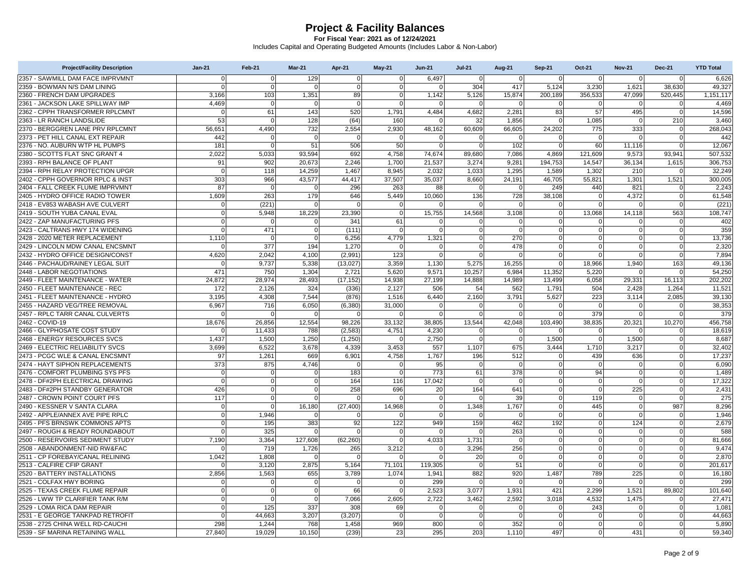| <b>Project/Facility Description</b> | <b>Jan-21</b> | Feb-21      | <b>Mar-21</b>  | Apr-21       | <b>May-21</b>  | <b>Jun-21</b>  | <b>Jul-21</b>  | <b>Aug-21</b>  | <b>Sep-21</b>  | Oct-21         | <b>Nov-21</b>  | <b>Dec-21</b> | <b>YTD Total</b> |
|-------------------------------------|---------------|-------------|----------------|--------------|----------------|----------------|----------------|----------------|----------------|----------------|----------------|---------------|------------------|
| 2357 - SAWMILL DAM FACE IMPRVMNT    | $\Omega$      | $\Omega$    | 129            | $\Omega$     | $\overline{0}$ | 6.497          | $\Omega$       | $\Omega$       | $\Omega$       | $\Omega$       | $\Omega$       | $\Omega$      | 6.626            |
| 2359 - BOWMAN N/S DAM LINING        | $\Omega$      | $\mathbf 0$ | $\mathbf 0$    | $\Omega$     | 0              | $\Omega$       | 304            | 417            | 5,124          | 3,230          | 1,621          | 38,630        | 49,327           |
| 2360 - FRENCH DAM UPGRADES          | 3,166         | 103         | 1,351          | 89           | $\mathbf 0$    | 1,142          | 5,126          | 15,874         | 200,189        | 356,533        | 47,099         | 520,445       | 1,151,117        |
| 2361 - JACKSON LAKE SPILLWAY IMP    | 4,469         | $\mathbf 0$ | $\mathbf{0}$   | $\Omega$     | $\mathbf 0$    | $\Omega$       | $\Omega$       | $\Omega$       | $\mathbf 0$    | $\overline{0}$ | $\overline{0}$ | $\mathbf 0$   | 4,469            |
| 2362 - CPPH TRANSFORMER RPLCMNT     | $\mathbf 0$   | 61          | 143            | 520          | 1,791          | 4,484          | 4,682          | 2,281          | 83             | 57             | 495            | $\mathbf 0$   | 14,596           |
| 2363 - LR RANCH LANDSLIDE           | 53            |             | 128            | (64)         | 160            |                | 32             | 1.856          |                | 1,085          | $\Omega$       | 210           | 3.460            |
| 2370 - BERGGREN LANE PRV RPLCMNT    | 56,651        | 4,490       | 732            | 2,554        | 2,930          | 48,162         | 60,609         | 66,605         | 24,202         | 775            | 333            | $\mathbf 0$   | 268,043          |
| 2373 - PET HILL CANAL EXT REPAIR    | 442           | $\Omega$    | $\mathbf{0}$   | $\Omega$     | $\Omega$       | $\overline{0}$ | $\Omega$       | $\Omega$       | $\Omega$       | $\overline{0}$ | $\Omega$       | $\Omega$      | 442              |
| 2376 - NO. AUBURN WTP HL PUMPS      | 181           | $\Omega$    | 51             | 506          | 50             | $\Omega$       | $\Omega$       | 102            | $\Omega$       | 60             | 11,116         |               | 12,067           |
| 2380 - SCOTTS FLAT SNC GRANT 4      | 2,022         | 5,033       | 93,594         | 692          | 4,758          | 74,674         | 89,680         | 7,086          | 4.869          | 121,609        | 9,573          | 93,941        | 507,532          |
| 2393 - RPH BALANCE OF PLANT         | 91            | 902         | 20,673         | 2,246        | 1,700          | 21,537         | 3,274          | 9,281          | 194,753        | 14,547         | 36,134         | 1,615         | 306,753          |
| 2394 - RPH RELAY PROTECTION UPGR    | $\mathbf 0$   | 118         | 14,259         | 1.467        | 8,945          | 2,032          | 1,033          | 1,295          | 1,589          | 1,302          | 210            |               | 32,249           |
| 2402 - CPPH GOVERNOR RPLC & INST    | 303           | 966         | 43,577         | 44.417       | 37.507         | 35.037         | 8.660          | 24.191         | 46,705         | 55,821         | 1,301          | 1,521         | 300.005          |
| 2404 - FALL CREEK FLUME IMPRVMNT    | 87            | $\mathbf 0$ | $\mathbf{0}$   | 296          | 263            | 88             | $\Omega$       | $\mathbf 0$    | 249            | 440            | 821            | $\Omega$      | 2,243            |
| 2405 - HYDRO OFFICE RADIO TOWER     | 1,609         | 263         | 179            | 646          | 5,449          | 10,060         | 136            | 728            | 38,108         | $\overline{0}$ | 4,372          | $\Omega$      | 61,548           |
| 2418 - EV853 WABASH AVE CULVERT     | $\mathbf 0$   | (221)       | $\mathbf 0$    | $\mathsf{C}$ | $\mathbf 0$    | $\Omega$       | $\Omega$       | $\overline{0}$ | $\Omega$       | 0              | $\mathbf 0$    | $\Omega$      | (221)            |
| 2419 - SOUTH YUBA CANAL EVAL        | $\mathbf 0$   | 5,948       | 18,229         | 23,390       | $\mathbf 0$    | 15,755         | 14,568         | 3,108          | $\overline{0}$ | 13,068         | 14,118         | 563           | 108,747          |
| 2422 - ZAP MANUFACTURING PFS        | $\Omega$      | $\Omega$    | $\mathbf{0}$   | 341          | 61             | $\Omega$       | $\Omega$       | $\Omega$       | $\Omega$       | 0              | $\Omega$       | $\Omega$      | 402              |
| 2423 - CALTRANS HWY 174 WIDENING    | $\mathbf 0$   | 471         | $\mathbf{0}$   | (111)        | $\mathbf 0$    | $\mathbf 0$    | $\Omega$       | $\Omega$       | $\overline{0}$ | 0              | $\mathbf 0$    | $\mathbf 0$   | 359              |
| 2428 - 2020 METER REPLACEMENT       | 1,110         | $\Omega$    | $\mathbf{0}$   | 6,256        | 4,779          | 1,321          | $\Omega$       | 270            | $\overline{0}$ | 0              | $\Omega$       |               | 13,736           |
| 2429 - LINCOLN MDW CANAL ENCSMNT    | $\Omega$      | 377         | 194            | 1,270        | $\Omega$       | $\Omega$       | $\Omega$       | 478            | $\Omega$       | $\Omega$       | $\Omega$       | $\Omega$      | 2,320            |
| 2432 - HYDRO OFFICE DESIGN/CONST    | 4,620         | 2,042       | 4,100          | (2,991)      | 123            | $\mathbf 0$    | $\overline{0}$ | $\overline{0}$ | $\overline{0}$ | $\overline{0}$ | $\overline{0}$ | $\mathbf 0$   | 7,894            |
| 2446 - PACHAUD/RAINEY LEGAL SUIT    | $\Omega$      | 9,737       | 5,338          | (13, 027)    | 3,359          | 1,130          | 5,275          | 16,255         | $\Omega$       | 18,966         | 1,940          | 163           | 49.136           |
| 2448 - LABOR NEGOTIATIONS           | 471           | 750         | 1,304          | 2,721        | 5,620          | 9,571          | 10,257         | 6,984          | 11,352         | 5,220          | $\Omega$       |               | 54,250           |
| 2449 - FLEET MAINTENANCE - WATER    | 24,872        | 28,974      | 28,493         | (17, 152)    | 14,938         | 27,199         | 14,888         | 14,989         | 13,499         | 6,058          | 29,331         | 16,113        | 202,202          |
| 2450 - FLEET MAINTENANCE - REC      | 172           | 2,126       | 324            | (336)        | 2,127          | 506            | 54             | 562            | 1,791          | 504            | 2,428          | 1,264         | 11,521           |
| 2451 - FLEET MAINTENANCE - HYDRO    | 3,195         | 4,308       | 7,544          | (876)        | 1,516          | 6,440          | 2,160          | 3,791          | 5,627          | 223            | 3,114          | 2,085         | 39,130           |
| 2455 - HAZARD VEG/TREE REMOVAL      | 6,967         | 716         | 6,050          | (6, 380)     | 31,000         | $\Omega$       | O              | $\Omega$       | $\Omega$       | 0              | $\overline{0}$ | $\mathbf 0$   | 38,353           |
| 2457 - RPLC TARR CANAL CULVERTS     | $\Omega$      |             | $\Omega$       |              | $\Omega$       | $\Omega$       | 0              | $\Omega$       | $\Omega$       | 379            | $\overline{0}$ | $\Omega$      | 379              |
| 2462 - COVID-19                     | 18,676        | 26,856      | 12,554         | 98,226       | 33,132         | 38,805         | 13,544         | 42,048         | 103,490        | 38,835         | 20,321         | 10,270        | 456,758          |
| 2466 - GLYPHOSATE COST STUDY        | $\Omega$      | 11,433      | 788            | (2,583)      | 4,751          | 4,230          | 0              | 0              | $\Omega$       | 0              | 0              | 0             | 18,619           |
| 2468 - ENERGY RESOURCES SVCS        | 1,437         | 1,500       | 1,250          | (1,250)      | $\Omega$       | 2,750          | $\Omega$       | $\mathbf 0$    | 1,500          | 0              | 1,500          | $\Omega$      | 8,687            |
| 2469 - ELECTRIC RELIABILITY SVCS    | 3,699         | 6,522       | 3,678          | 4,339        | 3,453          | 557            | 1,107          | 675            | 3,444          | 1,710          | 3,217          | $\Omega$      | 32,402           |
| 2473 - PCGC WLE & CANAL ENCSMNT     | 97            | 1,261       | 669            | 6,901        | 4,758          | 1,767          | 196            | 512            | $\Omega$       | 439            | 636            | $\mathbf 0$   | 17,237           |
| 2474 - HAYT SIPHON REPLACEMENTS     | 373           | 875         | 4,746          |              | $\Omega$       | 95             | $\Omega$       | $\overline{0}$ | $\Omega$       | $\mathbf 0$    | $\overline{0}$ | $\Omega$      | 6.090            |
| 2476 - COMFORT PLUMBING SYS PFS     | $\mathbf 0$   | $\Omega$    | $\mathbf{0}$   | 183          | $\Omega$       | 773            | 61             | 378            | $\Omega$       | 94             | $\mathbf 0$    |               | 1,489            |
| 2478 - DF#2PH ELECTRICAL DRAWING    | $\mathbf 0$   | $\mathbf 0$ | $\overline{0}$ | 164          | 116            | 17,042         | $\Omega$       | $\Omega$       | $\overline{0}$ | $\overline{0}$ | $\mathbf 0$    | $\mathbf 0$   | 17,322           |
| 2483 - DF#2PH STANDBY GENERATOR     | 426           | $\Omega$    | $\Omega$       | 258          | 696            | 20             | 164            | 641            | $\Omega$       | $\overline{0}$ | 225            | $\Omega$      | 2,431            |
| 2487 - CROWN POINT COURT PFS        | 117           | $\mathbf 0$ | $\Omega$       | $\sqrt{ }$   | $\Omega$       | $\mathbf 0$    | $\Omega$       | 39             | $\Omega$       | 119            | $\mathbf 0$    | $\Omega$      | 275              |
| 2490 - KESSNER V SANTA CLARA        | $\mathbf 0$   | $\Omega$    | 16,180         | (27, 400)    | 14,968         | $\mathbf 0$    | 1,348          | 1,767          | $\overline{0}$ | 445            | $\overline{0}$ | 987           | 8,296            |
| 2492 - APPLE/ANNEX AVE PIPE RPLC    | $\mathbf 0$   | 1,946       | $\mathbf{0}$   |              | $\mathbf 0$    | $\mathbf 0$    | $\Omega$       | $\mathbf 0$    | $\Omega$       | $\mathbf 0$    | $\mathbf 0$    | $\Omega$      | 1,946            |
| 2495 - PFS BRNSWK COMMONS APTS      | $\Omega$      | 195         | 383            | 92           | 122            | 949            | 159            | 462            | 192            | $\overline{0}$ | 124            | $\Omega$      | 2,679            |
| 2497 - ROUGH & READY ROUNDABOUT     | $\mathbf 0$   | 325         | $\mathbf 0$    | $\Omega$     | $\mathbf 0$    | $\overline{0}$ | $\Omega$       | 263            | $\mathbf 0$    | 0              | $\overline{0}$ | $\mathbf 0$   | 588              |
| 2500 - RESERVOIRS SEDIMENT STUDY    | 7,190         | 3,364       | 127,608        | (62, 260)    | $\mathbf 0$    | 4,033          | 1,731          | $\mathbf 0$    | $\overline{0}$ | <sub>0</sub>   | ō              | $\Omega$      | 81,666           |
| 2508 - ABANDONMENT-NID RW&FAC       | $\Omega$      | 719         | 1,726          | 265          | 3,212          | $\Omega$       | 3,296          | 256            | $\Omega$       | $\Omega$       | $\Omega$       | $\Omega$      | 9,474            |
| 2511 - CP FOREBAY/CANAL RELINING    | 1,042         | 1,808       | $\mathbf 0$    | $\sqrt{ }$   | $\Omega$       | $\overline{0}$ | 20             | $\mathbf 0$    | $\overline{0}$ | 0              | $\mathbf 0$    | $\mathbf 0$   | 2,870            |
| 2513 - CALFIRE CFIP GRANT           | $\Omega$      | 3,120       | 2,875          | 5,164        | 71,101         | 119,305        | $\Omega$       | 51             | $\Omega$       | $\overline{0}$ | $\overline{0}$ | $\Omega$      | 201,617          |
| 2520 - BATTERY INSTALLATIONS        | 2,856         | 1,563       | 655            | 3,789        | 1,074          | 1,941          | 882            | 920            | 1,487          | 789            | 225            | $\Omega$      | 16,180           |
| 2521 - COLFAX HWY BORING            | $\mathbf 0$   | $\Omega$    | $\mathbf{0}$   | $\Omega$     | $\Omega$       | 299            | $\Omega$       | $\Omega$       | $\Omega$       | $\overline{0}$ | $\Omega$       |               | 299              |
| 2525 - TEXAS CREEK FLUME REPAIR     | $\Omega$      | $\Omega$    | $\mathbf{0}$   | 66           | $\mathbf 0$    | 2,523          | 3.077          | 1,931          | 421            | 2,299          | 1,521          | 89,802        | 101,640          |
| 2526 - LWW TP CLARIFIER TANK R/M    | $\mathbf 0$   | $\Omega$    | $\mathbf{0}$   | 7,066        | 2,605          | 2,722          | 3,462          | 2,592          | 3,018          | 4,532          | 1,475          | $\Omega$      | 27,471           |
| 2529 - LOMA RICA DAM REPAIR         | $\Omega$      | 125         | 337            | 308          | 69             | $\Omega$       | $\Omega$       | $\Omega$       | $\Omega$       | 243            | $\Omega$       | $\Omega$      | 1,081            |
| 2531 - E GEORGE TANKPAD RETROFIT    | $\Omega$      | 44,663      | 3,207          | (3,207)      | $\mathbf 0$    | $\Omega$       | $\Omega$       | $\overline{0}$ | $\Omega$       | $\Omega$       | $\mathbf 0$    | $\Omega$      | 44,663           |
| 2538 - 2725 CHINA WELL RD-CAUCHI    | 298           | 1.244       | 768            | 1.458        | 969            | 800            | $\Omega$       | 352            | $\Omega$       | 0              | $\Omega$       |               | 5,890            |
| 2539 - SF MARINA RETAINING WALL     | 27,840        | 19,029      | 10,150         | (239)        | 23             | 295            | 203            | 1,110          | 497            | 0              | 431            | $\Omega$      | 59,340           |
|                                     |               |             |                |              |                |                |                |                |                |                |                |               |                  |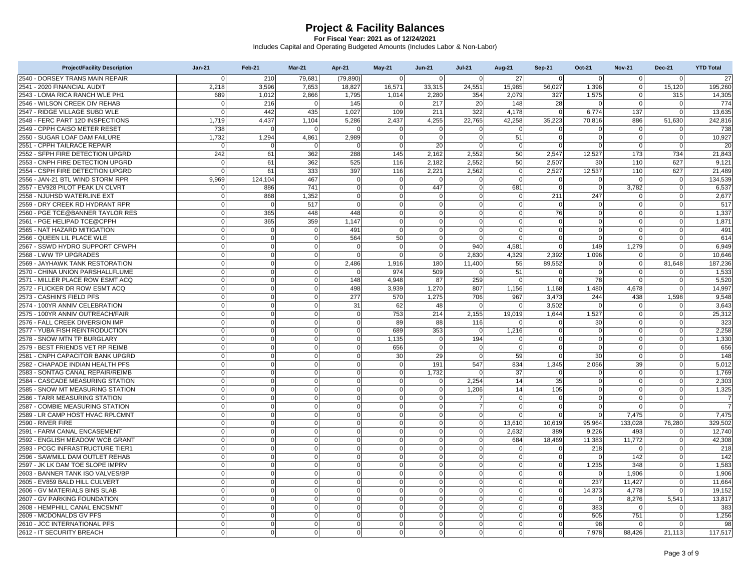| 2540 - DORSEY TRANS MAIN REPAIR<br>$\Omega$<br>210<br>79.681<br>(79.890)<br>$\mathbf 0$<br>$\Omega$<br>$\Omega$<br>27<br>$\Omega$<br>$\Omega$<br>$\mathbf 0$<br>$\Omega$<br>2541 - 2020 FINANCIAL AUDIT<br>2,218<br>3,596<br>7,653<br>18,827<br>16,571<br>33,315<br>24,551<br>15,985<br>56,027<br>1,396<br>$\mathbf 0$<br>15,120<br>2543 - LOMA RICA RANCH WLE PH1<br>689<br>2,866<br>1,795<br>1,014<br>2,280<br>354<br>2.079<br>327<br>1,575<br>$\mathbf 0$<br>315<br>1.012<br>216<br>217<br>20<br>148<br>2546 - WILSON CREEK DIV REHAB<br>145<br>28<br>$\Omega$<br>$\Omega$<br>$\Omega$<br>$\Omega$<br>$\Omega$<br>$\Omega$ | 27<br>195,260<br>14,305<br>774<br>13,635<br>242.816 |
|-------------------------------------------------------------------------------------------------------------------------------------------------------------------------------------------------------------------------------------------------------------------------------------------------------------------------------------------------------------------------------------------------------------------------------------------------------------------------------------------------------------------------------------------------------------------------------------------------------------------------------|-----------------------------------------------------|
|                                                                                                                                                                                                                                                                                                                                                                                                                                                                                                                                                                                                                               |                                                     |
|                                                                                                                                                                                                                                                                                                                                                                                                                                                                                                                                                                                                                               |                                                     |
|                                                                                                                                                                                                                                                                                                                                                                                                                                                                                                                                                                                                                               |                                                     |
|                                                                                                                                                                                                                                                                                                                                                                                                                                                                                                                                                                                                                               |                                                     |
| 109<br>322<br>4,178<br>137<br>2547 - RIDGE VILLAGE SUBD WLE<br>$\mathbf 0$<br>442<br>435<br>1,027<br>211<br>$\overline{0}$<br>6,774<br>$\mathbf 0$                                                                                                                                                                                                                                                                                                                                                                                                                                                                            |                                                     |
| 2548 - FERC PART 12D INSPECTIONS<br>4.437<br>2,437<br>4,255<br>22,765<br>42.258<br>35,223<br>886<br>1,719<br>1,104<br>5.286<br>70.816<br>51,630                                                                                                                                                                                                                                                                                                                                                                                                                                                                               |                                                     |
| 2549 - CPPH CAISO METER RESET<br>738<br>$\Omega$<br>$\Omega$<br>$\Omega$<br>$\Omega$<br>$\Omega$<br>$\Omega$<br>$\Omega$<br>$\Omega$<br>$\Omega$<br>$\Omega$                                                                                                                                                                                                                                                                                                                                                                                                                                                                  | 738                                                 |
| 2,989<br>51<br>2550 - SUGAR LOAF DAM FAILURE<br>1,732<br>1,294<br>4,861<br>$\mathbf 0$<br>$\overline{0}$<br> 0 <br>$\mathbf 0$<br>$\overline{0}$<br>$\overline{0}$<br>$\mathbf 0$                                                                                                                                                                                                                                                                                                                                                                                                                                             | 10,927                                              |
| 20<br>2551 - CPPH TAILRACE REPAIR<br>$\Omega$<br>$\Omega$<br>$\Omega$<br>$\Omega$<br>$\Omega$<br>$\Omega$<br>$\Omega$<br>$\Omega$                                                                                                                                                                                                                                                                                                                                                                                                                                                                                             | 20                                                  |
| 2552 - SFPH FIRE DETECTION UPGRD<br>242<br>61<br>362<br>288<br>145<br>2,162<br>2,552<br>50<br>2,547<br>12,527<br>173<br>734                                                                                                                                                                                                                                                                                                                                                                                                                                                                                                   | 21,843                                              |
| 2553 - CNPH FIRE DETECTION UPGRD<br>525<br>116<br>2,182<br>2,552<br>50<br>627<br>$\overline{0}$<br>61<br>362<br>2,507<br>30<br>110                                                                                                                                                                                                                                                                                                                                                                                                                                                                                            | 9,121                                               |
| 2,562<br>12,537<br>2554 - CSPH FIRE DETECTION UPGRD<br>$\Omega$<br>61<br>333<br>397<br>116<br>2,221<br>$\Omega$<br>2,527<br>110<br>627                                                                                                                                                                                                                                                                                                                                                                                                                                                                                        | 21,489                                              |
| 467<br>2556 - JAN-21 BTL WIND STORM RPR<br>124.104<br>9,969<br>$\mathbf 0$<br>$\Omega$<br>$\mathbf 0$<br>$\Omega$<br>$\overline{0}$<br>$\mathbf 0$<br>$\Omega$<br>$\mathbf 0$<br>$\mathbf 0$                                                                                                                                                                                                                                                                                                                                                                                                                                  | 134,539                                             |
| 2557 - EV928 PILOT PEAK LN CLVRT<br>$\Omega$<br>$\mathbf 0$<br>447<br>681<br>3,782<br>886<br>741<br>$\overline{0}$<br>$\Omega$<br>$\mathbf 0$<br>$\Omega$<br>$\overline{0}$                                                                                                                                                                                                                                                                                                                                                                                                                                                   | 6,537                                               |
| 2558 - NJUHSD WATERLINE EXT<br>$\Omega$<br>1,352<br>$\Omega$<br>$\Omega$<br>$\mathbf 0$<br>211<br>247<br>868<br>$\Omega$<br>$\mathbf 0$<br>$\mathbf 0$<br>$\Omega$                                                                                                                                                                                                                                                                                                                                                                                                                                                            | 2,677                                               |
| 2559 - DRY CREEK RD HYDRANT RPR<br>517<br>$\mathbf 0$<br>$\overline{0}$<br>$\Omega$<br>$\mathbf 0$<br>$\overline{0}$<br>0l<br>$\Omega$<br>$\overline{0}$<br>$\mathbf 0$<br>$\Omega$<br>$\overline{0}$                                                                                                                                                                                                                                                                                                                                                                                                                         | 517                                                 |
| 2560 - PGE TCE@BANNER TAYLOR RES<br>365<br>448<br>$\mathbf 0$<br>$\Omega$<br>$\overline{0}$<br>448<br>$\Omega$<br>$\overline{0}$<br>$\Omega$<br>76<br>$\overline{0}$                                                                                                                                                                                                                                                                                                                                                                                                                                                          | 1,337                                               |
| 359<br>1,147<br>2561 - PGE HELIPAD TCE@CPPH<br>$\Omega$<br>365<br>$\Omega$<br>$\Omega$<br> 0 <br>$\overline{0}$<br>$\overline{0}$<br>$\Omega$<br>$\overline{0}$<br>$\Omega$                                                                                                                                                                                                                                                                                                                                                                                                                                                   | 1,871                                               |
| 2565 - NAT HAZARD MITIGATION<br>$\overline{0}$<br>491<br>$\mathbf 0$<br>$\overline{0}$<br>0<br>$\mathbf 0$<br>$\overline{0}$<br>$\Omega$<br>$\Omega$<br>$\overline{0}$<br>0l<br>$\Omega$                                                                                                                                                                                                                                                                                                                                                                                                                                      | 491                                                 |
| 50<br>2566 - QUEEN LIL PLACE WLE<br>$\mathbf 0$<br>564<br>$\Omega$<br>$\Omega$<br>$\Omega$<br>$\overline{0}$<br>$\Omega$<br>$\Omega$<br>$\Omega$<br>$\Omega$                                                                                                                                                                                                                                                                                                                                                                                                                                                                  | 614                                                 |
| $\Omega$<br>$\overline{0}$<br>940<br>1,279<br>2567 - SSWD HYDRO SUPPORT CFWPH<br>$\Omega$<br>$\Omega$<br>$\Omega$<br>$\Omega$<br>4.581<br>$\Omega$<br>149<br>$\Omega$                                                                                                                                                                                                                                                                                                                                                                                                                                                         | 6,949                                               |
| 2.830<br>4.329<br>2.392<br>1.096<br>2568 - LWW TP UPGRADES<br>$\overline{0}$<br>$\overline{0}$<br>$\mathbf 0$<br>$\mathbf 0$<br>$\Omega$<br>$\mathbf 0$<br>$\mathbf 0$<br>$\Omega$                                                                                                                                                                                                                                                                                                                                                                                                                                            | 10.646                                              |
| 2569 - JAYHAWK TANK RESTORATION<br>$\mathbf 0$<br>2,486<br>1,916<br>180<br>11,400<br>55<br>89,552<br>$\mathbf 0$<br>81,648<br>$\Omega$<br>$\Omega$<br>$\overline{0}$                                                                                                                                                                                                                                                                                                                                                                                                                                                          | 187,236                                             |
| 2570 - CHINA UNION PARSHALLFLUME<br>$\Omega$<br>$\Omega$<br>974<br>509<br>51<br>$\Omega$<br>$\Omega$<br>$\Omega$<br>$\Omega$<br>$\Omega$<br>$\Omega$                                                                                                                                                                                                                                                                                                                                                                                                                                                                          | 1,533                                               |
| $\overline{0}$<br>4.948<br>87<br>259<br>78<br>2571 - MILLER PLACE ROW ESMT ACQ<br>$\Omega$<br>$\Omega$<br>148<br>$\Omega$<br>$\Omega$<br>$\mathbf 0$<br>$\Omega$                                                                                                                                                                                                                                                                                                                                                                                                                                                              | 5.520                                               |
| 2572 - FLICKER DR ROW ESMT ACQ<br>$\Omega$<br>498<br>3,939<br>1,270<br>807<br>1,156<br>1,168<br>1,480<br>4,678<br>$\Omega$<br>$\Omega$                                                                                                                                                                                                                                                                                                                                                                                                                                                                                        | 14,997                                              |
| 2573 - CASHIN'S FIELD PFS<br>$\overline{0}$<br>$\overline{0}$<br>277<br>570<br>1,275<br>967<br>3,473<br>438<br>1,598<br>$\Omega$<br>706<br>244                                                                                                                                                                                                                                                                                                                                                                                                                                                                                | 9,548                                               |
| 62<br>3,502<br>2574 - 100YR ANNIV CELEBRATION<br>$\Omega$<br>$\mathbf 0$<br>$\Omega$<br>31<br>48<br>$\mathbf 0$<br>$\overline{0}$<br>$\Omega$<br>$\Omega$<br>$\Omega$                                                                                                                                                                                                                                                                                                                                                                                                                                                         | 3,643                                               |
| 2575 - 100YR ANNIV OUTREACH/FAIR<br>$\mathbf 0$<br>753<br>214<br>2,155<br>19,019<br>1,644<br>1,527<br>$\mathbf 0$<br>$\Omega$<br>$\Omega$<br>$\Omega$                                                                                                                                                                                                                                                                                                                                                                                                                                                                         | 25,312                                              |
| 2576 - FALL CREEK DIVERSION IMP<br>89<br>$\Omega$<br>$\Omega$<br>$\Omega$<br>$\Omega$<br>88<br>116<br>30<br>$\Omega$<br>$\Omega$<br>$\Omega$                                                                                                                                                                                                                                                                                                                                                                                                                                                                                  | 323                                                 |
| $\mathbf 0$<br>689<br>353<br>2577 - YUBA FISH REINTRODUCTION<br>$\overline{0}$<br>$\mathbf 0$<br>$\Omega$<br>$\overline{0}$<br>1,216<br>$\overline{0}$<br>$\mathbf 0$<br>$\overline{0}$<br>$\mathbf 0$                                                                                                                                                                                                                                                                                                                                                                                                                        | 2,258                                               |
| 2578 - SNOW MTN TP BURGLARY<br>$\mathbf 0$<br>1,135<br>194<br>$\Omega$<br>$\Omega$<br>$\Omega$<br>$\Omega$<br>$\overline{0}$<br>$\Omega$<br>$\Omega$<br>$\Omega$                                                                                                                                                                                                                                                                                                                                                                                                                                                              | 1,330                                               |
| 2579 - BEST FRIENDS VET RP REIMB<br>$\Omega$<br>$\Omega$<br>$\Omega$<br>656<br>$\overline{0}$<br>$\Omega$<br>$\Omega$<br>$\Omega$<br>$\Omega$<br>$\mathbf 0$<br>$\Omega$<br>$\Omega$                                                                                                                                                                                                                                                                                                                                                                                                                                          | 656                                                 |
| 30<br>29<br>59<br>$\mathbf 0$<br>2581 - CNPH CAPACITOR BANK UPGRD<br>$\overline{0}$<br>$\Omega$<br>$\mathbf 0$<br>$\mathbf 0$<br>$\Omega$<br>30<br>$\Omega$<br>$\Omega$                                                                                                                                                                                                                                                                                                                                                                                                                                                       | 148                                                 |
| 39<br>547<br>2582 - CHAPADE INDIAN HEALTH PFS<br>$\Omega$<br>$\Omega$<br>$\Omega$<br>191<br>834<br>1,345<br>2,056<br>$\Omega$<br>$\Omega$                                                                                                                                                                                                                                                                                                                                                                                                                                                                                     | 5.012                                               |
| 2583 - SONTAG CANAL REPAIR/REIMB<br>$\Omega$<br>$\Omega$<br>$\Omega$<br>$\Omega$<br>1,732<br>37<br>$\Omega$<br>$\Omega$<br>$\Omega$<br>$\Omega$                                                                                                                                                                                                                                                                                                                                                                                                                                                                               | 1,769                                               |
| $\Omega$<br>35<br>2584 - CASCADE MEASURING STATION<br>$\overline{0}$<br>$\overline{0}$<br>$\Omega$<br>$\mathbf 0$<br>2.254<br>14<br>$\overline{0}$<br>$\mathbf 0$<br>$\mathbf 0$<br>$\Omega$                                                                                                                                                                                                                                                                                                                                                                                                                                  | 2,303                                               |
| 2585 - SNOW MT MEASURING STATION<br>$\Omega$<br>$\Omega$<br>$\mathbf 0$<br>$\overline{0}$<br>1.206<br>14<br>105<br>$\Omega$<br>$\Omega$<br>$\Omega$<br>$\Omega$                                                                                                                                                                                                                                                                                                                                                                                                                                                               | 1,325                                               |
| 2586 - TARR MEASURING STATION<br>$\overline{0}$<br>$\Omega$<br>$\Omega$<br>$\Omega$<br>$\Omega$<br>$\overline{0}$<br>$\Omega$<br>$\overline{0}$<br>$\overline{0}$<br>$\mathbf 0$<br>$\overline{7}$<br>$\Omega$                                                                                                                                                                                                                                                                                                                                                                                                                | $\overline{7}$                                      |
| $\mathbf 0$<br>$\overline{7}$<br>$\mathbf 0$<br>2587 - COMBIE MEASURING STATION<br>$\Omega$<br>$\overline{0}$<br>$\Omega$<br>$\mathbf 0$<br>$\overline{0}$<br>$\Omega$<br>$\overline{0}$<br>$\overline{0}$<br>$\Omega$                                                                                                                                                                                                                                                                                                                                                                                                        | $\overline{7}$                                      |
| 7,475<br>2589 - LR CAMP HOST HVAC RPLCMNT<br>$\Omega$<br>$\mathbf 0$<br>$\Omega$<br>$\Omega$<br>$\overline{0}$<br>$\Omega$<br>$\Omega$<br>$\Omega$<br>$\Omega$<br>$\Omega$<br>$\Omega$                                                                                                                                                                                                                                                                                                                                                                                                                                        | 7.475                                               |
| 2590 - RIVER FIRE<br>$\overline{0}$<br>$\Omega$<br>$\Omega$<br>$\Omega$<br>$\Omega$<br>$\overline{0}$<br> 0 <br>13,610<br>10,619<br>95,964<br>133,028<br>76,280                                                                                                                                                                                                                                                                                                                                                                                                                                                               | 329,502                                             |
| $\mathbf 0$<br>9.226<br>2591 - FARM CANAL ENCASEMENT<br>$\Omega$<br>$\overline{0}$<br>$\Omega$<br>$\mathbf 0$<br>$\Omega$<br>0<br>2.632<br>389<br>493<br>$\Omega$                                                                                                                                                                                                                                                                                                                                                                                                                                                             | 12.740                                              |
| 11,772<br>11,383<br>2592 - ENGLISH MEADOW WCB GRANT<br>$\Omega$<br>$\Omega$<br>$\Omega$<br>$\Omega$<br> 0 <br>684<br>18,469<br>$\Omega$<br>$\Omega$<br>$\Omega$                                                                                                                                                                                                                                                                                                                                                                                                                                                               | 42,308                                              |
| 2593 - PCGC INFRASTRUCTURE TIER1<br>$\overline{0}$<br>$\Omega$<br>$\Omega$<br>$\Omega$<br>$\Omega$<br>$\overline{0}$<br> 0 <br>218<br>$\Omega$<br>$\Omega$<br>$\Omega$<br>$\Omega$                                                                                                                                                                                                                                                                                                                                                                                                                                            | 218                                                 |
| $\mathbf 0$<br>$\Omega$<br> 0 <br>142<br>2596 - SAWMILL DAM OUTLET REHAB<br>$\overline{0}$<br>$\overline{0}$<br>$\Omega$<br>$\mathbf 0$<br>$\Omega$<br>$\Omega$<br>$\Omega$<br>$\Omega$                                                                                                                                                                                                                                                                                                                                                                                                                                       | 142                                                 |
| 2597 - JK LK DAM TOE SLOPE IMPRV<br>1,235<br>348<br>$\Omega$<br>$\Omega$<br>$\Omega$<br>$\Omega$<br>$\mathbf 0$<br>$\overline{0}$<br>0<br>$\Omega$<br>$\overline{0}$                                                                                                                                                                                                                                                                                                                                                                                                                                                          | 1,583                                               |
| $\Omega$<br>2603 - BANNER TANK ISO VALVES/BP<br>$\Omega$<br>$\Omega$<br>$\Omega$<br>$\Omega$<br>$\overline{0}$<br>$\overline{0}$<br>$\Omega$<br>$\Omega$<br>$\Omega$<br>1,906                                                                                                                                                                                                                                                                                                                                                                                                                                                 | 1,906                                               |
| 2605 - EV859 BALD HILL CULVERT<br>$\Omega$<br>$\mathbf 0$<br>$\Omega$<br> 0 <br>$\Omega$<br>237<br>11,427<br>$\Omega$<br>$\mathbf 0$<br>$\Omega$<br>$\Omega$<br>$\Omega$                                                                                                                                                                                                                                                                                                                                                                                                                                                      | 11,664                                              |
| 2606 - GV MATERIALS BINS SLAB<br>$\overline{0}$<br>$\mathbf 0$<br>$\mathbf 0$<br>$\overline{0}$<br> 0 <br>$\overline{0}$<br>14,373<br>4,778<br>$\Omega$<br>$\Omega$<br>$\overline{0}$<br>$\Omega$                                                                                                                                                                                                                                                                                                                                                                                                                             | 19,152                                              |
| 2607 - GV PARKING FOUNDATION<br>$\Omega$<br>$\Omega$<br>$\Omega$<br>$\Omega$<br>$\Omega$<br>$\Omega$<br>$\Omega$<br>$\Omega$<br>$\Omega$<br>$\Omega$<br>8,276<br>5,541                                                                                                                                                                                                                                                                                                                                                                                                                                                        | 13,817                                              |
| 2608 - HEMPHILL CANAL ENCSMNT<br>$\Omega$<br>$\overline{0}$<br> 0 <br>$\overline{0}$<br>$\overline{0}$<br>$\Omega$<br>$\mathbf 0$<br>$\mathbf 0$<br>$\overline{0}$<br>383<br>$\mathbf 0$<br>$\mathbf 0$                                                                                                                                                                                                                                                                                                                                                                                                                       | 383                                                 |
| 2609 - MCDONALDS GV PFS<br>$\Omega$<br>$\Omega$<br>$\Omega$<br>$\Omega$<br>505<br>751<br>$\Omega$<br>$\Omega$<br>$\Omega$<br>$\Omega$<br>$\Omega$                                                                                                                                                                                                                                                                                                                                                                                                                                                                             | 1,256                                               |
| 2610 - JCC INTERNATIONAL PFS<br>$\Omega$<br>$\Omega$<br>$\Omega$<br>$\Omega$<br>$\Omega$<br>$\Omega$<br>$\Omega$<br>$\Omega$<br>$\Omega$<br>98<br>$\Omega$                                                                                                                                                                                                                                                                                                                                                                                                                                                                    | 98                                                  |
| 2612 - IT SECURITY BREACH<br>$\overline{0}$<br>$\mathbf 0$<br>$\mathbf 0$<br>$\overline{0}$<br>$\mathbf 0$<br>$\overline{0}$<br> 0 <br>$\mathbf 0$<br>$\overline{0}$<br>7,978<br>88,426<br>21,113                                                                                                                                                                                                                                                                                                                                                                                                                             | 117,517                                             |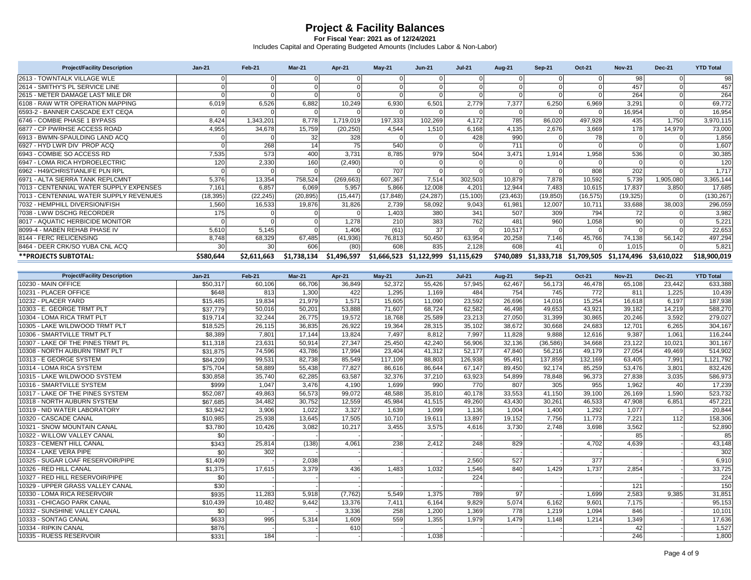| <b>Project/Facility Description</b>     | $Jan-21$  | Feb-21      | Mar-21      | <b>Apr-21</b> | $May-21$  | <b>Jun-21</b>                       | <b>Jul-21</b> | <b>Aug-21</b> | Sep-21    | <b>Oct-21</b>                                 | <b>Nov-21</b> | <b>Dec-21</b> | <b>YTD Total</b> |
|-----------------------------------------|-----------|-------------|-------------|---------------|-----------|-------------------------------------|---------------|---------------|-----------|-----------------------------------------------|---------------|---------------|------------------|
| 2613 - TOWNTALK VILLAGE WLE             |           |             |             |               |           |                                     |               |               |           |                                               | 98            |               | 98               |
| 2614 - SMITHY'S PL SERVICE LINE         |           |             |             |               |           |                                     |               |               |           |                                               | 457           |               | 457              |
| 2615 - METER DAMAGE LAST MILE DR        |           |             |             |               |           |                                     |               |               |           |                                               | 264           |               | 264              |
| 6108 - RAW WTR OPERATION MAPPING        | 6.019     | 6,526       | 6.882       | 10.249        | 6,930     | 6,501                               | 2.779         | 7.377         | 6,250     | 6,969                                         | 3,291         |               | 69,772           |
| 6593-2 - BANNER CASCADE EXT CEQA        |           |             |             |               |           |                                     |               |               |           |                                               | 16,954        |               | 16,954           |
| 6746 - COMBIE PHASE 1 BYPASS            | 8.424     | 1.343.201   | 8.778       | 1,719,019     | 197,333   | 102,269                             | 4.172         | 785           | 86,020    | 497.928                                       | 435           | 1.750         | 3,970,115        |
| 6877 - CP PWRHSE ACCESS ROAD            | 4,955     | 34,678      | 15,759      | (20, 250)     | 4,544     | 1,510                               | 6,168         | 4,135         | 2,676     | 3,669                                         | 178           | 14.979        | 73,000           |
| 6913 - BWMN-SPAULDING LAND ACQ          |           |             | 32          | 328           |           |                                     | 428           | 990           |           |                                               |               |               | 1,856            |
| 6927 - HYD LWR DIV PROP ACQ             |           | 268         | 14          | 75            | 540       |                                     |               | 711           |           |                                               |               |               | 1,607            |
| 6943 - COMBIE SO ACCESS RD              | 7,535     | 573         | 400         | 3.731         | 8,785     | 979                                 | 504           | 3.471         | 1,914     | 1.958                                         | 536           |               | 30,385           |
| 6947 - LOMA RICA HYDROELECTRIC          | 120       | 2,330       | 160         | (2,490)       |           |                                     |               |               |           |                                               |               |               | 120              |
| 6962 - H49/CHRISTIANLIFE PLN RPL        |           |             |             |               | 707       |                                     |               |               |           | 808                                           | 202           |               | 1,717            |
| 6971 - ALTA SIERRA TANK REPLCMNT        | 5,376     | 13,354      | 758,524     | (269, 663)    | 607,367   | 7,514                               | 302,503       | 10,879        | 7,878     | 10,592                                        | 5,739         | 1,905,080     | 3,365,144        |
| 7013 - CENTENNIAL WATER SUPPLY EXPENSES | 7.161     | 6,857       | 6.069       | 5,957         | 5,866     | 12,008                              | 4.201         | 12,944        | 7,483     | 10.615                                        | 17,837        | 3.850         | 17,685           |
| 7013 - CENTENNIAL WATER SUPPLY REVENUES | (18, 395) | (22, 245)   | (20, 895)   | (15, 447)     | (17, 848) | (24, 287)                           | (15, 100)     | (23, 463)     | (19, 850) | (16, 575)                                     | (19, 325)     |               | (130, 267)       |
| 7032 - HEMPHILL DIVERSION/FISH          | 1,560     | 16,533      | 19,876      | 31,826        | 2,739     | 58,092                              | 9,043         | 61,981        | 12,007    | 10,711                                        | 33,688        | 38,003        | 296,059          |
| 7038 - LWW DSCHG RECORDER               | 175       |             |             |               | 1.403     | 380                                 | 341           | 507           | 309       | 794                                           | 72            |               | 3,982            |
| 8017 - AQUATIC HERBICIDE MONITOR        |           |             |             | 1.278         | 210       | 383                                 | 762           | 481           | 960       | 1,058                                         | 90            |               | 5,221            |
| 8099-4 - MABEN REHAB PHASE IV           | 5.610     | 5.145       |             | 1.406         | (61)      | 37                                  |               | 10.517        |           |                                               |               |               | 22,653           |
| 8144 - FERC RELICENSING                 | 8,748     | 68,329      | 67,485      | (41, 936)     | 76,813    | 50,450                              | 63,954        | 20,258        | 7,146     | 45,766                                        | 74,138        | 56,142        | 497,294          |
| 8464 - DEER CRK/SO YUBA CNL ACQ         | 30        | 30          | 606         | (80)          | 608       | 835                                 | 2,128         | 608           | 41        |                                               | 1,015         |               | 5,821            |
| **PROJECTS SUBTOTAL:                    | \$580,644 | \$2,611,663 | \$1,738,134 | \$1,496,597   |           | \$1,666,523 \$1,122,999 \$1,115,629 |               |               |           | \$740,089 \$1,333,718 \$1,709,505 \$1,174,496 |               | \$3,610,022   | \$18,900,019     |

| <b>Project/Facility Description</b> | $Jan-21$ | <b>Feb-21</b> | $Mar-21$ | <b>Apr-21</b> | $Mav-21$ | $Jun-21$ | <b>Jul-21</b> | <b>Aug-21</b> | <b>Sep-21</b> | Oct-21  | <b>Nov-21</b> | <b>Dec-21</b> | <b>YTD Total</b> |
|-------------------------------------|----------|---------------|----------|---------------|----------|----------|---------------|---------------|---------------|---------|---------------|---------------|------------------|
| 10230 - MAIN OFFICE                 | \$50,317 | 60,106        | 66.706   | 36.849        | 52,372   | 55,426   | 57.945        | 62.467        | 56,173        | 46.478  | 65,108        | 23.442        | 633,388          |
| 10231 - PLACER OFFICE               | \$648    | 813           | 1,300    | 422           | 1.295    | 1.169    | 484           | 754           | 745           | 772     | 811           | 1.225         | 10,439           |
| 10232 - PLACER YARD                 | \$15,485 | 19.834        | 21.979   | 1.571         | 15.605   | 11.090   | 23.592        | 26.696        | 14.016        | 15.254  | 16.618        | 6.197         | 187,938          |
| 10303 - E. GEORGE TRMT PLT          | \$37,779 | 50,016        | 50,201   | 53.888        | 71,607   | 68.724   | 62.582        | 46,498        | 49,653        | 43.921  | 39,182        | 14.219        | 588,270          |
| 10304 - LOMA RICA TRMT PLT          | \$19,714 | 32.244        | 26.775   | 19.572        | 18.768   | 25.589   | 23,213        | 27.050        | 31.399        | 30.865  | 20.246        | 3.592         | 279,027          |
| 10305 - LAKE WILDWOOD TRMT PLT      | \$18,525 | 26.115        | 36.835   | 26.922        | 19.364   | 28.315   | 35.102        | 38.672        | 30.668        | 24.683  | 12.701        | 6.265         | 304,167          |
| 10306 - SMARTVILLE TRMT PLT         | \$8,389  | 7.801         | 17.144   | 13.824        | 7.497    | 8.812    | 7.997         | 11.828        | 9.888         | 12.616  | 9,387         | 1.061         | 116,244          |
| 10307 - LAKE OF THE PINES TRMT PL   | \$11,318 | 23,631        | 50,914   | 27,347        | 25,450   | 42,240   | 56,906        | 32,136        | (36, 586)     | 34,668  | 23,122        | 10,021        | 301,167          |
| 10308 - NORTH AUBURN TRMT PLT       | \$31,875 | 74,596        | 43,786   | 17.994        | 23,404   | 41,312   | 52.177        | 47.840        | 56.216        | 49.179  | 27,054        | 49,469        | 514,902          |
| 10313 - E GEORGE SYSTEM             | \$84,209 | 99.531        | 82,738   | 85.549        | 117.109  | 88,803   | 126.938       | 95.491        | 137.859       | 132.169 | 63.405        | 7.991         | 1,121,792        |
| 10314 - LOMA RICA SYSTEM            | \$75,704 | 58.889        | 55,438   | 77.827        | 86,616   | 86.644   | 67.147        | 89.450        | 92.174        | 85,259  | 53,476        | 3.801         | 832,426          |
| 10315 - LAKE WILDWOOD SYSTEM        | \$30,858 | 35,740        | 62,285   | 63,587        | 32,376   | 37.210   | 63,923        | 54,899        | 78,848        | 96,373  | 27,838        | 3,035         | 586,973          |
| 10316 - SMARTVILLE SYSTEM           | \$999    | 1.047         | 3.476    | 4.190         | 1.699    | 990      | 770           | 807           | 305           | 955     | 1.962         | 40            | 17,239           |
| 10317 - LAKE OF THE PINES SYSTEM    | \$52,087 | 49.863        | 56,573   | 99.072        | 48,588   | 35.810   | 40.178        | 33.553        | 41.150        | 39.100  | 26.169        | 1.590         | 523,732          |
| 10318 - NORTH AUBURN SYSTEM         | \$67,685 | 34.482        | 30.752   | 12.559        | 45.984   | 41.515   | 49.260        | 43.430        | 30.261        | 46,533  | 47.908        | 6.851         | 457,221          |
| 10319 - NID WATER LABORATORY        | \$3,942  | 3,906         | 1,022    | 3,327         | 1,639    | 1,099    | 1.136         | 1.004         | 1,400         | 1,292   | 1.077         |               | 20,844           |
| 10320 - CASCADE CANAL               | \$10.985 | 25.938        | 13.645   | 17.505        | 10.710   | 19.611   | 13.897        | 19.152        | 7.756         | 11.773  | 7.221         | 112           | 158,306          |
| 10321 - SNOW MOUNTAIN CANAL         | \$3,780  | 10.426        | 3,082    | 10,217        | 3,455    | 3,575    | 4.616         | 3,730         | 2.748         | 3,698   | 3,562         |               | 52,890           |
| 10322 - WILLOW VALLEY CANAL         | \$0      |               |          |               |          |          |               |               |               |         | 85            |               | 85               |
| 10323 - CEMENT HILL CANAL           | \$343    | 25.814        | (138)    | 4.061         | 238      | 2.412    | 248           | 829           |               | 4.702   | 4,639         |               | 43,148           |
| 10324 - LAKE VERA PIPE              | \$0      | 302           |          |               |          |          |               |               |               |         |               |               | 302              |
| 10325 - SUGAR LOAF RESERVOIR/PIPE   | \$1,409  |               | 2,038    |               |          |          | 2.560         | 527           |               | 377     |               |               | 6,910            |
| 10326 - RED HILL CANAL              | \$1,375  | 17.615        | 3,379    | 436           | 1,483    | 1,032    | 1,546         | 840           | 1,429         | 1,737   | 2,854         |               | 33,725           |
| 10327 - RED HILL RESERVOIR/PIPE     | \$0      |               |          |               |          |          | 224           |               |               |         |               |               | 224              |
| 10329 - UPPER GRASS VALLEY CANAL    | \$30     |               |          |               |          |          |               |               |               |         | 121           |               | 150              |
| 10330 - LOMA RICA RESERVOIR         | \$935    | 11.283        | 5,918    | (7, 762)      | 5,549    | 1.375    | 789           | 97            |               | 1.699   | 2,583         | 9.385         | 31,851           |
| 10331 - CHICAGO PARK CANAL          | \$10,439 | 10.482        | 9.442    | 13.376        | 7.411    | 6.164    | 9.829         | 5.074         | 6.162         | 9.601   | 7,175         |               | 95,153           |
| 10332 - SUNSHINE VALLEY CANAL       | \$0      |               |          | 3.336         | 258      | 1.200    | 1.369         | 778           | 1.219         | 1.094   | 846           |               | 10,101           |
| 10333 - SONTAG CANAL                | \$633    | 995           | 5.314    | 1.609         | 559      | 1.355    | 1.979         | 1.479         | 1.148         | 1.214   | 1,349         |               | 17,636           |
| 10334 - RIPKIN CANAL                | \$876    |               |          | 610           |          |          |               |               |               |         | 42            |               | 1,527            |
| 10335 - RUESS RESERVOIR             | \$331    | 184           |          |               |          | 1,038    |               |               |               |         | 246           |               | 1,800            |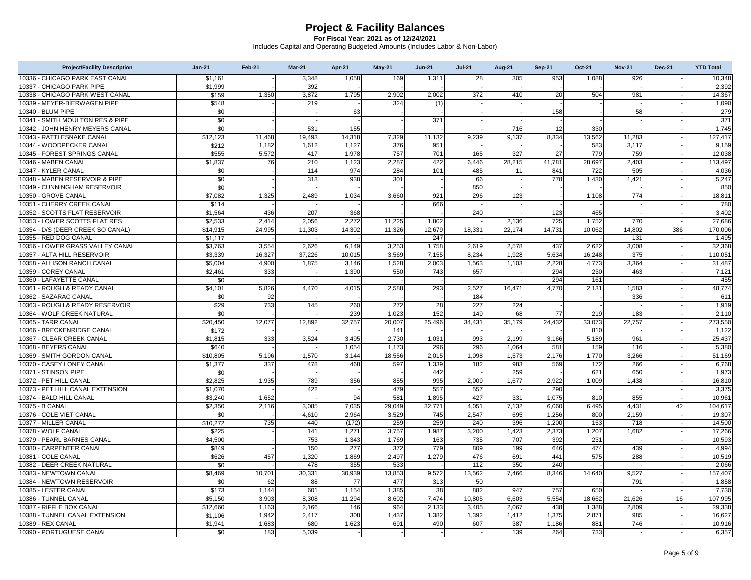| <b>Project/Facility Description</b>                        | $Jan-21$           | Feb-21 | <b>Mar-21</b>  | Apr-21 | $May-21$        | <b>Jun-21</b> | <b>Jul-21</b>  | <b>Aug-21</b> | <b>Sep-21</b> | Oct-21       | <b>Nov-21</b>  | <b>Dec-21</b> | <b>YTD Total</b>  |
|------------------------------------------------------------|--------------------|--------|----------------|--------|-----------------|---------------|----------------|---------------|---------------|--------------|----------------|---------------|-------------------|
| 10336 - CHICAGO PARK EAST CANAL                            | \$1,161            |        | 3,348          | 1.058  | 169             | 1,311         | 28             | 305           | 953           | 1.088        | 926            |               | 10.348            |
| 10337 - CHICAGO PARK PIPE                                  | \$1,999            |        | 392            |        |                 |               |                |               |               |              |                |               | 2,392             |
| 10338 - CHICAGO PARK WEST CANAL                            | \$159              | 1.350  | 3.872          | 1,795  | 2,902           | 2,002         | 372            | 410           | 20            | 504          | 981            |               | 14,367            |
| 10339 - MEYER-BIERWAGEN PIPE                               | \$548              |        | 219            |        | 324             | (1)           |                |               |               |              |                |               | 1,090             |
| 10340 - BLUM PIPE                                          | \$0                |        |                | 63     |                 |               |                |               | 158           |              | 58             |               | 279               |
| 10341 - SMITH MOULTON RES & PIPE                           | \$0                |        |                |        |                 | 371           |                |               |               |              |                |               | 371               |
| 10342 - JOHN HENRY MEYERS CANAL                            | \$0                |        | 531            | 155    |                 |               |                | 716           | 12            | 330          |                |               | 1,745             |
| 10343 - RATTLESNAKE CANAL                                  | \$12,123           | 11,468 | 19,493         | 14,318 | 7,329           | 11,132        | 9,239          | 9,137         | 8,334         | 13,562       | 11,283         |               | 127,417           |
| 10344 - WOODPECKER CANAL                                   | \$212              | 1,182  | 1,612          | 1,127  | 376             | 951           |                |               |               | 583          | 3,117          |               | 9,159             |
| 10345 - FOREST SPRINGS CANAL                               | \$555              | 5.572  | 417            | 1,978  | 757             | 701           | 165            | 327           | 27            | 779          | 759            |               | 12,038            |
| 10346 - MABEN CANAL                                        | \$1,837            | 76     | 210            | 1,123  | 2,287           | 422           | 6,446          | 28,215        | 41,781        | 28,697       | 2,403          |               | 113,497           |
| 10347 - KYLER CANAL                                        | \$0                |        | 114            | 974    | 284             | 101           | 485            | 11            | 841           | 722          | 505            |               | 4,036             |
| 10348 - MABEN RESERVOIR & PIPE                             | \$0                |        | 313            | 938    | 301             |               | 66             |               | 778           | 1.430        | 1,421          |               | 5,247             |
| 10349 - CUNNINGHAM RESERVOIR                               | \$0                |        |                |        |                 |               | 850            |               |               |              |                |               | 850               |
| 10350 - GROVE CANAL                                        | \$7,082            | 1,325  | 2,489          | 1,034  | 3,660           | 921           | 296            | 123           |               | 1,108        | 774            |               | 18,811            |
| 10351 - CHERRY CREEK CANAL                                 | \$114              |        |                |        |                 | 666           |                |               |               |              |                |               | 780               |
| 10352 - SCOTTS FLAT RESERVOIR                              | \$1,564            | 436    | 207            | 368    |                 |               | 240            |               | 123           | 465          |                |               | 3,402             |
| 10353 - LOWER SCOTTS FLAT RES                              | \$2,533            | 2.414  | 2,056          | 2.272  | 11.225          | 1.802         |                | 2.136         | 725           | 1,752        | 770            |               | 27,686            |
| 10354 - D/S (DEER CREEK SO CANAL)                          | \$14,915           | 24,995 | 11,303         | 14,302 | 11,326          | 12,679        | 18,331         | 22,174        | 14,731        | 10,062       | 14,802         | 386           | 170,006           |
| 10355 - RED DOG CANAL                                      | \$1,117            |        |                |        |                 | 247           |                |               |               |              | 131            |               | 1,495             |
| 10356 - LOWER GRASS VALLEY CANAL                           | \$3,763            | 3,554  | 2,626          | 6,149  | 3,253           | 1,758         | 2,619          | 2,578         | 437           | 2,622        | 3,008          |               | 32,368            |
| 10357 - ALTA HILL RESERVOIR                                | \$3,339            | 16,327 | 37,226         | 10,015 | 3,569           | 7,155         | 8,234          | 1,928         | 5,634         | 16,248       | 375            |               | 110,051           |
| 10358 - ALLISON RANCH CANAL                                | \$5,004            | 4,900  | 1,875          | 3.146  | 1,528           | 2,003         | 1,563          | 1,103         | 2,228         | 4,773        | 3,364          |               | 31,487            |
| 10359 - COREY CANAL                                        | \$2,461            | 333    |                | 1,390  | 550             | 743           | 657            |               | 294           | 230          | 463            |               | 7,121             |
| 10360 - LAFAYETTE CANAL                                    | \$0                |        |                |        |                 |               |                |               | 294           | 161          |                |               | 455               |
| 10361 - ROUGH & READY CANAL                                | \$4,101            | 5,826  | 4,470          | 4,015  | 2,588           | 293           | 2,527          | 16,471        | 4,770         | 2,131        | 1,583          |               | 48,774            |
| 10362 - SAZARAC CANAL                                      | \$0                | 92     |                |        |                 |               | 184            |               |               |              | 336            |               | 611               |
| 10363 - ROUGH & READY RESERVOIR                            | \$29               | 733    | 145            | 260    | 272             | 28            | 227            | 224           |               |              |                |               | 1,919             |
| 10364 - WOLF CREEK NATURAL                                 | \$0                |        |                | 239    | 1,023           | 152           | 149            | 68            | 77            | 219          | 183            |               | 2,110             |
| 10365 - TARR CANAL                                         | \$20,450           | 12,077 | 12,892         | 32,757 | 20,007          | 25,496        | 34,431         | 35,179        | 24,432        | 33,073       | 22,757         |               | 273,550           |
| 10366 - BRECKENRIDGE CANAL                                 | \$172              |        |                |        | 141             |               |                |               |               | 810          |                |               | 1,122             |
| 10367 - CLEAR CREEK CANAL                                  | \$1,815            | 333    | 3,524          | 3,495  | 2,730           | 1,031         | 993            | 2,199         | 3,166         | 5,189        | 961            |               | 25,437            |
| 10368 - BEYERS CANAL                                       | \$640              |        |                | 1,054  | 1,173           | 296           | 296            | 1,064         | 581           | 159          | 116            |               | 5,380             |
| 10369 - SMITH GORDON CANAL                                 | \$10,805           | 5,196  | 1,570          | 3,144  | 18,556          | 2,015         | 1,098          | 1,573         | 2,176         | 1,770        | 3,266          |               | 51,169            |
| 10370 - CASEY LONEY CANAL                                  | \$1,377            | 337    | 478            | 468    | 597             | 1,339         | 182            | 983           | 569           | 172          | 266            |               | 6,768             |
| 10371 - STINSON PIPE                                       | \$0                |        |                |        |                 | 442           |                | 259           |               | 621          | 650            |               | 1,973             |
| 10372 - PET HILL CANAL<br>10373 - PET HILL CANAL EXTENSION | \$2,825            | 1,935  | 789<br>422     | 356    | 855<br>479      | 995<br>557    | 2,009<br>557   | 1,677         | 2,922<br>290  | 1,009        | 1,438          |               | 16,810            |
| 10374 - BALD HILL CANAL                                    | \$1,070<br>\$3,240 | 1,652  |                | 94     | 581             | 1,895         | 427            | 331           | 1,075         | 810          | 855            |               | 3,375<br>10,961   |
| 10375 - B CANAL                                            |                    | 2.116  |                | 7.035  |                 |               |                |               | 6.060         |              |                | 42            |                   |
| 10376 - COLE VIET CANAL                                    | \$2,350<br>\$0     |        | 3,085<br>4,610 | 2,964  | 29,049<br>3,529 | 32,771<br>745 | 4,051<br>2,547 | 7,132<br>695  | 1,256         | 6,495<br>800 | 4,431<br>2,159 |               | 104,617<br>19,307 |
| 10377 - MILLER CANAL                                       | \$10.272           | 735    | 440            | (172)  | 259             | 259           | 240            | 396           | 1,200         | 153          | 718            |               | 14.500            |
| 10378 - WOLF CANAL                                         | \$225              |        | 141            | 1,271  | 3,757           | 1,987         | 3,200          | 1,423         | 2,373         | 1,207        | 1,682          |               | 17,266            |
| 10379 - PEARL BARNES CANAL                                 | \$4,500            |        | 753            | 1,343  | 1,769           | 163           | 735            | 707           | 392           | 231          |                |               | 10,593            |
| 10380 - CARPENTER CANAL                                    | \$849              |        | 150            | 277    | 372             | 779           | 809            | 199           | 646           | 474          | 439            |               | 4,994             |
| 10381 - COLE CANAL                                         | \$626              | 457    | 1,320          | 1,869  | 2,497           | 1,279         | 476            | 691           | 441           | 575          | 288            |               | 10,519            |
| 10382 - DEER CREEK NATURAL                                 | \$0                |        | 478            | 355    | 533             |               | 112            | 350           | 240           |              |                |               | 2,066             |
| 10383 - NEWTOWN CANAL                                      | \$8,469            | 10,701 | 30,331         | 30,939 | 13,853          | 9,572         | 13,562         | 7,466         | 8,346         | 14,640       | 9,527          |               | 157,407           |
| 10384 - NEWTOWN RESERVOIR                                  | \$0                | 62     | 88             | 77     | 477             | 313           | 50             |               |               |              | 791            |               | 1,858             |
| 10385 - LESTER CANAL                                       | \$173              | 1,144  | 601            | 1,154  | 1,385           | 38            | 882            | 947           | 757           | 650          |                |               | 7,730             |
| 10386 - TUNNEL CANAL                                       | \$5,150            | 3,903  | 8,308          | 11,294 | 8.602           | 7,474         | 10,805         | 6.603         | 5,554         | 18,662       | 21,626         | 16            | 107,995           |
| 10387 - RIFFLE BOX CANAL                                   | \$12,660           | 1,163  | 2,166          | 146    | 964             | 2,133         | 3,405          | 2,067         | 438           | 1,388        | 2,809          |               | 29,338            |
| 10388 - TUNNEL CANAL EXTENSION                             | \$1,106            | 1,942  | 2,417          | 308    | 1,437           | 1,382         | 1,392          | 1,412         | 1,375         | 2,871        | 985            |               | 16,627            |
| 10389 - REX CANAL                                          | \$1,941            | 1.683  | 680            | 1.623  | 691             | 490           | 607            | 387           | 1,186         | 881          | 746            |               | 10.916            |
| 10390 - PORTUGUESE CANAL                                   | \$0                | 183    | 5,039          |        |                 |               |                | 139           | 264           | 733          |                |               | 6,357             |
|                                                            |                    |        |                |        |                 |               |                |               |               |              |                |               |                   |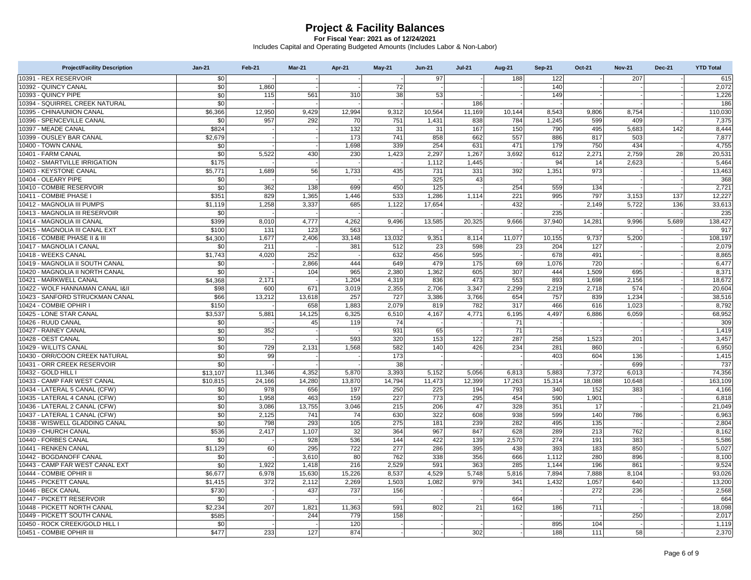| <b>Project/Facility Description</b>                | $Jan-21$        | <b>Feb-21</b> | Mar-21        | Apr-21        | <b>May-21</b> | <b>Jun-21</b> | <b>Jul-21</b> | <b>Aug-21</b> | <b>Sep-21</b> | Oct-21          | <b>Nov-21</b> | <b>Dec-21</b> | <b>YTD Total</b>  |
|----------------------------------------------------|-----------------|---------------|---------------|---------------|---------------|---------------|---------------|---------------|---------------|-----------------|---------------|---------------|-------------------|
| 10391 - REX RESERVOIR                              | \$0             |               |               |               |               | 97            |               | 188           | 122           |                 | 207           |               | 615               |
| 10392 - QUINCY CANAL                               | \$0             | 1,860         |               |               | 72            |               |               |               | 140           |                 |               |               | 2,072             |
| 10393 - QUINCY PIPE                                | \$0             | 115           | 561           | 310           | 38            | 53            |               |               | 149           |                 |               |               | 1,226             |
| 10394 - SQUIRREL CREEK NATURAL                     | $\overline{50}$ |               |               |               |               |               | 186           |               |               |                 |               |               | 186               |
| 10395 - CHINA/UNION CANAL                          | \$6,366         | 12,950        | 9,429         | 12,994        | 9,312         | 10,564        | 11,169        | 10,144        | 8,543         | 9,806           | 8,754         |               | 110,030           |
| 10396 - SPENCEVILLE CANAL                          | \$0             | 957           | 292           | 70            | 751           | 1,431         | 838           | 784           | 1.245         | 599             | 409           |               | 7,375             |
| 10397 - MEADE CANAL                                | \$824           |               |               | 132           | 31            | 31            | 167           | 150           | 790           | 495             | 5,683         | 142           | 8.444             |
| 10399 - OUSLEY BAR CANAL                           | \$2,679         |               |               | 173           | 741           | 858           | 662           | 557           | 886           | 817             | 503           |               | 7,877             |
| 10400 - TOWN CANAL                                 | \$0             |               |               | 1,698         | 339           | 254           | 631           | 471           | 179           | 750             | 434           |               | 4,755             |
| 10401 - FARM CANAL                                 | \$0             | 5.522         | 430           | 230           | 1,423         | 2,297         | 1,267         | 3.692         | 612           | 2,271           | 2,759         | 28            | 20,531            |
| 10402 - SMARTVILLE IRRIGATION                      | \$175           |               |               |               |               | 1,112         | 1,445         |               | 94            | 14              | 2,623         |               | 5,464             |
| 10403 - KEYSTONE CANAL                             | \$5,771         | 1,689         | 56            | 1,733         | 435           | 731           | 331           | 392           | 1,351         | 973             |               |               | 13,463            |
| 10404 - OLEARY PIPE                                | \$0             |               |               |               |               | 325           | 43            |               |               |                 |               |               | 368               |
| 10410 - COMBIE RESERVOIR                           | \$0             | 362           | 138           | 699           | 450           | 125           |               | 254           | 559           | 134             |               |               | 2,721             |
| 10411 - COMBIE PHASE                               | \$351           | 829           | 1,365         | 1.446         | 533           | 1,286         | 1,114         | 221           | 995           | 797             | 3,153         | 137           | 12,227            |
| 10412 - MAGNOLIA III PUMPS                         | \$1,119         | 1,258         | 3,337         | 685           | 1,122         | 17,654        |               | 432           |               | 2,149           | 5,722         | 136           | 33,613            |
| 10413 - MAGNOLIA III RESERVOIR                     | \$0             |               |               |               |               |               |               |               | 235           |                 |               |               | 235               |
| 10414 - MAGNOLIA III CANAL                         | \$399           | 8.010         | 4,777         | 4.262         | 9.496         | 13,585        | 20,325        | 9.666         | 37,940        | 14,281          | 9,996         | 5,689         | 138,427           |
| 10415 - MAGNOLIA III CANAL EXT                     | \$100           | 131           | 123           | 563           |               |               |               |               |               |                 |               |               | 917               |
| 10416 - COMBIE PHASE II & III                      | \$4,300         | 1,677         | 2,406         | 33,148        | 13,032        | 9,351         | 8,114         | 11,077        | 10,155        | 9,737           | 5,200         |               | 108,197           |
| 10417 - MAGNOLIA I CANAL                           | \$0             | 211           |               | 381           | 512           | 23            | 598           | 23            | 204           | 127             |               |               | 2,079             |
| 10418 - WEEKS CANAL                                | \$1,743         | 4,020         | 252           |               | 632           | 456           | 595           |               | 678           | 491             |               |               | 8,865             |
| 10419 - MAGNOLIA II SOUTH CANAL                    | \$0             |               | 2,866         | 444           | 649           | 479           | 175           | 69            | 1.076         | 720             |               |               | 6,477             |
| 10420 - MAGNOLIA II NORTH CANAL                    | \$0             |               | 104           | 965           | 2,380         | 1,362         | 605           | 307           | 444           | 1,509           | 695           |               | 8,371             |
| 10421 - MARKWELL CANAL                             | \$4.368         | 2.171         |               | 1,204         | 4,319         | 836           | 473           | 553           | 893           | 1,698           | 2,156         |               | 18,672            |
| 10422 - WOLF HANNAMAN CANAL I&II                   | \$98            | 600           | 671           | 3,019         | 2,355         | 2,706         | 3,347         | 2,299         | 2,219         | 2,718           | 574           |               | 20,604            |
| 10423 - SANFORD STRUCKMAN CANAL                    | \$66            | 13,212        | 13,618        | 257           | 727           | 3,386         | 3,766         | 654           | 757           | 839             | 1,234         |               | 38,516            |
| 10424 - COMBIE OPHIR I                             | \$150           |               | 658           | 1.883         | 2,079         | 819           | 782           | 317           | 466           | 616             | 1,023         |               | 8,792             |
| 10425 - LONE STAR CANAL                            | \$3,537         | 5,881         | 14,125        | 6,325         | 6,510         | 4,167         | 4,771         | 6,195         | 4,497         | 6,886           | 6,059         |               | 68,952            |
| 10426 - RUUD CANAL                                 | \$0             |               | 45            | 119           | 74            |               |               | 71            |               |                 |               |               | 309               |
| 10427 - RAINEY CANAL                               | \$0             | 352           |               |               | 931           | 65            |               | 71            |               |                 |               |               | 1,419             |
| 10428 - OEST CANAL                                 | $\overline{50}$ |               |               | 593           | 320           | 153           | 122           | 287           | 258           | 1,523           | 201           |               | 3,457             |
| 10429 - WILLITS CANAL                              | \$0             | 729           | 2,131         | 1,568         | 582           | 140           | 426           | 234           | 281           | 860             |               |               | 6,950             |
| 10430 - ORR/COON CREEK NATURAL                     | \$0             | 99            |               |               | 173<br>38     |               |               |               | 403           | 604             | 136           |               | 1,415             |
| 10431 - ORR CREEK RESERVOIR<br>10432 - GOLD HILL I | \$0             | 11,346        | 4,352         | 5,870         | 3,393         | 5,152         |               |               | 5,883         |                 | 699<br>6,013  |               | 737               |
| 10433 - CAMP FAR WEST CANAL                        | \$13,107        |               |               |               | 14,794        |               | 5,056         | 6,813         | 15,314        | 7,372<br>18,088 |               |               | 74,356<br>163,109 |
| 10434 - LATERAL 5 CANAL (CFW)                      | \$10,815        | 24,166<br>978 | 14,280<br>656 | 13,870<br>197 | 250           | 11,473<br>225 | 12,399<br>194 | 17,263<br>793 | 340           | 152             | 10,648<br>383 |               | 4,166             |
| 10435 - LATERAL 4 CANAL (CFW)                      | \$0<br>\$0      | 1,958         | 463           | 159           | 227           | 773           | 295           | 454           | 590           | 1,901           |               |               | 6,818             |
| 10436 - LATERAL 2 CANAL (CFW)                      | \$0             | 3.086         | 13,755        | 3.046         | 215           | 206           | 47            | 328           | 351           | 17              |               |               | 21,049            |
| 10437 - LATERAL 1 CANAL (CFW)                      | \$0             | 2,125         | 741           | 74            | 630           | 322           | 608           | 938           | 599           | 140             | 786           |               | 6,963             |
| 10438 - WISWELL GLADDING CANAL                     | \$0             | 798           | 293           | 105           | 275           | 181           | 239           | 282           | 495           | 135             |               |               | 2,804             |
| 10439 - CHURCH CANAL                               | \$536           | 2,417         | 1,107         | 32            | 364           | 967           | 847           | 628           | 289           | 213             | 762           |               | 8,162             |
| 10440 - FORBES CANAL                               | \$0             |               | 928           | 536           | 144           | 422           | 139           | 2,570         | 274           | 191             | 383           |               | 5,586             |
| 10441 - RENKEN CANAL                               | \$1.129         | 60            | 295           | 722           | 277           | 286           | 395           | 438           | 393           | 183             | 850           |               | 5,027             |
| 10442 - BOGDANOFF CANAL                            | \$0             |               | 3,610         | 80            | 762           | 338           | 356           | 666           | 1,112         | 280             | 896           |               | 8,100             |
| 10443 - CAMP FAR WEST CANAL EXT                    | \$0             | 1.922         | 1,418         | 216           | 2,529         | 591           | 363           | 285           | 1,144         | 196             | 861           |               | 9,524             |
| 10444 - COMBIE OPHIR II                            | \$6,677         | 6,978         | 15,630        | 15,226        | 8,537         | 4,529         | 5,748         | 5,816         | 7,894         | 7,888           | 8,104         |               | 93,026            |
| 10445 - PICKETT CANAL                              | \$1,415         | 372           | 2,112         | 2,269         | 1,503         | 1,082         | 979           | 341           | 1,432         | 1,057           | 640           |               | 13,200            |
| 10446 - BECK CANAL                                 | \$730           |               | 437           | 737           | 156           |               |               |               |               | 272             | 236           |               | 2,568             |
| 10447 - PICKETT RESERVOIR                          | \$0             |               |               |               |               |               |               | 664           |               |                 |               |               | 664               |
| 10448 - PICKETT NORTH CANAL                        | \$2,234         | 207           | 1,821         | 11,363        | 591           | 802           | 21            | 162           | 186           | 711             |               |               | 18,098            |
| 10449 - PICKETT SOUTH CANAL                        | \$585           |               | 244           | 779           | 158           |               |               |               |               |                 | 250           |               | 2,017             |
| 10450 - ROCK CREEK/GOLD HILL I                     | \$0             |               |               | 120           |               |               |               |               | 895           | 104             |               |               | 1,119             |
| 10451 - COMBIE OPHIR III                           | \$477           | 233           | 127           | 874           |               |               | 302           |               | 188           | 111             | 58            |               | 2,370             |
|                                                    |                 |               |               |               |               |               |               |               |               |                 |               |               |                   |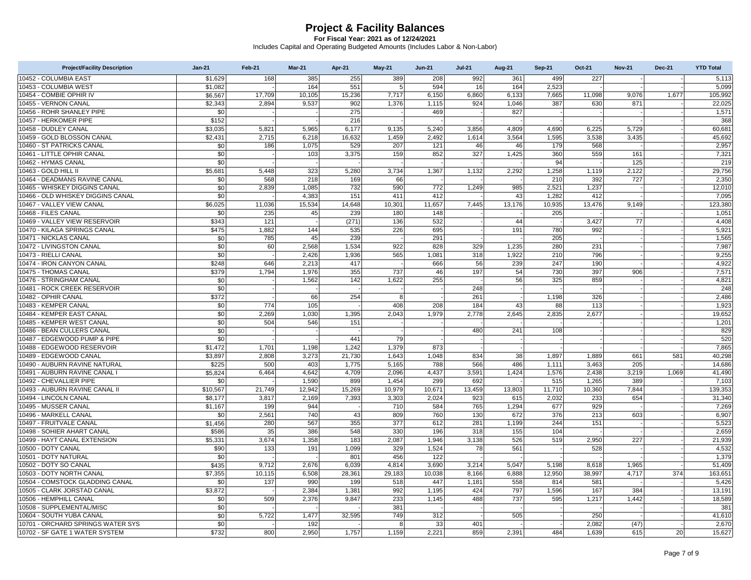| <b>Project/Facility Description</b> | $Jan-21$ | Feb-21 | <b>Mar-21</b> | Apr-21 | $May-21$     | <b>Jun-21</b> | <b>Jul-21</b> | <b>Aug-21</b> | <b>Sep-21</b> | Oct-21 | <b>Nov-21</b> | <b>Dec-21</b> | <b>YTD Total</b> |
|-------------------------------------|----------|--------|---------------|--------|--------------|---------------|---------------|---------------|---------------|--------|---------------|---------------|------------------|
| 10452 - COLUMBIA EAST               | \$1,629  | 168    | 385           | 255    | 389          | 208           | 992           | 361           | 499           | 227    |               |               | 5,113            |
| 10453 - COLUMBIA WEST               | \$1,082  |        | 164           | 551    | 5            | 594           | 16            | 164           | 2,523         |        |               |               | 5,099            |
| 10454 - COMBIE OPHIR IV             | \$6.567  | 17,709 | 10,105        | 15,236 | 7,717        | 6,150         | 6.860         | 6.133         | 7.665         | 11,098 | 9.076         | 1.677         | 105,992          |
| 10455 - VERNON CANAL                | \$2,343  | 2.894  | 9,537         | 902    | 1,376        | 1,115         | 924           | 1,046         | 387           | 630    | 871           |               | 22,025           |
| 10456 - ROHR SHANLEY PIPE           | \$0      |        |               | 275    |              | 469           |               | 827           |               |        |               |               | 1,571            |
| 10457 - HERKOMER PIPE               | \$152    |        |               | 216    |              |               |               |               |               |        |               |               | 368              |
| 10458 - DUDLEY CANAL                | \$3,035  | 5,821  | 5,965         | 6,177  | 9,135        | 5,240         | 3,856         | 4,809         | 4,690         | 6.225  | 5,729         |               | 60,681           |
| 10459 - GOLD BLOSSON CANAL          | \$2,431  | 2.715  | 6,218         | 16,632 | 1,459        | 2,492         | 1,614         | 3,564         | 1,595         | 3,538  | 3,435         |               | 45,692           |
| 10460 - ST PATRICKS CANAL           | \$0      | 186    | 1,075         | 529    | 207          | 121           | 46            | 46            | 179           | 568    |               |               | 2,957            |
| 10461 - LITTLE OPHIR CANAL          | \$0      |        | 103           | 3,375  | 159          | 852           | 327           | 1,425         | 360           | 559    | 161           |               | 7,321            |
| 10462 - HYMAS CANAL                 | \$0      |        |               |        |              |               |               |               | 94            |        | 125           |               | 219              |
| 10463 - GOLD HILL II                | \$5,681  | 5.448  | 323           | 5,280  | 3,734        | 1,367         | 1,132         | 2,292         | 1,258         | 1,119  | 2,122         |               | 29,756           |
| 10464 - DEADMANS RAVINE CANAL       | \$0      | 568    | 218           | 169    | 66           |               |               |               | 210           | 392    | 727           |               | 2.350            |
| 10465 - WHISKEY DIGGINS CANAL       | \$0      | 2,839  | 1,085         | 732    | 590          | 772           | 1,249         | 985           | 2,521         | 1,237  |               |               | 12,010           |
| 10466 - OLD WHISKEY DIGGINS CANAL   | \$0      |        | 4,383         | 151    | 411          | 412           |               | 43            | 1,282         | 412    |               |               | 7,095            |
| 10467 - VALLEY VIEW CANAL           | \$6,025  | 11,036 | 15,534        | 14,648 | 10,301       | 11,657        | 7,445         | 13,176        | 10,935        | 13,476 | 9,149         |               | 123,380          |
| 10468 - FILES CANAL                 | \$0      | 235    | 45            | 239    | 180          | 148           |               |               | 205           |        |               |               | 1,051            |
| 10469 - VALLEY VIEW RESERVOIR       | \$343    | 121    |               | (271)  | 136          | 532           |               | 44            |               | 3.427  | 77            |               | 4,408            |
| 10470 - KILAGA SPRINGS CANAL        | \$475    | 1,882  | 144           | 535    | 226          | 695           |               | 191           | 780           | 992    |               |               | 5,921            |
| 10471 - NICKLAS CANAL               | \$0      | 785    | 45            | 239    |              | 291           |               |               | 205           |        |               |               | 1,565            |
| 10472 - LIVINGSTON CANAL            | \$0      | 60     | 2,568         | 1,534  | 922          | 828           | 329           | 1,235         | 280           | 231    |               |               | 7,987            |
| 10473 - RIELLI CANAL                | \$0      |        | 2,426         | 1,936  | 565          | 1,081         | 318           | 1,922         | 210           | 796    |               |               | 9,255            |
| 10474 - IRON CANYON CANAL           | \$248    | 646    | 2,213         | 417    |              | 666           | 56            | 239           | 247           | 190    |               |               | 4,922            |
| 10475 - THOMAS CANAL                | \$379    | 1,794  | 1,976         | 355    | 737          | 46            | 197           | 54            | 730           | 397    | 906           |               | 7,571            |
| 10476 - STRINGHAM CANAL             | \$0      |        | 1,562         | 142    | 1,622        | 255           |               | 56            | 325           | 859    |               |               | 4,821            |
| 10481 - ROCK CREEK RESERVOIR        | \$0      |        |               |        |              |               | 248           |               |               |        |               |               | 248              |
| 10482 - OPHIR CANAL                 | \$372    |        | 66            | 254    | $\mathbf{a}$ |               | 261           |               | 1,198         | 326    |               |               | 2,486            |
| 10483 - KEMPER CANAL                | \$0      | 774    | 105           |        | 408          | 208           | 184           | 43            | 88            | 113    |               |               | 1,923            |
| 10484 - KEMPER EAST CANAL           | \$0      | 2.269  | 1,030         | 1,395  | 2,043        | 1,979         | 2,778         | 2,645         | 2,835         | 2,677  |               |               | 19,652           |
| 10485 - KEMPER WEST CANAL           | \$0      | 504    | 546           | 151    |              |               |               |               |               |        |               |               | 1,201            |
| 10486 - BEAN CULLERS CANAL          | \$0      |        |               |        |              |               | 480           | 241           | 108           |        |               |               | 829              |
| 10487 - EDGEWOOD PUMP & PIPE        | \$0      |        |               | 441    | 79           |               |               |               |               |        |               |               | 520              |
| 10488 - EDGEWOOD RESERVOIR          | \$1,472  | 1,701  | 1,198         | 1,242  | 1,379        | 873           |               |               |               |        |               |               | 7,865            |
| 10489 - EDGEWOOD CANAL              | \$3,897  | 2.808  | 3,273         | 21,730 | 1,643        | 1,048         | 834           | 38            | 1,897         | 1,889  | 661           | 581           | 40,298           |
| 10490 - AUBURN RAVINE NATURAL       | \$225    | 500    | 403           | 1.775  | 5,165        | 788           | 566           | 486           | 1.111         | 3.463  | 205           |               | 14.686           |
| 10491 - AUBURN RAVINE CANAL I       | \$5,824  | 6,464  | 4,642         | 4,709  | 2,096        | 4,437         | 3,591         | 1,424         | 1,576         | 2,438  | 3,219         | 1,069         | 41,490           |
| 10492 - CHEVALLIER PIPE             | \$0      |        | 1,590         | 899    | 1,454        | 299           | 692           |               | 515           | 1,265  | 389           |               | 7,103            |
| 10493 - AUBURN RAVINE CANAL II      | \$10,567 | 21,749 | 12,942        | 15,269 | 10,979       | 10,671        | 13,459        | 13,803        | 11,710        | 10,360 | 7,844         |               | 139,353          |
| 10494 - LINCOLN CANAL               | \$8,177  | 3.817  | 2,169         | 7,393  | 3,303        | 2,024         | 923           | 615           | 2,032         | 233    | 654           |               | 31,340           |
| 10495 - MUSSER CANAL                | \$1,167  | 199    | 944           |        | 710          | 584           | 765           | 1,294         | 677           | 929    |               |               | 7.269            |
| 10496 - MARKELL CANAL               | \$0      | 2,561  | 740           | 43     | 809          | 760           | 130           | 672           | 376           | 213    | 603           |               | 6,907            |
| 10497 - FRUITVALE CANAL             | \$1,456  | 280    | 567           | 355    | 377          | 612           | 281           | 1.199         | 244           | 151    |               |               | 5,523            |
| 10498 - SOHIER AHART CANAL          | \$586    | 35     | 386           | 548    | 330          | 196           | 318           | 155           | 104           |        |               |               | 2,659            |
| 10499 - HAYT CANAL EXTENSION        | \$5,331  | 3.674  | 1,358         | 183    | 2,087        | 1,946         | 3,138         | 526           | 519           | 2,950  | 227           |               | 21,939           |
| 10500 - DOTY CANAL                  | \$90     | 133    | 191           | 1.099  | 329          | 1,524         | 78            | 561           |               | 528    |               |               | 4.532            |
| 10501 - DOTY NATURAL                | \$0      |        |               | 801    | 456          | 122           |               |               |               |        |               |               | 1,379            |
| 10502 - DOTY SO CANAL               | \$435    | 9.712  | 2,676         | 6.039  | 4,814        | 3,690         | 3,214         | 5.047         | 5,198         | 8,618  | 1,965         |               | 51,409           |
| 10503 - DOTY NORTH CANAL            | \$7,355  | 10,115 | 6,508         | 28,361 | 29,183       | 10,038        | 8,166         | 6,888         | 12,950        | 38,997 | 4,717         | 374           | 163,651          |
| 10504 - COMSTOCK GLADDING CANAL     | \$0      | 137    | 990           | 199    | 518          | 447           | 1,181         | 558           | 814           | 581    |               |               | 5,426            |
| 10505 - CLARK JORSTAD CANAL         | \$3,872  |        | 2,384         | 1,381  | 992          | 1,195         | 424           | 797           | 1,596         | 167    | 384           |               | 13,191           |
| 10506 - HEMPHILL CANAL              | \$0      | 509    | 2,376         | 9.847  | 233          | 1,145         | 488           | 737           | 595           | 1,217  | 1,442         |               | 18,589           |
| 10508 - SUPPLEMENTAL/MISC           | \$0      |        |               |        | 381          |               |               |               |               |        |               |               | 381              |
| 10604 - SOUTH YUBA CANAL            | \$0      | 5,722  | 1,477         | 32,595 | 749          | 312           |               | 505           |               | 250    |               |               | 41,610           |
| 10701 - ORCHARD SPRINGS WATER SYS   | \$0      |        | 192           |        | -8           | 33            | 401           |               |               | 2.082  | (47)          |               | 2.670            |
| 10702 - SF GATE 1 WATER SYSTEM      | \$732    | 800    | 2,950         | 1,757  | 1,159        | 2,221         | 859           | 2,391         | 484           | 1,639  | 615           | 20            | 15,627           |
|                                     |          |        |               |        |              |               |               |               |               |        |               |               |                  |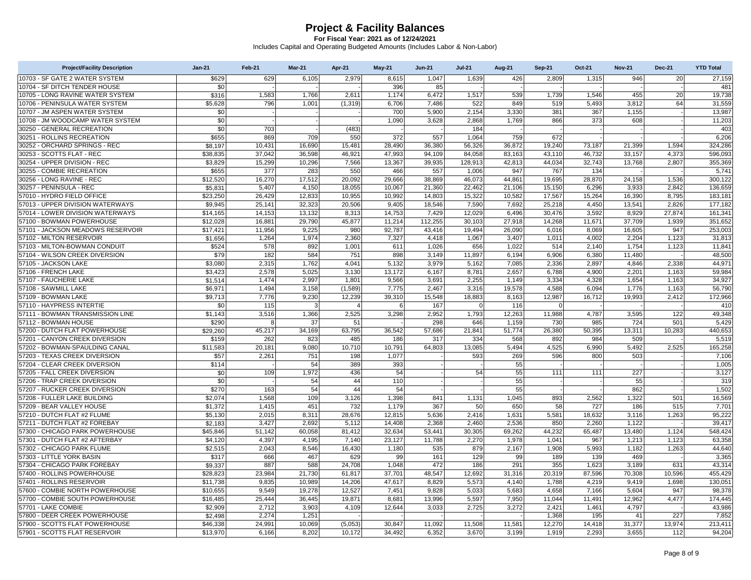| <b>Project/Facility Description</b>                          | $Jan-21$             | Feb-21         | Mar-21           | Apr-21           | May-21          | $Jun-21$       | <b>Jul-21</b>  | <b>Aug-21</b>  | <b>Sep-21</b>  | <b>Oct-21</b>  | <b>Nov-21</b>   | <b>Dec-21</b> | <b>YTD Total</b>  |
|--------------------------------------------------------------|----------------------|----------------|------------------|------------------|-----------------|----------------|----------------|----------------|----------------|----------------|-----------------|---------------|-------------------|
| 10703 - SF GATE 2 WATER SYSTEM                               | \$629                | 629            | 6,105            | 2.979            | 8.615           | 1.047          | 1.639          | 426            | 2.809          | 1,315          | 946             | 20            | 27,159            |
| 10704 - SF DITCH TENDER HOUSE                                | \$0                  |                |                  |                  | 396             | 85             |                |                |                |                |                 |               | 481               |
| 10705 - LONG RAVINE WATER SYSTEM                             | \$316                | 1,583          | 1,766            | 2,611            | 1,174           | 6,472          | 1,517          | 539            | 1,739          | 1,546          | 455             | 20            | 19,738            |
| 10706 - PENINSULA WATER SYSTEM                               | \$5.628              | 796            | 1.001            | (1, 319)         | 6,706           | 7.486          | 522            | 849            | 519            | 5.493          | 3.812           | 64            | 31,559            |
| 10707 - JM ASPEN WATER SYSTEM                                | \$0                  |                |                  |                  | 700             | 5,900          | 2,154          | 3,330          | 381            | 367            | 1,155           |               | 13,987            |
| 10708 - JM WOODCAMP WATER SYSTEM                             | \$0                  |                |                  |                  | 1,090           | 3,628          | 2,868          | 1,769          | 866            | 373            | 608             |               | 11,203            |
| 30250 - GENERAL RECREATION                                   | $\overline{50}$      | 703            |                  | (483)            |                 |                | 184            |                |                |                |                 |               | 403               |
| 30251 - ROLLINS RECREATION                                   | \$655                | 869            | 709              | 550              | 372             | 557            | 1,064          | 759            | 672            |                |                 |               | 6,206             |
| 30252 - ORCHARD SPRINGS - REC                                | \$8.197              | 10.431         | 16.690           | 15.481           | 28.490          | 36.380         | 56.326         | 36.872         | 19.240         | 73.187         | 21.399          | 1.594         | 324.286           |
| 30253 - SCOTTS FLAT - REC                                    | \$38,835             | 37,042         | 36,598           | 46,921           | 47,993          | 94,109         | 84,058         | 83,163         | 43,110         | 46,732         | 33,157          | 4,373         | 596,093           |
| 30254 - UPPER DIVISION - REC                                 | \$3,829              | 15,299         | 10,296           | 7,566            | 13,367          | 39,935         | 128,913        | 42,813         | 44,034         | 32,743         | 13,768          | 2,807         | 355,369           |
| 30255 - COMBIE RECREATION                                    | \$655                | 377            | 283              | 550              | 466             | 557            | 1,006          | 947            | 767            | 134            |                 |               | 5,741             |
| 30256 - LONG RAVINE - REC                                    | \$12,520             | 16,270         | 17,512           | 20,092           | 29,666          | 38,869         | 46,073         | 44,861         | 19,695         | 28,870         | 24,158          | 1,536         | 300,122           |
| 30257 - PENINSULA - REC                                      | \$5,831              | 5,407          | 4,150            | 18,055           | 10,067          | 21,360         | 22,462         | 21,106         | 15,150         | 6,296          | 3,933           | 2,842         | 136,659           |
| 57010 - HYDRO FIELD OFFICE                                   | \$23,250             | 26,429         | 12,833           | 10,955           | 10,992          | 14,803         | 15,322         | 10,582         | 17,567         | 15,264         | 16,390          | 8,795         | 183,181           |
| 57013 - UPPER DIVISION WATERWAYS                             | \$9,945              | 25,141         | 32,323           | 20,506           | 9,405           | 18,546         | 7,590          | 7,692          | 25,218         | 4,450          | 13,541          | 2,826         | 177,182           |
| 57014 - LOWER DIVISION WATERWAYS                             | \$14,165             | 14,153         | 13,132           | 8,313            | 14,753          | 7,429          | 12,029         | 6,496          | 30,476         | 3,592          | 8,929           | 27,874        | 161,341           |
| 57100 - BOWMAN POWERHOUSE                                    | \$12,028             | 16,881         | 29,790           | 45,877           | 11,214          | 112,255        | 30,103         | 27,918         | 14,268         | 11,671         | 37,709          | 1,939         | 351,652           |
| 57101 - JACKSON MEADOWS RESERVOIR                            | \$17,421             | 11,956         | 9,225            | 980              | 92.787          | 43,416         | 19,494         | 26,090         | 6.016          | 8,069          | 16,605          | 947           | 253.003           |
| 57102 - MILTON RESERVOIR                                     | \$1,656              | 1,264          | 1,974            | 2,360            | 7,327           | 4,418          | 1,067          | 3,407          | 1,011          | 4,002          | 2,204           | 1,123         | 31,813            |
| 57103 - MILTON-BOWMAN CONDUIT                                | \$524                | 578            | 892              | 1,001            | 611             | 1,026          | 656            | 1,022          | 514            | 2,140          | 1,754           | 1,123         | 11,841            |
| 57104 - WILSON CREEK DIVERSION                               | \$79                 | 182            | 584              | 751              | 898             | 3,149          | 11.897         | 6,194          | 6,906          | 6,380          | 11,480          |               | 48,500            |
| 57105 - JACKSON LAKE                                         | \$3,080              | 2,315          | 1,762            | 4,041            | 5,132           | 3,979          | 5,162          | 7,085          | 2,336          | 2,897          | 4,846           | 2,338         | 44,971            |
| 57106 - FRENCH LAKE                                          | \$3,423              | 2,578          | 5,025            | 3,130            | 13,172          | 6,167          | 8,781          | 2,657          | 6,788          | 4,900          | 2,201           | 1,163         | 59,984            |
| 57107 - FAUCHERIE LAKE                                       | \$1.514              | 1.474          | 2,997            | 1.801            | 9.566           | 3,691          | 2.255          | 1.149          | 3.334          | 4,328          | 1,654           | 1.163         | 34,927            |
| 57108 - SAWMILL LAKE                                         | \$6,971              | 1,494          | 3,158            | (1,589)          | 7,775           | 2,467          | 3,316          | 19,578         | 4,588          | 6,094          | 1,776           | 1,163         | 56,790            |
| 57109 - BOWMAN LAKE                                          | \$9,713              | 7,776          | 9,230            | 12,239           | 39,310          | 15,548         | 18,883         | 8,163          | 12,987         | 16,712         | 19,993          | 2,412         | 172,966           |
| 57110 - HAYPRESS INTERTIE                                    | \$0                  | 115            | 3                | $\Delta$         | 6               | 167            | $\Omega$       | 116            | $\Omega$       |                |                 |               | 410               |
| 57111 - BOWMAN TRANSMISSION LINE                             | \$1,143              | 3,516          | 1,366            | 2,525            | 3,298           | 2,952          | 1,793          | 12,263         | 11,988         | 4,787          | 3,595           | 122           | 49,348            |
| 57112 - BOWMAN HOUSE                                         | \$290                |                | 37               | 51               |                 | 298            | 646            | 1,159          | 730            | 985            | 724             | 501           | 5,429             |
| 57200 - DUTCH FLAT POWERHOUSE                                | \$29,260             | 45,217         | 34,169           | 63,795           | 36,542          | 57,686         | 21,841         | 51,774         | 26,380         | 50,395         | 13,311          | 10,283        | 440,653           |
| 57201 - CANYON CREEK DIVERSION                               | \$159                | 262            | 823              | 485              | 186             | 317            | 334            | 568            | 892            | 984            | 509             |               | 5,519             |
| 57202 - BOWMAN-SPAULDING CANAL                               | \$11,583             | 20.181         | 9,080            | 10.710           | 10.791          | 64,803         | 13,085         | 5,494          | 4,525          | 6,990          | 5.492           | 2.525         | 165,258           |
| 57203 - TEXAS CREEK DIVERSION                                | \$57                 | 2,261          | 751              | 198              | 1,077           |                | 593            | 269            | 596            | 800            | 503             |               | 7,106             |
| 57204 - CLEAR CREEK DIVERSION                                | \$114                |                | 54               | 389              | 393             |                |                | 55             |                |                |                 |               | 1,005             |
| 57205 - FALL CREEK DIVERSION                                 | \$0                  | 109            | 1,972            | 436              | 54              |                | 54             | 55             | 111            | 111            | 227             |               | 3,127             |
| 57206 - TRAP CREEK DIVERSION                                 | \$0                  |                | 54               | 44               | 110             |                |                | 55             |                |                | 55              |               | 319               |
| 57207 - RUCKER CREEK DIVERSION                               | \$270                | 163            | 54               | 44               | 54              |                |                | 55             |                |                | 862             |               | 1,502             |
| 57208 - FULLER LAKE BUILDING                                 | \$2,074              | 1,568          | 109              | 3,126            | 1,398           | 841            | 1,131          | 1,045          | 893            | 2,562          | 1,322           | 501           | 16,569            |
| 57209 - BEAR VALLEY HOUSE                                    | \$1,372              | 1,415          | 451              | 732              | 1,179           | 367            | 50             | 650            | 58             | 727            | 186             | 515           | 7,701             |
| 57210 - DUTCH FLAT #2 FLUME                                  | \$5,130              | 2.015          | 8,311            | 28,676           | 12,815          | 5,636          | 2,416          | 1,631          | 5,581          | 18,632         | 3,116           | 1,263         | 95,222            |
| 57211 - DUTCH FLAT #2 FOREBAY                                | \$2,183              | 3,427          | 2,692            | 5,112            | 14,408          | 2,368          | 2,460          | 2,536          | 850            | 2,260          | 1,122           |               | 39,417            |
| 57300 - CHICAGO PARK POWERHOUSE                              | \$45,846             | 51.142         | 60.058           | 81.412           | 32.634          | 53.441         | 30.305         | 69.262         | 44.232         | 65,487         | 13,480          | 1.124         | 548.424           |
| 57301 - DUTCH FLAT #2 AFTERBAY                               | \$4,120              | 4,397          | 4,195            | 7,140            | 23,127          | 11,788         | 2,270          | 1,978          | 1,041          | 967            | 1,213           | 1,123         | 63,358            |
| 57302 - CHICAGO PARK FLUME                                   | \$2,515              | 2,043          | 8,546            | 16,430           | 1,180           | 535            | 879            | 2,167          | 1,908          | 5,993          | 1,182           | 1,263         | 44,640            |
| 57303 - LITTLE YORK BASIN<br>57304 - CHICAGO PARK FOREBAY    | \$317                | 666<br>887     | 467<br>588       | 629              | 99<br>1,048     | 161<br>472     | 129<br>186     | 99<br>291      | 189<br>355     | 139            | 469             | 631           | 3.365<br>43,314   |
| 57400 - ROLLINS POWERHOUSE                                   | \$9,337              |                |                  | 24,708           |                 | 48,547         |                |                |                | 1,623          | 3,189           |               |                   |
|                                                              | \$28,823             | 23,984         | 21,730           | 61,817           | 37,701          |                | 12,692         | 31,316         | 20,319         | 87,596         | 70,308          | 10,596        | 455,429           |
| 57401 - ROLLINS RESERVOIR<br>57600 - COMBIE NORTH POWERHOUSE | \$11,738             | 9,835<br>9,549 | 10,989<br>19,278 | 14,206<br>12,527 | 47,617<br>7,451 | 8,829<br>9,828 | 5,573<br>5,033 | 4,140<br>5,683 | 1,788<br>4,658 | 4,219<br>7,166 | 9,419           | 1,698<br>947  | 130,051<br>98,378 |
| 57700 - COMBIE SOUTH POWERHOUSE                              | \$10,655<br>\$16,485 | 25,444         | 36,445           | 19,871           | 8,681           | 13,996         | 5,597          | 7,950          | 11,044         | 11,491         | 5,604<br>12,962 | 4,477         | 174,445           |
| 57701 - LAKE COMBIE                                          | \$2,909              | 2,712          | 3,903            | 4,109            | 12,644          | 3,033          | 2,725          | 3,272          | 2,421          | 1,461          |                 |               | 43,986            |
| 57800 - DEER CREEK POWERHOUSE                                | \$2,498              | 2,274          | 1,251            |                  |                 |                |                |                | 1,368          | 195            | 4,797<br>41     | 227           | 7,852             |
| 57900 - SCOTTS FLAT POWERHOUSE                               | \$46,338             | 24.991         | 10,069           | (5,053)          | 30,847          | 11,092         | 11,508         | 11.581         | 12,270         | 14,418         | 31,377          | 13,974        | 213,411           |
| 57901 - SCOTTS FLAT RESERVOIR                                | \$13,970             | 6,166          | 8,202            | 10,172           | 34,492          | 6,352          | 3,670          | 3,199          | 1,919          | 2.293          | 3,655           | 112           | 94,204            |
|                                                              |                      |                |                  |                  |                 |                |                |                |                |                |                 |               |                   |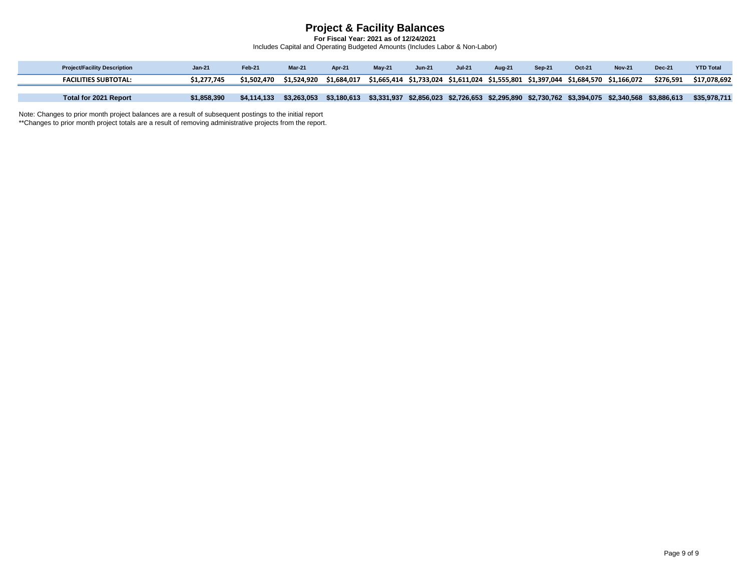**For Fiscal Year: 2021 as of 12/24/2021** Includes Capital and Operating Budgeted Amounts (Includes Labor & Non-Labor)

| <b>Project/Facility Description</b> | Jan-21      | Feb-21      | Mar-21      | Apr-21      | $Mav-21$                                                                            | <b>Jun-21</b> | <b>Jul-21</b> | Aug-21 | <b>Sep-21</b> | Oct-21 | <b>Nov-21</b>                                                                       | <b>Dec-21</b> | <b>YTD Total</b> |
|-------------------------------------|-------------|-------------|-------------|-------------|-------------------------------------------------------------------------------------|---------------|---------------|--------|---------------|--------|-------------------------------------------------------------------------------------|---------------|------------------|
| <b>FACILITIES SUBTOTAL:</b>         |             | \$1.502.470 | \$1.524.920 | \$1.684.017 | \$1,665,414 \$1,733,024 \$1,611,024 \$1,555,801 \$1,397,044 \$1,684,570 \$1,166,072 |               |               |        |               |        |                                                                                     | \$276.591     | \$17.078.692     |
|                                     |             |             |             |             |                                                                                     |               |               |        |               |        |                                                                                     |               |                  |
| Total for 2021 Report               | \$1,858,390 | \$4,114,133 | \$3,263,053 | \$3,180,613 | \$3,331,937                                                                         |               |               |        |               |        | \$2,856,023 \$2,726,653 \$2,295,890 \$2,730,762 \$3,394,075 \$2,340,568 \$3,886,613 |               | \$35,978,711     |

Note: Changes to prior month project balances are a result of subsequent postings to the initial report

\*\*Changes to prior month project totals are a result of removing administrative projects from the report.